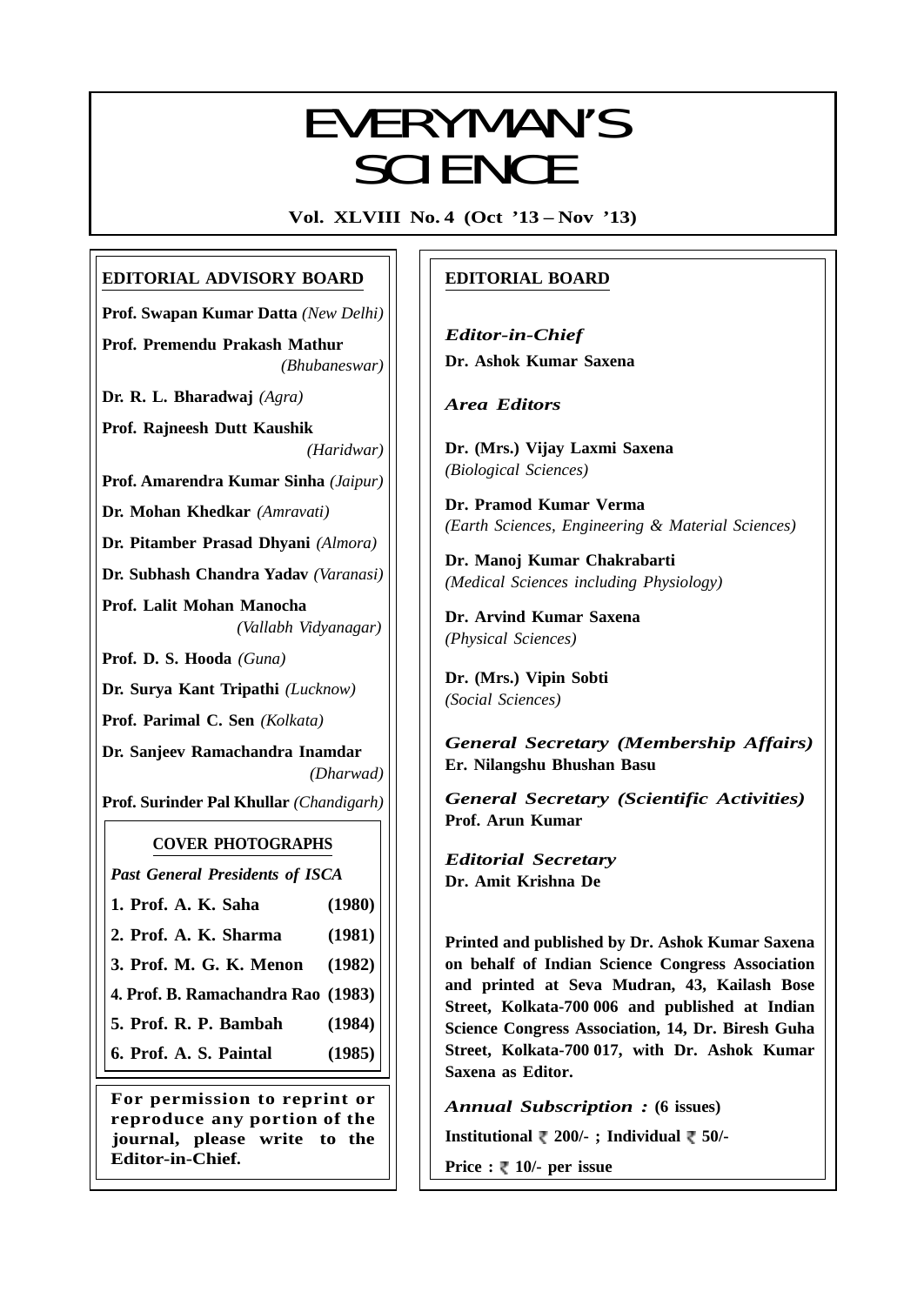# EVEDVAANI/C EVERYMAN'S SCIENCE

**Vol. XLVIII No. 4 (Oct '13 – Nov '13)**

# **EDITORIAL ADVISORY BOARD**

**Prof. Swapan Kumar Datta** *(New Delhi)*

**Prof. Premendu Prakash Mathur** *(Bhubaneswar)*

**Dr. R. L. Bharadwaj** *(Agra)*

**Prof. Rajneesh Dutt Kaushik** *(Haridwar)*

**Prof. Amarendra Kumar Sinha** *(Jaipur)*

**Dr. Mohan Khedkar** *(Amravati)*

**Dr. Pitamber Prasad Dhyani** *(Almora)*

**Dr. Subhash Chandra Yadav** *(Varanasi)*

**Prof. Lalit Mohan Manocha** *(Vallabh Vidyanagar)*

**Prof. D. S. Hooda** *(Guna)*

**Dr. Surya Kant Tripathi** *(Lucknow)*

**Prof. Parimal C. Sen** *(Kolkata)*

**Dr. Sanjeev Ramachandra Inamdar** *(Dharwad)*

**Prof. Surinder Pal Khullar** *(Chandigarh)*

# **COVER PHOTOGRAPHS**

*Past General Presidents of ISCA*

- **1. Prof. A. K. Saha (1980)**
- **2. Prof. A. K. Sharma (1981)**
- **3. Prof. M. G. K. Menon (1982)**
- **4. Prof. B. Ramachandra Rao (1983)**
- **5. Prof. R. P. Bambah (1984)**

**6. Prof. A. S. Paintal (1985)**

**For permission to reprint or reproduce any portion of the journal, please write to the Editor-in-Chief.**

# **EDITORIAL BOARD**

*Editor-in-Chief* **Dr. Ashok Kumar Saxena**

*Area Editors*

**Dr. (Mrs.) Vijay Laxmi Saxena** *(Biological Sciences)*

**Dr. Pramod Kumar Verma** *(Earth Sciences, Engineering & Material Sciences)*

**Dr. Manoj Kumar Chakrabarti** *(Medical Sciences including Physiology)*

**Dr. Arvind Kumar Saxena** *(Physical Sciences)*

**Dr. (Mrs.) Vipin Sobti** *(Social Sciences)*

*General Secretary (Membership Affairs)* **Er. Nilangshu Bhushan Basu**

*General Secretary (Scientific Activities)* **Prof. Arun Kumar**

*Editorial Secretary* **Dr. Amit Krishna De**

**Printed and published by Dr. Ashok Kumar Saxena on behalf of Indian Science Congress Association and printed at Seva Mudran, 43, Kailash Bose Street, Kolkata-700 006 and published at Indian Science Congress Association, 14, Dr. Biresh Guha Street, Kolkata-700 017, with Dr. Ashok Kumar Saxena as Editor.**

*Annual Subscription :* **(6 issues)**

**Institutional 200/- ; Individual 50/-**

**Price : ₹ 10/- per issue** 

237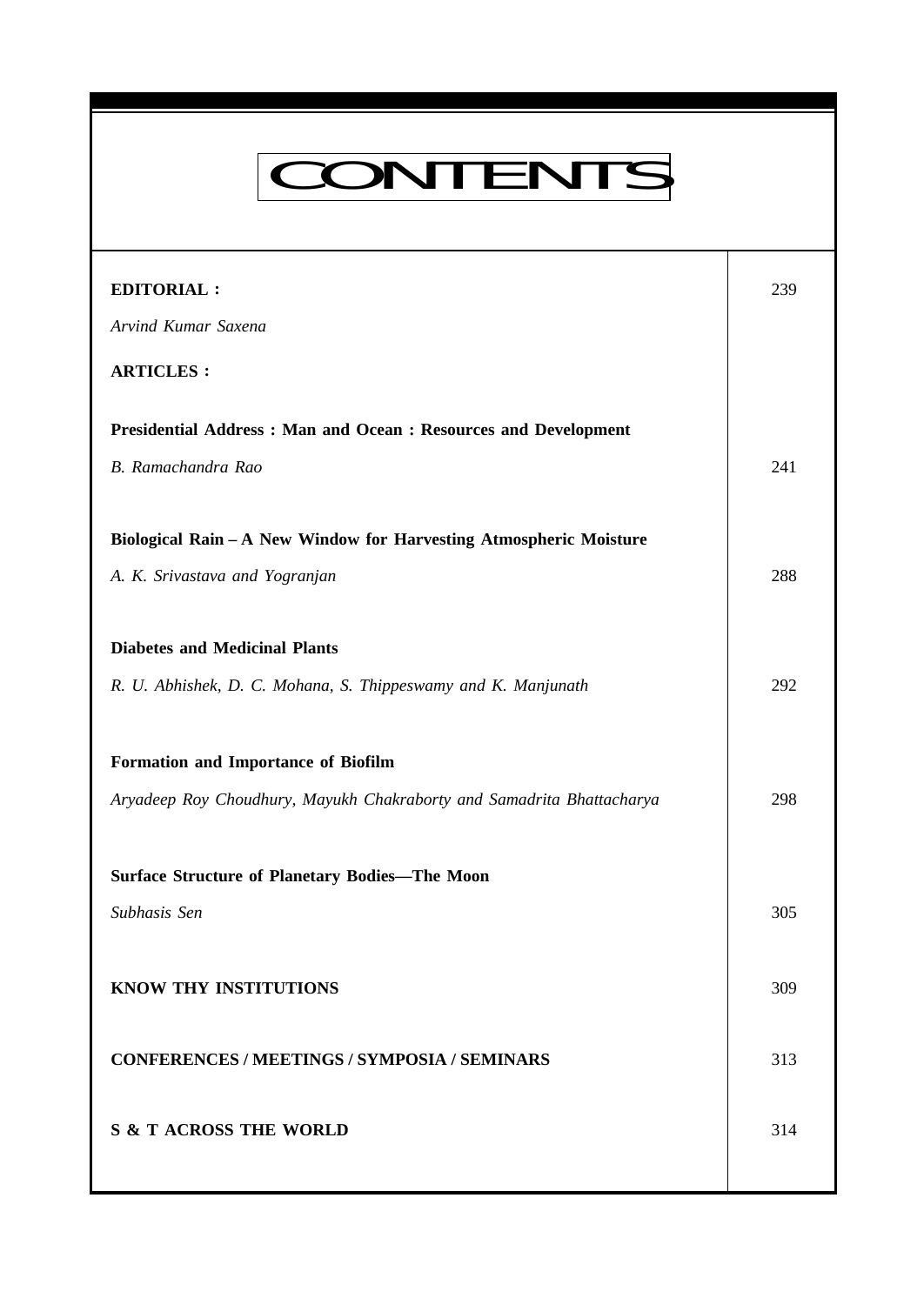# CONTENTS

**Everyman's Science Vol. XLVIII No. 4, Oct '13 — Nov '13**

| <b>EDITORIAL:</b>                                                     | 239 |
|-----------------------------------------------------------------------|-----|
| Arvind Kumar Saxena                                                   |     |
| <b>ARTICLES:</b>                                                      |     |
| <b>Presidential Address: Man and Ocean: Resources and Development</b> |     |
| B. Ramachandra Rao                                                    | 241 |
| Biological Rain - A New Window for Harvesting Atmospheric Moisture    |     |
| A. K. Srivastava and Yogranjan                                        | 288 |
| <b>Diabetes and Medicinal Plants</b>                                  |     |
| R. U. Abhishek, D. C. Mohana, S. Thippeswamy and K. Manjunath         | 292 |
|                                                                       |     |
| Formation and Importance of Biofilm                                   |     |
| Aryadeep Roy Choudhury, Mayukh Chakraborty and Samadrita Bhattacharya | 298 |
| <b>Surface Structure of Planetary Bodies-The Moon</b>                 |     |
| Subhasis Sen                                                          | 305 |
|                                                                       |     |
| KNOW THY INSTITUTIONS                                                 | 309 |
| <b>CONFERENCES / MEETINGS / SYMPOSIA / SEMINARS</b>                   | 313 |
| <b>S &amp; T ACROSS THE WORLD</b>                                     | 314 |
|                                                                       |     |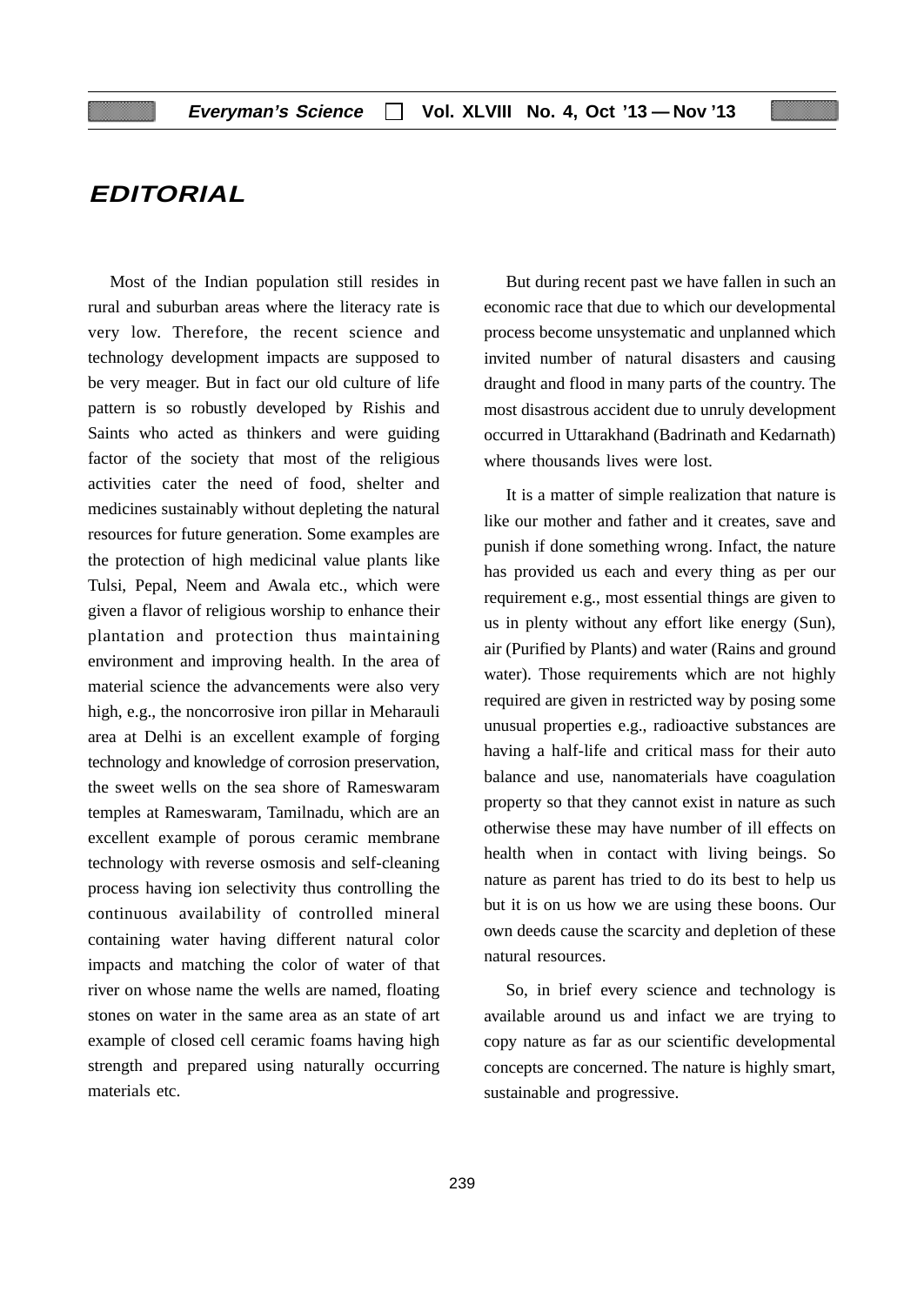# **EDITORIAL**

Most of the Indian population still resides in rural and suburban areas where the literacy rate is very low. Therefore, the recent science and technology development impacts are supposed to be very meager. But in fact our old culture of life pattern is so robustly developed by Rishis and Saints who acted as thinkers and were guiding factor of the society that most of the religious activities cater the need of food, shelter and medicines sustainably without depleting the natural resources for future generation. Some examples are the protection of high medicinal value plants like Tulsi, Pepal, Neem and Awala etc., which were given a flavor of religious worship to enhance their plantation and protection thus maintaining environment and improving health. In the area of material science the advancements were also very high, e.g., the noncorrosive iron pillar in Meharauli area at Delhi is an excellent example of forging technology and knowledge of corrosion preservation, the sweet wells on the sea shore of Rameswaram temples at Rameswaram, Tamilnadu, which are an excellent example of porous ceramic membrane technology with reverse osmosis and self-cleaning process having ion selectivity thus controlling the continuous availability of controlled mineral containing water having different natural color impacts and matching the color of water of that river on whose name the wells are named, floating stones on water in the same area as an state of art example of closed cell ceramic foams having high strength and prepared using naturally occurring materials etc.

But during recent past we have fallen in such an economic race that due to which our developmental process become unsystematic and unplanned which invited number of natural disasters and causing draught and flood in many parts of the country. The most disastrous accident due to unruly development occurred in Uttarakhand (Badrinath and Kedarnath) where thousands lives were lost.

It is a matter of simple realization that nature is like our mother and father and it creates, save and punish if done something wrong. Infact, the nature has provided us each and every thing as per our requirement e.g., most essential things are given to us in plenty without any effort like energy (Sun), air (Purified by Plants) and water (Rains and ground water). Those requirements which are not highly required are given in restricted way by posing some unusual properties e.g., radioactive substances are having a half-life and critical mass for their auto balance and use, nanomaterials have coagulation property so that they cannot exist in nature as such otherwise these may have number of ill effects on health when in contact with living beings. So nature as parent has tried to do its best to help us but it is on us how we are using these boons. Our own deeds cause the scarcity and depletion of these natural resources.

So, in brief every science and technology is available around us and infact we are trying to copy nature as far as our scientific developmental concepts are concerned. The nature is highly smart, sustainable and progressive.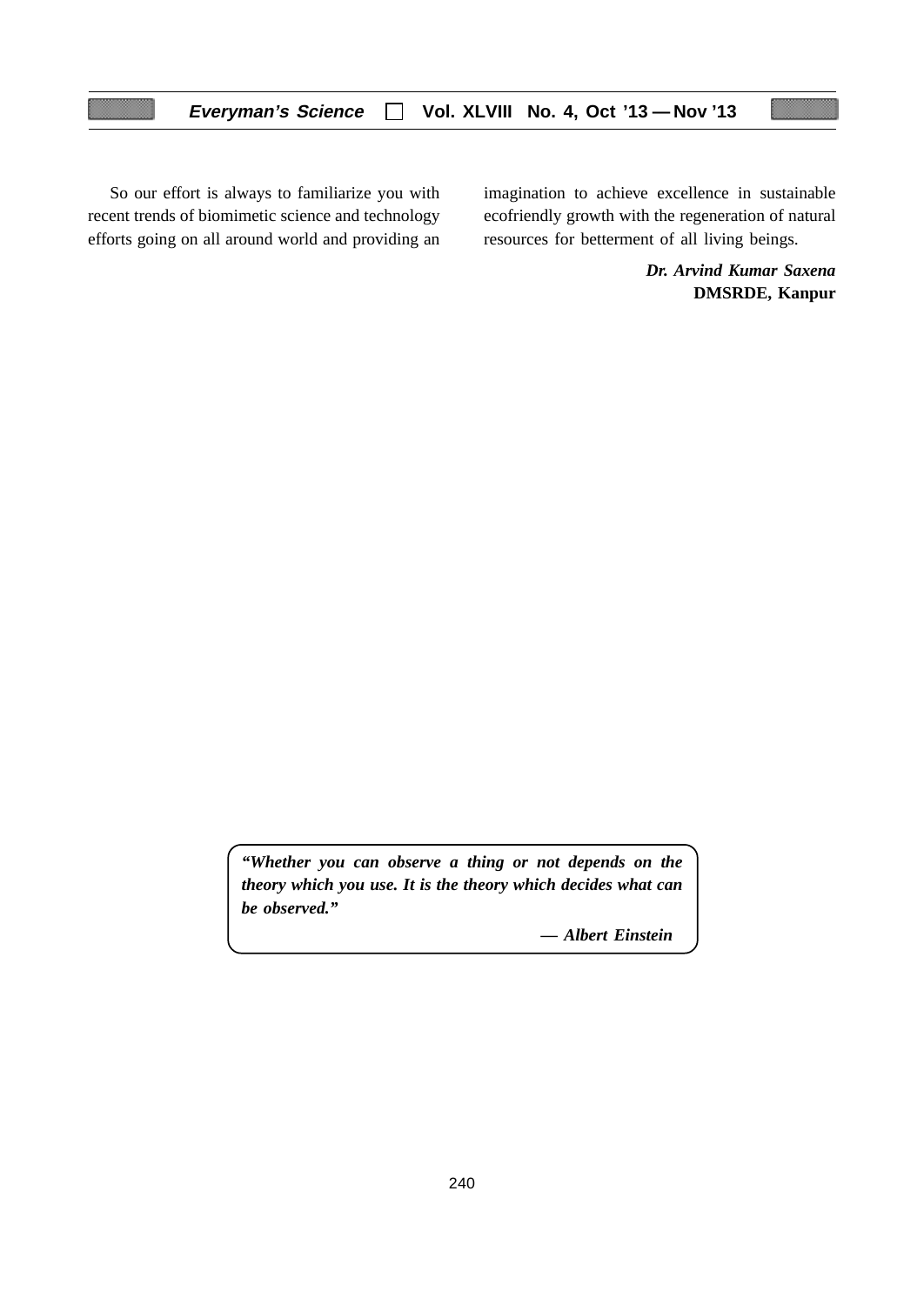So our effort is always to familiarize you with recent trends of biomimetic science and technology efforts going on all around world and providing an imagination to achieve excellence in sustainable ecofriendly growth with the regeneration of natural resources for betterment of all living beings.

> *Dr. Arvind Kumar Saxena* **DMSRDE, Kanpur**

*"Whether you can observe a thing or not depends on the theory which you use. It is the theory which decides what can be observed."*

*— Albert Einstein*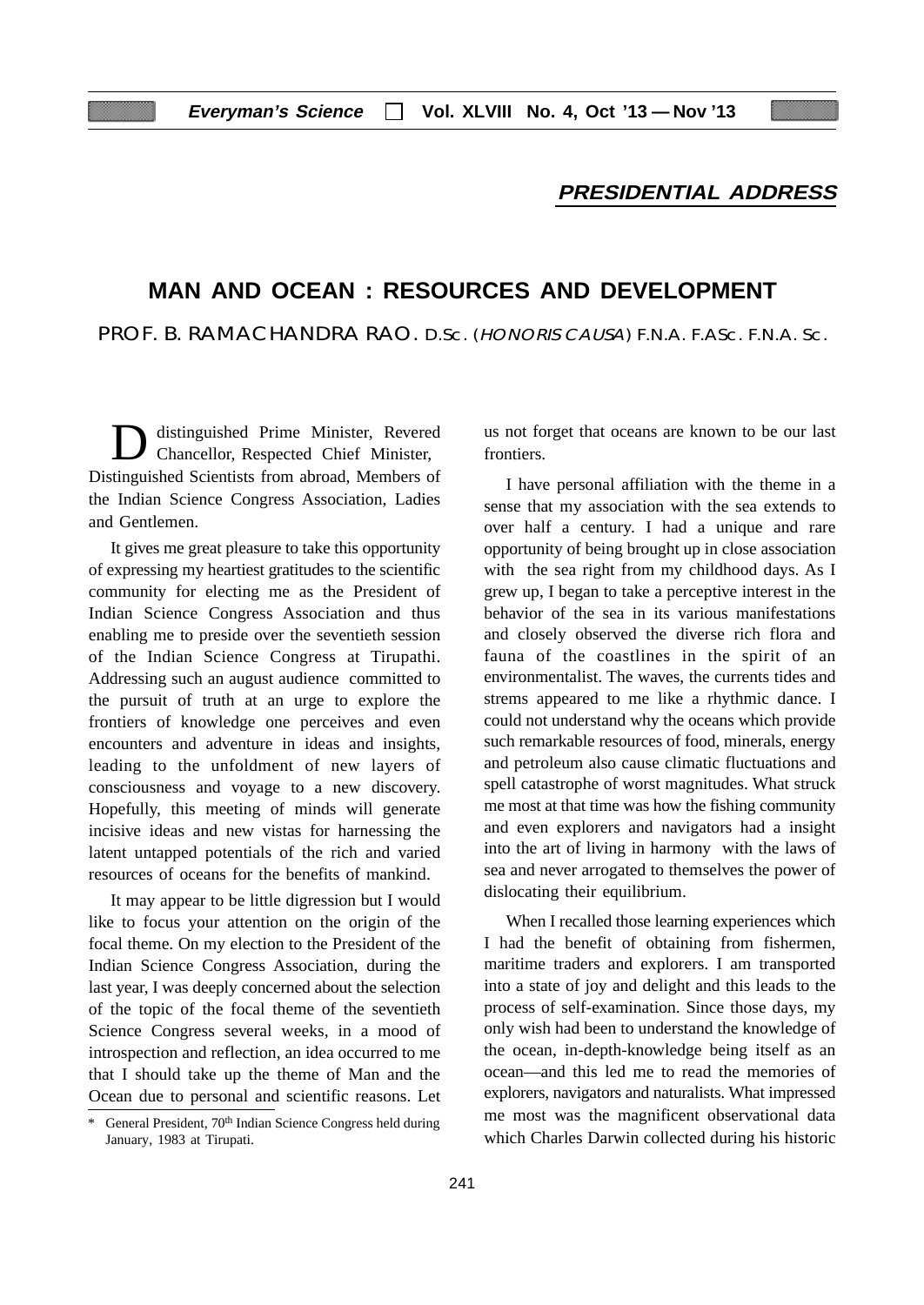# **PRESIDENTIAL ADDRESS**

# **MAN AND OCEAN : RESOURCES AND DEVELOPMENT**

PROF. B. RAMACHANDRA RAO. D.Sc. (HONORIS CAUSA) F.N.A. F.ASc. F.N.A. Sc.

distinguished Prime Minister, Revered Chancellor, Respected Chief Minister, Distinguished Scientists from abroad, Members of the Indian Science Congress Association, Ladies and Gentlemen.

It gives me great pleasure to take this opportunity of expressing my heartiest gratitudes to the scientific community for electing me as the President of Indian Science Congress Association and thus enabling me to preside over the seventieth session of the Indian Science Congress at Tirupathi. Addressing such an august audience committed to the pursuit of truth at an urge to explore the frontiers of knowledge one perceives and even encounters and adventure in ideas and insights, leading to the unfoldment of new layers of consciousness and voyage to a new discovery. Hopefully, this meeting of minds will generate incisive ideas and new vistas for harnessing the latent untapped potentials of the rich and varied resources of oceans for the benefits of mankind.

It may appear to be little digression but I would like to focus your attention on the origin of the focal theme. On my election to the President of the Indian Science Congress Association, during the last year, I was deeply concerned about the selection of the topic of the focal theme of the seventieth Science Congress several weeks, in a mood of introspection and reflection, an idea occurred to me that I should take up the theme of Man and the Ocean due to personal and scientific reasons. Let us not forget that oceans are known to be our last frontiers.

I have personal affiliation with the theme in a sense that my association with the sea extends to over half a century. I had a unique and rare opportunity of being brought up in close association with the sea right from my childhood days. As I grew up, I began to take a perceptive interest in the behavior of the sea in its various manifestations and closely observed the diverse rich flora and fauna of the coastlines in the spirit of an environmentalist. The waves, the currents tides and strems appeared to me like a rhythmic dance. I could not understand why the oceans which provide such remarkable resources of food, minerals, energy and petroleum also cause climatic fluctuations and spell catastrophe of worst magnitudes. What struck me most at that time was how the fishing community and even explorers and navigators had a insight into the art of living in harmony with the laws of sea and never arrogated to themselves the power of dislocating their equilibrium.

When I recalled those learning experiences which I had the benefit of obtaining from fishermen, maritime traders and explorers. I am transported into a state of joy and delight and this leads to the process of self-examination. Since those days, my only wish had been to understand the knowledge of the ocean, in-depth-knowledge being itself as an ocean—and this led me to read the memories of explorers, navigators and naturalists. What impressed me most was the magnificent observational data which Charles Darwin collected during his historic

General President, 70<sup>th</sup> Indian Science Congress held during January, 1983 at Tirupati.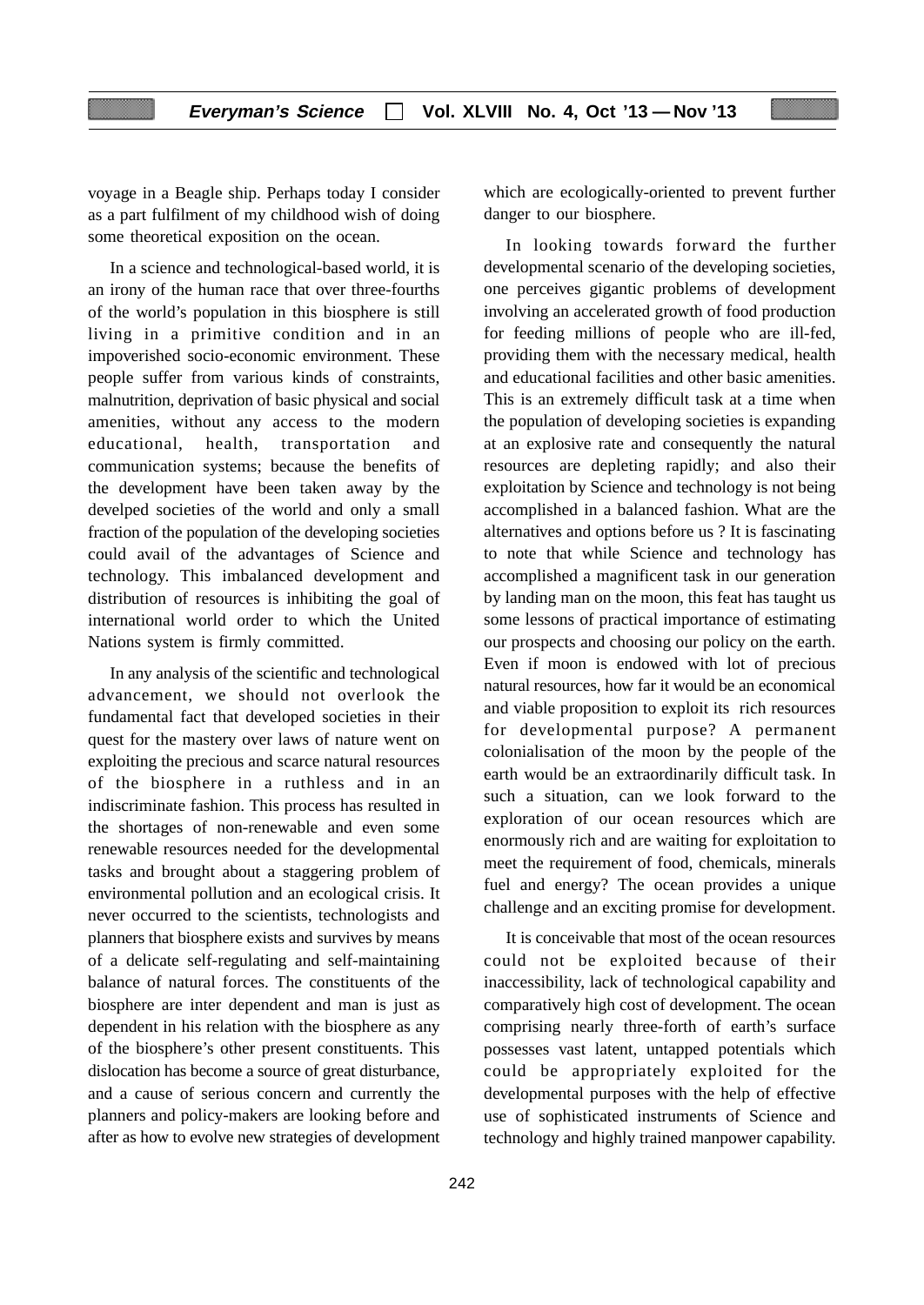voyage in a Beagle ship. Perhaps today I consider as a part fulfilment of my childhood wish of doing some theoretical exposition on the ocean.

In a science and technological-based world, it is an irony of the human race that over three-fourths of the world's population in this biosphere is still living in a primitive condition and in an impoverished socio-economic environment. These people suffer from various kinds of constraints, malnutrition, deprivation of basic physical and social amenities, without any access to the modern educational, health, transportation and communication systems; because the benefits of the development have been taken away by the develped societies of the world and only a small fraction of the population of the developing societies could avail of the advantages of Science and technology. This imbalanced development and distribution of resources is inhibiting the goal of international world order to which the United Nations system is firmly committed.

In any analysis of the scientific and technological advancement, we should not overlook the fundamental fact that developed societies in their quest for the mastery over laws of nature went on exploiting the precious and scarce natural resources of the biosphere in a ruthless and in an indiscriminate fashion. This process has resulted in the shortages of non-renewable and even some renewable resources needed for the developmental tasks and brought about a staggering problem of environmental pollution and an ecological crisis. It never occurred to the scientists, technologists and planners that biosphere exists and survives by means of a delicate self-regulating and self-maintaining balance of natural forces. The constituents of the biosphere are inter dependent and man is just as dependent in his relation with the biosphere as any of the biosphere's other present constituents. This dislocation has become a source of great disturbance, and a cause of serious concern and currently the planners and policy-makers are looking before and after as how to evolve new strategies of development which are ecologically-oriented to prevent further danger to our biosphere.

In looking towards forward the further developmental scenario of the developing societies, one perceives gigantic problems of development involving an accelerated growth of food production for feeding millions of people who are ill-fed, providing them with the necessary medical, health and educational facilities and other basic amenities. This is an extremely difficult task at a time when the population of developing societies is expanding at an explosive rate and consequently the natural resources are depleting rapidly; and also their exploitation by Science and technology is not being accomplished in a balanced fashion. What are the alternatives and options before us ? It is fascinating to note that while Science and technology has accomplished a magnificent task in our generation by landing man on the moon, this feat has taught us some lessons of practical importance of estimating our prospects and choosing our policy on the earth. Even if moon is endowed with lot of precious natural resources, how far it would be an economical and viable proposition to exploit its rich resources for developmental purpose? A permanent colonialisation of the moon by the people of the earth would be an extraordinarily difficult task. In such a situation, can we look forward to the exploration of our ocean resources which are enormously rich and are waiting for exploitation to meet the requirement of food, chemicals, minerals fuel and energy? The ocean provides a unique challenge and an exciting promise for development.

It is conceivable that most of the ocean resources could not be exploited because of their inaccessibility, lack of technological capability and comparatively high cost of development. The ocean comprising nearly three-forth of earth's surface possesses vast latent, untapped potentials which could be appropriately exploited for the developmental purposes with the help of effective use of sophisticated instruments of Science and technology and highly trained manpower capability.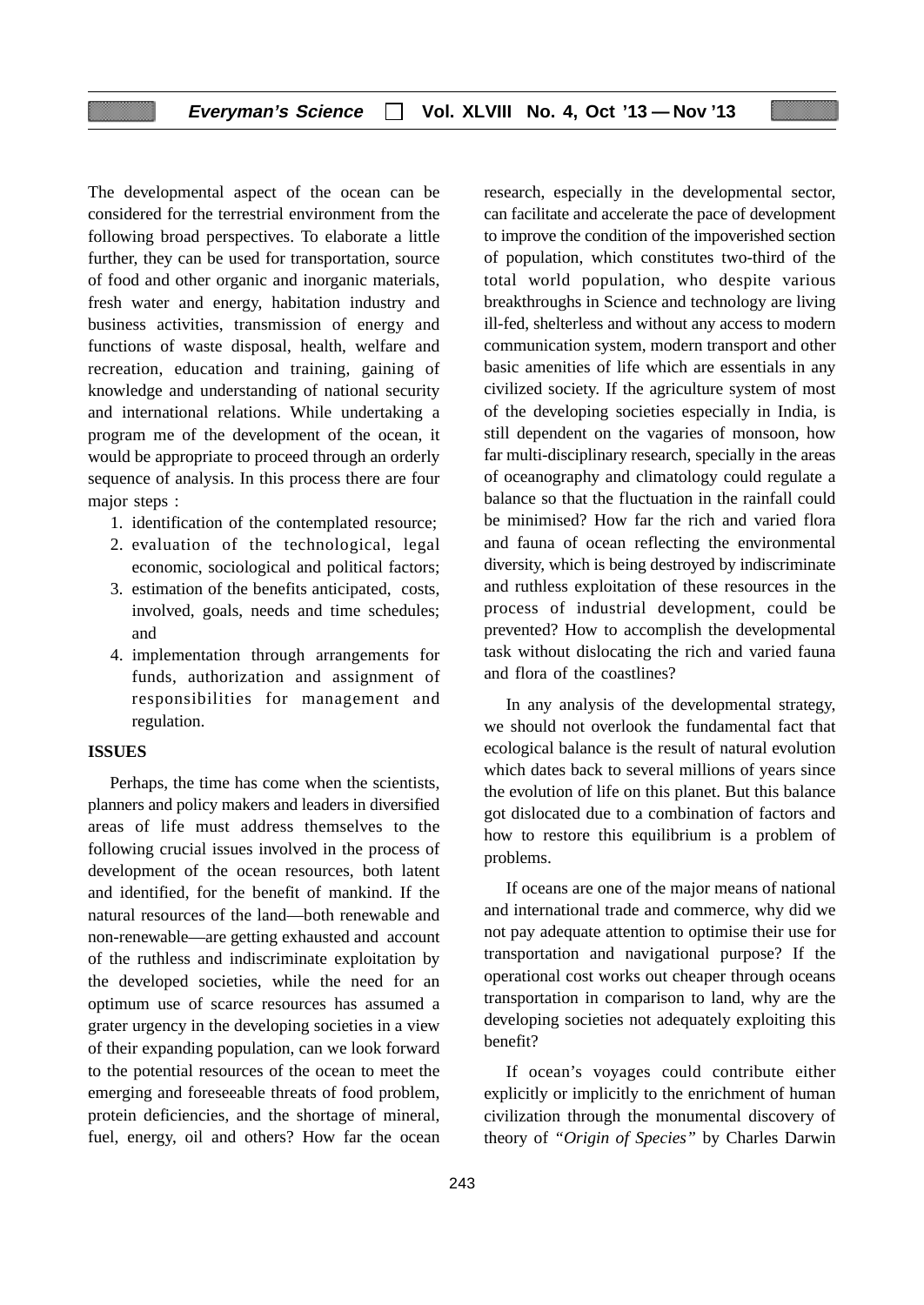# **Everyman's Science Vol. XLVIII No. 4, Oct '13 — Nov '13**

The developmental aspect of the ocean can be considered for the terrestrial environment from the following broad perspectives. To elaborate a little further, they can be used for transportation, source of food and other organic and inorganic materials, fresh water and energy, habitation industry and business activities, transmission of energy and functions of waste disposal, health, welfare and recreation, education and training, gaining of knowledge and understanding of national security and international relations. While undertaking a program me of the development of the ocean, it would be appropriate to proceed through an orderly sequence of analysis. In this process there are four major steps :

- 1. identification of the contemplated resource;
- 2. evaluation of the technological, legal economic, sociological and political factors;
- 3. estimation of the benefits anticipated, costs, involved, goals, needs and time schedules; and
- 4. implementation through arrangements for funds, authorization and assignment of responsibilities for management and regulation.

#### **ISSUES**

Perhaps, the time has come when the scientists, planners and policy makers and leaders in diversified areas of life must address themselves to the following crucial issues involved in the process of development of the ocean resources, both latent and identified, for the benefit of mankind. If the natural resources of the land—both renewable and non-renewable—are getting exhausted and account of the ruthless and indiscriminate exploitation by the developed societies, while the need for an optimum use of scarce resources has assumed a grater urgency in the developing societies in a view of their expanding population, can we look forward to the potential resources of the ocean to meet the emerging and foreseeable threats of food problem, protein deficiencies, and the shortage of mineral, fuel, energy, oil and others? How far the ocean

research, especially in the developmental sector, can facilitate and accelerate the pace of development to improve the condition of the impoverished section of population, which constitutes two-third of the total world population, who despite various breakthroughs in Science and technology are living ill-fed, shelterless and without any access to modern communication system, modern transport and other basic amenities of life which are essentials in any civilized society. If the agriculture system of most of the developing societies especially in India, is still dependent on the vagaries of monsoon, how far multi-disciplinary research, specially in the areas of oceanography and climatology could regulate a balance so that the fluctuation in the rainfall could be minimised? How far the rich and varied flora and fauna of ocean reflecting the environmental diversity, which is being destroyed by indiscriminate and ruthless exploitation of these resources in the process of industrial development, could be prevented? How to accomplish the developmental task without dislocating the rich and varied fauna and flora of the coastlines?

In any analysis of the developmental strategy, we should not overlook the fundamental fact that ecological balance is the result of natural evolution which dates back to several millions of years since the evolution of life on this planet. But this balance got dislocated due to a combination of factors and how to restore this equilibrium is a problem of problems.

If oceans are one of the major means of national and international trade and commerce, why did we not pay adequate attention to optimise their use for transportation and navigational purpose? If the operational cost works out cheaper through oceans transportation in comparison to land, why are the developing societies not adequately exploiting this benefit?

If ocean's voyages could contribute either explicitly or implicitly to the enrichment of human civilization through the monumental discovery of theory of *"Origin of Species"* by Charles Darwin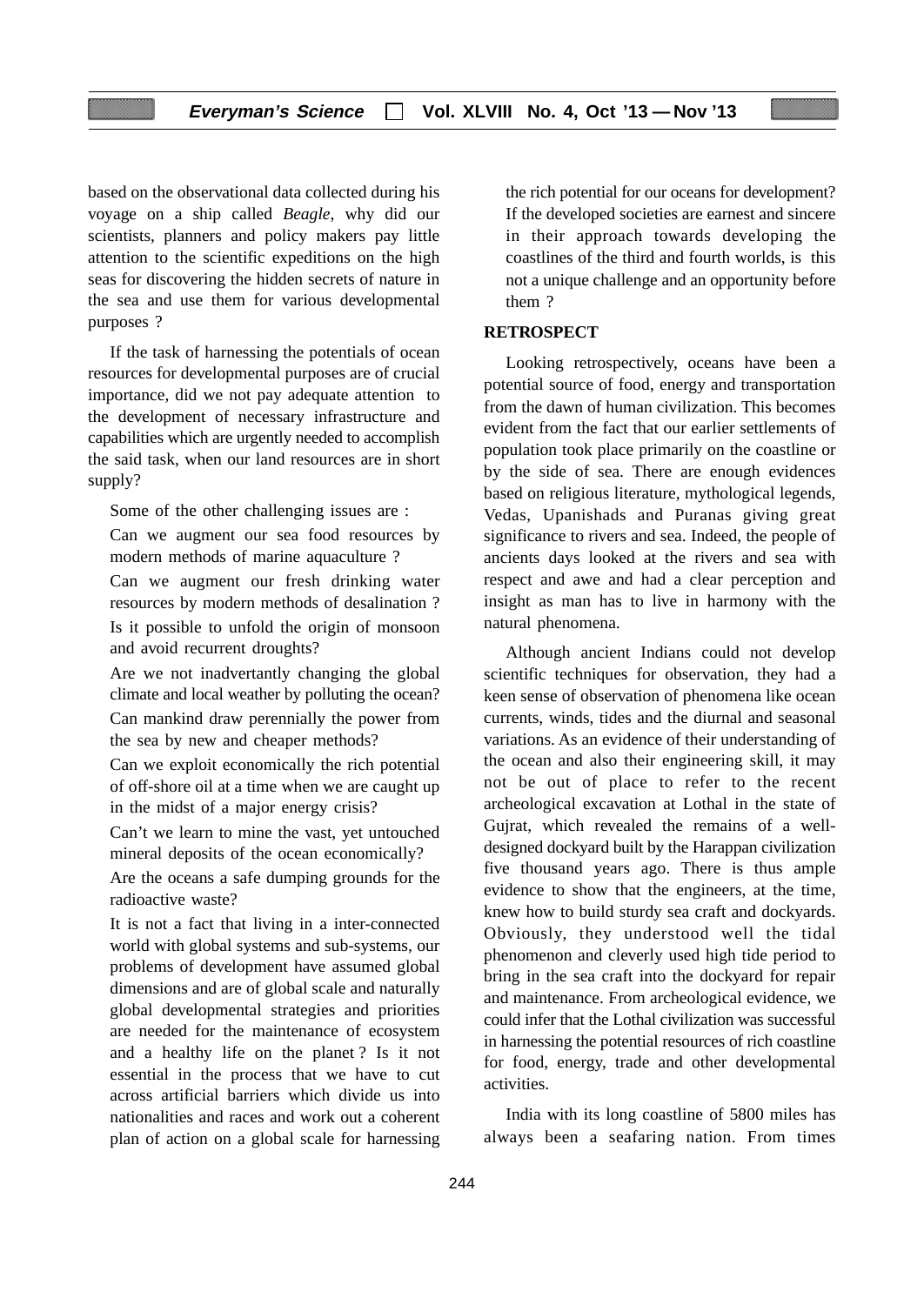based on the observational data collected during his voyage on a ship called *Beagle*, why did our scientists, planners and policy makers pay little attention to the scientific expeditions on the high seas for discovering the hidden secrets of nature in the sea and use them for various developmental purposes ?

If the task of harnessing the potentials of ocean resources for developmental purposes are of crucial importance, did we not pay adequate attention to the development of necessary infrastructure and capabilities which are urgently needed to accomplish the said task, when our land resources are in short supply?

Some of the other challenging issues are :

Can we augment our sea food resources by modern methods of marine aquaculture ?

Can we augment our fresh drinking water resources by modern methods of desalination ? Is it possible to unfold the origin of monsoon and avoid recurrent droughts?

Are we not inadvertantly changing the global climate and local weather by polluting the ocean? Can mankind draw perennially the power from the sea by new and cheaper methods?

Can we exploit economically the rich potential of off-shore oil at a time when we are caught up in the midst of a major energy crisis?

Can't we learn to mine the vast, yet untouched mineral deposits of the ocean economically?

Are the oceans a safe dumping grounds for the radioactive waste?

It is not a fact that living in a inter-connected world with global systems and sub-systems, our problems of development have assumed global dimensions and are of global scale and naturally global developmental strategies and priorities are needed for the maintenance of ecosystem and a healthy life on the planet ? Is it not essential in the process that we have to cut across artificial barriers which divide us into nationalities and races and work out a coherent plan of action on a global scale for harnessing the rich potential for our oceans for development? If the developed societies are earnest and sincere in their approach towards developing the coastlines of the third and fourth worlds, is this not a unique challenge and an opportunity before them ?

# **RETROSPECT**

Looking retrospectively, oceans have been a potential source of food, energy and transportation from the dawn of human civilization. This becomes evident from the fact that our earlier settlements of population took place primarily on the coastline or by the side of sea. There are enough evidences based on religious literature, mythological legends, Vedas, Upanishads and Puranas giving great significance to rivers and sea. Indeed, the people of ancients days looked at the rivers and sea with respect and awe and had a clear perception and insight as man has to live in harmony with the natural phenomena.

Although ancient Indians could not develop scientific techniques for observation, they had a keen sense of observation of phenomena like ocean currents, winds, tides and the diurnal and seasonal variations. As an evidence of their understanding of the ocean and also their engineering skill, it may not be out of place to refer to the recent archeological excavation at Lothal in the state of Gujrat, which revealed the remains of a welldesigned dockyard built by the Harappan civilization five thousand years ago. There is thus ample evidence to show that the engineers, at the time, knew how to build sturdy sea craft and dockyards. Obviously, they understood well the tidal phenomenon and cleverly used high tide period to bring in the sea craft into the dockyard for repair and maintenance. From archeological evidence, we could infer that the Lothal civilization was successful in harnessing the potential resources of rich coastline for food, energy, trade and other developmental activities.

India with its long coastline of 5800 miles has always been a seafaring nation. From times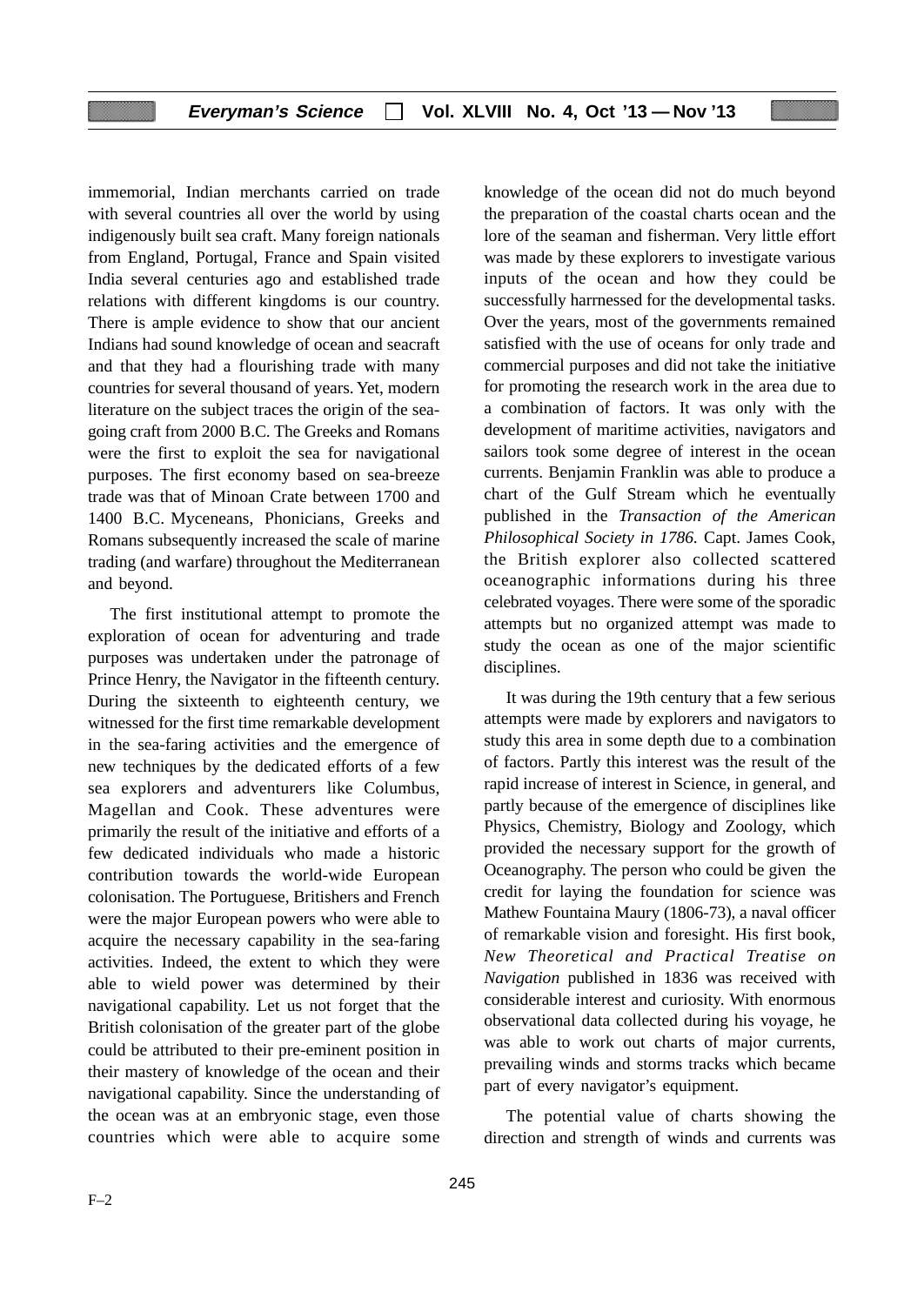# **Everyman's Science Vol. XLVIII No. 4, Oct '13 — Nov '13**

immemorial, Indian merchants carried on trade with several countries all over the world by using indigenously built sea craft. Many foreign nationals from England, Portugal, France and Spain visited India several centuries ago and established trade relations with different kingdoms is our country. There is ample evidence to show that our ancient Indians had sound knowledge of ocean and seacraft and that they had a flourishing trade with many countries for several thousand of years. Yet, modern literature on the subject traces the origin of the seagoing craft from 2000 B.C. The Greeks and Romans were the first to exploit the sea for navigational purposes. The first economy based on sea-breeze trade was that of Minoan Crate between 1700 and 1400 B.C. Myceneans, Phonicians, Greeks and Romans subsequently increased the scale of marine trading (and warfare) throughout the Mediterranean and beyond.

The first institutional attempt to promote the exploration of ocean for adventuring and trade purposes was undertaken under the patronage of Prince Henry, the Navigator in the fifteenth century. During the sixteenth to eighteenth century, we witnessed for the first time remarkable development in the sea-faring activities and the emergence of new techniques by the dedicated efforts of a few sea explorers and adventurers like Columbus, Magellan and Cook. These adventures were primarily the result of the initiative and efforts of a few dedicated individuals who made a historic contribution towards the world-wide European colonisation. The Portuguese, Britishers and French were the major European powers who were able to acquire the necessary capability in the sea-faring activities. Indeed, the extent to which they were able to wield power was determined by their navigational capability. Let us not forget that the British colonisation of the greater part of the globe could be attributed to their pre-eminent position in their mastery of knowledge of the ocean and their navigational capability. Since the understanding of the ocean was at an embryonic stage, even those countries which were able to acquire some

knowledge of the ocean did not do much beyond the preparation of the coastal charts ocean and the lore of the seaman and fisherman. Very little effort was made by these explorers to investigate various inputs of the ocean and how they could be successfully harrnessed for the developmental tasks. Over the years, most of the governments remained satisfied with the use of oceans for only trade and commercial purposes and did not take the initiative for promoting the research work in the area due to a combination of factors. It was only with the development of maritime activities, navigators and sailors took some degree of interest in the ocean currents. Benjamin Franklin was able to produce a chart of the Gulf Stream which he eventually published in the *Transaction of the American Philosophical Society in 1786.* Capt. James Cook, the British explorer also collected scattered oceanographic informations during his three celebrated voyages. There were some of the sporadic attempts but no organized attempt was made to study the ocean as one of the major scientific disciplines.

It was during the 19th century that a few serious attempts were made by explorers and navigators to study this area in some depth due to a combination of factors. Partly this interest was the result of the rapid increase of interest in Science, in general, and partly because of the emergence of disciplines like Physics, Chemistry, Biology and Zoology, which provided the necessary support for the growth of Oceanography. The person who could be given the credit for laying the foundation for science was Mathew Fountaina Maury (1806-73), a naval officer of remarkable vision and foresight. His first book, *New Theoretical and Practical Treatise on Navigation* published in 1836 was received with considerable interest and curiosity. With enormous observational data collected during his voyage, he was able to work out charts of major currents, prevailing winds and storms tracks which became part of every navigator's equipment.

The potential value of charts showing the direction and strength of winds and currents was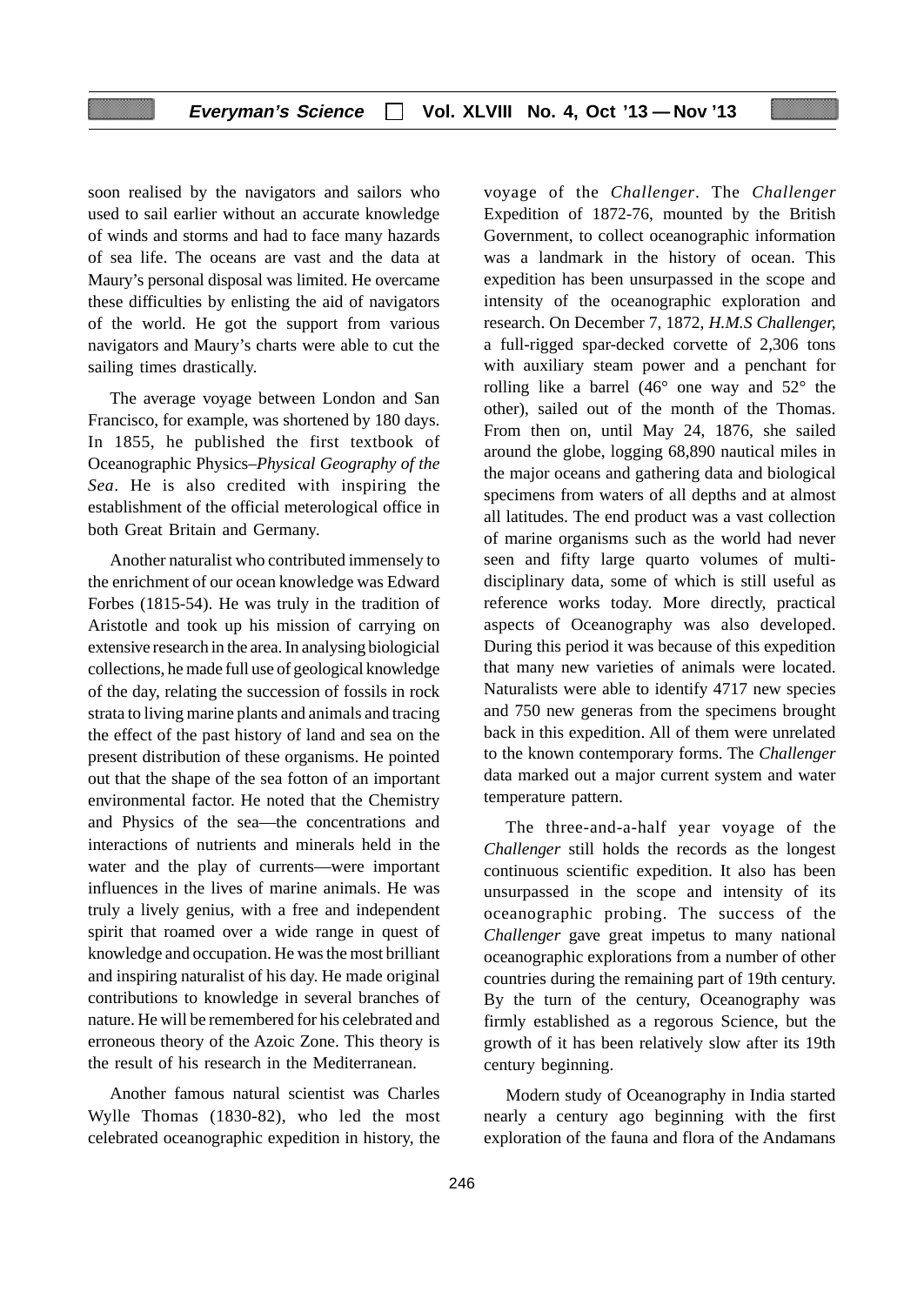soon realised by the navigators and sailors who used to sail earlier without an accurate knowledge of winds and storms and had to face many hazards of sea life. The oceans are vast and the data at Maury's personal disposal was limited. He overcame these difficulties by enlisting the aid of navigators of the world. He got the support from various navigators and Maury's charts were able to cut the sailing times drastically.

The average voyage between London and San Francisco, for example, was shortened by 180 days. In 1855, he published the first textbook of Oceanographic Physics–*Physical Geography of the Sea*. He is also credited with inspiring the establishment of the official meterological office in both Great Britain and Germany.

Another naturalist who contributed immensely to the enrichment of our ocean knowledge was Edward Forbes (1815-54). He was truly in the tradition of Aristotle and took up his mission of carrying on extensive research in the area. In analysing biologicial collections, he made full use of geological knowledge of the day, relating the succession of fossils in rock strata to living marine plants and animals and tracing the effect of the past history of land and sea on the present distribution of these organisms. He pointed out that the shape of the sea fotton of an important environmental factor. He noted that the Chemistry and Physics of the sea—the concentrations and interactions of nutrients and minerals held in the water and the play of currents—were important influences in the lives of marine animals. He was truly a lively genius, with a free and independent spirit that roamed over a wide range in quest of knowledge and occupation. He was the most brilliant and inspiring naturalist of his day. He made original contributions to knowledge in several branches of nature. He will be remembered for his celebrated and erroneous theory of the Azoic Zone. This theory is the result of his research in the Mediterranean.

Another famous natural scientist was Charles Wylle Thomas (1830-82), who led the most celebrated oceanographic expedition in history, the voyage of the *Challenger*. The *Challenger* Expedition of 1872-76, mounted by the British Government, to collect oceanographic information was a landmark in the history of ocean. This expedition has been unsurpassed in the scope and intensity of the oceanographic exploration and research. On December 7, 1872, *H.M.S Challenger,* a full-rigged spar-decked corvette of 2,306 tons with auxiliary steam power and a penchant for rolling like a barrel (46° one way and 52° the other), sailed out of the month of the Thomas. From then on, until May 24, 1876, she sailed around the globe, logging 68,890 nautical miles in the major oceans and gathering data and biological specimens from waters of all depths and at almost all latitudes. The end product was a vast collection of marine organisms such as the world had never seen and fifty large quarto volumes of multidisciplinary data, some of which is still useful as reference works today. More directly, practical aspects of Oceanography was also developed. During this period it was because of this expedition that many new varieties of animals were located. Naturalists were able to identify 4717 new species and 750 new generas from the specimens brought back in this expedition. All of them were unrelated to the known contemporary forms. The *Challenger* data marked out a major current system and water temperature pattern.

The three-and-a-half year voyage of the *Challenger* still holds the records as the longest continuous scientific expedition. It also has been unsurpassed in the scope and intensity of its oceanographic probing. The success of the *Challenger* gave great impetus to many national oceanographic explorations from a number of other countries during the remaining part of 19th century. By the turn of the century, Oceanography was firmly established as a regorous Science, but the growth of it has been relatively slow after its 19th century beginning.

Modern study of Oceanography in India started nearly a century ago beginning with the first exploration of the fauna and flora of the Andamans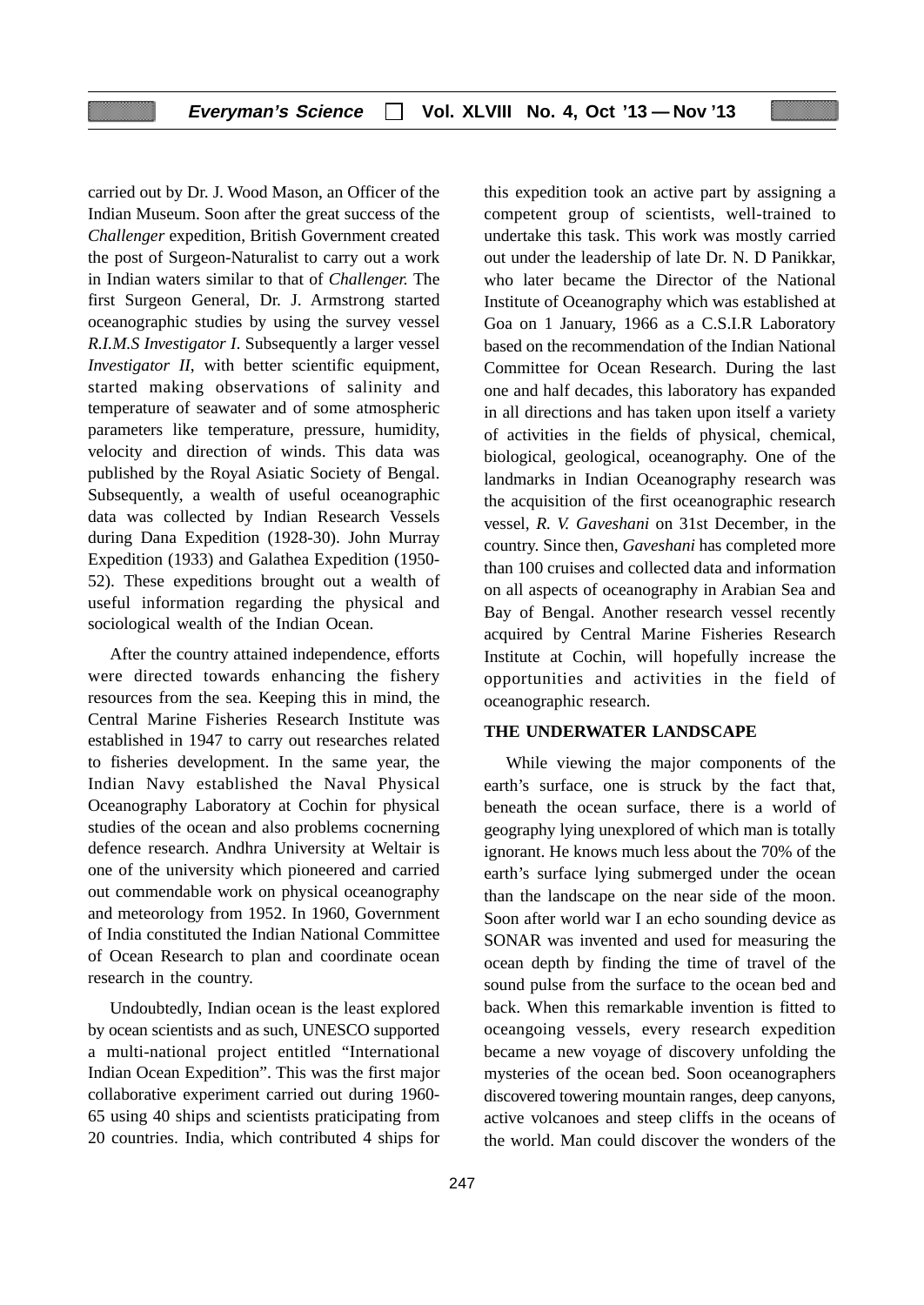carried out by Dr. J. Wood Mason, an Officer of the Indian Museum. Soon after the great success of the *Challenger* expedition, British Government created the post of Surgeon-Naturalist to carry out a work in Indian waters similar to that of *Challenger.* The first Surgeon General, Dr. J. Armstrong started oceanographic studies by using the survey vessel *R.I.M.S Investigator I*. Subsequently a larger vessel *Investigator II*, with better scientific equipment, started making observations of salinity and temperature of seawater and of some atmospheric parameters like temperature, pressure, humidity, velocity and direction of winds. This data was published by the Royal Asiatic Society of Bengal. Subsequently, a wealth of useful oceanographic data was collected by Indian Research Vessels during Dana Expedition (1928-30). John Murray Expedition (1933) and Galathea Expedition (1950- 52). These expeditions brought out a wealth of useful information regarding the physical and sociological wealth of the Indian Ocean.

After the country attained independence, efforts were directed towards enhancing the fishery resources from the sea. Keeping this in mind, the Central Marine Fisheries Research Institute was established in 1947 to carry out researches related to fisheries development. In the same year, the Indian Navy established the Naval Physical Oceanography Laboratory at Cochin for physical studies of the ocean and also problems cocnerning defence research. Andhra University at Weltair is one of the university which pioneered and carried out commendable work on physical oceanography and meteorology from 1952. In 1960, Government of India constituted the Indian National Committee of Ocean Research to plan and coordinate ocean research in the country.

Undoubtedly, Indian ocean is the least explored by ocean scientists and as such, UNESCO supported a multi-national project entitled "International Indian Ocean Expedition". This was the first major collaborative experiment carried out during 1960- 65 using 40 ships and scientists praticipating from 20 countries. India, which contributed 4 ships for this expedition took an active part by assigning a competent group of scientists, well-trained to undertake this task. This work was mostly carried out under the leadership of late Dr. N. D Panikkar, who later became the Director of the National Institute of Oceanography which was established at Goa on 1 January, 1966 as a C.S.I.R Laboratory based on the recommendation of the Indian National Committee for Ocean Research. During the last one and half decades, this laboratory has expanded in all directions and has taken upon itself a variety of activities in the fields of physical, chemical, biological, geological, oceanography. One of the landmarks in Indian Oceanography research was the acquisition of the first oceanographic research vessel, *R. V. Gaveshani* on 31st December, in the country. Since then, *Gaveshani* has completed more than 100 cruises and collected data and information on all aspects of oceanography in Arabian Sea and Bay of Bengal. Another research vessel recently acquired by Central Marine Fisheries Research Institute at Cochin, will hopefully increase the opportunities and activities in the field of oceanographic research.

# **THE UNDERWATER LANDSCAPE**

While viewing the major components of the earth's surface, one is struck by the fact that, beneath the ocean surface, there is a world of geography lying unexplored of which man is totally ignorant. He knows much less about the 70% of the earth's surface lying submerged under the ocean than the landscape on the near side of the moon. Soon after world war I an echo sounding device as SONAR was invented and used for measuring the ocean depth by finding the time of travel of the sound pulse from the surface to the ocean bed and back. When this remarkable invention is fitted to oceangoing vessels, every research expedition became a new voyage of discovery unfolding the mysteries of the ocean bed. Soon oceanographers discovered towering mountain ranges, deep canyons, active volcanoes and steep cliffs in the oceans of the world. Man could discover the wonders of the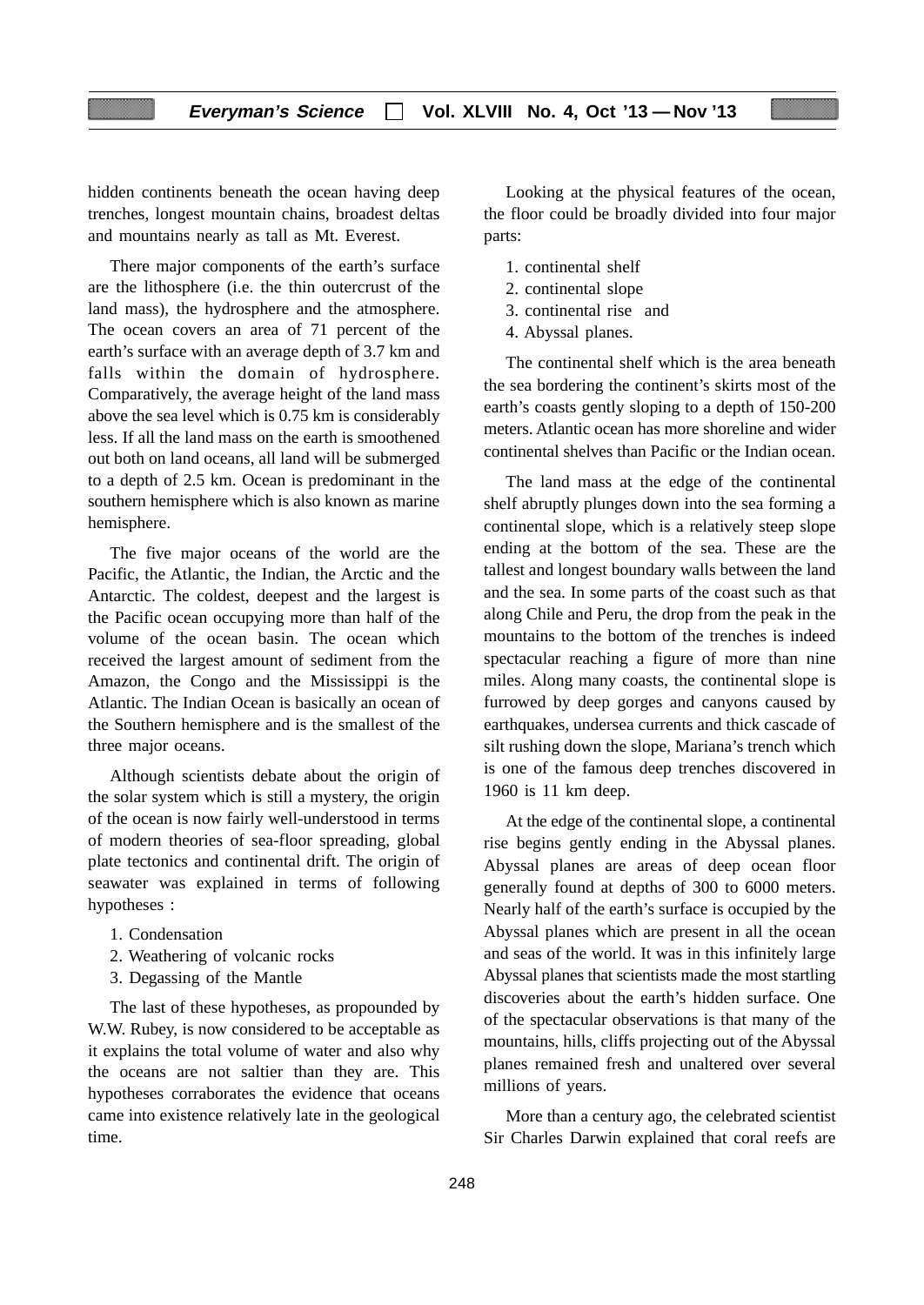hidden continents beneath the ocean having deep trenches, longest mountain chains, broadest deltas and mountains nearly as tall as Mt. Everest.

There major components of the earth's surface are the lithosphere (i.e. the thin outercrust of the land mass), the hydrosphere and the atmosphere. The ocean covers an area of 71 percent of the earth's surface with an average depth of 3.7 km and falls within the domain of hydrosphere. Comparatively, the average height of the land mass above the sea level which is 0.75 km is considerably less. If all the land mass on the earth is smoothened out both on land oceans, all land will be submerged to a depth of 2.5 km. Ocean is predominant in the southern hemisphere which is also known as marine hemisphere.

The five major oceans of the world are the Pacific, the Atlantic, the Indian, the Arctic and the Antarctic. The coldest, deepest and the largest is the Pacific ocean occupying more than half of the volume of the ocean basin. The ocean which received the largest amount of sediment from the Amazon, the Congo and the Mississippi is the Atlantic. The Indian Ocean is basically an ocean of the Southern hemisphere and is the smallest of the three major oceans.

Although scientists debate about the origin of the solar system which is still a mystery, the origin of the ocean is now fairly well-understood in terms of modern theories of sea-floor spreading, global plate tectonics and continental drift. The origin of seawater was explained in terms of following hypotheses :

- 1. Condensation
- 2. Weathering of volcanic rocks
- 3. Degassing of the Mantle

The last of these hypotheses, as propounded by W.W. Rubey, is now considered to be acceptable as it explains the total volume of water and also why the oceans are not saltier than they are. This hypotheses corraborates the evidence that oceans came into existence relatively late in the geological time.

Looking at the physical features of the ocean, the floor could be broadly divided into four major parts:

- 1. continental shelf
- 2. continental slope
- 3. continental rise and
- 4. Abyssal planes.

The continental shelf which is the area beneath the sea bordering the continent's skirts most of the earth's coasts gently sloping to a depth of 150-200 meters. Atlantic ocean has more shoreline and wider continental shelves than Pacific or the Indian ocean.

The land mass at the edge of the continental shelf abruptly plunges down into the sea forming a continental slope, which is a relatively steep slope ending at the bottom of the sea. These are the tallest and longest boundary walls between the land and the sea. In some parts of the coast such as that along Chile and Peru, the drop from the peak in the mountains to the bottom of the trenches is indeed spectacular reaching a figure of more than nine miles. Along many coasts, the continental slope is furrowed by deep gorges and canyons caused by earthquakes, undersea currents and thick cascade of silt rushing down the slope, Mariana's trench which is one of the famous deep trenches discovered in 1960 is 11 km deep.

At the edge of the continental slope, a continental rise begins gently ending in the Abyssal planes. Abyssal planes are areas of deep ocean floor generally found at depths of 300 to 6000 meters. Nearly half of the earth's surface is occupied by the Abyssal planes which are present in all the ocean and seas of the world. It was in this infinitely large Abyssal planes that scientists made the most startling discoveries about the earth's hidden surface. One of the spectacular observations is that many of the mountains, hills, cliffs projecting out of the Abyssal planes remained fresh and unaltered over several millions of years.

More than a century ago, the celebrated scientist Sir Charles Darwin explained that coral reefs are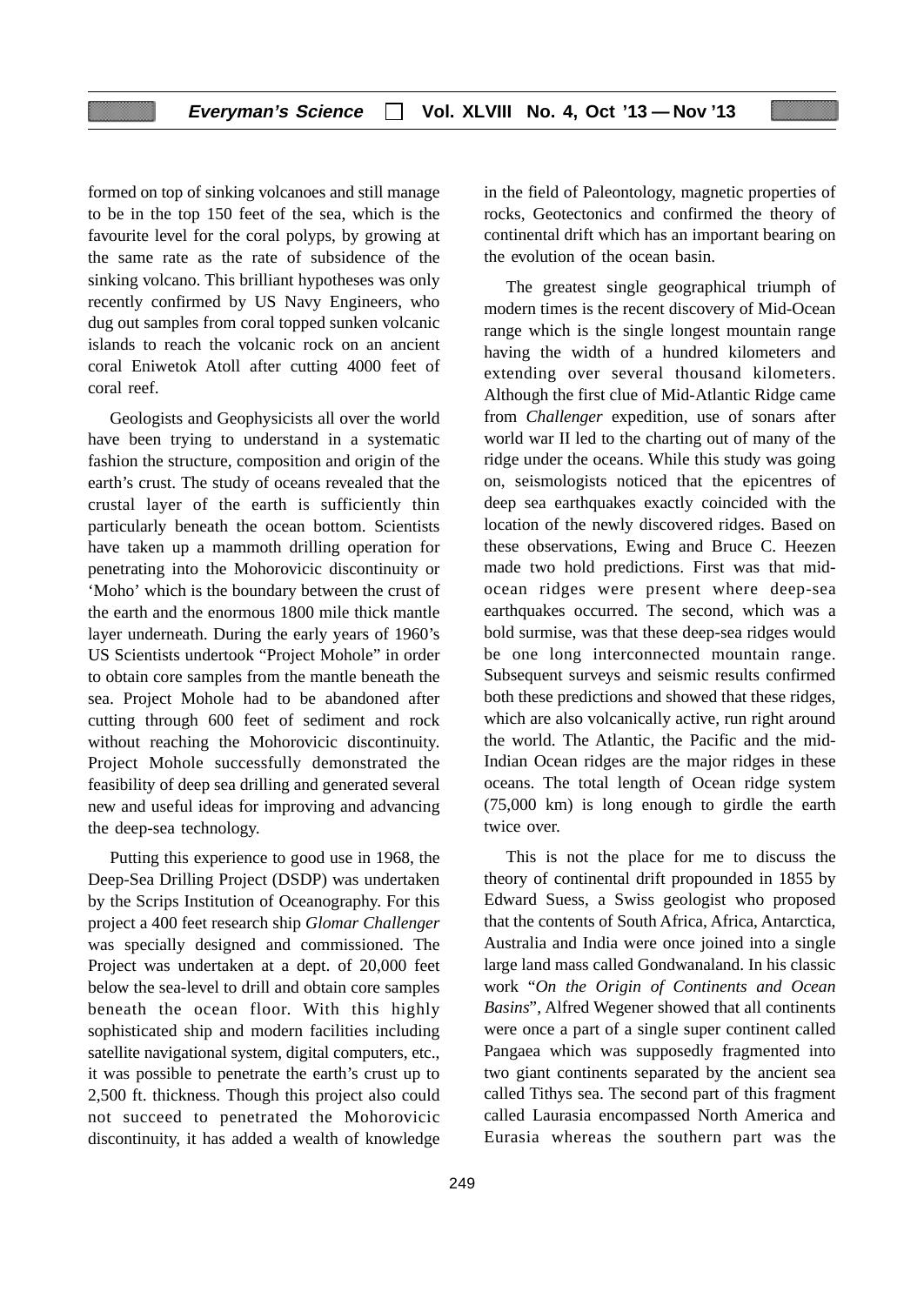formed on top of sinking volcanoes and still manage to be in the top 150 feet of the sea, which is the favourite level for the coral polyps, by growing at the same rate as the rate of subsidence of the sinking volcano. This brilliant hypotheses was only recently confirmed by US Navy Engineers, who dug out samples from coral topped sunken volcanic islands to reach the volcanic rock on an ancient coral Eniwetok Atoll after cutting 4000 feet of coral reef.

Geologists and Geophysicists all over the world have been trying to understand in a systematic fashion the structure, composition and origin of the earth's crust. The study of oceans revealed that the crustal layer of the earth is sufficiently thin particularly beneath the ocean bottom. Scientists have taken up a mammoth drilling operation for penetrating into the Mohorovicic discontinuity or 'Moho' which is the boundary between the crust of the earth and the enormous 1800 mile thick mantle layer underneath. During the early years of 1960's US Scientists undertook "Project Mohole" in order to obtain core samples from the mantle beneath the sea. Project Mohole had to be abandoned after cutting through 600 feet of sediment and rock without reaching the Mohorovicic discontinuity. Project Mohole successfully demonstrated the feasibility of deep sea drilling and generated several new and useful ideas for improving and advancing the deep-sea technology.

Putting this experience to good use in 1968, the Deep-Sea Drilling Project (DSDP) was undertaken by the Scrips Institution of Oceanography. For this project a 400 feet research ship *Glomar Challenger* was specially designed and commissioned. The Project was undertaken at a dept. of 20,000 feet below the sea-level to drill and obtain core samples beneath the ocean floor. With this highly sophisticated ship and modern facilities including satellite navigational system, digital computers, etc., it was possible to penetrate the earth's crust up to 2,500 ft. thickness. Though this project also could not succeed to penetrated the Mohorovicic discontinuity, it has added a wealth of knowledge in the field of Paleontology, magnetic properties of rocks, Geotectonics and confirmed the theory of continental drift which has an important bearing on the evolution of the ocean basin.

The greatest single geographical triumph of modern times is the recent discovery of Mid-Ocean range which is the single longest mountain range having the width of a hundred kilometers and extending over several thousand kilometers. Although the first clue of Mid-Atlantic Ridge came from *Challenger* expedition, use of sonars after world war II led to the charting out of many of the ridge under the oceans. While this study was going on, seismologists noticed that the epicentres of deep sea earthquakes exactly coincided with the location of the newly discovered ridges. Based on these observations, Ewing and Bruce C. Heezen made two hold predictions. First was that midocean ridges were present where deep-sea earthquakes occurred. The second, which was a bold surmise, was that these deep-sea ridges would be one long interconnected mountain range. Subsequent surveys and seismic results confirmed both these predictions and showed that these ridges, which are also volcanically active, run right around the world. The Atlantic, the Pacific and the mid-Indian Ocean ridges are the major ridges in these oceans. The total length of Ocean ridge system (75,000 km) is long enough to girdle the earth twice over.

This is not the place for me to discuss the theory of continental drift propounded in 1855 by Edward Suess, a Swiss geologist who proposed that the contents of South Africa, Africa, Antarctica, Australia and India were once joined into a single large land mass called Gondwanaland. In his classic work "*On the Origin of Continents and Ocean Basins*", Alfred Wegener showed that all continents were once a part of a single super continent called Pangaea which was supposedly fragmented into two giant continents separated by the ancient sea called Tithys sea. The second part of this fragment called Laurasia encompassed North America and Eurasia whereas the southern part was the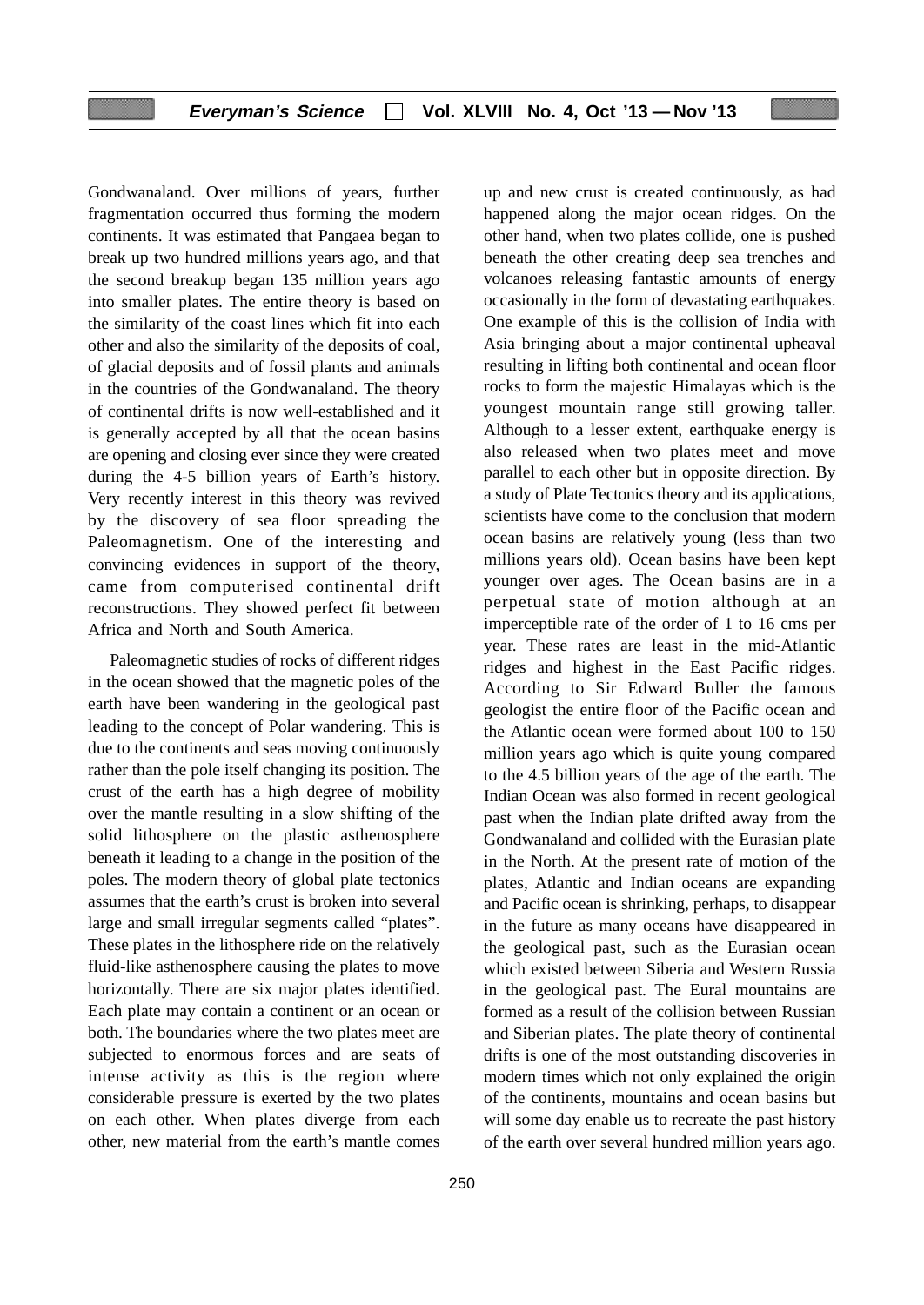Gondwanaland. Over millions of years, further fragmentation occurred thus forming the modern continents. It was estimated that Pangaea began to break up two hundred millions years ago, and that the second breakup began 135 million years ago into smaller plates. The entire theory is based on the similarity of the coast lines which fit into each other and also the similarity of the deposits of coal, of glacial deposits and of fossil plants and animals in the countries of the Gondwanaland. The theory of continental drifts is now well-established and it is generally accepted by all that the ocean basins are opening and closing ever since they were created during the 4-5 billion years of Earth's history. Very recently interest in this theory was revived by the discovery of sea floor spreading the Paleomagnetism. One of the interesting and convincing evidences in support of the theory, came from computerised continental drift reconstructions. They showed perfect fit between Africa and North and South America.

Paleomagnetic studies of rocks of different ridges in the ocean showed that the magnetic poles of the earth have been wandering in the geological past leading to the concept of Polar wandering. This is due to the continents and seas moving continuously rather than the pole itself changing its position. The crust of the earth has a high degree of mobility over the mantle resulting in a slow shifting of the solid lithosphere on the plastic asthenosphere beneath it leading to a change in the position of the poles. The modern theory of global plate tectonics assumes that the earth's crust is broken into several large and small irregular segments called "plates". These plates in the lithosphere ride on the relatively fluid-like asthenosphere causing the plates to move horizontally. There are six major plates identified. Each plate may contain a continent or an ocean or both. The boundaries where the two plates meet are subjected to enormous forces and are seats of intense activity as this is the region where considerable pressure is exerted by the two plates on each other. When plates diverge from each other, new material from the earth's mantle comes

resulting in lifting both continental and ocean floor rocks to form the majestic Himalayas which is the youngest mountain range still growing taller. Although to a lesser extent, earthquake energy is also released when two plates meet and move parallel to each other but in opposite direction. By a study of Plate Tectonics theory and its applications, scientists have come to the conclusion that modern ocean basins are relatively young (less than two millions years old). Ocean basins have been kept younger over ages. The Ocean basins are in a perpetual state of motion although at an imperceptible rate of the order of 1 to 16 cms per year. These rates are least in the mid-Atlantic ridges and highest in the East Pacific ridges. According to Sir Edward Buller the famous geologist the entire floor of the Pacific ocean and the Atlantic ocean were formed about 100 to 150 million years ago which is quite young compared to the 4.5 billion years of the age of the earth. The Indian Ocean was also formed in recent geological past when the Indian plate drifted away from the Gondwanaland and collided with the Eurasian plate in the North. At the present rate of motion of the plates, Atlantic and Indian oceans are expanding and Pacific ocean is shrinking, perhaps, to disappear in the future as many oceans have disappeared in the geological past, such as the Eurasian ocean which existed between Siberia and Western Russia in the geological past. The Eural mountains are formed as a result of the collision between Russian and Siberian plates. The plate theory of continental drifts is one of the most outstanding discoveries in modern times which not only explained the origin of the continents, mountains and ocean basins but will some day enable us to recreate the past history of the earth over several hundred million years ago.

up and new crust is created continuously, as had happened along the major ocean ridges. On the other hand, when two plates collide, one is pushed beneath the other creating deep sea trenches and volcanoes releasing fantastic amounts of energy occasionally in the form of devastating earthquakes. One example of this is the collision of India with Asia bringing about a major continental upheaval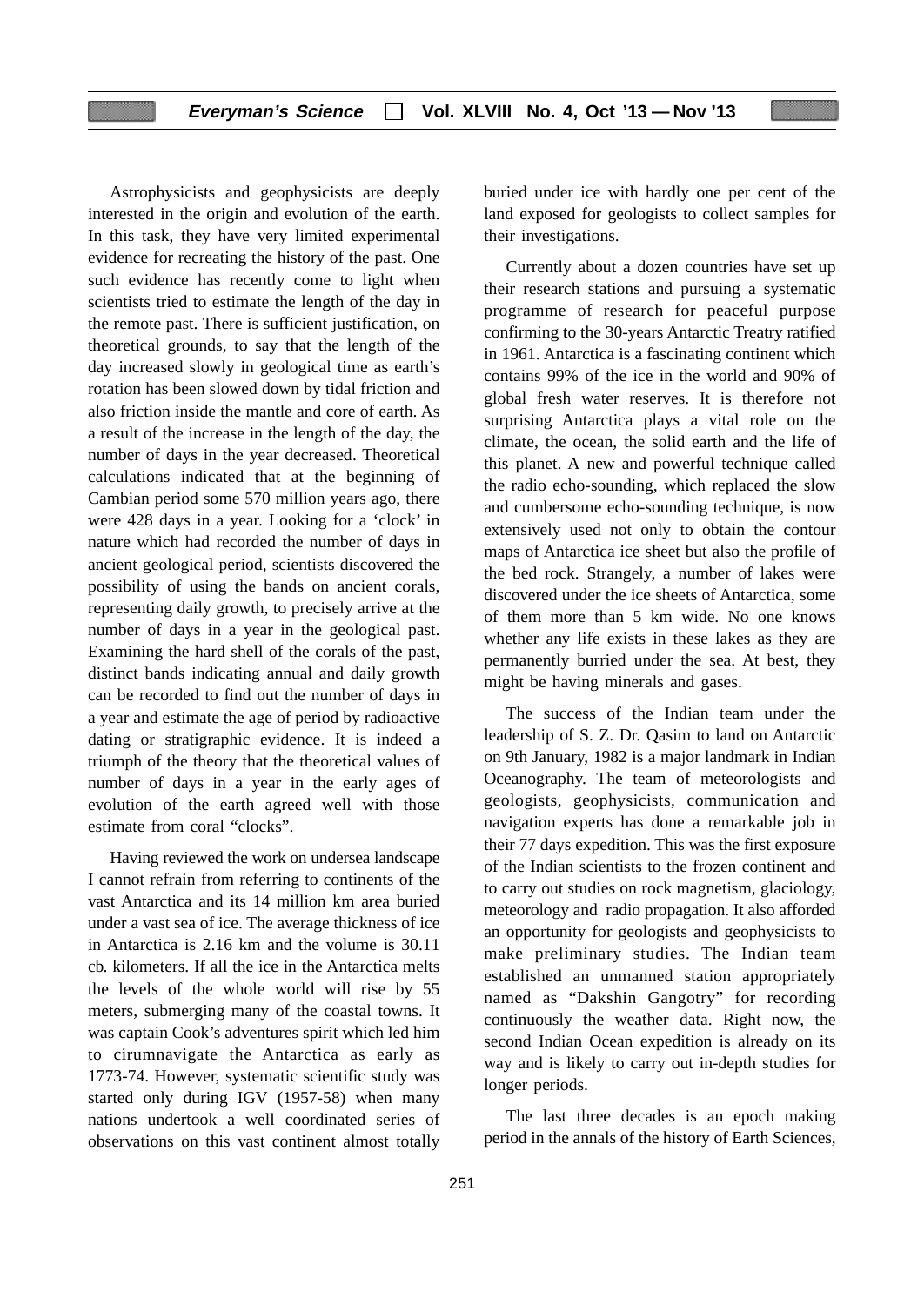Astrophysicists and geophysicists are deeply interested in the origin and evolution of the earth. In this task, they have very limited experimental evidence for recreating the history of the past. One such evidence has recently come to light when scientists tried to estimate the length of the day in the remote past. There is sufficient justification, on theoretical grounds, to say that the length of the day increased slowly in geological time as earth's rotation has been slowed down by tidal friction and also friction inside the mantle and core of earth. As a result of the increase in the length of the day, the number of days in the year decreased. Theoretical calculations indicated that at the beginning of Cambian period some 570 million years ago, there were 428 days in a year. Looking for a 'clock' in nature which had recorded the number of days in ancient geological period, scientists discovered the possibility of using the bands on ancient corals, representing daily growth, to precisely arrive at the number of days in a year in the geological past. Examining the hard shell of the corals of the past, distinct bands indicating annual and daily growth can be recorded to find out the number of days in a year and estimate the age of period by radioactive dating or stratigraphic evidence. It is indeed a triumph of the theory that the theoretical values of number of days in a year in the early ages of evolution of the earth agreed well with those estimate from coral "clocks".

Having reviewed the work on undersea landscape I cannot refrain from referring to continents of the vast Antarctica and its 14 million km area buried under a vast sea of ice. The average thickness of ice in Antarctica is 2.16 km and the volume is 30.11 cb. kilometers. If all the ice in the Antarctica melts the levels of the whole world will rise by 55 meters, submerging many of the coastal towns. It was captain Cook's adventures spirit which led him to cirumnavigate the Antarctica as early as 1773-74. However, systematic scientific study was started only during IGV (1957-58) when many nations undertook a well coordinated series of observations on this vast continent almost totally buried under ice with hardly one per cent of the land exposed for geologists to collect samples for their investigations.

Currently about a dozen countries have set up their research stations and pursuing a systematic programme of research for peaceful purpose confirming to the 30-years Antarctic Treatry ratified in 1961. Antarctica is a fascinating continent which contains 99% of the ice in the world and 90% of global fresh water reserves. It is therefore not surprising Antarctica plays a vital role on the climate, the ocean, the solid earth and the life of this planet. A new and powerful technique called the radio echo-sounding, which replaced the slow and cumbersome echo-sounding technique, is now extensively used not only to obtain the contour maps of Antarctica ice sheet but also the profile of the bed rock. Strangely, a number of lakes were discovered under the ice sheets of Antarctica, some of them more than 5 km wide. No one knows whether any life exists in these lakes as they are permanently burried under the sea. At best, they might be having minerals and gases.

The success of the Indian team under the leadership of S. Z. Dr. Qasim to land on Antarctic on 9th January, 1982 is a major landmark in Indian Oceanography. The team of meteorologists and geologists, geophysicists, communication and navigation experts has done a remarkable job in their 77 days expedition. This was the first exposure of the Indian scientists to the frozen continent and to carry out studies on rock magnetism, glaciology, meteorology and radio propagation. It also afforded an opportunity for geologists and geophysicists to make preliminary studies. The Indian team established an unmanned station appropriately named as "Dakshin Gangotry" for recording continuously the weather data. Right now, the second Indian Ocean expedition is already on its way and is likely to carry out in-depth studies for longer periods.

The last three decades is an epoch making period in the annals of the history of Earth Sciences,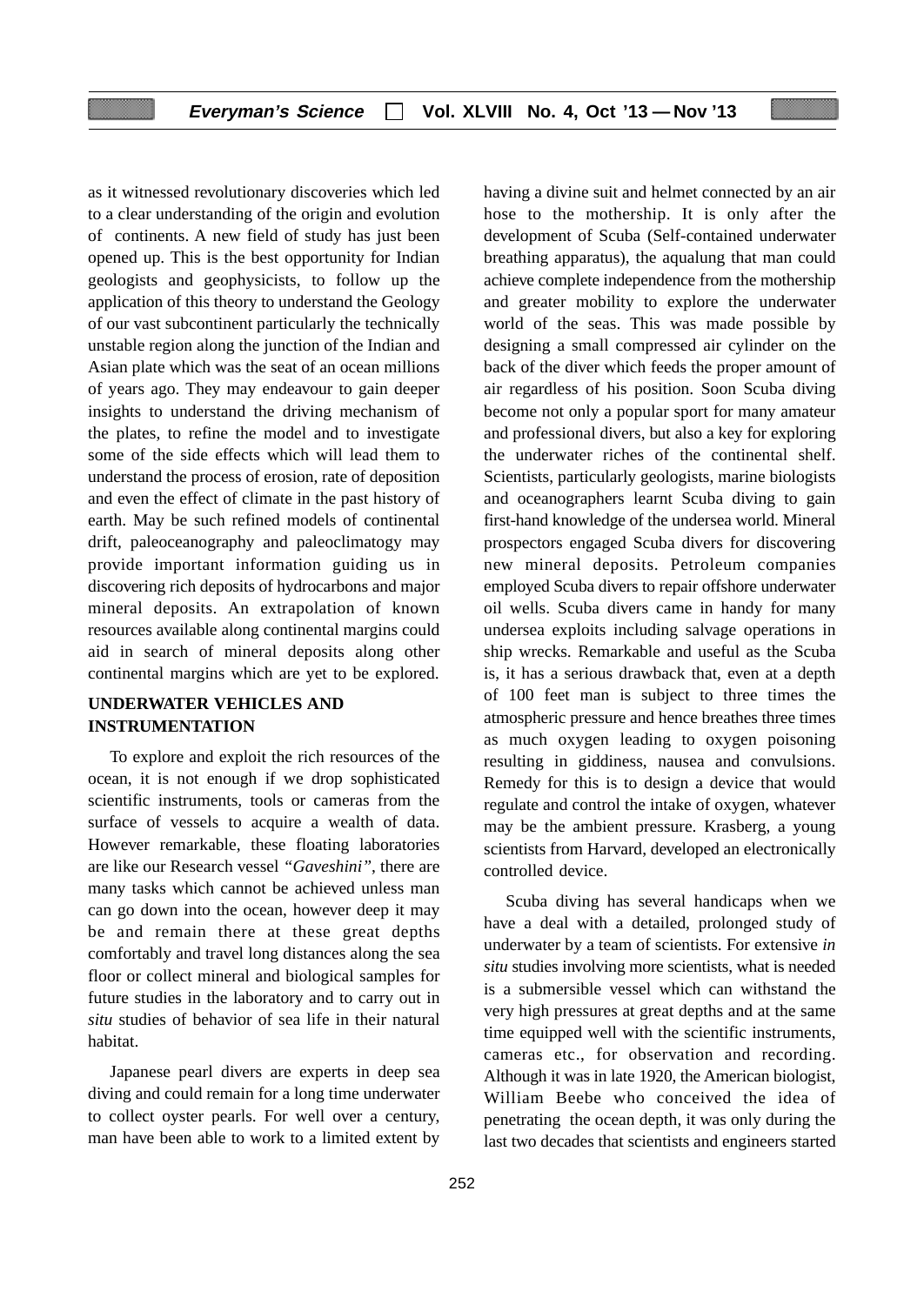as it witnessed revolutionary discoveries which led to a clear understanding of the origin and evolution of continents. A new field of study has just been opened up. This is the best opportunity for Indian geologists and geophysicists, to follow up the application of this theory to understand the Geology of our vast subcontinent particularly the technically unstable region along the junction of the Indian and Asian plate which was the seat of an ocean millions of years ago. They may endeavour to gain deeper insights to understand the driving mechanism of the plates, to refine the model and to investigate some of the side effects which will lead them to understand the process of erosion, rate of deposition and even the effect of climate in the past history of earth. May be such refined models of continental drift, paleoceanography and paleoclimatogy may provide important information guiding us in discovering rich deposits of hydrocarbons and major mineral deposits. An extrapolation of known resources available along continental margins could aid in search of mineral deposits along other continental margins which are yet to be explored.

# **UNDERWATER VEHICLES AND INSTRUMENTATION**

To explore and exploit the rich resources of the ocean, it is not enough if we drop sophisticated scientific instruments, tools or cameras from the surface of vessels to acquire a wealth of data. However remarkable, these floating laboratories are like our Research vessel *"Gaveshini"*, there are many tasks which cannot be achieved unless man can go down into the ocean, however deep it may be and remain there at these great depths comfortably and travel long distances along the sea floor or collect mineral and biological samples for future studies in the laboratory and to carry out in *situ* studies of behavior of sea life in their natural habitat.

Japanese pearl divers are experts in deep sea diving and could remain for a long time underwater to collect oyster pearls. For well over a century, man have been able to work to a limited extent by having a divine suit and helmet connected by an air hose to the mothership. It is only after the development of Scuba (Self-contained underwater breathing apparatus), the aqualung that man could achieve complete independence from the mothership and greater mobility to explore the underwater world of the seas. This was made possible by designing a small compressed air cylinder on the back of the diver which feeds the proper amount of air regardless of his position. Soon Scuba diving become not only a popular sport for many amateur and professional divers, but also a key for exploring the underwater riches of the continental shelf. Scientists, particularly geologists, marine biologists and oceanographers learnt Scuba diving to gain first-hand knowledge of the undersea world. Mineral prospectors engaged Scuba divers for discovering new mineral deposits. Petroleum companies employed Scuba divers to repair offshore underwater oil wells. Scuba divers came in handy for many undersea exploits including salvage operations in ship wrecks. Remarkable and useful as the Scuba is, it has a serious drawback that, even at a depth of 100 feet man is subject to three times the atmospheric pressure and hence breathes three times as much oxygen leading to oxygen poisoning resulting in giddiness, nausea and convulsions. Remedy for this is to design a device that would regulate and control the intake of oxygen, whatever may be the ambient pressure. Krasberg, a young scientists from Harvard, developed an electronically controlled device.

Scuba diving has several handicaps when we have a deal with a detailed, prolonged study of underwater by a team of scientists. For extensive *in situ* studies involving more scientists, what is needed is a submersible vessel which can withstand the very high pressures at great depths and at the same time equipped well with the scientific instruments, cameras etc., for observation and recording. Although it was in late 1920, the American biologist, William Beebe who conceived the idea of penetrating the ocean depth, it was only during the last two decades that scientists and engineers started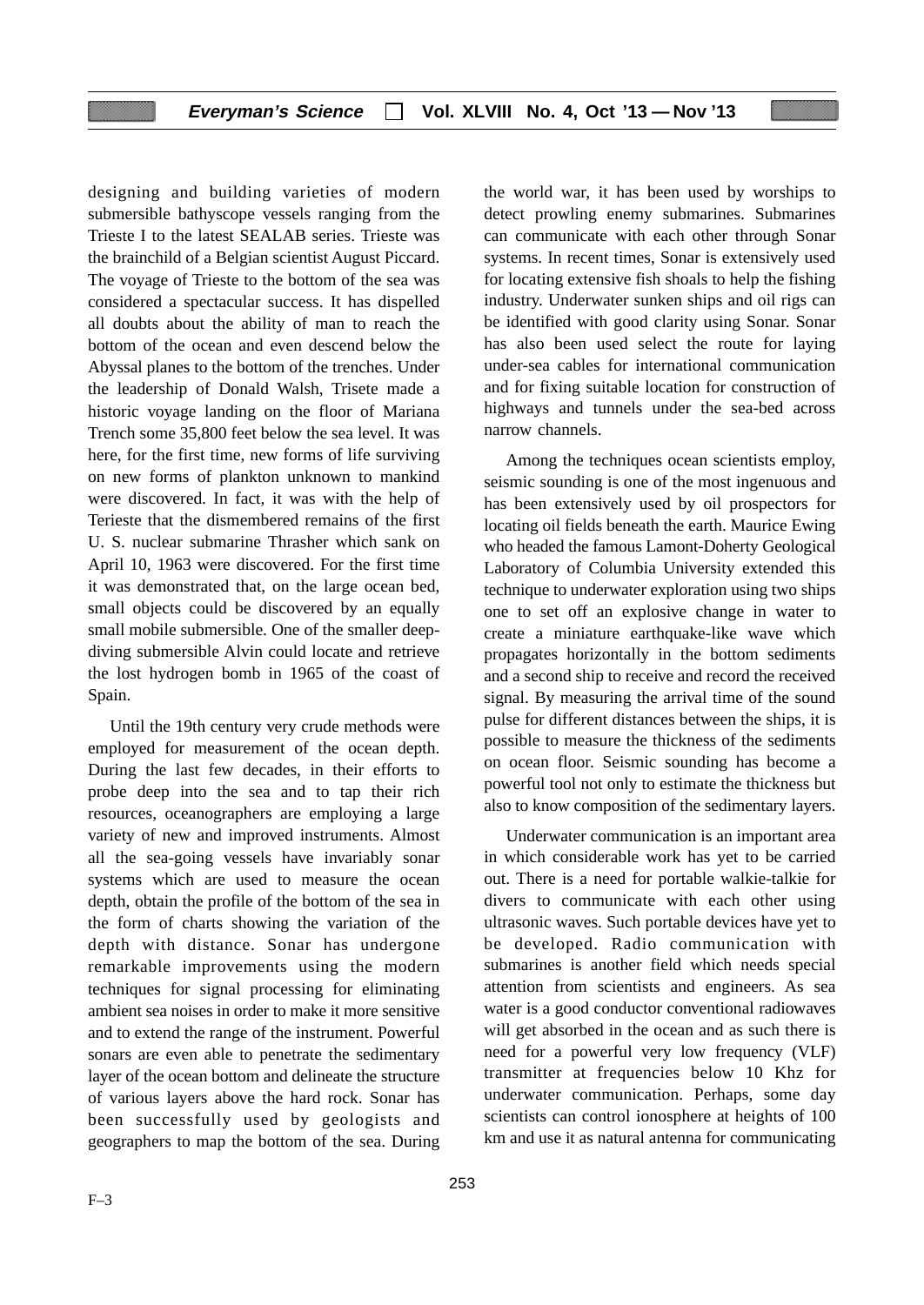designing and building varieties of modern submersible bathyscope vessels ranging from the Trieste I to the latest SEALAB series. Trieste was the brainchild of a Belgian scientist August Piccard. The voyage of Trieste to the bottom of the sea was considered a spectacular success. It has dispelled all doubts about the ability of man to reach the bottom of the ocean and even descend below the Abyssal planes to the bottom of the trenches. Under the leadership of Donald Walsh, Trisete made a historic voyage landing on the floor of Mariana Trench some 35,800 feet below the sea level. It was here, for the first time, new forms of life surviving on new forms of plankton unknown to mankind were discovered. In fact, it was with the help of Terieste that the dismembered remains of the first U. S. nuclear submarine Thrasher which sank on April 10, 1963 were discovered. For the first time it was demonstrated that, on the large ocean bed, small objects could be discovered by an equally small mobile submersible. One of the smaller deepdiving submersible Alvin could locate and retrieve the lost hydrogen bomb in 1965 of the coast of Spain.

Until the 19th century very crude methods were employed for measurement of the ocean depth. During the last few decades, in their efforts to probe deep into the sea and to tap their rich resources, oceanographers are employing a large variety of new and improved instruments. Almost all the sea-going vessels have invariably sonar systems which are used to measure the ocean depth, obtain the profile of the bottom of the sea in the form of charts showing the variation of the depth with distance. Sonar has undergone remarkable improvements using the modern techniques for signal processing for eliminating ambient sea noises in order to make it more sensitive and to extend the range of the instrument. Powerful sonars are even able to penetrate the sedimentary layer of the ocean bottom and delineate the structure of various layers above the hard rock. Sonar has been successfully used by geologists and geographers to map the bottom of the sea. During the world war, it has been used by worships to detect prowling enemy submarines. Submarines can communicate with each other through Sonar systems. In recent times, Sonar is extensively used for locating extensive fish shoals to help the fishing industry. Underwater sunken ships and oil rigs can be identified with good clarity using Sonar. Sonar has also been used select the route for laying under-sea cables for international communication and for fixing suitable location for construction of highways and tunnels under the sea-bed across narrow channels.

Among the techniques ocean scientists employ, seismic sounding is one of the most ingenuous and has been extensively used by oil prospectors for locating oil fields beneath the earth. Maurice Ewing who headed the famous Lamont-Doherty Geological Laboratory of Columbia University extended this technique to underwater exploration using two ships one to set off an explosive change in water to create a miniature earthquake-like wave which propagates horizontally in the bottom sediments and a second ship to receive and record the received signal. By measuring the arrival time of the sound pulse for different distances between the ships, it is possible to measure the thickness of the sediments on ocean floor. Seismic sounding has become a powerful tool not only to estimate the thickness but also to know composition of the sedimentary layers.

Underwater communication is an important area in which considerable work has yet to be carried out. There is a need for portable walkie-talkie for divers to communicate with each other using ultrasonic waves. Such portable devices have yet to be developed. Radio communication with submarines is another field which needs special attention from scientists and engineers. As sea water is a good conductor conventional radiowaves will get absorbed in the ocean and as such there is need for a powerful very low frequency (VLF) transmitter at frequencies below 10 Khz for underwater communication. Perhaps, some day scientists can control ionosphere at heights of 100 km and use it as natural antenna for communicating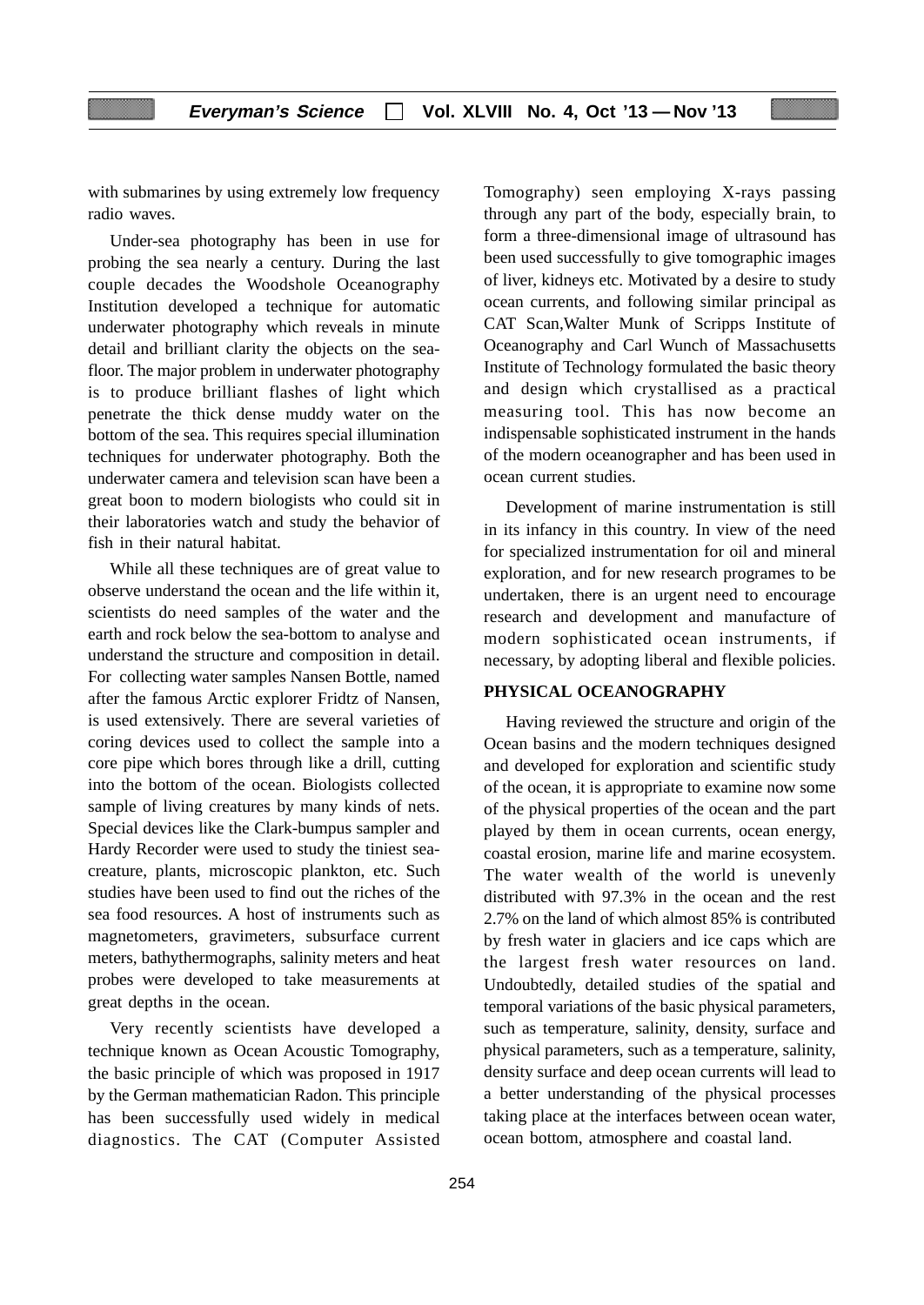with submarines by using extremely low frequency radio waves.

Under-sea photography has been in use for probing the sea nearly a century. During the last couple decades the Woodshole Oceanography Institution developed a technique for automatic underwater photography which reveals in minute detail and brilliant clarity the objects on the seafloor. The major problem in underwater photography is to produce brilliant flashes of light which penetrate the thick dense muddy water on the bottom of the sea. This requires special illumination techniques for underwater photography. Both the underwater camera and television scan have been a great boon to modern biologists who could sit in their laboratories watch and study the behavior of fish in their natural habitat.

While all these techniques are of great value to observe understand the ocean and the life within it, scientists do need samples of the water and the earth and rock below the sea-bottom to analyse and understand the structure and composition in detail. For collecting water samples Nansen Bottle, named after the famous Arctic explorer Fridtz of Nansen, is used extensively. There are several varieties of coring devices used to collect the sample into a core pipe which bores through like a drill, cutting into the bottom of the ocean. Biologists collected sample of living creatures by many kinds of nets. Special devices like the Clark-bumpus sampler and Hardy Recorder were used to study the tiniest seacreature, plants, microscopic plankton, etc. Such studies have been used to find out the riches of the sea food resources. A host of instruments such as magnetometers, gravimeters, subsurface current meters, bathythermographs, salinity meters and heat probes were developed to take measurements at great depths in the ocean.

Very recently scientists have developed a technique known as Ocean Acoustic Tomography, the basic principle of which was proposed in 1917 by the German mathematician Radon. This principle has been successfully used widely in medical diagnostics. The CAT (Computer Assisted Tomography) seen employing X-rays passing through any part of the body, especially brain, to form a three-dimensional image of ultrasound has been used successfully to give tomographic images of liver, kidneys etc. Motivated by a desire to study ocean currents, and following similar principal as CAT Scan,Walter Munk of Scripps Institute of Oceanography and Carl Wunch of Massachusetts Institute of Technology formulated the basic theory and design which crystallised as a practical measuring tool. This has now become an indispensable sophisticated instrument in the hands of the modern oceanographer and has been used in ocean current studies.

Development of marine instrumentation is still in its infancy in this country. In view of the need for specialized instrumentation for oil and mineral exploration, and for new research programes to be undertaken, there is an urgent need to encourage research and development and manufacture of modern sophisticated ocean instruments, if necessary, by adopting liberal and flexible policies.

#### **PHYSICAL OCEANOGRAPHY**

Having reviewed the structure and origin of the Ocean basins and the modern techniques designed and developed for exploration and scientific study of the ocean, it is appropriate to examine now some of the physical properties of the ocean and the part played by them in ocean currents, ocean energy, coastal erosion, marine life and marine ecosystem. The water wealth of the world is unevenly distributed with 97.3% in the ocean and the rest 2.7% on the land of which almost 85% is contributed by fresh water in glaciers and ice caps which are the largest fresh water resources on land. Undoubtedly, detailed studies of the spatial and temporal variations of the basic physical parameters, such as temperature, salinity, density, surface and physical parameters, such as a temperature, salinity, density surface and deep ocean currents will lead to a better understanding of the physical processes taking place at the interfaces between ocean water, ocean bottom, atmosphere and coastal land.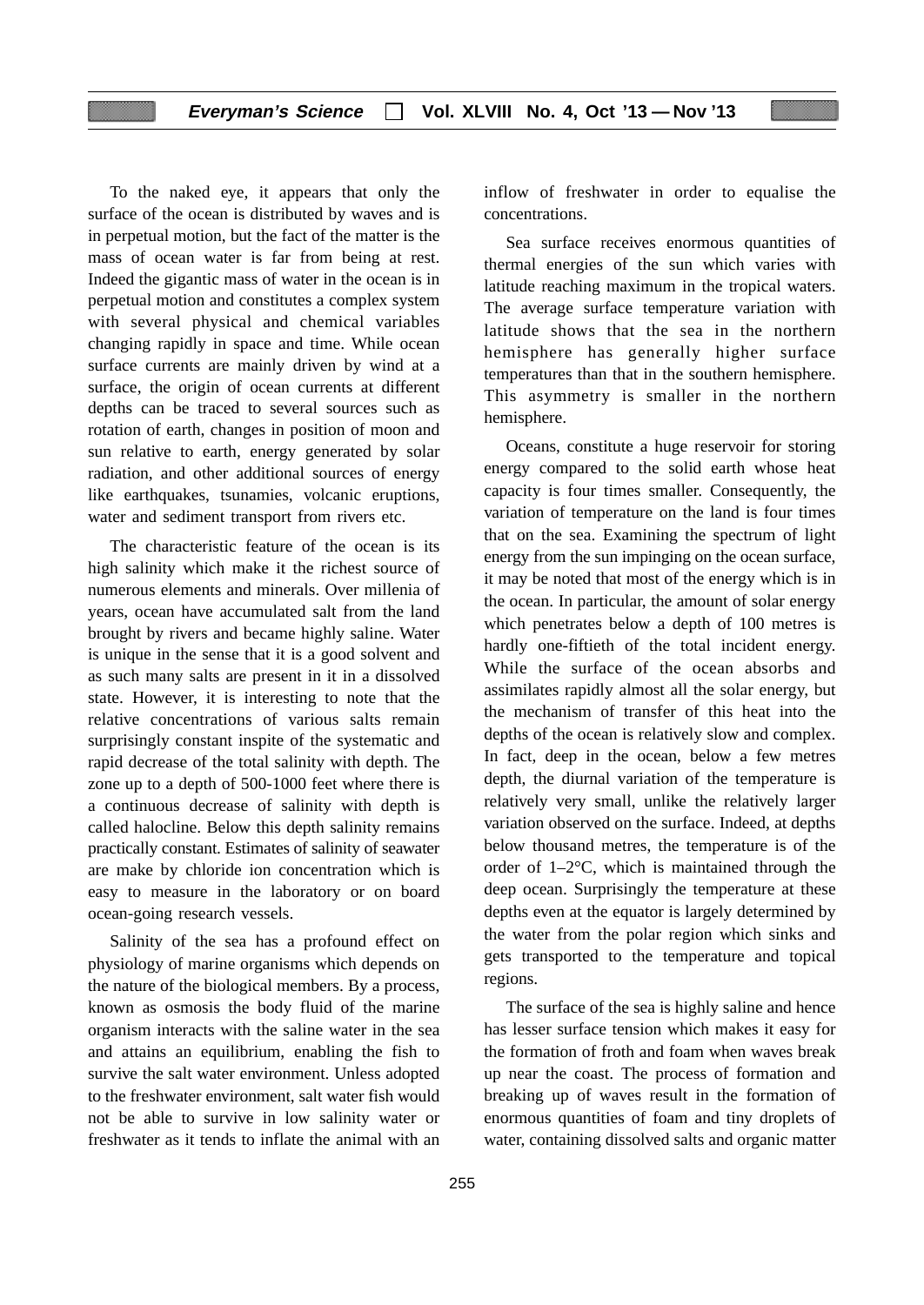# **Everyman's Science Vol. XLVIII No. 4, Oct '13 — Nov '13**

To the naked eye, it appears that only the surface of the ocean is distributed by waves and is in perpetual motion, but the fact of the matter is the mass of ocean water is far from being at rest. Indeed the gigantic mass of water in the ocean is in perpetual motion and constitutes a complex system with several physical and chemical variables changing rapidly in space and time. While ocean surface currents are mainly driven by wind at a surface, the origin of ocean currents at different depths can be traced to several sources such as rotation of earth, changes in position of moon and sun relative to earth, energy generated by solar radiation, and other additional sources of energy like earthquakes, tsunamies, volcanic eruptions, water and sediment transport from rivers etc.

The characteristic feature of the ocean is its high salinity which make it the richest source of numerous elements and minerals. Over millenia of years, ocean have accumulated salt from the land brought by rivers and became highly saline. Water is unique in the sense that it is a good solvent and as such many salts are present in it in a dissolved state. However, it is interesting to note that the relative concentrations of various salts remain surprisingly constant inspite of the systematic and rapid decrease of the total salinity with depth. The zone up to a depth of 500-1000 feet where there is a continuous decrease of salinity with depth is called halocline. Below this depth salinity remains practically constant. Estimates of salinity of seawater are make by chloride ion concentration which is easy to measure in the laboratory or on board ocean-going research vessels.

Salinity of the sea has a profound effect on physiology of marine organisms which depends on the nature of the biological members. By a process, known as osmosis the body fluid of the marine organism interacts with the saline water in the sea and attains an equilibrium, enabling the fish to survive the salt water environment. Unless adopted to the freshwater environment, salt water fish would not be able to survive in low salinity water or freshwater as it tends to inflate the animal with an inflow of freshwater in order to equalise the concentrations.

Sea surface receives enormous quantities of thermal energies of the sun which varies with latitude reaching maximum in the tropical waters. The average surface temperature variation with latitude shows that the sea in the northern hemisphere has generally higher surface temperatures than that in the southern hemisphere. This asymmetry is smaller in the northern hemisphere.

Oceans, constitute a huge reservoir for storing energy compared to the solid earth whose heat capacity is four times smaller. Consequently, the variation of temperature on the land is four times that on the sea. Examining the spectrum of light energy from the sun impinging on the ocean surface, it may be noted that most of the energy which is in the ocean. In particular, the amount of solar energy which penetrates below a depth of 100 metres is hardly one-fiftieth of the total incident energy. While the surface of the ocean absorbs and assimilates rapidly almost all the solar energy, but the mechanism of transfer of this heat into the depths of the ocean is relatively slow and complex. In fact, deep in the ocean, below a few metres depth, the diurnal variation of the temperature is relatively very small, unlike the relatively larger variation observed on the surface. Indeed, at depths below thousand metres, the temperature is of the order of 1–2°C, which is maintained through the deep ocean. Surprisingly the temperature at these depths even at the equator is largely determined by the water from the polar region which sinks and gets transported to the temperature and topical regions.

The surface of the sea is highly saline and hence has lesser surface tension which makes it easy for the formation of froth and foam when waves break up near the coast. The process of formation and breaking up of waves result in the formation of enormous quantities of foam and tiny droplets of water, containing dissolved salts and organic matter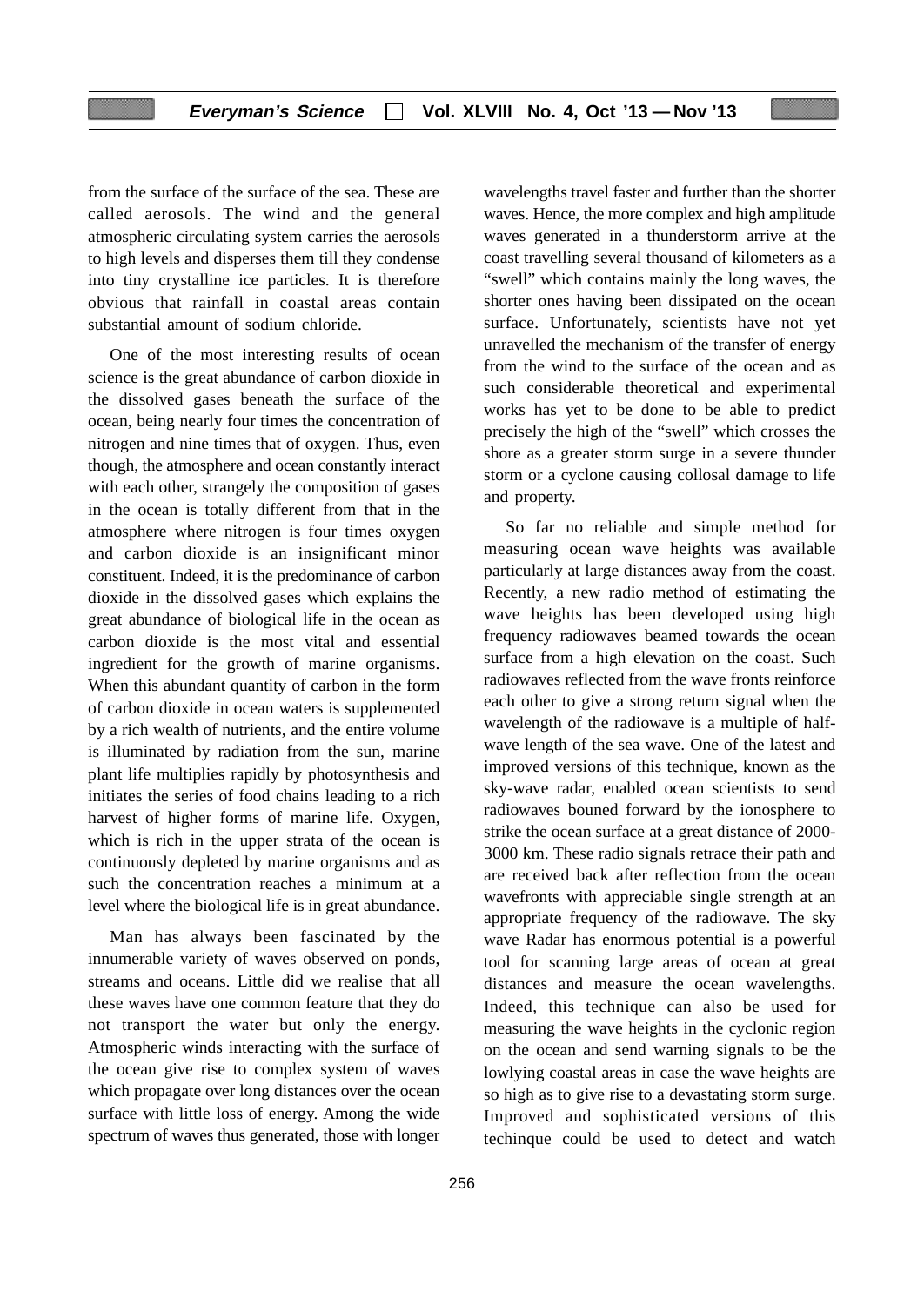from the surface of the surface of the sea. These are called aerosols. The wind and the general atmospheric circulating system carries the aerosols to high levels and disperses them till they condense into tiny crystalline ice particles. It is therefore obvious that rainfall in coastal areas contain substantial amount of sodium chloride.

One of the most interesting results of ocean science is the great abundance of carbon dioxide in the dissolved gases beneath the surface of the ocean, being nearly four times the concentration of nitrogen and nine times that of oxygen. Thus, even though, the atmosphere and ocean constantly interact with each other, strangely the composition of gases in the ocean is totally different from that in the atmosphere where nitrogen is four times oxygen and carbon dioxide is an insignificant minor constituent. Indeed, it is the predominance of carbon dioxide in the dissolved gases which explains the great abundance of biological life in the ocean as carbon dioxide is the most vital and essential ingredient for the growth of marine organisms. When this abundant quantity of carbon in the form of carbon dioxide in ocean waters is supplemented by a rich wealth of nutrients, and the entire volume is illuminated by radiation from the sun, marine plant life multiplies rapidly by photosynthesis and initiates the series of food chains leading to a rich harvest of higher forms of marine life. Oxygen, which is rich in the upper strata of the ocean is continuously depleted by marine organisms and as such the concentration reaches a minimum at a level where the biological life is in great abundance.

Man has always been fascinated by the innumerable variety of waves observed on ponds, streams and oceans. Little did we realise that all these waves have one common feature that they do not transport the water but only the energy. Atmospheric winds interacting with the surface of the ocean give rise to complex system of waves which propagate over long distances over the ocean surface with little loss of energy. Among the wide spectrum of waves thus generated, those with longer wavelengths travel faster and further than the shorter waves. Hence, the more complex and high amplitude waves generated in a thunderstorm arrive at the coast travelling several thousand of kilometers as a "swell" which contains mainly the long waves, the shorter ones having been dissipated on the ocean surface. Unfortunately, scientists have not yet unravelled the mechanism of the transfer of energy from the wind to the surface of the ocean and as such considerable theoretical and experimental works has yet to be done to be able to predict precisely the high of the "swell" which crosses the shore as a greater storm surge in a severe thunder storm or a cyclone causing collosal damage to life and property.

So far no reliable and simple method for measuring ocean wave heights was available particularly at large distances away from the coast. Recently, a new radio method of estimating the wave heights has been developed using high frequency radiowaves beamed towards the ocean surface from a high elevation on the coast. Such radiowaves reflected from the wave fronts reinforce each other to give a strong return signal when the wavelength of the radiowave is a multiple of halfwave length of the sea wave. One of the latest and improved versions of this technique, known as the sky-wave radar, enabled ocean scientists to send radiowaves bouned forward by the ionosphere to strike the ocean surface at a great distance of 2000- 3000 km. These radio signals retrace their path and are received back after reflection from the ocean wavefronts with appreciable single strength at an appropriate frequency of the radiowave. The sky wave Radar has enormous potential is a powerful tool for scanning large areas of ocean at great distances and measure the ocean wavelengths. Indeed, this technique can also be used for measuring the wave heights in the cyclonic region on the ocean and send warning signals to be the lowlying coastal areas in case the wave heights are so high as to give rise to a devastating storm surge. Improved and sophisticated versions of this techinque could be used to detect and watch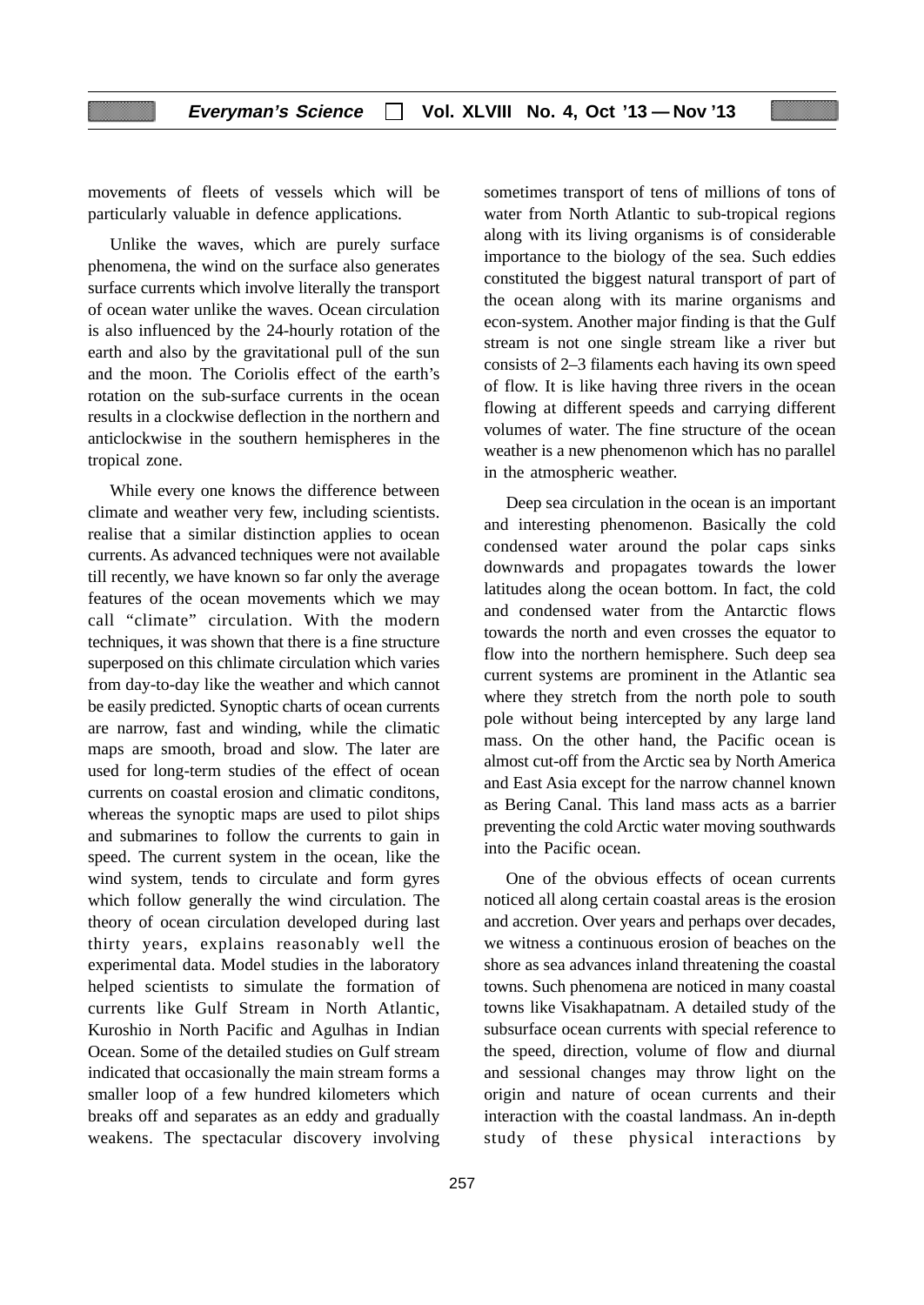movements of fleets of vessels which will be particularly valuable in defence applications.

Unlike the waves, which are purely surface phenomena, the wind on the surface also generates surface currents which involve literally the transport of ocean water unlike the waves. Ocean circulation is also influenced by the 24-hourly rotation of the earth and also by the gravitational pull of the sun and the moon. The Coriolis effect of the earth's rotation on the sub-surface currents in the ocean results in a clockwise deflection in the northern and anticlockwise in the southern hemispheres in the tropical zone.

While every one knows the difference between climate and weather very few, including scientists. realise that a similar distinction applies to ocean currents. As advanced techniques were not available till recently, we have known so far only the average features of the ocean movements which we may call "climate" circulation. With the modern techniques, it was shown that there is a fine structure superposed on this chlimate circulation which varies from day-to-day like the weather and which cannot be easily predicted. Synoptic charts of ocean currents are narrow, fast and winding, while the climatic maps are smooth, broad and slow. The later are used for long-term studies of the effect of ocean currents on coastal erosion and climatic conditons, whereas the synoptic maps are used to pilot ships and submarines to follow the currents to gain in speed. The current system in the ocean, like the wind system, tends to circulate and form gyres which follow generally the wind circulation. The theory of ocean circulation developed during last thirty years, explains reasonably well the experimental data. Model studies in the laboratory helped scientists to simulate the formation of currents like Gulf Stream in North Atlantic, Kuroshio in North Pacific and Agulhas in Indian Ocean. Some of the detailed studies on Gulf stream indicated that occasionally the main stream forms a smaller loop of a few hundred kilometers which breaks off and separates as an eddy and gradually weakens. The spectacular discovery involving

sometimes transport of tens of millions of tons of water from North Atlantic to sub-tropical regions along with its living organisms is of considerable importance to the biology of the sea. Such eddies constituted the biggest natural transport of part of the ocean along with its marine organisms and econ-system. Another major finding is that the Gulf stream is not one single stream like a river but consists of 2–3 filaments each having its own speed of flow. It is like having three rivers in the ocean flowing at different speeds and carrying different volumes of water. The fine structure of the ocean weather is a new phenomenon which has no parallel in the atmospheric weather.

Deep sea circulation in the ocean is an important and interesting phenomenon. Basically the cold condensed water around the polar caps sinks downwards and propagates towards the lower latitudes along the ocean bottom. In fact, the cold and condensed water from the Antarctic flows towards the north and even crosses the equator to flow into the northern hemisphere. Such deep sea current systems are prominent in the Atlantic sea where they stretch from the north pole to south pole without being intercepted by any large land mass. On the other hand, the Pacific ocean is almost cut-off from the Arctic sea by North America and East Asia except for the narrow channel known as Bering Canal. This land mass acts as a barrier preventing the cold Arctic water moving southwards into the Pacific ocean.

One of the obvious effects of ocean currents noticed all along certain coastal areas is the erosion and accretion. Over years and perhaps over decades, we witness a continuous erosion of beaches on the shore as sea advances inland threatening the coastal towns. Such phenomena are noticed in many coastal towns like Visakhapatnam. A detailed study of the subsurface ocean currents with special reference to the speed, direction, volume of flow and diurnal and sessional changes may throw light on the origin and nature of ocean currents and their interaction with the coastal landmass. An in-depth study of these physical interactions by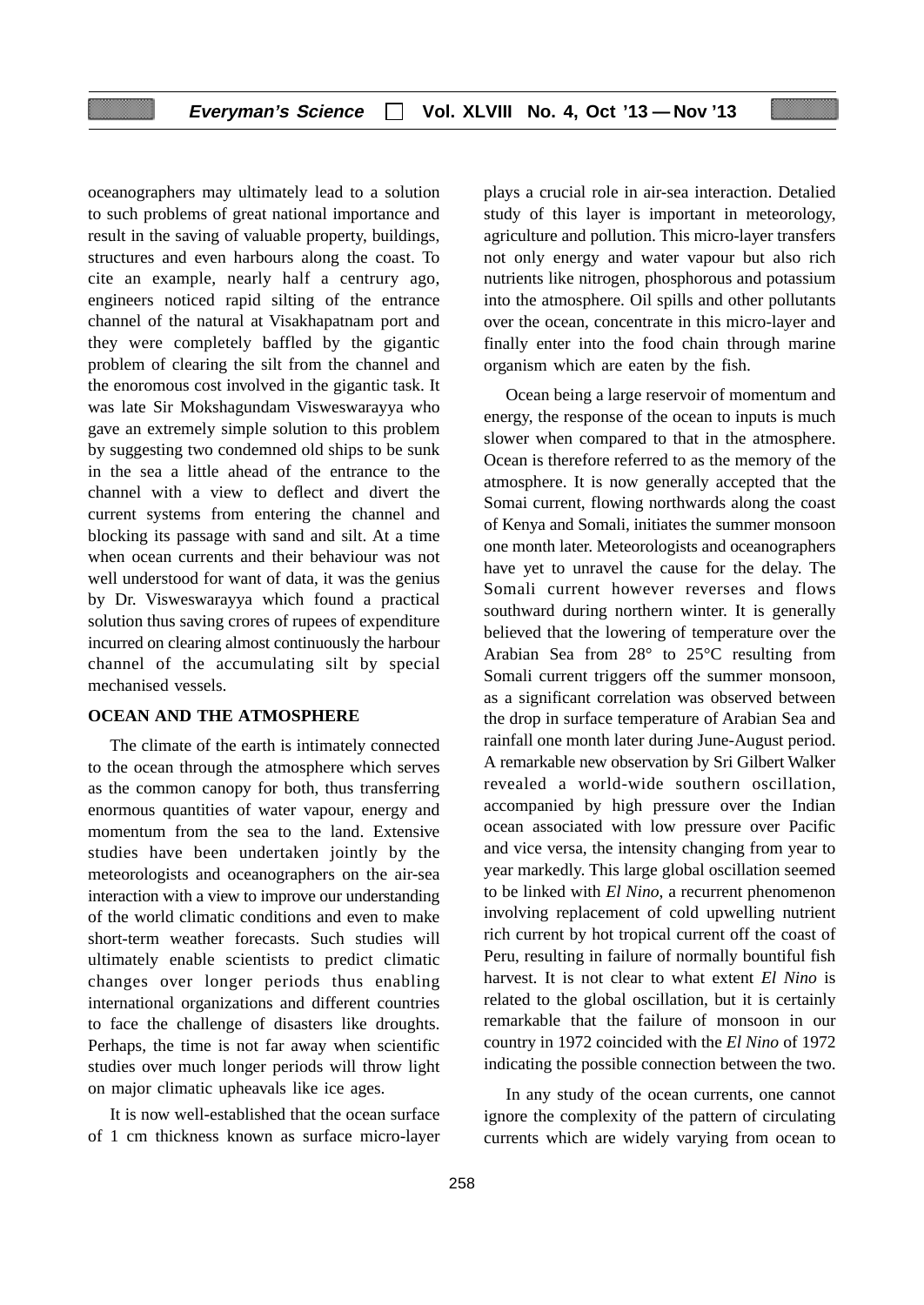oceanographers may ultimately lead to a solution to such problems of great national importance and result in the saving of valuable property, buildings, structures and even harbours along the coast. To cite an example, nearly half a centrury ago, engineers noticed rapid silting of the entrance channel of the natural at Visakhapatnam port and they were completely baffled by the gigantic problem of clearing the silt from the channel and the enoromous cost involved in the gigantic task. It was late Sir Mokshagundam Visweswarayya who gave an extremely simple solution to this problem by suggesting two condemned old ships to be sunk in the sea a little ahead of the entrance to the channel with a view to deflect and divert the current systems from entering the channel and blocking its passage with sand and silt. At a time when ocean currents and their behaviour was not well understood for want of data, it was the genius by Dr. Visweswarayya which found a practical solution thus saving crores of rupees of expenditure incurred on clearing almost continuously the harbour channel of the accumulating silt by special mechanised vessels.

#### **OCEAN AND THE ATMOSPHERE**

The climate of the earth is intimately connected to the ocean through the atmosphere which serves as the common canopy for both, thus transferring enormous quantities of water vapour, energy and momentum from the sea to the land. Extensive studies have been undertaken jointly by the meteorologists and oceanographers on the air-sea interaction with a view to improve our understanding of the world climatic conditions and even to make short-term weather forecasts. Such studies will ultimately enable scientists to predict climatic changes over longer periods thus enabling international organizations and different countries to face the challenge of disasters like droughts. Perhaps, the time is not far away when scientific studies over much longer periods will throw light on major climatic upheavals like ice ages.

It is now well-established that the ocean surface of 1 cm thickness known as surface micro-layer plays a crucial role in air-sea interaction. Detalied study of this layer is important in meteorology, agriculture and pollution. This micro-layer transfers not only energy and water vapour but also rich nutrients like nitrogen, phosphorous and potassium into the atmosphere. Oil spills and other pollutants over the ocean, concentrate in this micro-layer and finally enter into the food chain through marine organism which are eaten by the fish.

Ocean being a large reservoir of momentum and energy, the response of the ocean to inputs is much slower when compared to that in the atmosphere. Ocean is therefore referred to as the memory of the atmosphere. It is now generally accepted that the Somai current, flowing northwards along the coast of Kenya and Somali, initiates the summer monsoon one month later. Meteorologists and oceanographers have yet to unravel the cause for the delay. The Somali current however reverses and flows southward during northern winter. It is generally believed that the lowering of temperature over the Arabian Sea from 28° to 25°C resulting from Somali current triggers off the summer monsoon, as a significant correlation was observed between the drop in surface temperature of Arabian Sea and rainfall one month later during June-August period. A remarkable new observation by Sri Gilbert Walker revealed a world-wide southern oscillation, accompanied by high pressure over the Indian ocean associated with low pressure over Pacific and vice versa, the intensity changing from year to year markedly. This large global oscillation seemed to be linked with *El Nino*, a recurrent phenomenon involving replacement of cold upwelling nutrient rich current by hot tropical current off the coast of Peru, resulting in failure of normally bountiful fish harvest. It is not clear to what extent *El Nino* is related to the global oscillation, but it is certainly remarkable that the failure of monsoon in our country in 1972 coincided with the *El Nino* of 1972 indicating the possible connection between the two.

In any study of the ocean currents, one cannot ignore the complexity of the pattern of circulating currents which are widely varying from ocean to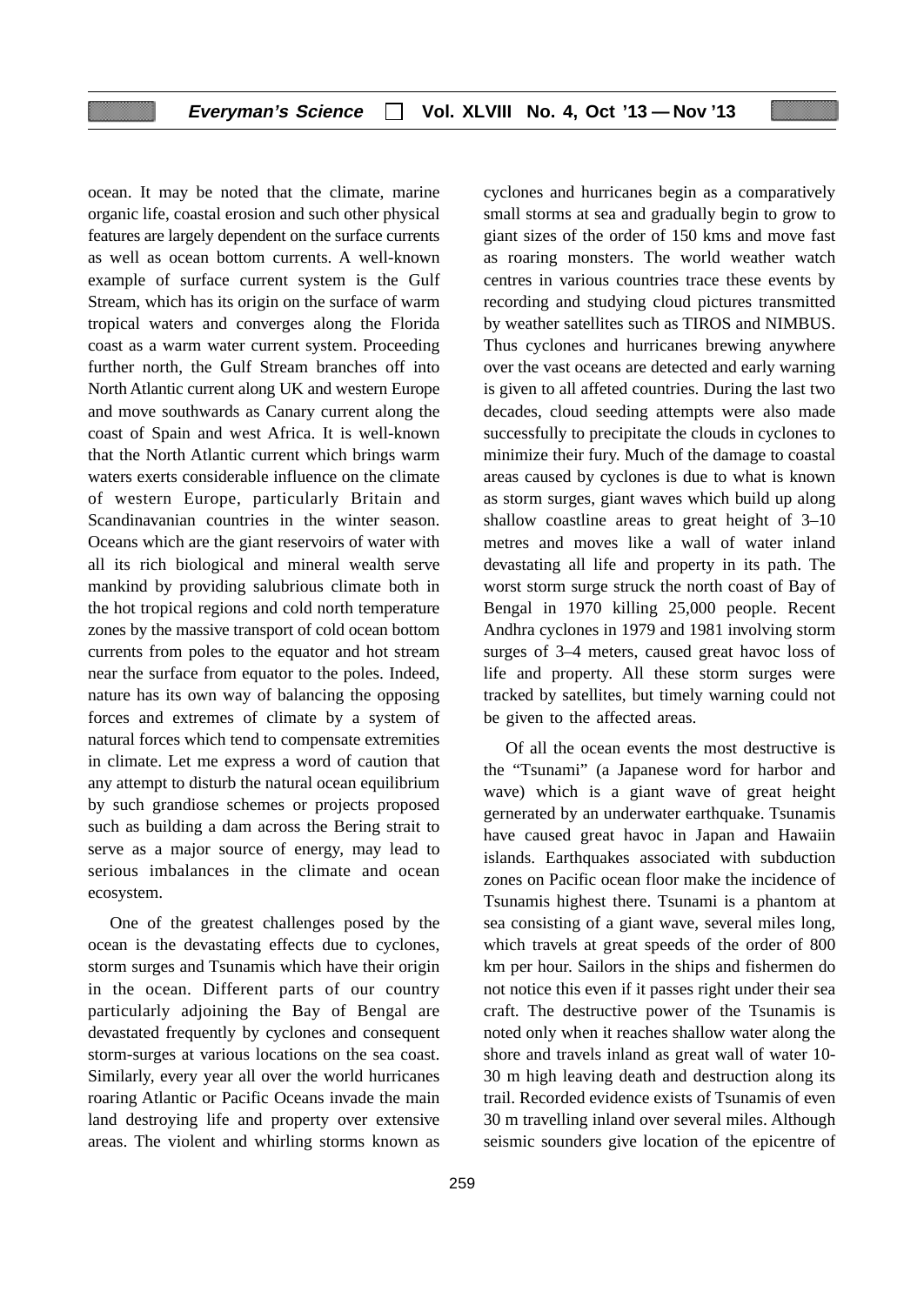ocean. It may be noted that the climate, marine organic life, coastal erosion and such other physical features are largely dependent on the surface currents as well as ocean bottom currents. A well-known example of surface current system is the Gulf Stream, which has its origin on the surface of warm tropical waters and converges along the Florida coast as a warm water current system. Proceeding further north, the Gulf Stream branches off into North Atlantic current along UK and western Europe and move southwards as Canary current along the coast of Spain and west Africa. It is well-known that the North Atlantic current which brings warm waters exerts considerable influence on the climate of western Europe, particularly Britain and Scandinavanian countries in the winter season. Oceans which are the giant reservoirs of water with all its rich biological and mineral wealth serve mankind by providing salubrious climate both in the hot tropical regions and cold north temperature zones by the massive transport of cold ocean bottom currents from poles to the equator and hot stream near the surface from equator to the poles. Indeed, nature has its own way of balancing the opposing forces and extremes of climate by a system of natural forces which tend to compensate extremities in climate. Let me express a word of caution that any attempt to disturb the natural ocean equilibrium by such grandiose schemes or projects proposed such as building a dam across the Bering strait to serve as a major source of energy, may lead to serious imbalances in the climate and ocean ecosystem.

One of the greatest challenges posed by the ocean is the devastating effects due to cyclones, storm surges and Tsunamis which have their origin in the ocean. Different parts of our country particularly adjoining the Bay of Bengal are devastated frequently by cyclones and consequent storm-surges at various locations on the sea coast. Similarly, every year all over the world hurricanes roaring Atlantic or Pacific Oceans invade the main land destroying life and property over extensive areas. The violent and whirling storms known as cyclones and hurricanes begin as a comparatively small storms at sea and gradually begin to grow to giant sizes of the order of 150 kms and move fast as roaring monsters. The world weather watch centres in various countries trace these events by recording and studying cloud pictures transmitted by weather satellites such as TIROS and NIMBUS. Thus cyclones and hurricanes brewing anywhere over the vast oceans are detected and early warning is given to all affeted countries. During the last two decades, cloud seeding attempts were also made successfully to precipitate the clouds in cyclones to minimize their fury. Much of the damage to coastal areas caused by cyclones is due to what is known as storm surges, giant waves which build up along shallow coastline areas to great height of 3–10 metres and moves like a wall of water inland devastating all life and property in its path. The worst storm surge struck the north coast of Bay of Bengal in 1970 killing 25,000 people. Recent Andhra cyclones in 1979 and 1981 involving storm surges of 3–4 meters, caused great havoc loss of life and property. All these storm surges were tracked by satellites, but timely warning could not be given to the affected areas.

Of all the ocean events the most destructive is the "Tsunami" (a Japanese word for harbor and wave) which is a giant wave of great height gernerated by an underwater earthquake. Tsunamis have caused great havoc in Japan and Hawaiin islands. Earthquakes associated with subduction zones on Pacific ocean floor make the incidence of Tsunamis highest there. Tsunami is a phantom at sea consisting of a giant wave, several miles long, which travels at great speeds of the order of 800 km per hour. Sailors in the ships and fishermen do not notice this even if it passes right under their sea craft. The destructive power of the Tsunamis is noted only when it reaches shallow water along the shore and travels inland as great wall of water 10- 30 m high leaving death and destruction along its trail. Recorded evidence exists of Tsunamis of even 30 m travelling inland over several miles. Although seismic sounders give location of the epicentre of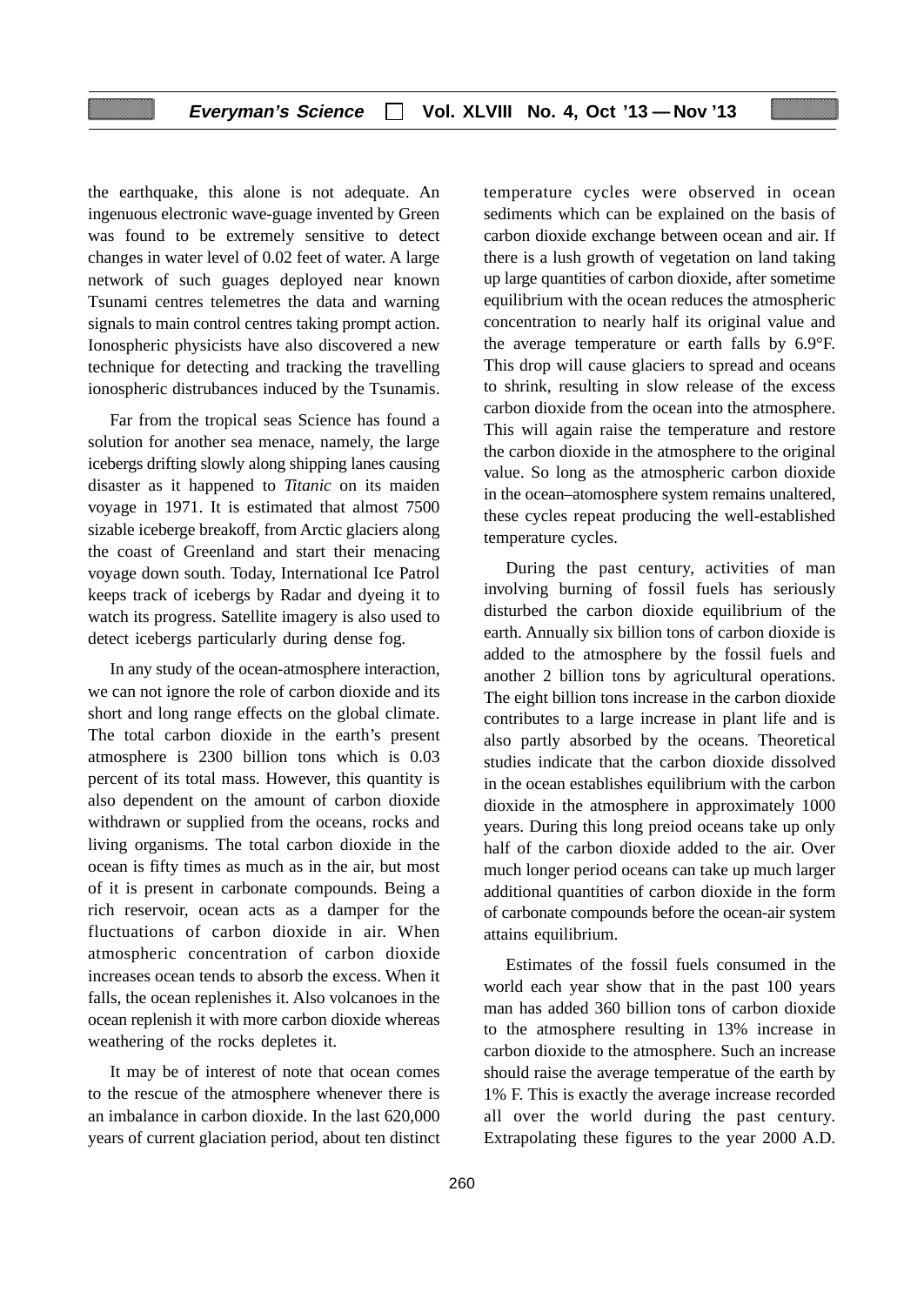the earthquake, this alone is not adequate. An ingenuous electronic wave-guage invented by Green was found to be extremely sensitive to detect changes in water level of 0.02 feet of water. A large network of such guages deployed near known Tsunami centres telemetres the data and warning signals to main control centres taking prompt action. Ionospheric physicists have also discovered a new technique for detecting and tracking the travelling ionospheric distrubances induced by the Tsunamis.

Far from the tropical seas Science has found a solution for another sea menace, namely, the large icebergs drifting slowly along shipping lanes causing disaster as it happened to *Titanic* on its maiden voyage in 1971. It is estimated that almost 7500 sizable iceberge breakoff, from Arctic glaciers along the coast of Greenland and start their menacing voyage down south. Today, International Ice Patrol keeps track of icebergs by Radar and dyeing it to watch its progress. Satellite imagery is also used to detect icebergs particularly during dense fog.

In any study of the ocean-atmosphere interaction, we can not ignore the role of carbon dioxide and its short and long range effects on the global climate. The total carbon dioxide in the earth's present atmosphere is 2300 billion tons which is 0.03 percent of its total mass. However, this quantity is also dependent on the amount of carbon dioxide withdrawn or supplied from the oceans, rocks and living organisms. The total carbon dioxide in the ocean is fifty times as much as in the air, but most of it is present in carbonate compounds. Being a rich reservoir, ocean acts as a damper for the fluctuations of carbon dioxide in air. When atmospheric concentration of carbon dioxide increases ocean tends to absorb the excess. When it falls, the ocean replenishes it. Also volcanoes in the ocean replenish it with more carbon dioxide whereas weathering of the rocks depletes it.

It may be of interest of note that ocean comes to the rescue of the atmosphere whenever there is an imbalance in carbon dioxide. In the last 620,000 years of current glaciation period, about ten distinct temperature cycles were observed in ocean sediments which can be explained on the basis of carbon dioxide exchange between ocean and air. If there is a lush growth of vegetation on land taking up large quantities of carbon dioxide, after sometime equilibrium with the ocean reduces the atmospheric concentration to nearly half its original value and the average temperature or earth falls by 6.9°F. This drop will cause glaciers to spread and oceans to shrink, resulting in slow release of the excess carbon dioxide from the ocean into the atmosphere. This will again raise the temperature and restore the carbon dioxide in the atmosphere to the original value. So long as the atmospheric carbon dioxide in the ocean–atomosphere system remains unaltered, these cycles repeat producing the well-established temperature cycles.

During the past century, activities of man involving burning of fossil fuels has seriously disturbed the carbon dioxide equilibrium of the earth. Annually six billion tons of carbon dioxide is added to the atmosphere by the fossil fuels and another 2 billion tons by agricultural operations. The eight billion tons increase in the carbon dioxide contributes to a large increase in plant life and is also partly absorbed by the oceans. Theoretical studies indicate that the carbon dioxide dissolved in the ocean establishes equilibrium with the carbon dioxide in the atmosphere in approximately 1000 years. During this long preiod oceans take up only half of the carbon dioxide added to the air. Over much longer period oceans can take up much larger additional quantities of carbon dioxide in the form of carbonate compounds before the ocean-air system attains equilibrium.

Estimates of the fossil fuels consumed in the world each year show that in the past 100 years man has added 360 billion tons of carbon dioxide to the atmosphere resulting in 13% increase in carbon dioxide to the atmosphere. Such an increase should raise the average temperatue of the earth by 1% F. This is exactly the average increase recorded all over the world during the past century. Extrapolating these figures to the year 2000 A.D.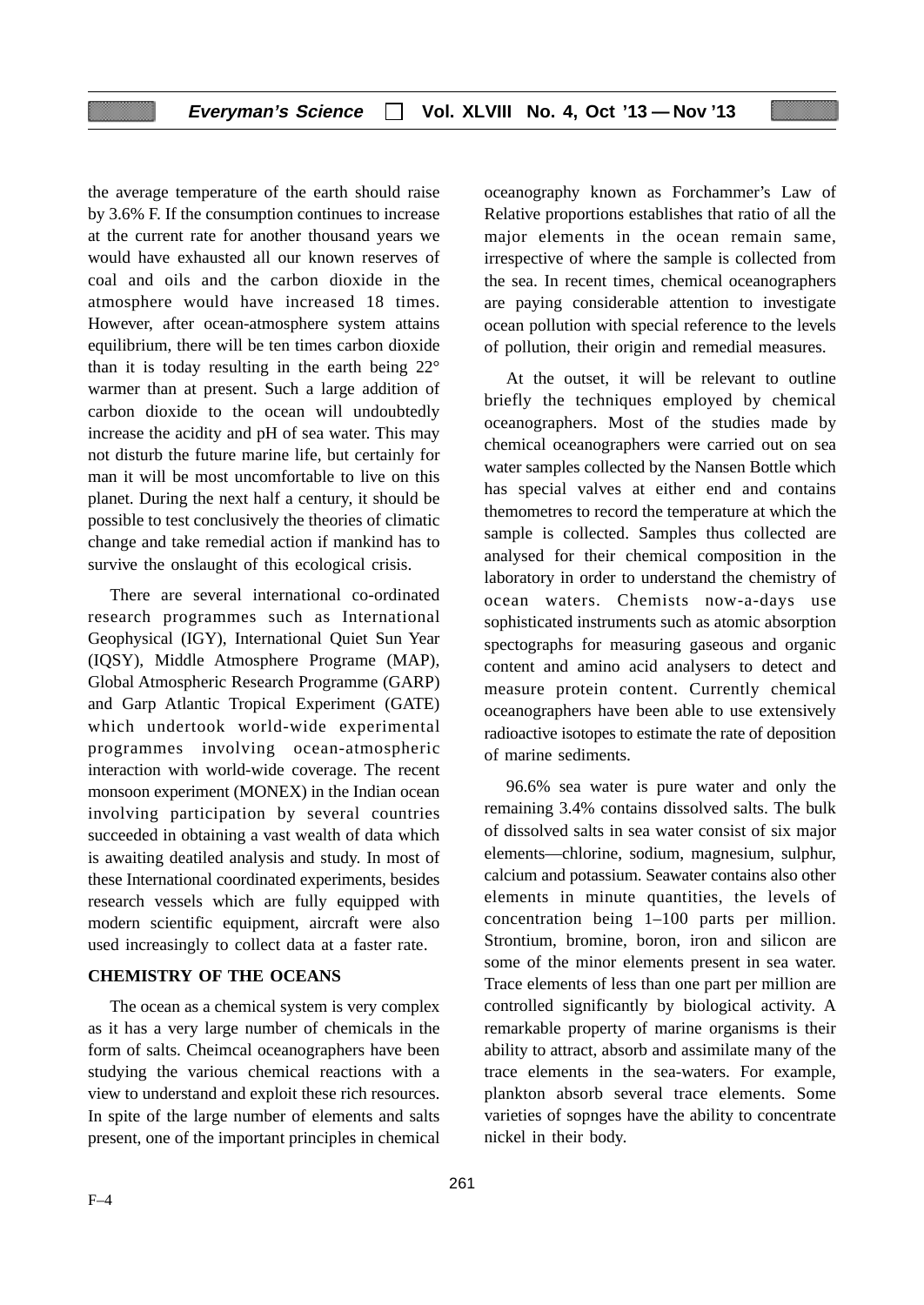the average temperature of the earth should raise by 3.6% F. If the consumption continues to increase at the current rate for another thousand years we would have exhausted all our known reserves of coal and oils and the carbon dioxide in the atmosphere would have increased 18 times. However, after ocean-atmosphere system attains equilibrium, there will be ten times carbon dioxide than it is today resulting in the earth being  $22^{\circ}$ warmer than at present. Such a large addition of carbon dioxide to the ocean will undoubtedly increase the acidity and pH of sea water. This may not disturb the future marine life, but certainly for man it will be most uncomfortable to live on this planet. During the next half a century, it should be possible to test conclusively the theories of climatic change and take remedial action if mankind has to survive the onslaught of this ecological crisis.

There are several international co-ordinated research programmes such as International Geophysical (IGY), International Quiet Sun Year (IQSY), Middle Atmosphere Programe (MAP), Global Atmospheric Research Programme (GARP) and Garp Atlantic Tropical Experiment (GATE) which undertook world-wide experimental programmes involving ocean-atmospheric interaction with world-wide coverage. The recent monsoon experiment (MONEX) in the Indian ocean involving participation by several countries succeeded in obtaining a vast wealth of data which is awaiting deatiled analysis and study. In most of these International coordinated experiments, besides research vessels which are fully equipped with modern scientific equipment, aircraft were also used increasingly to collect data at a faster rate.

# **CHEMISTRY OF THE OCEANS**

The ocean as a chemical system is very complex as it has a very large number of chemicals in the form of salts. Cheimcal oceanographers have been studying the various chemical reactions with a view to understand and exploit these rich resources. In spite of the large number of elements and salts present, one of the important principles in chemical

oceanography known as Forchammer's Law of Relative proportions establishes that ratio of all the major elements in the ocean remain same, irrespective of where the sample is collected from the sea. In recent times, chemical oceanographers are paying considerable attention to investigate ocean pollution with special reference to the levels of pollution, their origin and remedial measures.

At the outset, it will be relevant to outline briefly the techniques employed by chemical oceanographers. Most of the studies made by chemical oceanographers were carried out on sea water samples collected by the Nansen Bottle which has special valves at either end and contains themometres to record the temperature at which the sample is collected. Samples thus collected are analysed for their chemical composition in the laboratory in order to understand the chemistry of ocean waters. Chemists now-a-days use sophisticated instruments such as atomic absorption spectographs for measuring gaseous and organic content and amino acid analysers to detect and measure protein content. Currently chemical oceanographers have been able to use extensively radioactive isotopes to estimate the rate of deposition of marine sediments.

96.6% sea water is pure water and only the remaining 3.4% contains dissolved salts. The bulk of dissolved salts in sea water consist of six major elements—chlorine, sodium, magnesium, sulphur, calcium and potassium. Seawater contains also other elements in minute quantities, the levels of concentration being 1–100 parts per million. Strontium, bromine, boron, iron and silicon are some of the minor elements present in sea water. Trace elements of less than one part per million are controlled significantly by biological activity. A remarkable property of marine organisms is their ability to attract, absorb and assimilate many of the trace elements in the sea-waters. For example, plankton absorb several trace elements. Some varieties of sopnges have the ability to concentrate nickel in their body.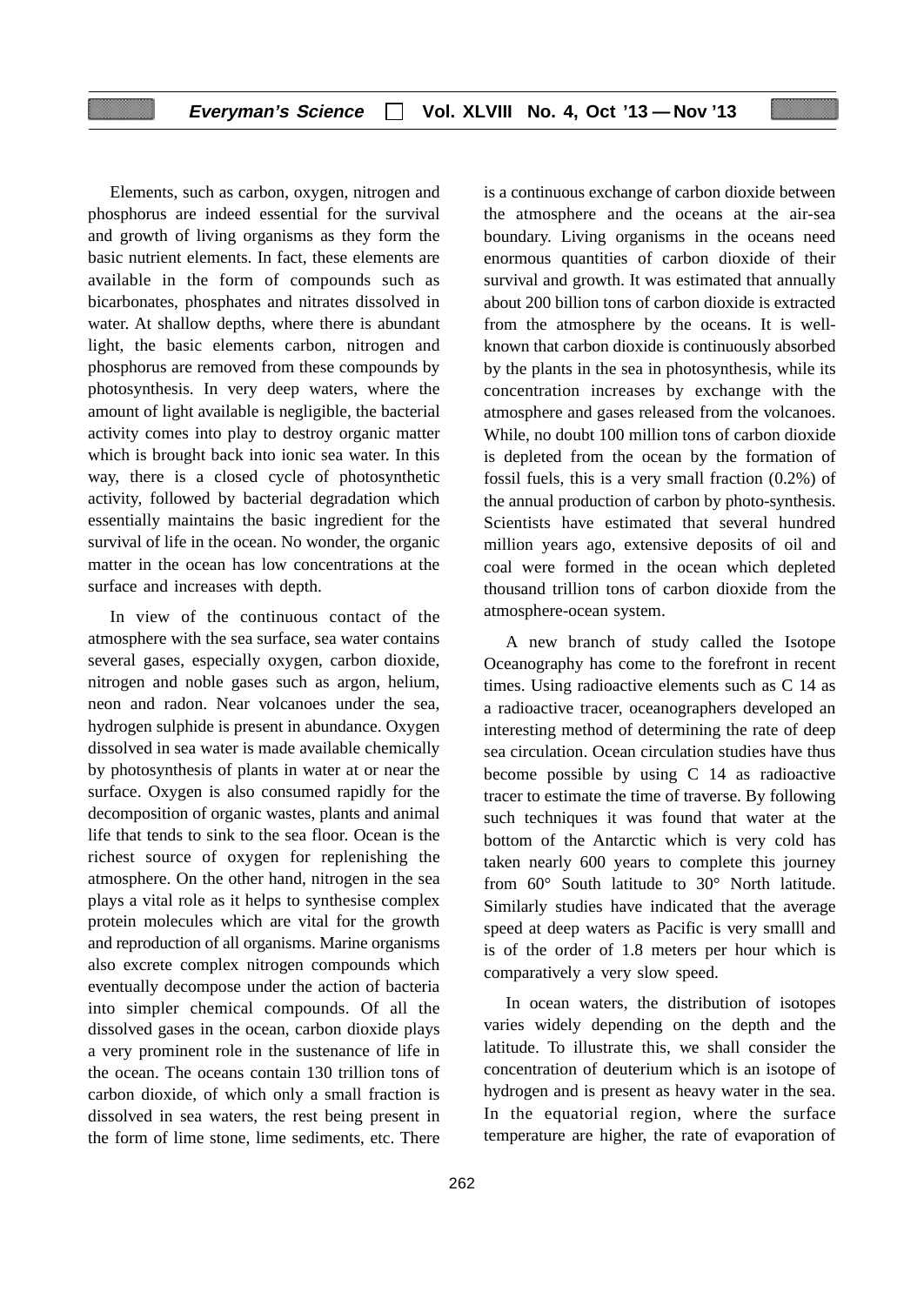# **Everyman's Science Vol. XLVIII No. 4, Oct '13 — Nov '13**

Elements, such as carbon, oxygen, nitrogen and phosphorus are indeed essential for the survival and growth of living organisms as they form the basic nutrient elements. In fact, these elements are available in the form of compounds such as bicarbonates, phosphates and nitrates dissolved in water. At shallow depths, where there is abundant light, the basic elements carbon, nitrogen and phosphorus are removed from these compounds by photosynthesis. In very deep waters, where the amount of light available is negligible, the bacterial activity comes into play to destroy organic matter which is brought back into ionic sea water. In this way, there is a closed cycle of photosynthetic activity, followed by bacterial degradation which essentially maintains the basic ingredient for the survival of life in the ocean. No wonder, the organic matter in the ocean has low concentrations at the surface and increases with depth.

In view of the continuous contact of the atmosphere with the sea surface, sea water contains several gases, especially oxygen, carbon dioxide, nitrogen and noble gases such as argon, helium, neon and radon. Near volcanoes under the sea, hydrogen sulphide is present in abundance. Oxygen dissolved in sea water is made available chemically by photosynthesis of plants in water at or near the surface. Oxygen is also consumed rapidly for the decomposition of organic wastes, plants and animal life that tends to sink to the sea floor. Ocean is the richest source of oxygen for replenishing the atmosphere. On the other hand, nitrogen in the sea plays a vital role as it helps to synthesise complex protein molecules which are vital for the growth and reproduction of all organisms. Marine organisms also excrete complex nitrogen compounds which eventually decompose under the action of bacteria into simpler chemical compounds. Of all the dissolved gases in the ocean, carbon dioxide plays a very prominent role in the sustenance of life in the ocean. The oceans contain 130 trillion tons of carbon dioxide, of which only a small fraction is dissolved in sea waters, the rest being present in the form of lime stone, lime sediments, etc. There

is a continuous exchange of carbon dioxide between the atmosphere and the oceans at the air-sea boundary. Living organisms in the oceans need enormous quantities of carbon dioxide of their survival and growth. It was estimated that annually about 200 billion tons of carbon dioxide is extracted from the atmosphere by the oceans. It is wellknown that carbon dioxide is continuously absorbed by the plants in the sea in photosynthesis, while its concentration increases by exchange with the atmosphere and gases released from the volcanoes. While, no doubt 100 million tons of carbon dioxide is depleted from the ocean by the formation of fossil fuels, this is a very small fraction (0.2%) of the annual production of carbon by photo-synthesis. Scientists have estimated that several hundred million years ago, extensive deposits of oil and coal were formed in the ocean which depleted thousand trillion tons of carbon dioxide from the atmosphere-ocean system.

A new branch of study called the Isotope Oceanography has come to the forefront in recent times. Using radioactive elements such as C 14 as a radioactive tracer, oceanographers developed an interesting method of determining the rate of deep sea circulation. Ocean circulation studies have thus become possible by using C 14 as radioactive tracer to estimate the time of traverse. By following such techniques it was found that water at the bottom of the Antarctic which is very cold has taken nearly 600 years to complete this journey from 60° South latitude to 30° North latitude. Similarly studies have indicated that the average speed at deep waters as Pacific is very smalll and is of the order of 1.8 meters per hour which is comparatively a very slow speed.

In ocean waters, the distribution of isotopes varies widely depending on the depth and the latitude. To illustrate this, we shall consider the concentration of deuterium which is an isotope of hydrogen and is present as heavy water in the sea. In the equatorial region, where the surface temperature are higher, the rate of evaporation of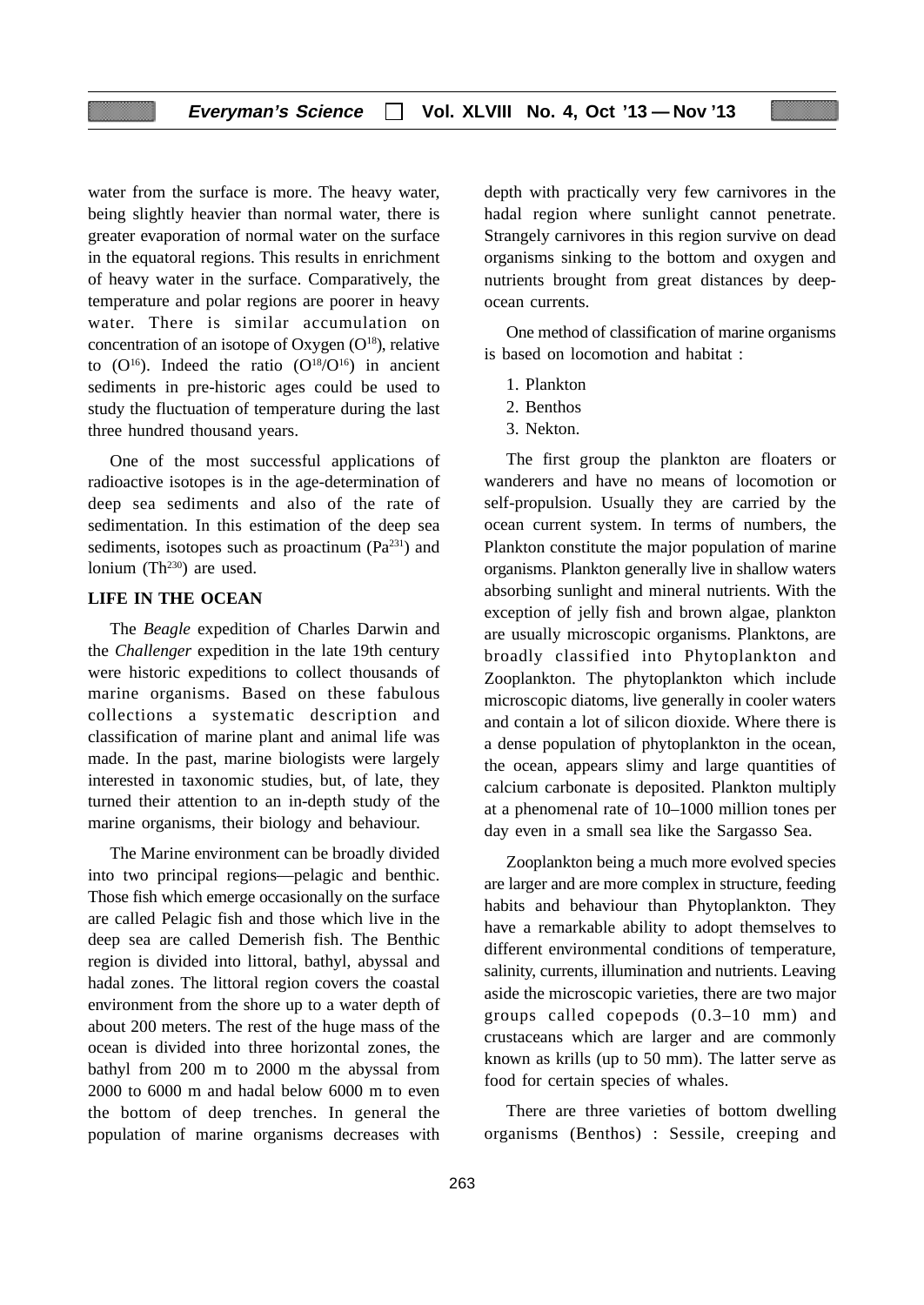water from the surface is more. The heavy water, being slightly heavier than normal water, there is greater evaporation of normal water on the surface in the equatoral regions. This results in enrichment of heavy water in the surface. Comparatively, the temperature and polar regions are poorer in heavy water. There is similar accumulation on concentration of an isotope of Oxygen  $(O^{18})$ , relative to  $(O^{16})$ . Indeed the ratio  $(O^{18}/O^{16})$  in ancient sediments in pre-historic ages could be used to study the fluctuation of temperature during the last three hundred thousand years.

One of the most successful applications of radioactive isotopes is in the age-determination of deep sea sediments and also of the rate of sedimentation. In this estimation of the deep sea sediments, isotopes such as proactinum  $(Pa^{231})$  and lonium  $(Th<sup>230</sup>)$  are used.

# **LIFE IN THE OCEAN**

The *Beagle* expedition of Charles Darwin and the *Challenger* expedition in the late 19th century were historic expeditions to collect thousands of marine organisms. Based on these fabulous collections a systematic description and classification of marine plant and animal life was made. In the past, marine biologists were largely interested in taxonomic studies, but, of late, they turned their attention to an in-depth study of the marine organisms, their biology and behaviour.

The Marine environment can be broadly divided into two principal regions—pelagic and benthic. Those fish which emerge occasionally on the surface are called Pelagic fish and those which live in the deep sea are called Demerish fish. The Benthic region is divided into littoral, bathyl, abyssal and hadal zones. The littoral region covers the coastal environment from the shore up to a water depth of about 200 meters. The rest of the huge mass of the ocean is divided into three horizontal zones, the bathyl from 200 m to 2000 m the abyssal from 2000 to 6000 m and hadal below 6000 m to even the bottom of deep trenches. In general the population of marine organisms decreases with

depth with practically very few carnivores in the hadal region where sunlight cannot penetrate. Strangely carnivores in this region survive on dead organisms sinking to the bottom and oxygen and nutrients brought from great distances by deepocean currents.

One method of classification of marine organisms is based on locomotion and habitat :

- 1. Plankton
- 2. Benthos
- 3. Nekton.

The first group the plankton are floaters or wanderers and have no means of locomotion or self-propulsion. Usually they are carried by the ocean current system. In terms of numbers, the Plankton constitute the major population of marine organisms. Plankton generally live in shallow waters absorbing sunlight and mineral nutrients. With the exception of jelly fish and brown algae, plankton are usually microscopic organisms. Planktons, are broadly classified into Phytoplankton and Zooplankton. The phytoplankton which include microscopic diatoms, live generally in cooler waters and contain a lot of silicon dioxide. Where there is a dense population of phytoplankton in the ocean, the ocean, appears slimy and large quantities of calcium carbonate is deposited. Plankton multiply at a phenomenal rate of 10–1000 million tones per day even in a small sea like the Sargasso Sea.

Zooplankton being a much more evolved species are larger and are more complex in structure, feeding habits and behaviour than Phytoplankton. They have a remarkable ability to adopt themselves to different environmental conditions of temperature, salinity, currents, illumination and nutrients. Leaving aside the microscopic varieties, there are two major groups called copepods (0.3–10 mm) and crustaceans which are larger and are commonly known as krills (up to 50 mm). The latter serve as food for certain species of whales.

There are three varieties of bottom dwelling organisms (Benthos) : Sessile, creeping and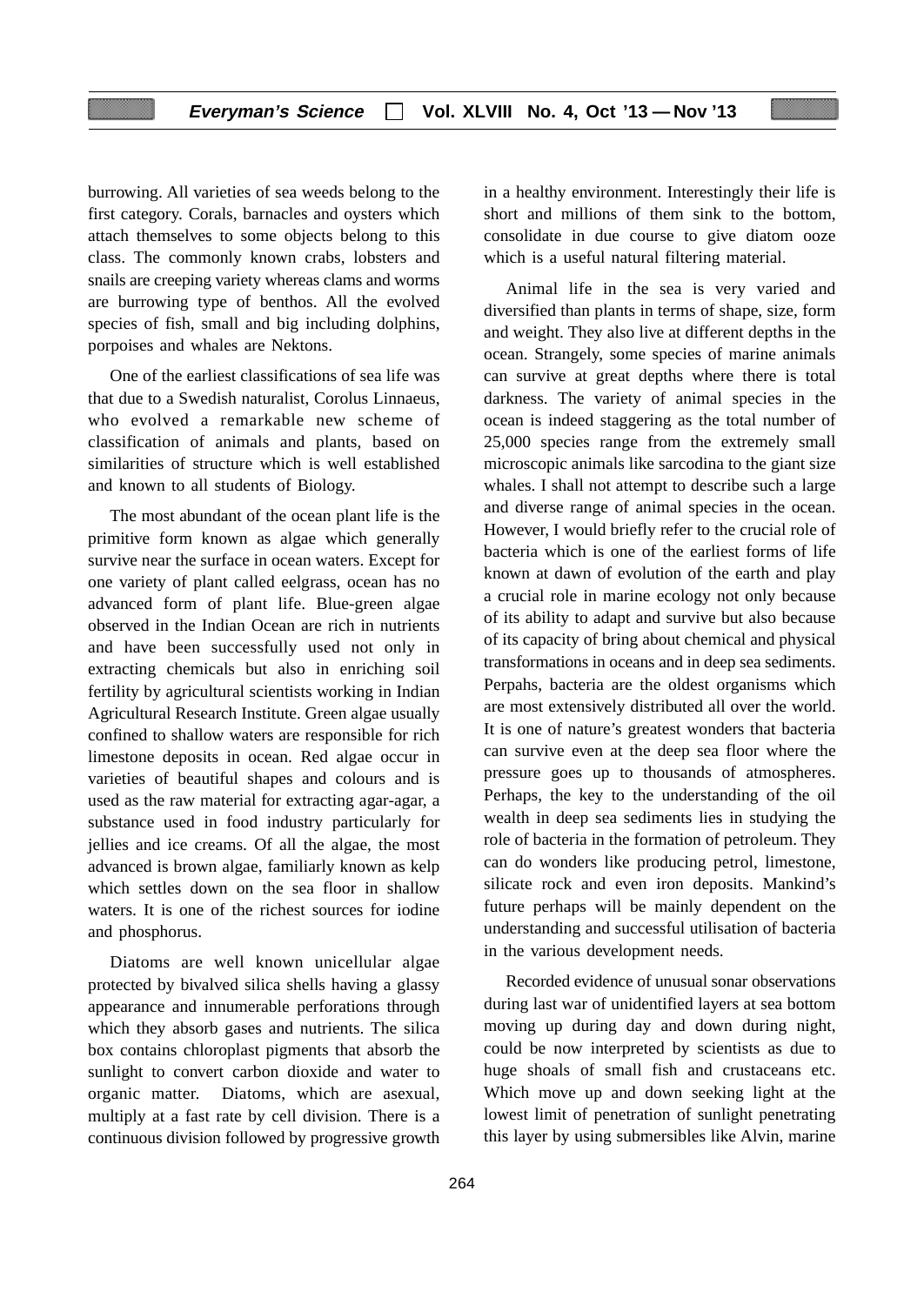burrowing. All varieties of sea weeds belong to the first category. Corals, barnacles and oysters which attach themselves to some objects belong to this class. The commonly known crabs, lobsters and snails are creeping variety whereas clams and worms are burrowing type of benthos. All the evolved species of fish, small and big including dolphins, porpoises and whales are Nektons.

One of the earliest classifications of sea life was that due to a Swedish naturalist, Corolus Linnaeus, who evolved a remarkable new scheme of classification of animals and plants, based on similarities of structure which is well established and known to all students of Biology.

The most abundant of the ocean plant life is the primitive form known as algae which generally survive near the surface in ocean waters. Except for one variety of plant called eelgrass, ocean has no advanced form of plant life. Blue-green algae observed in the Indian Ocean are rich in nutrients and have been successfully used not only in extracting chemicals but also in enriching soil fertility by agricultural scientists working in Indian Agricultural Research Institute. Green algae usually confined to shallow waters are responsible for rich limestone deposits in ocean. Red algae occur in varieties of beautiful shapes and colours and is used as the raw material for extracting agar-agar, a substance used in food industry particularly for jellies and ice creams. Of all the algae, the most advanced is brown algae, familiarly known as kelp which settles down on the sea floor in shallow waters. It is one of the richest sources for iodine and phosphorus.

Diatoms are well known unicellular algae protected by bivalved silica shells having a glassy appearance and innumerable perforations through which they absorb gases and nutrients. The silica box contains chloroplast pigments that absorb the sunlight to convert carbon dioxide and water to organic matter. Diatoms, which are asexual, multiply at a fast rate by cell division. There is a continuous division followed by progressive growth

in a healthy environment. Interestingly their life is short and millions of them sink to the bottom, consolidate in due course to give diatom ooze which is a useful natural filtering material.

Animal life in the sea is very varied and diversified than plants in terms of shape, size, form and weight. They also live at different depths in the ocean. Strangely, some species of marine animals can survive at great depths where there is total darkness. The variety of animal species in the ocean is indeed staggering as the total number of 25,000 species range from the extremely small microscopic animals like sarcodina to the giant size whales. I shall not attempt to describe such a large and diverse range of animal species in the ocean. However, I would briefly refer to the crucial role of bacteria which is one of the earliest forms of life known at dawn of evolution of the earth and play a crucial role in marine ecology not only because of its ability to adapt and survive but also because of its capacity of bring about chemical and physical transformations in oceans and in deep sea sediments. Perpahs, bacteria are the oldest organisms which are most extensively distributed all over the world. It is one of nature's greatest wonders that bacteria can survive even at the deep sea floor where the pressure goes up to thousands of atmospheres. Perhaps, the key to the understanding of the oil wealth in deep sea sediments lies in studying the role of bacteria in the formation of petroleum. They can do wonders like producing petrol, limestone, silicate rock and even iron deposits. Mankind's future perhaps will be mainly dependent on the understanding and successful utilisation of bacteria in the various development needs.

Recorded evidence of unusual sonar observations during last war of unidentified layers at sea bottom moving up during day and down during night, could be now interpreted by scientists as due to huge shoals of small fish and crustaceans etc. Which move up and down seeking light at the lowest limit of penetration of sunlight penetrating this layer by using submersibles like Alvin, marine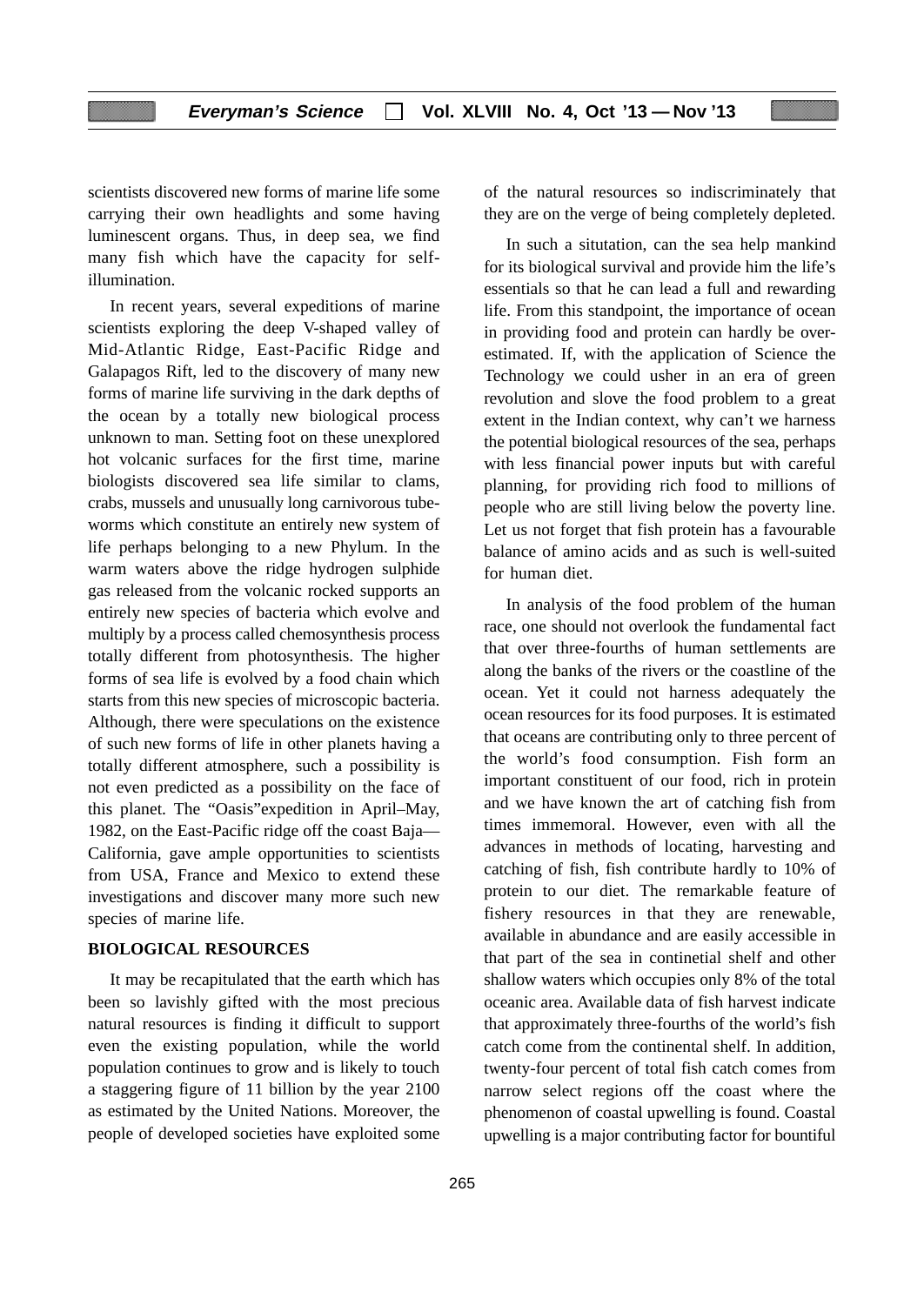scientists discovered new forms of marine life some carrying their own headlights and some having luminescent organs. Thus, in deep sea, we find many fish which have the capacity for selfillumination.

In recent years, several expeditions of marine scientists exploring the deep V-shaped valley of Mid-Atlantic Ridge, East-Pacific Ridge and Galapagos Rift, led to the discovery of many new forms of marine life surviving in the dark depths of the ocean by a totally new biological process unknown to man. Setting foot on these unexplored hot volcanic surfaces for the first time, marine biologists discovered sea life similar to clams, crabs, mussels and unusually long carnivorous tubeworms which constitute an entirely new system of life perhaps belonging to a new Phylum. In the warm waters above the ridge hydrogen sulphide gas released from the volcanic rocked supports an entirely new species of bacteria which evolve and multiply by a process called chemosynthesis process totally different from photosynthesis. The higher forms of sea life is evolved by a food chain which starts from this new species of microscopic bacteria. Although, there were speculations on the existence of such new forms of life in other planets having a totally different atmosphere, such a possibility is not even predicted as a possibility on the face of this planet. The "Oasis"expedition in April–May, 1982, on the East-Pacific ridge off the coast Baja— California, gave ample opportunities to scientists from USA, France and Mexico to extend these investigations and discover many more such new species of marine life.

# **BIOLOGICAL RESOURCES**

It may be recapitulated that the earth which has been so lavishly gifted with the most precious natural resources is finding it difficult to support even the existing population, while the world population continues to grow and is likely to touch a staggering figure of 11 billion by the year 2100 as estimated by the United Nations. Moreover, the people of developed societies have exploited some of the natural resources so indiscriminately that they are on the verge of being completely depleted.

In such a situtation, can the sea help mankind for its biological survival and provide him the life's essentials so that he can lead a full and rewarding life. From this standpoint, the importance of ocean in providing food and protein can hardly be overestimated. If, with the application of Science the Technology we could usher in an era of green revolution and slove the food problem to a great extent in the Indian context, why can't we harness the potential biological resources of the sea, perhaps with less financial power inputs but with careful planning, for providing rich food to millions of people who are still living below the poverty line. Let us not forget that fish protein has a favourable balance of amino acids and as such is well-suited for human diet.

In analysis of the food problem of the human race, one should not overlook the fundamental fact that over three-fourths of human settlements are along the banks of the rivers or the coastline of the ocean. Yet it could not harness adequately the ocean resources for its food purposes. It is estimated that oceans are contributing only to three percent of the world's food consumption. Fish form an important constituent of our food, rich in protein and we have known the art of catching fish from times immemoral. However, even with all the advances in methods of locating, harvesting and catching of fish, fish contribute hardly to 10% of protein to our diet. The remarkable feature of fishery resources in that they are renewable, available in abundance and are easily accessible in that part of the sea in continetial shelf and other shallow waters which occupies only 8% of the total oceanic area. Available data of fish harvest indicate that approximately three-fourths of the world's fish catch come from the continental shelf. In addition, twenty-four percent of total fish catch comes from narrow select regions off the coast where the phenomenon of coastal upwelling is found. Coastal upwelling is a major contributing factor for bountiful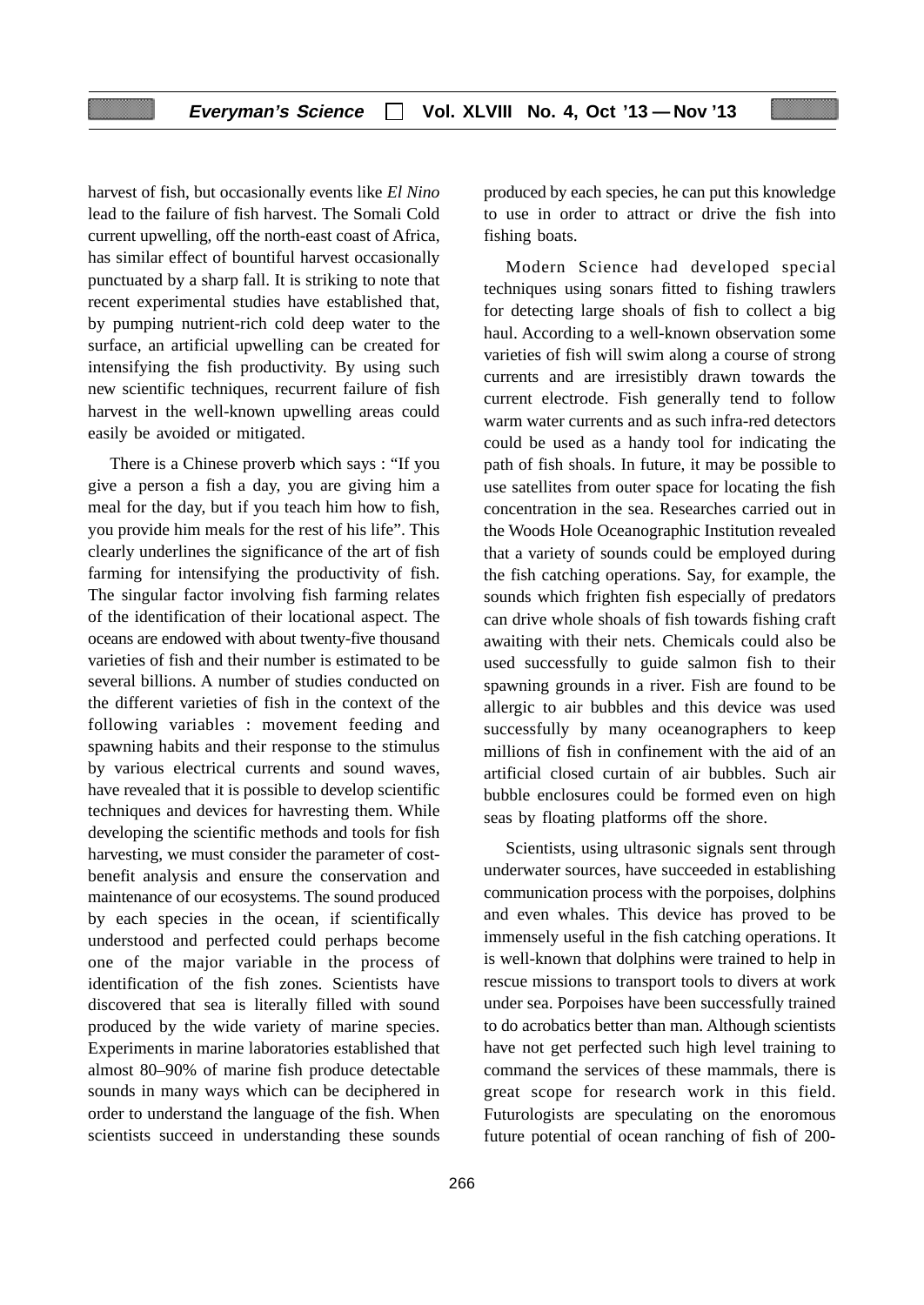harvest of fish, but occasionally events like *El Nino* lead to the failure of fish harvest. The Somali Cold current upwelling, off the north-east coast of Africa, has similar effect of bountiful harvest occasionally punctuated by a sharp fall. It is striking to note that recent experimental studies have established that, by pumping nutrient-rich cold deep water to the surface, an artificial upwelling can be created for intensifying the fish productivity. By using such new scientific techniques, recurrent failure of fish harvest in the well-known upwelling areas could easily be avoided or mitigated.

There is a Chinese proverb which says : "If you give a person a fish a day, you are giving him a meal for the day, but if you teach him how to fish, you provide him meals for the rest of his life". This clearly underlines the significance of the art of fish farming for intensifying the productivity of fish. The singular factor involving fish farming relates of the identification of their locational aspect. The oceans are endowed with about twenty-five thousand varieties of fish and their number is estimated to be several billions. A number of studies conducted on the different varieties of fish in the context of the following variables : movement feeding and spawning habits and their response to the stimulus by various electrical currents and sound waves, have revealed that it is possible to develop scientific techniques and devices for havresting them. While developing the scientific methods and tools for fish harvesting, we must consider the parameter of costbenefit analysis and ensure the conservation and maintenance of our ecosystems. The sound produced by each species in the ocean, if scientifically understood and perfected could perhaps become one of the major variable in the process of identification of the fish zones. Scientists have discovered that sea is literally filled with sound produced by the wide variety of marine species. Experiments in marine laboratories established that almost 80–90% of marine fish produce detectable sounds in many ways which can be deciphered in order to understand the language of the fish. When scientists succeed in understanding these sounds produced by each species, he can put this knowledge to use in order to attract or drive the fish into fishing boats.

Modern Science had developed special techniques using sonars fitted to fishing trawlers for detecting large shoals of fish to collect a big haul. According to a well-known observation some varieties of fish will swim along a course of strong currents and are irresistibly drawn towards the current electrode. Fish generally tend to follow warm water currents and as such infra-red detectors could be used as a handy tool for indicating the path of fish shoals. In future, it may be possible to use satellites from outer space for locating the fish concentration in the sea. Researches carried out in the Woods Hole Oceanographic Institution revealed that a variety of sounds could be employed during the fish catching operations. Say, for example, the sounds which frighten fish especially of predators can drive whole shoals of fish towards fishing craft awaiting with their nets. Chemicals could also be used successfully to guide salmon fish to their spawning grounds in a river. Fish are found to be allergic to air bubbles and this device was used successfully by many oceanographers to keep millions of fish in confinement with the aid of an artificial closed curtain of air bubbles. Such air bubble enclosures could be formed even on high seas by floating platforms off the shore.

Scientists, using ultrasonic signals sent through underwater sources, have succeeded in establishing communication process with the porpoises, dolphins and even whales. This device has proved to be immensely useful in the fish catching operations. It is well-known that dolphins were trained to help in rescue missions to transport tools to divers at work under sea. Porpoises have been successfully trained to do acrobatics better than man. Although scientists have not get perfected such high level training to command the services of these mammals, there is great scope for research work in this field. Futurologists are speculating on the enoromous future potential of ocean ranching of fish of 200-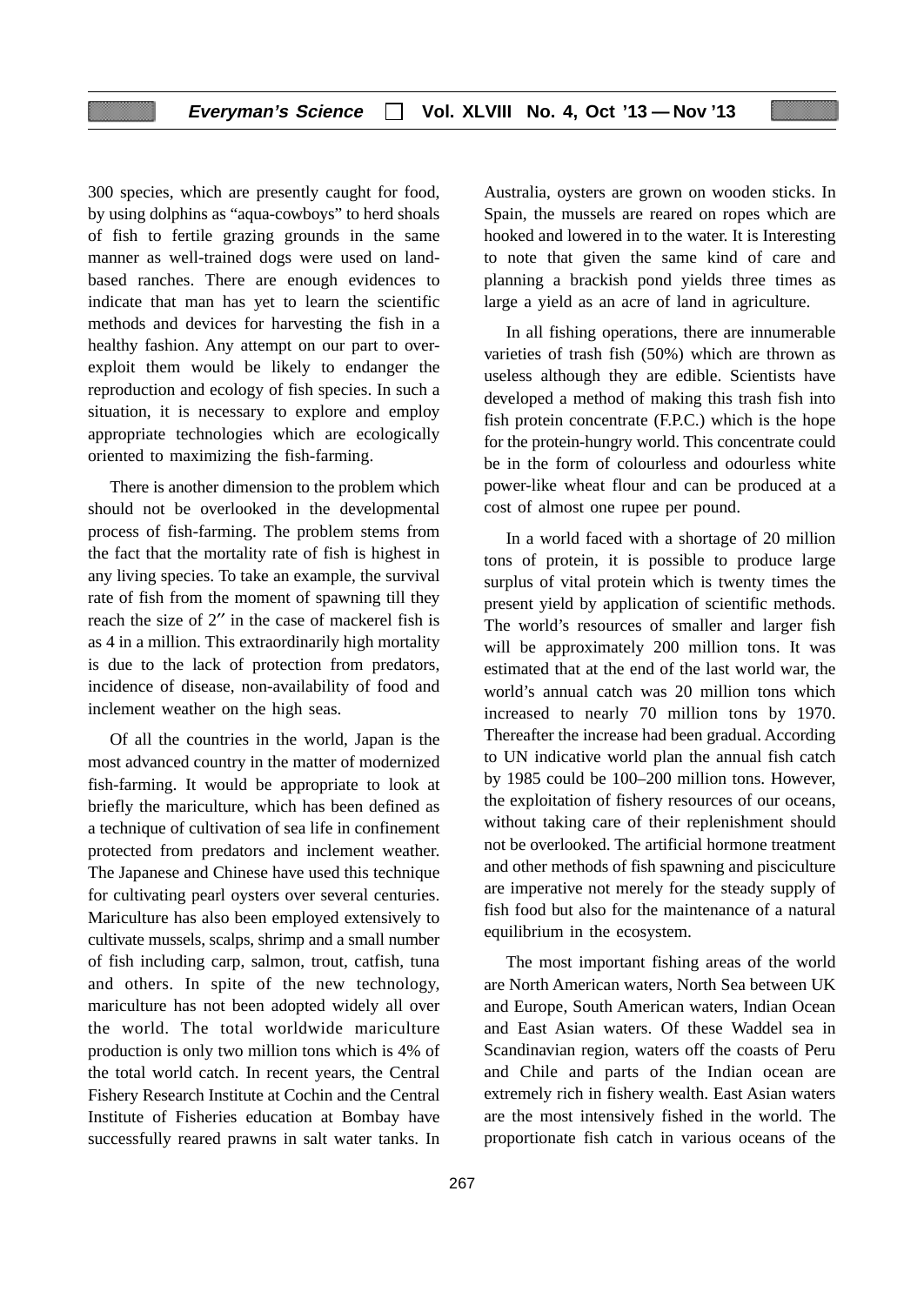300 species, which are presently caught for food, by using dolphins as "aqua-cowboys" to herd shoals of fish to fertile grazing grounds in the same manner as well-trained dogs were used on landbased ranches. There are enough evidences to indicate that man has yet to learn the scientific methods and devices for harvesting the fish in a healthy fashion. Any attempt on our part to overexploit them would be likely to endanger the reproduction and ecology of fish species. In such a situation, it is necessary to explore and employ appropriate technologies which are ecologically oriented to maximizing the fish-farming.

There is another dimension to the problem which should not be overlooked in the developmental process of fish-farming. The problem stems from the fact that the mortality rate of fish is highest in any living species. To take an example, the survival rate of fish from the moment of spawning till they reach the size of 2′′ in the case of mackerel fish is as 4 in a million. This extraordinarily high mortality is due to the lack of protection from predators, incidence of disease, non-availability of food and inclement weather on the high seas.

Of all the countries in the world, Japan is the most advanced country in the matter of modernized fish-farming. It would be appropriate to look at briefly the mariculture, which has been defined as a technique of cultivation of sea life in confinement protected from predators and inclement weather. The Japanese and Chinese have used this technique for cultivating pearl oysters over several centuries. Mariculture has also been employed extensively to cultivate mussels, scalps, shrimp and a small number of fish including carp, salmon, trout, catfish, tuna and others. In spite of the new technology, mariculture has not been adopted widely all over the world. The total worldwide mariculture production is only two million tons which is 4% of the total world catch. In recent years, the Central Fishery Research Institute at Cochin and the Central Institute of Fisheries education at Bombay have successfully reared prawns in salt water tanks. In

Australia, oysters are grown on wooden sticks. In Spain, the mussels are reared on ropes which are hooked and lowered in to the water. It is Interesting to note that given the same kind of care and planning a brackish pond yields three times as large a yield as an acre of land in agriculture.

In all fishing operations, there are innumerable varieties of trash fish (50%) which are thrown as useless although they are edible. Scientists have developed a method of making this trash fish into fish protein concentrate (F.P.C.) which is the hope for the protein-hungry world. This concentrate could be in the form of colourless and odourless white power-like wheat flour and can be produced at a cost of almost one rupee per pound.

In a world faced with a shortage of 20 million tons of protein, it is possible to produce large surplus of vital protein which is twenty times the present yield by application of scientific methods. The world's resources of smaller and larger fish will be approximately 200 million tons. It was estimated that at the end of the last world war, the world's annual catch was 20 million tons which increased to nearly 70 million tons by 1970. Thereafter the increase had been gradual. According to UN indicative world plan the annual fish catch by 1985 could be 100–200 million tons. However, the exploitation of fishery resources of our oceans, without taking care of their replenishment should not be overlooked. The artificial hormone treatment and other methods of fish spawning and pisciculture are imperative not merely for the steady supply of fish food but also for the maintenance of a natural equilibrium in the ecosystem.

The most important fishing areas of the world are North American waters, North Sea between UK and Europe, South American waters, Indian Ocean and East Asian waters. Of these Waddel sea in Scandinavian region, waters off the coasts of Peru and Chile and parts of the Indian ocean are extremely rich in fishery wealth. East Asian waters are the most intensively fished in the world. The proportionate fish catch in various oceans of the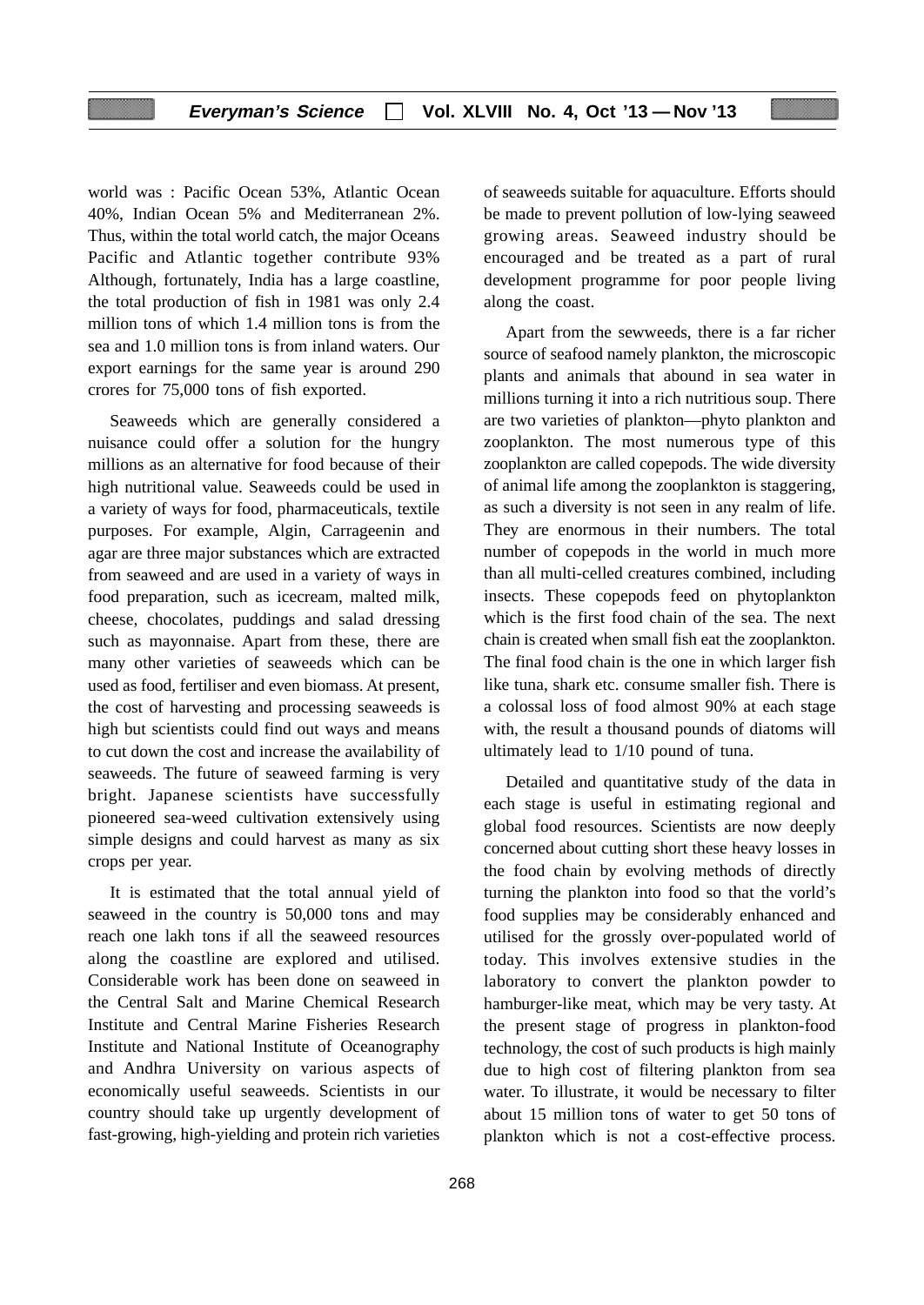## **Everyman's Science Vol. XLVIII No. 4, Oct '13 — Nov '13**

world was : Pacific Ocean 53%, Atlantic Ocean 40%, Indian Ocean 5% and Mediterranean 2%. Thus, within the total world catch, the major Oceans Pacific and Atlantic together contribute 93% Although, fortunately, India has a large coastline, the total production of fish in 1981 was only 2.4 million tons of which 1.4 million tons is from the sea and 1.0 million tons is from inland waters. Our export earnings for the same year is around 290 crores for 75,000 tons of fish exported.

Seaweeds which are generally considered a nuisance could offer a solution for the hungry millions as an alternative for food because of their high nutritional value. Seaweeds could be used in a variety of ways for food, pharmaceuticals, textile purposes. For example, Algin, Carrageenin and agar are three major substances which are extracted from seaweed and are used in a variety of ways in food preparation, such as icecream, malted milk, cheese, chocolates, puddings and salad dressing such as mayonnaise. Apart from these, there are many other varieties of seaweeds which can be used as food, fertiliser and even biomass. At present, the cost of harvesting and processing seaweeds is high but scientists could find out ways and means to cut down the cost and increase the availability of seaweeds. The future of seaweed farming is very bright. Japanese scientists have successfully pioneered sea-weed cultivation extensively using simple designs and could harvest as many as six crops per year.

It is estimated that the total annual yield of seaweed in the country is 50,000 tons and may reach one lakh tons if all the seaweed resources along the coastline are explored and utilised. Considerable work has been done on seaweed in the Central Salt and Marine Chemical Research Institute and Central Marine Fisheries Research Institute and National Institute of Oceanography and Andhra University on various aspects of economically useful seaweeds. Scientists in our country should take up urgently development of fast-growing, high-yielding and protein rich varieties

of seaweeds suitable for aquaculture. Efforts should be made to prevent pollution of low-lying seaweed growing areas. Seaweed industry should be encouraged and be treated as a part of rural development programme for poor people living along the coast.

Apart from the sewweeds, there is a far richer source of seafood namely plankton, the microscopic plants and animals that abound in sea water in millions turning it into a rich nutritious soup. There are two varieties of plankton—phyto plankton and zooplankton. The most numerous type of this zooplankton are called copepods. The wide diversity of animal life among the zooplankton is staggering, as such a diversity is not seen in any realm of life. They are enormous in their numbers. The total number of copepods in the world in much more than all multi-celled creatures combined, including insects. These copepods feed on phytoplankton which is the first food chain of the sea. The next chain is created when small fish eat the zooplankton. The final food chain is the one in which larger fish like tuna, shark etc. consume smaller fish. There is a colossal loss of food almost 90% at each stage with, the result a thousand pounds of diatoms will ultimately lead to 1/10 pound of tuna.

Detailed and quantitative study of the data in each stage is useful in estimating regional and global food resources. Scientists are now deeply concerned about cutting short these heavy losses in the food chain by evolving methods of directly turning the plankton into food so that the vorld's food supplies may be considerably enhanced and utilised for the grossly over-populated world of today. This involves extensive studies in the laboratory to convert the plankton powder to hamburger-like meat, which may be very tasty. At the present stage of progress in plankton-food technology, the cost of such products is high mainly due to high cost of filtering plankton from sea water. To illustrate, it would be necessary to filter about 15 million tons of water to get 50 tons of plankton which is not a cost-effective process.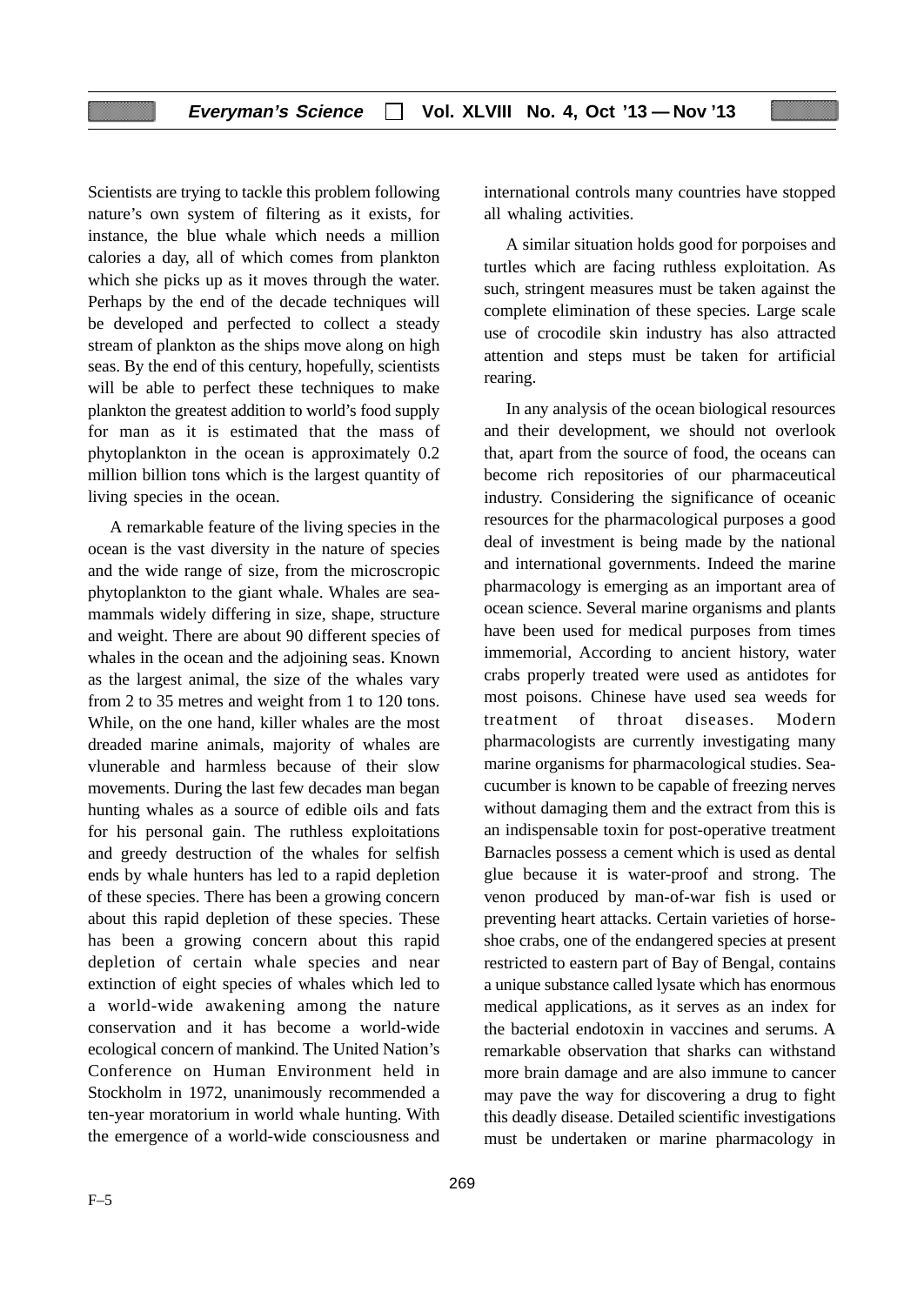Scientists are trying to tackle this problem following nature's own system of filtering as it exists, for instance, the blue whale which needs a million calories a day, all of which comes from plankton which she picks up as it moves through the water. Perhaps by the end of the decade techniques will be developed and perfected to collect a steady stream of plankton as the ships move along on high seas. By the end of this century, hopefully, scientists will be able to perfect these techniques to make plankton the greatest addition to world's food supply for man as it is estimated that the mass of phytoplankton in the ocean is approximately 0.2 million billion tons which is the largest quantity of living species in the ocean.

A remarkable feature of the living species in the ocean is the vast diversity in the nature of species and the wide range of size, from the microscropic phytoplankton to the giant whale. Whales are seamammals widely differing in size, shape, structure and weight. There are about 90 different species of whales in the ocean and the adjoining seas. Known as the largest animal, the size of the whales vary from 2 to 35 metres and weight from 1 to 120 tons. While, on the one hand, killer whales are the most dreaded marine animals, majority of whales are vlunerable and harmless because of their slow movements. During the last few decades man began hunting whales as a source of edible oils and fats for his personal gain. The ruthless exploitations and greedy destruction of the whales for selfish ends by whale hunters has led to a rapid depletion of these species. There has been a growing concern about this rapid depletion of these species. These has been a growing concern about this rapid depletion of certain whale species and near extinction of eight species of whales which led to a world-wide awakening among the nature conservation and it has become a world-wide ecological concern of mankind. The United Nation's Conference on Human Environment held in Stockholm in 1972, unanimously recommended a ten-year moratorium in world whale hunting. With the emergence of a world-wide consciousness and

international controls many countries have stopped all whaling activities.

A similar situation holds good for porpoises and turtles which are facing ruthless exploitation. As such, stringent measures must be taken against the complete elimination of these species. Large scale use of crocodile skin industry has also attracted attention and steps must be taken for artificial rearing.

In any analysis of the ocean biological resources and their development, we should not overlook that, apart from the source of food, the oceans can become rich repositories of our pharmaceutical industry. Considering the significance of oceanic resources for the pharmacological purposes a good deal of investment is being made by the national and international governments. Indeed the marine pharmacology is emerging as an important area of ocean science. Several marine organisms and plants have been used for medical purposes from times immemorial, According to ancient history, water crabs properly treated were used as antidotes for most poisons. Chinese have used sea weeds for treatment of throat diseases. Modern pharmacologists are currently investigating many marine organisms for pharmacological studies. Seacucumber is known to be capable of freezing nerves without damaging them and the extract from this is an indispensable toxin for post-operative treatment Barnacles possess a cement which is used as dental glue because it is water-proof and strong. The venon produced by man-of-war fish is used or preventing heart attacks. Certain varieties of horseshoe crabs, one of the endangered species at present restricted to eastern part of Bay of Bengal, contains a unique substance called lysate which has enormous medical applications, as it serves as an index for the bacterial endotoxin in vaccines and serums. A remarkable observation that sharks can withstand more brain damage and are also immune to cancer may pave the way for discovering a drug to fight this deadly disease. Detailed scientific investigations must be undertaken or marine pharmacology in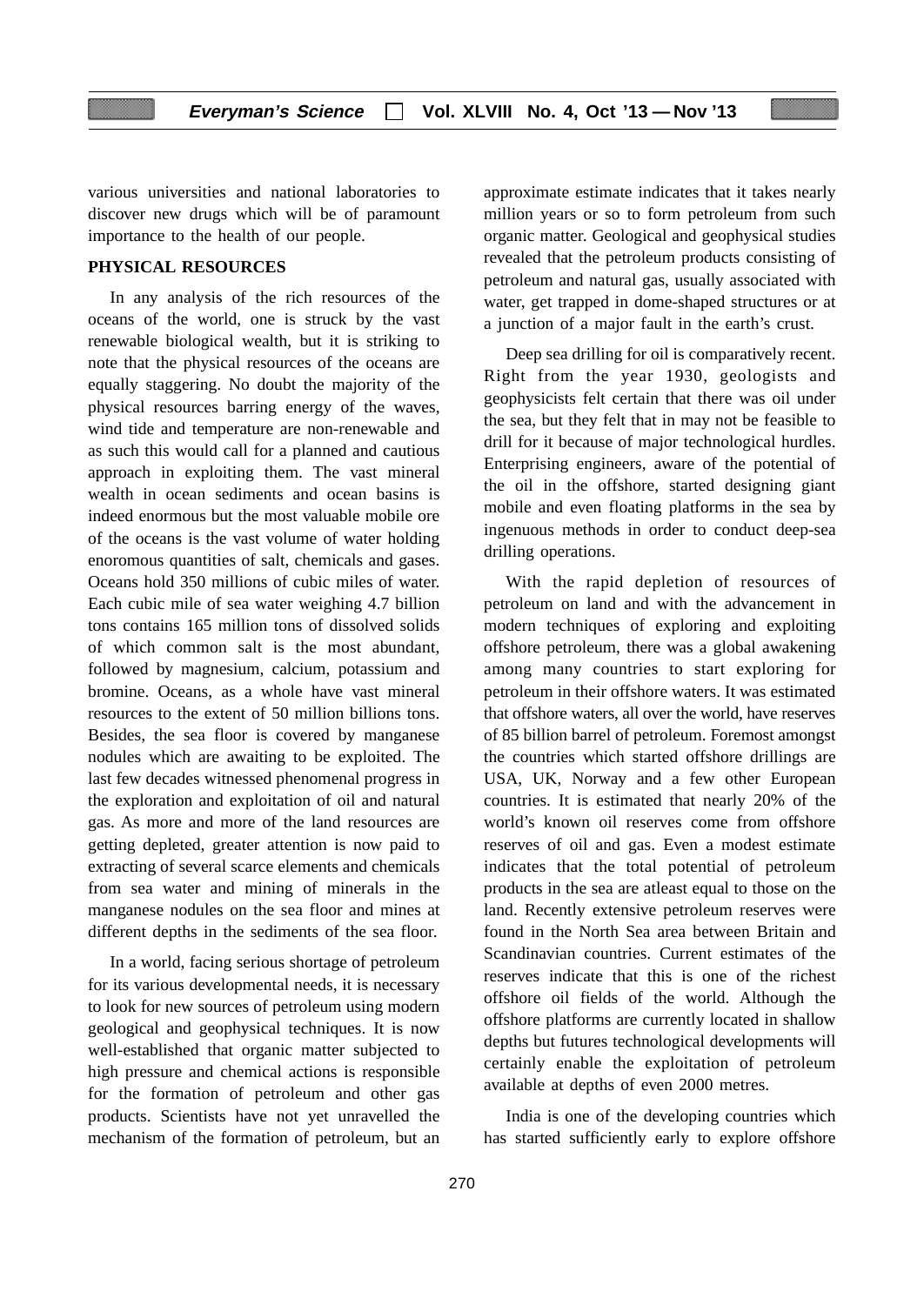various universities and national laboratories to discover new drugs which will be of paramount importance to the health of our people.

# **PHYSICAL RESOURCES**

In any analysis of the rich resources of the oceans of the world, one is struck by the vast renewable biological wealth, but it is striking to note that the physical resources of the oceans are equally staggering. No doubt the majority of the physical resources barring energy of the waves, wind tide and temperature are non-renewable and as such this would call for a planned and cautious approach in exploiting them. The vast mineral wealth in ocean sediments and ocean basins is indeed enormous but the most valuable mobile ore of the oceans is the vast volume of water holding enoromous quantities of salt, chemicals and gases. Oceans hold 350 millions of cubic miles of water. Each cubic mile of sea water weighing 4.7 billion tons contains 165 million tons of dissolved solids of which common salt is the most abundant, followed by magnesium, calcium, potassium and bromine. Oceans, as a whole have vast mineral resources to the extent of 50 million billions tons. Besides, the sea floor is covered by manganese nodules which are awaiting to be exploited. The last few decades witnessed phenomenal progress in the exploration and exploitation of oil and natural gas. As more and more of the land resources are getting depleted, greater attention is now paid to extracting of several scarce elements and chemicals from sea water and mining of minerals in the manganese nodules on the sea floor and mines at different depths in the sediments of the sea floor.

In a world, facing serious shortage of petroleum for its various developmental needs, it is necessary to look for new sources of petroleum using modern geological and geophysical techniques. It is now well-established that organic matter subjected to high pressure and chemical actions is responsible for the formation of petroleum and other gas products. Scientists have not yet unravelled the mechanism of the formation of petroleum, but an approximate estimate indicates that it takes nearly million years or so to form petroleum from such organic matter. Geological and geophysical studies revealed that the petroleum products consisting of petroleum and natural gas, usually associated with water, get trapped in dome-shaped structures or at a junction of a major fault in the earth's crust.

Deep sea drilling for oil is comparatively recent. Right from the year 1930, geologists and geophysicists felt certain that there was oil under the sea, but they felt that in may not be feasible to drill for it because of major technological hurdles. Enterprising engineers, aware of the potential of the oil in the offshore, started designing giant mobile and even floating platforms in the sea by ingenuous methods in order to conduct deep-sea drilling operations.

With the rapid depletion of resources of petroleum on land and with the advancement in modern techniques of exploring and exploiting offshore petroleum, there was a global awakening among many countries to start exploring for petroleum in their offshore waters. It was estimated that offshore waters, all over the world, have reserves of 85 billion barrel of petroleum. Foremost amongst the countries which started offshore drillings are USA, UK, Norway and a few other European countries. It is estimated that nearly 20% of the world's known oil reserves come from offshore reserves of oil and gas. Even a modest estimate indicates that the total potential of petroleum products in the sea are atleast equal to those on the land. Recently extensive petroleum reserves were found in the North Sea area between Britain and Scandinavian countries. Current estimates of the reserves indicate that this is one of the richest offshore oil fields of the world. Although the offshore platforms are currently located in shallow depths but futures technological developments will certainly enable the exploitation of petroleum available at depths of even 2000 metres.

India is one of the developing countries which has started sufficiently early to explore offshore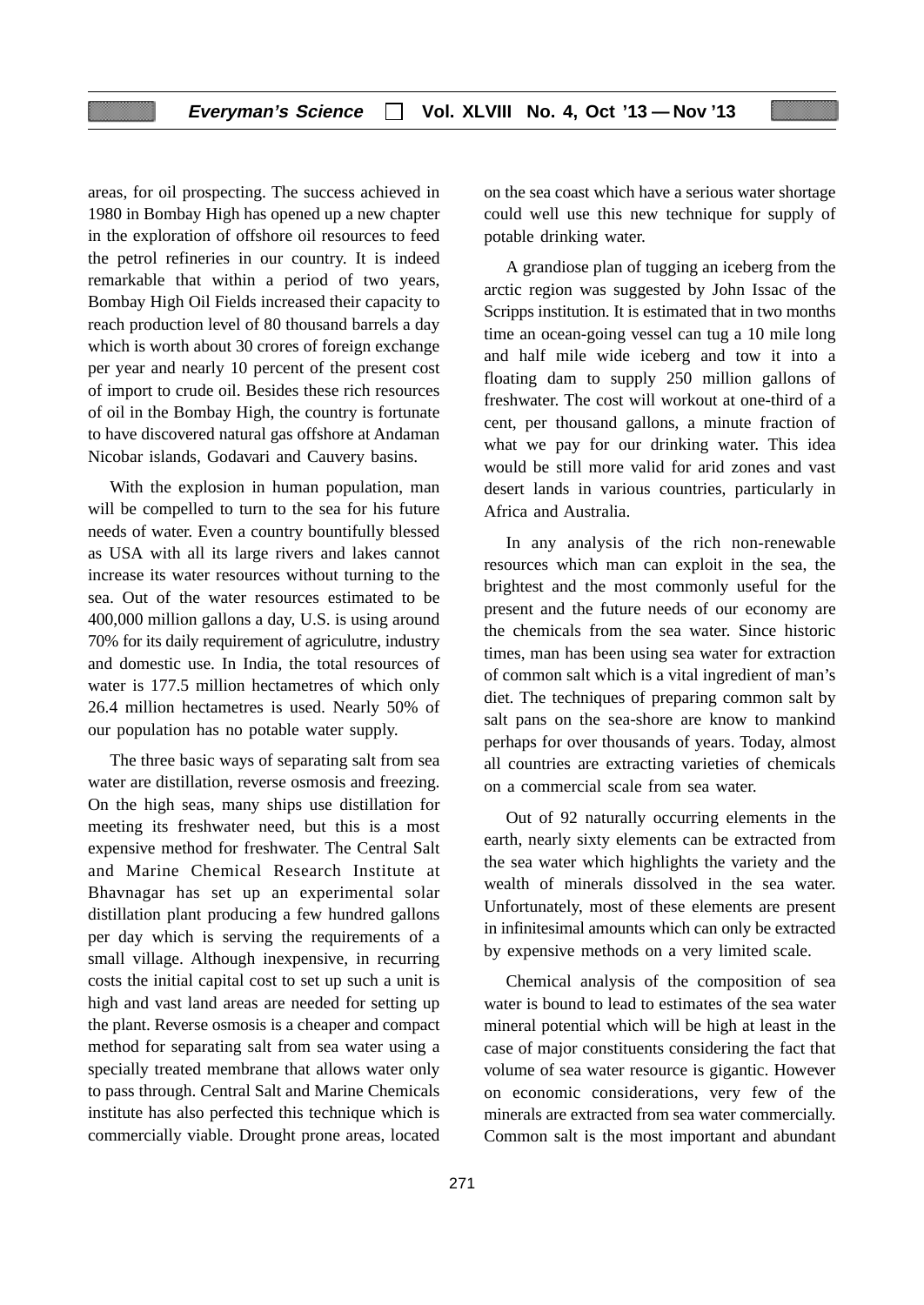areas, for oil prospecting. The success achieved in 1980 in Bombay High has opened up a new chapter in the exploration of offshore oil resources to feed the petrol refineries in our country. It is indeed remarkable that within a period of two years, Bombay High Oil Fields increased their capacity to reach production level of 80 thousand barrels a day which is worth about 30 crores of foreign exchange per year and nearly 10 percent of the present cost of import to crude oil. Besides these rich resources of oil in the Bombay High, the country is fortunate to have discovered natural gas offshore at Andaman Nicobar islands, Godavari and Cauvery basins.

With the explosion in human population, man will be compelled to turn to the sea for his future needs of water. Even a country bountifully blessed as USA with all its large rivers and lakes cannot increase its water resources without turning to the sea. Out of the water resources estimated to be 400,000 million gallons a day, U.S. is using around 70% for its daily requirement of agriculutre, industry and domestic use. In India, the total resources of water is 177.5 million hectametres of which only 26.4 million hectametres is used. Nearly 50% of our population has no potable water supply.

The three basic ways of separating salt from sea water are distillation, reverse osmosis and freezing. On the high seas, many ships use distillation for meeting its freshwater need, but this is a most expensive method for freshwater. The Central Salt and Marine Chemical Research Institute at Bhavnagar has set up an experimental solar distillation plant producing a few hundred gallons per day which is serving the requirements of a small village. Although inexpensive, in recurring costs the initial capital cost to set up such a unit is high and vast land areas are needed for setting up the plant. Reverse osmosis is a cheaper and compact method for separating salt from sea water using a specially treated membrane that allows water only to pass through. Central Salt and Marine Chemicals institute has also perfected this technique which is commercially viable. Drought prone areas, located on the sea coast which have a serious water shortage could well use this new technique for supply of potable drinking water.

A grandiose plan of tugging an iceberg from the arctic region was suggested by John Issac of the Scripps institution. It is estimated that in two months time an ocean-going vessel can tug a 10 mile long and half mile wide iceberg and tow it into a floating dam to supply 250 million gallons of freshwater. The cost will workout at one-third of a cent, per thousand gallons, a minute fraction of what we pay for our drinking water. This idea would be still more valid for arid zones and vast desert lands in various countries, particularly in Africa and Australia.

In any analysis of the rich non-renewable resources which man can exploit in the sea, the brightest and the most commonly useful for the present and the future needs of our economy are the chemicals from the sea water. Since historic times, man has been using sea water for extraction of common salt which is a vital ingredient of man's diet. The techniques of preparing common salt by salt pans on the sea-shore are know to mankind perhaps for over thousands of years. Today, almost all countries are extracting varieties of chemicals on a commercial scale from sea water.

Out of 92 naturally occurring elements in the earth, nearly sixty elements can be extracted from the sea water which highlights the variety and the wealth of minerals dissolved in the sea water. Unfortunately, most of these elements are present in infinitesimal amounts which can only be extracted by expensive methods on a very limited scale.

Chemical analysis of the composition of sea water is bound to lead to estimates of the sea water mineral potential which will be high at least in the case of major constituents considering the fact that volume of sea water resource is gigantic. However on economic considerations, very few of the minerals are extracted from sea water commercially. Common salt is the most important and abundant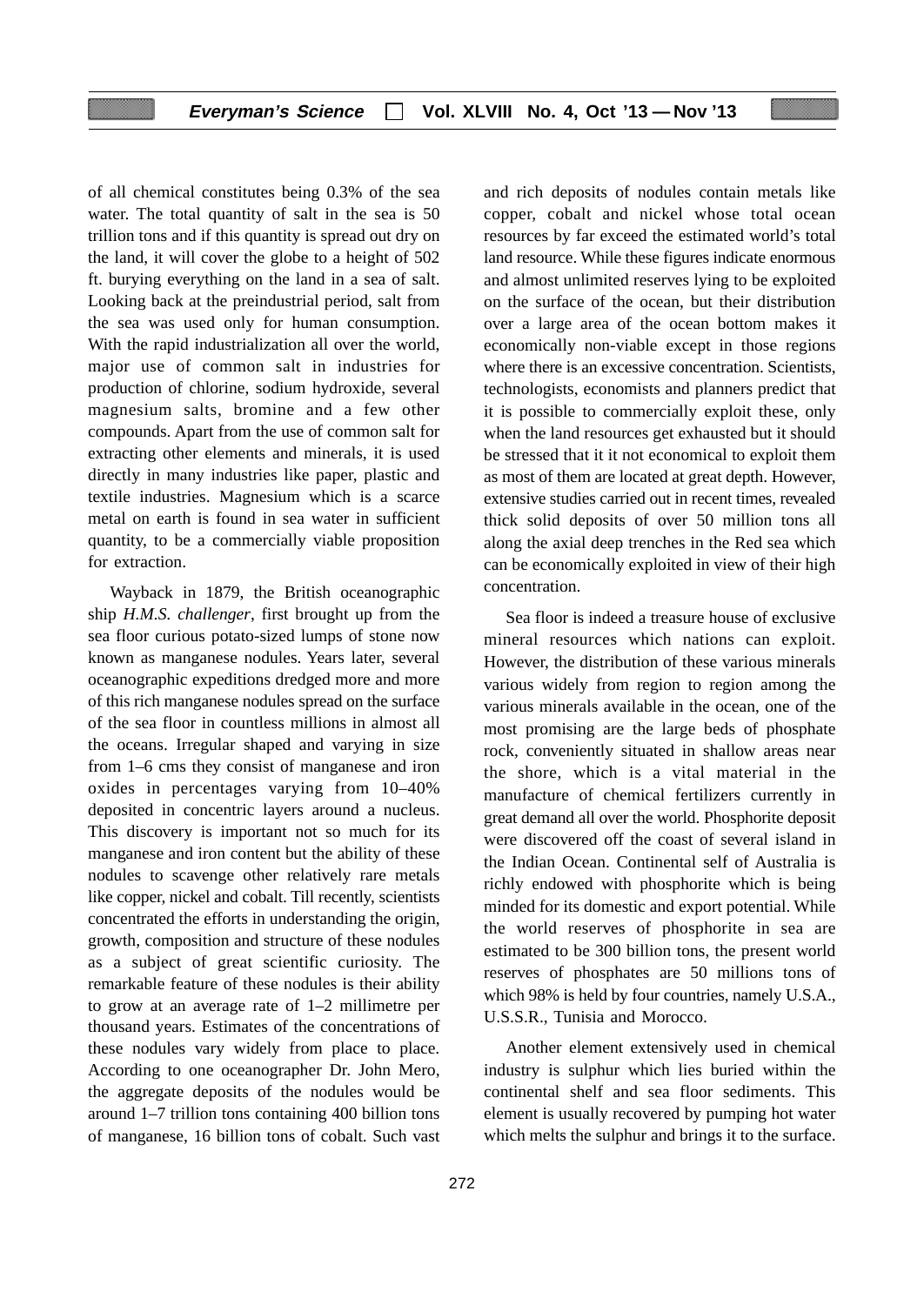## **Everyman's Science Vol. XLVIII No. 4, Oct '13 — Nov '13**

of all chemical constitutes being 0.3% of the sea water. The total quantity of salt in the sea is 50 trillion tons and if this quantity is spread out dry on the land, it will cover the globe to a height of 502 ft. burying everything on the land in a sea of salt. Looking back at the preindustrial period, salt from the sea was used only for human consumption. With the rapid industrialization all over the world, major use of common salt in industries for production of chlorine, sodium hydroxide, several magnesium salts, bromine and a few other compounds. Apart from the use of common salt for extracting other elements and minerals, it is used directly in many industries like paper, plastic and textile industries. Magnesium which is a scarce metal on earth is found in sea water in sufficient quantity, to be a commercially viable proposition for extraction.

Wayback in 1879, the British oceanographic ship *H.M.S. challenger*, first brought up from the sea floor curious potato-sized lumps of stone now known as manganese nodules. Years later, several oceanographic expeditions dredged more and more of this rich manganese nodules spread on the surface of the sea floor in countless millions in almost all the oceans. Irregular shaped and varying in size from 1–6 cms they consist of manganese and iron oxides in percentages varying from 10–40% deposited in concentric layers around a nucleus. This discovery is important not so much for its manganese and iron content but the ability of these nodules to scavenge other relatively rare metals like copper, nickel and cobalt. Till recently, scientists concentrated the efforts in understanding the origin, growth, composition and structure of these nodules as a subject of great scientific curiosity. The remarkable feature of these nodules is their ability to grow at an average rate of 1–2 millimetre per thousand years. Estimates of the concentrations of these nodules vary widely from place to place. According to one oceanographer Dr. John Mero, the aggregate deposits of the nodules would be around 1–7 trillion tons containing 400 billion tons of manganese, 16 billion tons of cobalt. Such vast

and rich deposits of nodules contain metals like copper, cobalt and nickel whose total ocean resources by far exceed the estimated world's total land resource. While these figures indicate enormous and almost unlimited reserves lying to be exploited on the surface of the ocean, but their distribution over a large area of the ocean bottom makes it economically non-viable except in those regions where there is an excessive concentration. Scientists, technologists, economists and planners predict that it is possible to commercially exploit these, only when the land resources get exhausted but it should be stressed that it it not economical to exploit them as most of them are located at great depth. However, extensive studies carried out in recent times, revealed thick solid deposits of over 50 million tons all along the axial deep trenches in the Red sea which can be economically exploited in view of their high concentration.

Sea floor is indeed a treasure house of exclusive mineral resources which nations can exploit. However, the distribution of these various minerals various widely from region to region among the various minerals available in the ocean, one of the most promising are the large beds of phosphate rock, conveniently situated in shallow areas near the shore, which is a vital material in the manufacture of chemical fertilizers currently in great demand all over the world. Phosphorite deposit were discovered off the coast of several island in the Indian Ocean. Continental self of Australia is richly endowed with phosphorite which is being minded for its domestic and export potential. While the world reserves of phosphorite in sea are estimated to be 300 billion tons, the present world reserves of phosphates are 50 millions tons of which 98% is held by four countries, namely U.S.A., U.S.S.R., Tunisia and Morocco.

Another element extensively used in chemical industry is sulphur which lies buried within the continental shelf and sea floor sediments. This element is usually recovered by pumping hot water which melts the sulphur and brings it to the surface.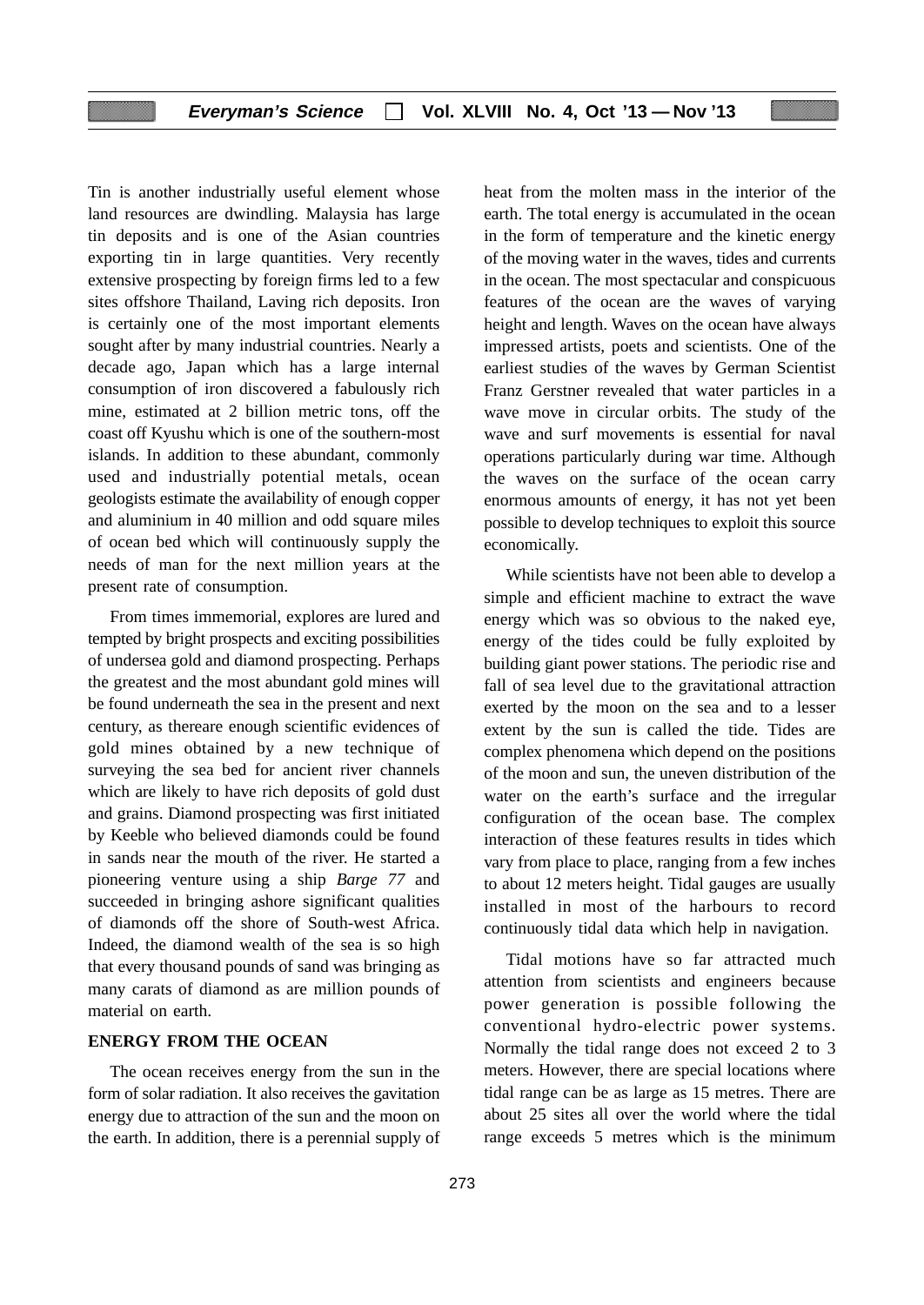Tin is another industrially useful element whose land resources are dwindling. Malaysia has large tin deposits and is one of the Asian countries exporting tin in large quantities. Very recently extensive prospecting by foreign firms led to a few sites offshore Thailand, Laving rich deposits. Iron is certainly one of the most important elements sought after by many industrial countries. Nearly a decade ago, Japan which has a large internal consumption of iron discovered a fabulously rich mine, estimated at 2 billion metric tons, off the coast off Kyushu which is one of the southern-most islands. In addition to these abundant, commonly used and industrially potential metals, ocean geologists estimate the availability of enough copper and aluminium in 40 million and odd square miles of ocean bed which will continuously supply the needs of man for the next million years at the present rate of consumption.

From times immemorial, explores are lured and tempted by bright prospects and exciting possibilities of undersea gold and diamond prospecting. Perhaps the greatest and the most abundant gold mines will be found underneath the sea in the present and next century, as thereare enough scientific evidences of gold mines obtained by a new technique of surveying the sea bed for ancient river channels which are likely to have rich deposits of gold dust and grains. Diamond prospecting was first initiated by Keeble who believed diamonds could be found in sands near the mouth of the river. He started a pioneering venture using a ship *Barge 77* and succeeded in bringing ashore significant qualities of diamonds off the shore of South-west Africa. Indeed, the diamond wealth of the sea is so high that every thousand pounds of sand was bringing as many carats of diamond as are million pounds of material on earth.

#### **ENERGY FROM THE OCEAN**

The ocean receives energy from the sun in the form of solar radiation. It also receives the gavitation energy due to attraction of the sun and the moon on the earth. In addition, there is a perennial supply of heat from the molten mass in the interior of the earth. The total energy is accumulated in the ocean in the form of temperature and the kinetic energy of the moving water in the waves, tides and currents in the ocean. The most spectacular and conspicuous features of the ocean are the waves of varying height and length. Waves on the ocean have always impressed artists, poets and scientists. One of the earliest studies of the waves by German Scientist Franz Gerstner revealed that water particles in a wave move in circular orbits. The study of the wave and surf movements is essential for naval operations particularly during war time. Although the waves on the surface of the ocean carry enormous amounts of energy, it has not yet been possible to develop techniques to exploit this source economically.

While scientists have not been able to develop a simple and efficient machine to extract the wave energy which was so obvious to the naked eye, energy of the tides could be fully exploited by building giant power stations. The periodic rise and fall of sea level due to the gravitational attraction exerted by the moon on the sea and to a lesser extent by the sun is called the tide. Tides are complex phenomena which depend on the positions of the moon and sun, the uneven distribution of the water on the earth's surface and the irregular configuration of the ocean base. The complex interaction of these features results in tides which vary from place to place, ranging from a few inches to about 12 meters height. Tidal gauges are usually installed in most of the harbours to record continuously tidal data which help in navigation.

Tidal motions have so far attracted much attention from scientists and engineers because power generation is possible following the conventional hydro-electric power systems. Normally the tidal range does not exceed 2 to 3 meters. However, there are special locations where tidal range can be as large as 15 metres. There are about 25 sites all over the world where the tidal range exceeds 5 metres which is the minimum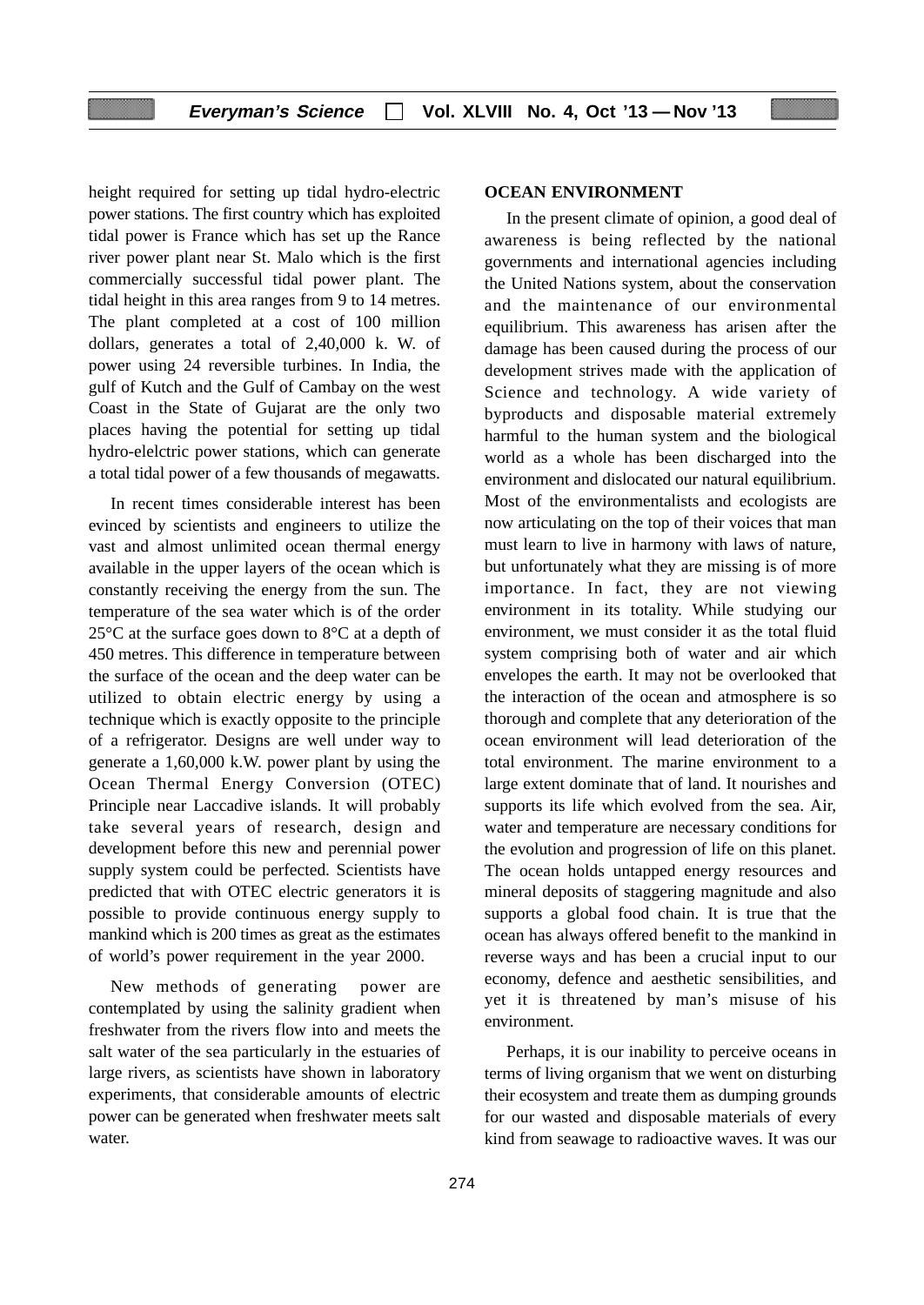height required for setting up tidal hydro-electric power stations. The first country which has exploited tidal power is France which has set up the Rance river power plant near St. Malo which is the first commercially successful tidal power plant. The tidal height in this area ranges from 9 to 14 metres. The plant completed at a cost of 100 million dollars, generates a total of 2,40,000 k. W. of power using 24 reversible turbines. In India, the gulf of Kutch and the Gulf of Cambay on the west Coast in the State of Gujarat are the only two places having the potential for setting up tidal hydro-elelctric power stations, which can generate a total tidal power of a few thousands of megawatts.

In recent times considerable interest has been evinced by scientists and engineers to utilize the vast and almost unlimited ocean thermal energy available in the upper layers of the ocean which is constantly receiving the energy from the sun. The temperature of the sea water which is of the order  $25^{\circ}$ C at the surface goes down to  $8^{\circ}$ C at a depth of 450 metres. This difference in temperature between the surface of the ocean and the deep water can be utilized to obtain electric energy by using a technique which is exactly opposite to the principle of a refrigerator. Designs are well under way to generate a 1,60,000 k.W. power plant by using the Ocean Thermal Energy Conversion (OTEC) Principle near Laccadive islands. It will probably take several years of research, design and development before this new and perennial power supply system could be perfected. Scientists have predicted that with OTEC electric generators it is possible to provide continuous energy supply to mankind which is 200 times as great as the estimates of world's power requirement in the year 2000.

New methods of generating power are contemplated by using the salinity gradient when freshwater from the rivers flow into and meets the salt water of the sea particularly in the estuaries of large rivers, as scientists have shown in laboratory experiments, that considerable amounts of electric power can be generated when freshwater meets salt water.

### **OCEAN ENVIRONMENT**

In the present climate of opinion, a good deal of awareness is being reflected by the national governments and international agencies including the United Nations system, about the conservation and the maintenance of our environmental equilibrium. This awareness has arisen after the damage has been caused during the process of our development strives made with the application of Science and technology. A wide variety of byproducts and disposable material extremely harmful to the human system and the biological world as a whole has been discharged into the environment and dislocated our natural equilibrium. Most of the environmentalists and ecologists are now articulating on the top of their voices that man must learn to live in harmony with laws of nature, but unfortunately what they are missing is of more importance. In fact, they are not viewing environment in its totality. While studying our environment, we must consider it as the total fluid system comprising both of water and air which envelopes the earth. It may not be overlooked that the interaction of the ocean and atmosphere is so thorough and complete that any deterioration of the ocean environment will lead deterioration of the total environment. The marine environment to a large extent dominate that of land. It nourishes and supports its life which evolved from the sea. Air, water and temperature are necessary conditions for the evolution and progression of life on this planet. The ocean holds untapped energy resources and mineral deposits of staggering magnitude and also supports a global food chain. It is true that the ocean has always offered benefit to the mankind in reverse ways and has been a crucial input to our economy, defence and aesthetic sensibilities, and yet it is threatened by man's misuse of his environment.

Perhaps, it is our inability to perceive oceans in terms of living organism that we went on disturbing their ecosystem and treate them as dumping grounds for our wasted and disposable materials of every kind from seawage to radioactive waves. It was our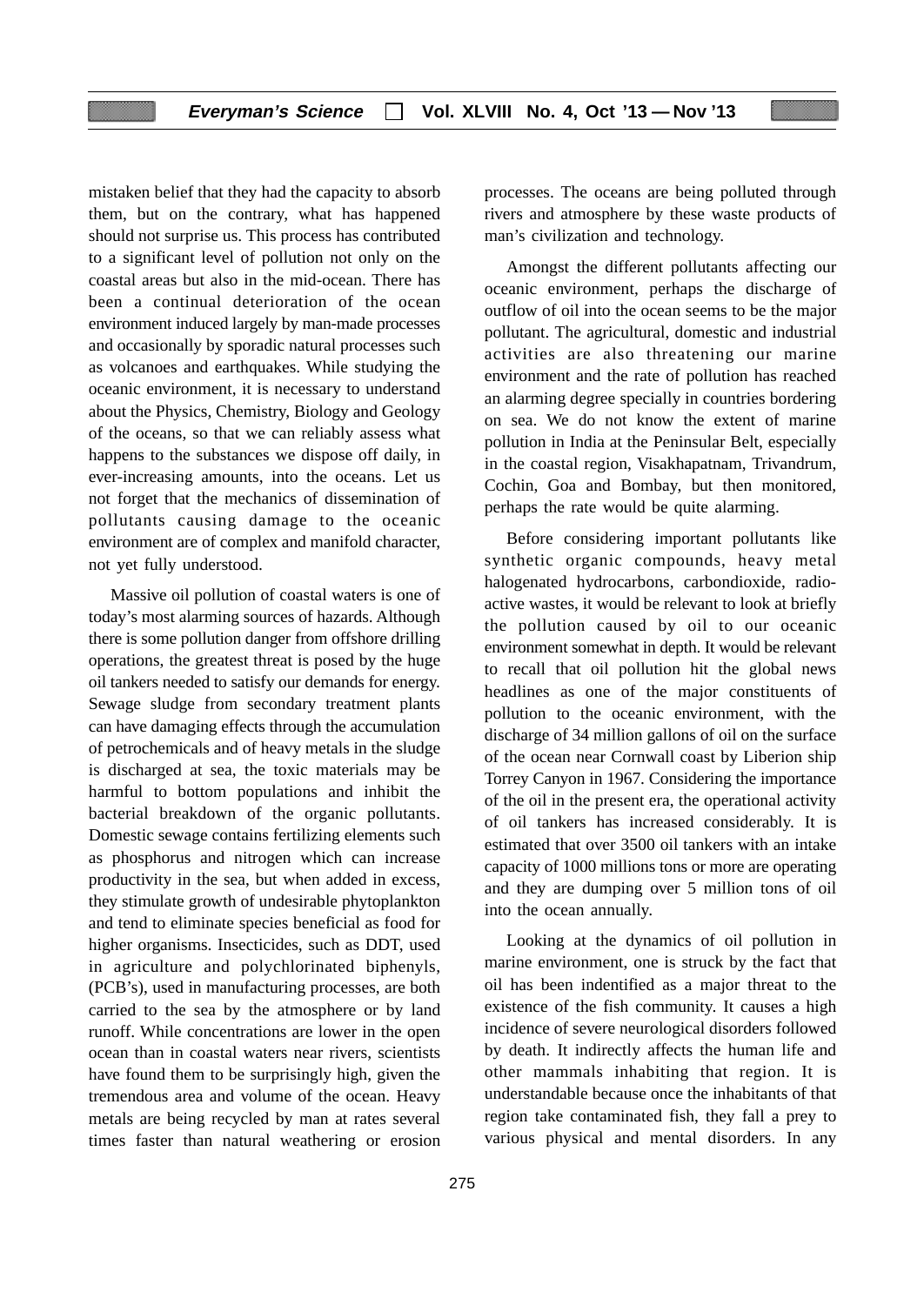mistaken belief that they had the capacity to absorb them, but on the contrary, what has happened should not surprise us. This process has contributed to a significant level of pollution not only on the coastal areas but also in the mid-ocean. There has been a continual deterioration of the ocean environment induced largely by man-made processes and occasionally by sporadic natural processes such as volcanoes and earthquakes. While studying the oceanic environment, it is necessary to understand about the Physics, Chemistry, Biology and Geology of the oceans, so that we can reliably assess what happens to the substances we dispose off daily, in ever-increasing amounts, into the oceans. Let us not forget that the mechanics of dissemination of pollutants causing damage to the oceanic environment are of complex and manifold character, not yet fully understood.

Massive oil pollution of coastal waters is one of today's most alarming sources of hazards. Although there is some pollution danger from offshore drilling operations, the greatest threat is posed by the huge oil tankers needed to satisfy our demands for energy. Sewage sludge from secondary treatment plants can have damaging effects through the accumulation of petrochemicals and of heavy metals in the sludge is discharged at sea, the toxic materials may be harmful to bottom populations and inhibit the bacterial breakdown of the organic pollutants. Domestic sewage contains fertilizing elements such as phosphorus and nitrogen which can increase productivity in the sea, but when added in excess, they stimulate growth of undesirable phytoplankton and tend to eliminate species beneficial as food for higher organisms. Insecticides, such as DDT, used in agriculture and polychlorinated biphenyls, (PCB's), used in manufacturing processes, are both carried to the sea by the atmosphere or by land runoff. While concentrations are lower in the open ocean than in coastal waters near rivers, scientists have found them to be surprisingly high, given the tremendous area and volume of the ocean. Heavy metals are being recycled by man at rates several times faster than natural weathering or erosion processes. The oceans are being polluted through rivers and atmosphere by these waste products of man's civilization and technology.

Amongst the different pollutants affecting our oceanic environment, perhaps the discharge of outflow of oil into the ocean seems to be the major pollutant. The agricultural, domestic and industrial activities are also threatening our marine environment and the rate of pollution has reached an alarming degree specially in countries bordering on sea. We do not know the extent of marine pollution in India at the Peninsular Belt, especially in the coastal region, Visakhapatnam, Trivandrum, Cochin, Goa and Bombay, but then monitored, perhaps the rate would be quite alarming.

Before considering important pollutants like synthetic organic compounds, heavy metal halogenated hydrocarbons, carbondioxide, radioactive wastes, it would be relevant to look at briefly the pollution caused by oil to our oceanic environment somewhat in depth. It would be relevant to recall that oil pollution hit the global news headlines as one of the major constituents of pollution to the oceanic environment, with the discharge of 34 million gallons of oil on the surface of the ocean near Cornwall coast by Liberion ship Torrey Canyon in 1967. Considering the importance of the oil in the present era, the operational activity of oil tankers has increased considerably. It is estimated that over 3500 oil tankers with an intake capacity of 1000 millions tons or more are operating and they are dumping over 5 million tons of oil into the ocean annually.

Looking at the dynamics of oil pollution in marine environment, one is struck by the fact that oil has been indentified as a major threat to the existence of the fish community. It causes a high incidence of severe neurological disorders followed by death. It indirectly affects the human life and other mammals inhabiting that region. It is understandable because once the inhabitants of that region take contaminated fish, they fall a prey to various physical and mental disorders. In any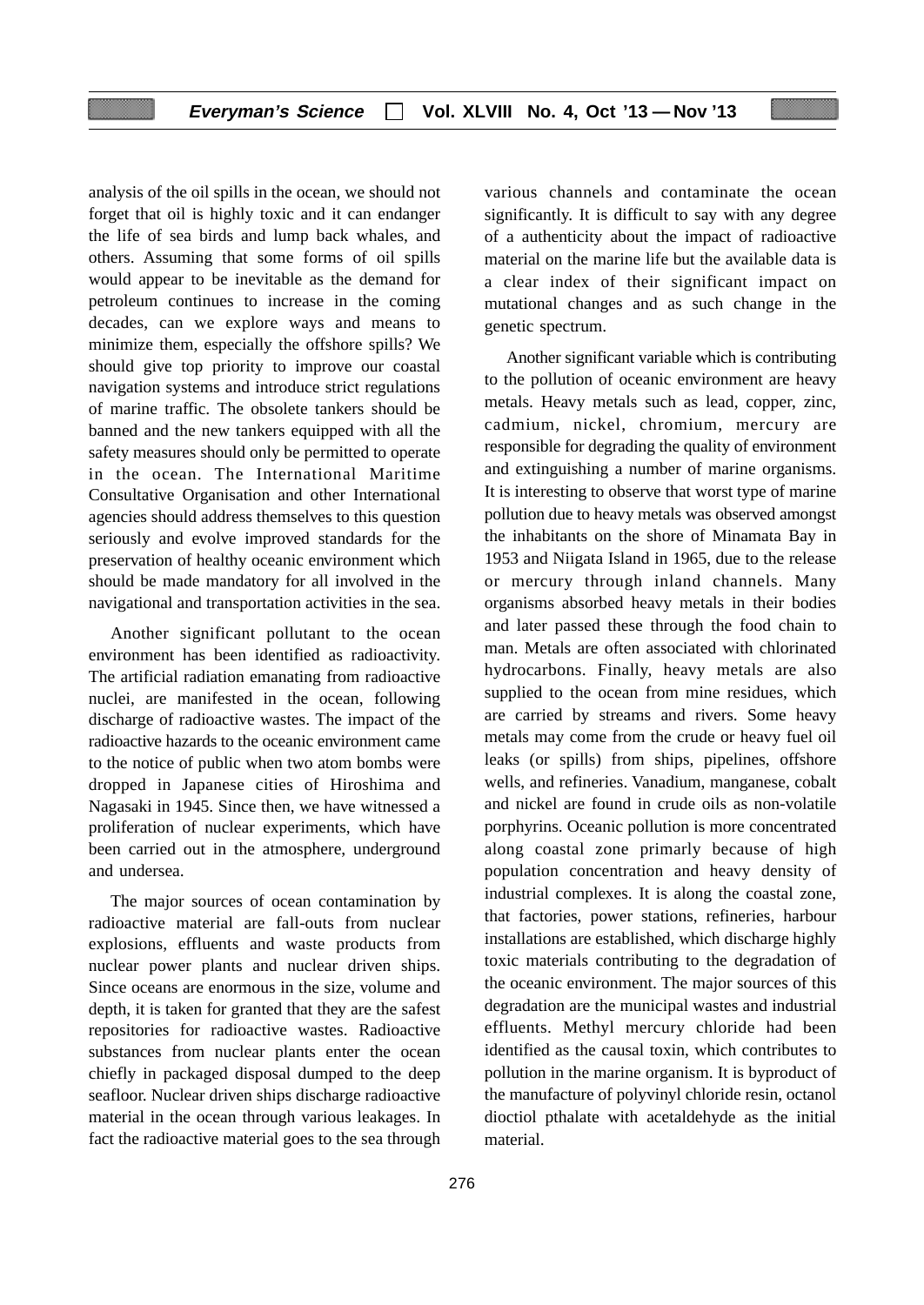analysis of the oil spills in the ocean, we should not forget that oil is highly toxic and it can endanger the life of sea birds and lump back whales, and others. Assuming that some forms of oil spills would appear to be inevitable as the demand for petroleum continues to increase in the coming decades, can we explore ways and means to minimize them, especially the offshore spills? We should give top priority to improve our coastal navigation systems and introduce strict regulations of marine traffic. The obsolete tankers should be banned and the new tankers equipped with all the safety measures should only be permitted to operate in the ocean. The International Maritime Consultative Organisation and other International agencies should address themselves to this question seriously and evolve improved standards for the preservation of healthy oceanic environment which should be made mandatory for all involved in the navigational and transportation activities in the sea.

Another significant pollutant to the ocean environment has been identified as radioactivity. The artificial radiation emanating from radioactive nuclei, are manifested in the ocean, following discharge of radioactive wastes. The impact of the radioactive hazards to the oceanic environment came to the notice of public when two atom bombs were dropped in Japanese cities of Hiroshima and Nagasaki in 1945. Since then, we have witnessed a proliferation of nuclear experiments, which have been carried out in the atmosphere, underground and undersea.

The major sources of ocean contamination by radioactive material are fall-outs from nuclear explosions, effluents and waste products from nuclear power plants and nuclear driven ships. Since oceans are enormous in the size, volume and depth, it is taken for granted that they are the safest repositories for radioactive wastes. Radioactive substances from nuclear plants enter the ocean chiefly in packaged disposal dumped to the deep seafloor. Nuclear driven ships discharge radioactive material in the ocean through various leakages. In fact the radioactive material goes to the sea through various channels and contaminate the ocean significantly. It is difficult to say with any degree of a authenticity about the impact of radioactive material on the marine life but the available data is a clear index of their significant impact on mutational changes and as such change in the genetic spectrum.

Another significant variable which is contributing to the pollution of oceanic environment are heavy metals. Heavy metals such as lead, copper, zinc, cadmium, nickel, chromium, mercury are responsible for degrading the quality of environment and extinguishing a number of marine organisms. It is interesting to observe that worst type of marine pollution due to heavy metals was observed amongst the inhabitants on the shore of Minamata Bay in 1953 and Niigata Island in 1965, due to the release or mercury through inland channels. Many organisms absorbed heavy metals in their bodies and later passed these through the food chain to man. Metals are often associated with chlorinated hydrocarbons. Finally, heavy metals are also supplied to the ocean from mine residues, which are carried by streams and rivers. Some heavy metals may come from the crude or heavy fuel oil leaks (or spills) from ships, pipelines, offshore wells, and refineries. Vanadium, manganese, cobalt and nickel are found in crude oils as non-volatile porphyrins. Oceanic pollution is more concentrated along coastal zone primarly because of high population concentration and heavy density of industrial complexes. It is along the coastal zone, that factories, power stations, refineries, harbour installations are established, which discharge highly toxic materials contributing to the degradation of the oceanic environment. The major sources of this degradation are the municipal wastes and industrial effluents. Methyl mercury chloride had been identified as the causal toxin, which contributes to pollution in the marine organism. It is byproduct of the manufacture of polyvinyl chloride resin, octanol dioctiol pthalate with acetaldehyde as the initial material.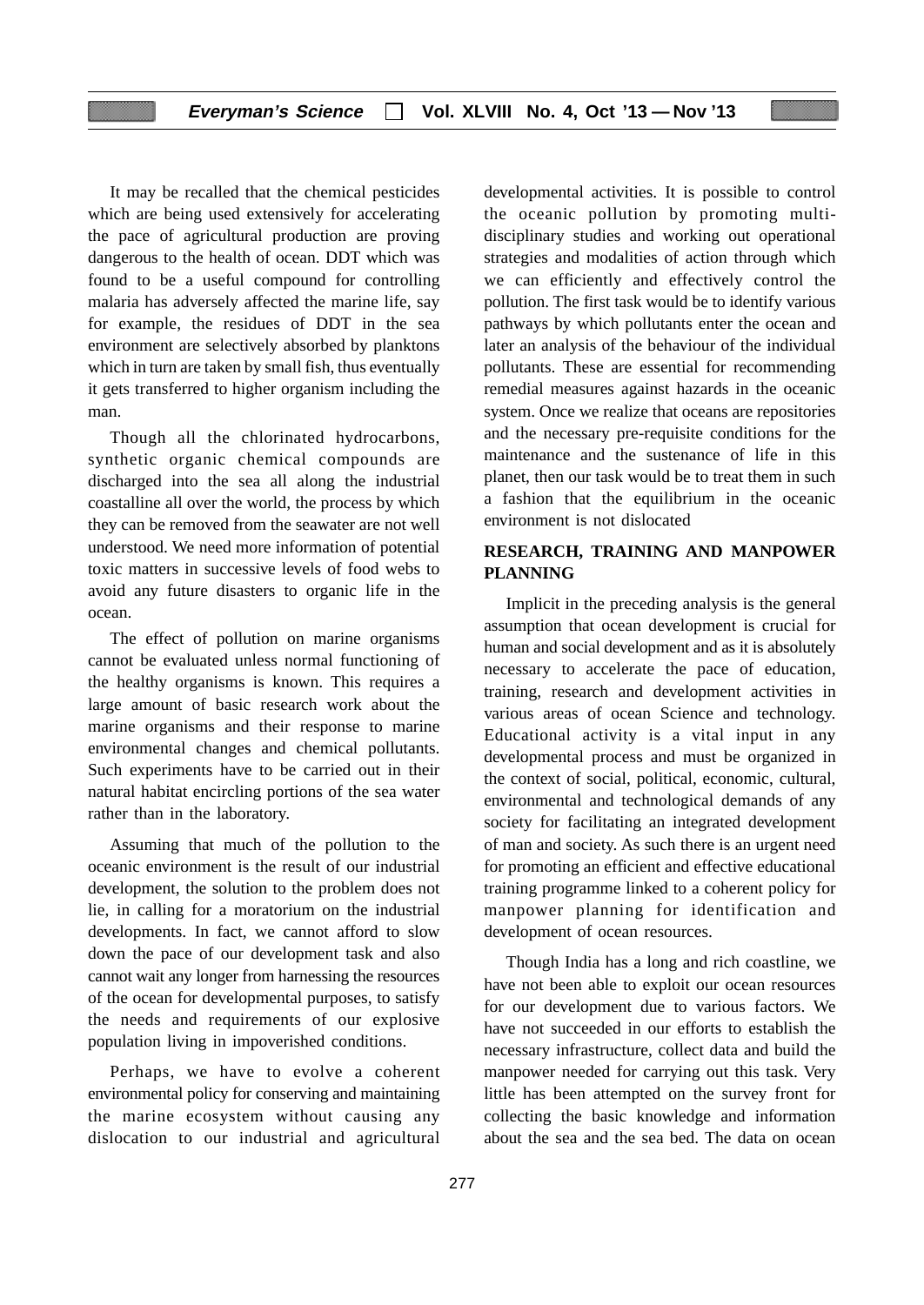It may be recalled that the chemical pesticides which are being used extensively for accelerating the pace of agricultural production are proving dangerous to the health of ocean. DDT which was found to be a useful compound for controlling malaria has adversely affected the marine life, say for example, the residues of DDT in the sea environment are selectively absorbed by planktons which in turn are taken by small fish, thus eventually it gets transferred to higher organism including the man.

Though all the chlorinated hydrocarbons, synthetic organic chemical compounds are discharged into the sea all along the industrial coastalline all over the world, the process by which they can be removed from the seawater are not well understood. We need more information of potential toxic matters in successive levels of food webs to avoid any future disasters to organic life in the ocean.

The effect of pollution on marine organisms cannot be evaluated unless normal functioning of the healthy organisms is known. This requires a large amount of basic research work about the marine organisms and their response to marine environmental changes and chemical pollutants. Such experiments have to be carried out in their natural habitat encircling portions of the sea water rather than in the laboratory.

Assuming that much of the pollution to the oceanic environment is the result of our industrial development, the solution to the problem does not lie, in calling for a moratorium on the industrial developments. In fact, we cannot afford to slow down the pace of our development task and also cannot wait any longer from harnessing the resources of the ocean for developmental purposes, to satisfy the needs and requirements of our explosive population living in impoverished conditions.

Perhaps, we have to evolve a coherent environmental policy for conserving and maintaining the marine ecosystem without causing any dislocation to our industrial and agricultural

developmental activities. It is possible to control the oceanic pollution by promoting multidisciplinary studies and working out operational strategies and modalities of action through which we can efficiently and effectively control the pollution. The first task would be to identify various pathways by which pollutants enter the ocean and later an analysis of the behaviour of the individual pollutants. These are essential for recommending remedial measures against hazards in the oceanic system. Once we realize that oceans are repositories and the necessary pre-requisite conditions for the maintenance and the sustenance of life in this planet, then our task would be to treat them in such a fashion that the equilibrium in the oceanic environment is not dislocated

# **RESEARCH, TRAINING AND MANPOWER PLANNING**

Implicit in the preceding analysis is the general assumption that ocean development is crucial for human and social development and as it is absolutely necessary to accelerate the pace of education, training, research and development activities in various areas of ocean Science and technology. Educational activity is a vital input in any developmental process and must be organized in the context of social, political, economic, cultural, environmental and technological demands of any society for facilitating an integrated development of man and society. As such there is an urgent need for promoting an efficient and effective educational training programme linked to a coherent policy for manpower planning for identification and development of ocean resources.

Though India has a long and rich coastline, we have not been able to exploit our ocean resources for our development due to various factors. We have not succeeded in our efforts to establish the necessary infrastructure, collect data and build the manpower needed for carrying out this task. Very little has been attempted on the survey front for collecting the basic knowledge and information about the sea and the sea bed. The data on ocean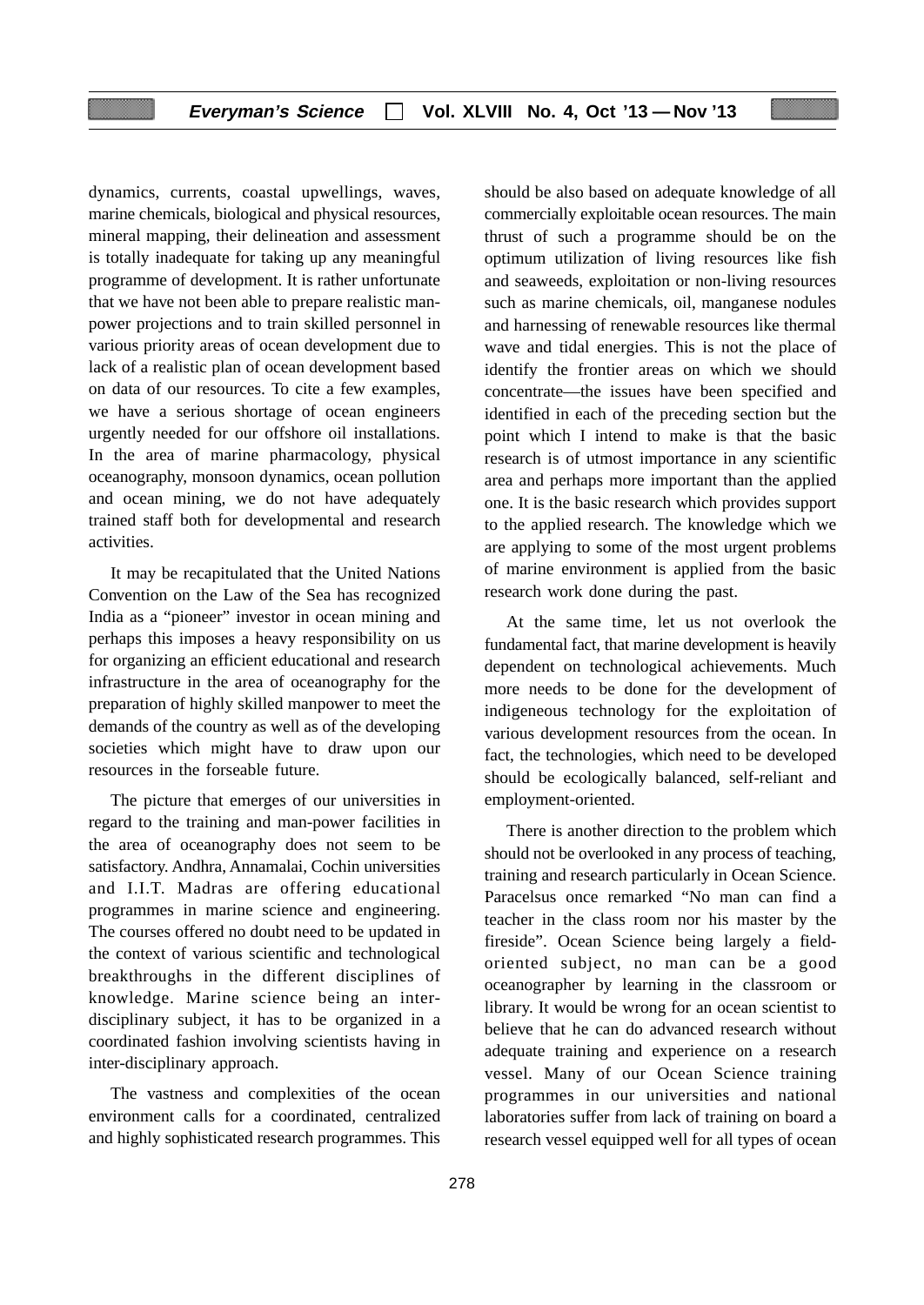dynamics, currents, coastal upwellings, waves, marine chemicals, biological and physical resources, mineral mapping, their delineation and assessment is totally inadequate for taking up any meaningful programme of development. It is rather unfortunate that we have not been able to prepare realistic manpower projections and to train skilled personnel in various priority areas of ocean development due to lack of a realistic plan of ocean development based on data of our resources. To cite a few examples, we have a serious shortage of ocean engineers urgently needed for our offshore oil installations. In the area of marine pharmacology, physical oceanography, monsoon dynamics, ocean pollution and ocean mining, we do not have adequately trained staff both for developmental and research activities.

It may be recapitulated that the United Nations Convention on the Law of the Sea has recognized India as a "pioneer" investor in ocean mining and perhaps this imposes a heavy responsibility on us for organizing an efficient educational and research infrastructure in the area of oceanography for the preparation of highly skilled manpower to meet the demands of the country as well as of the developing societies which might have to draw upon our resources in the forseable future.

The picture that emerges of our universities in regard to the training and man-power facilities in the area of oceanography does not seem to be satisfactory. Andhra, Annamalai, Cochin universities and I.I.T. Madras are offering educational programmes in marine science and engineering. The courses offered no doubt need to be updated in the context of various scientific and technological breakthroughs in the different disciplines of knowledge. Marine science being an interdisciplinary subject, it has to be organized in a coordinated fashion involving scientists having in inter-disciplinary approach.

The vastness and complexities of the ocean environment calls for a coordinated, centralized and highly sophisticated research programmes. This

should be also based on adequate knowledge of all commercially exploitable ocean resources. The main thrust of such a programme should be on the optimum utilization of living resources like fish and seaweeds, exploitation or non-living resources such as marine chemicals, oil, manganese nodules and harnessing of renewable resources like thermal wave and tidal energies. This is not the place of identify the frontier areas on which we should concentrate—the issues have been specified and identified in each of the preceding section but the point which I intend to make is that the basic research is of utmost importance in any scientific area and perhaps more important than the applied one. It is the basic research which provides support to the applied research. The knowledge which we are applying to some of the most urgent problems of marine environment is applied from the basic research work done during the past.

At the same time, let us not overlook the fundamental fact, that marine development is heavily dependent on technological achievements. Much more needs to be done for the development of indigeneous technology for the exploitation of various development resources from the ocean. In fact, the technologies, which need to be developed should be ecologically balanced, self-reliant and employment-oriented.

There is another direction to the problem which should not be overlooked in any process of teaching, training and research particularly in Ocean Science. Paracelsus once remarked "No man can find a teacher in the class room nor his master by the fireside". Ocean Science being largely a fieldoriented subject, no man can be a good oceanographer by learning in the classroom or library. It would be wrong for an ocean scientist to believe that he can do advanced research without adequate training and experience on a research vessel. Many of our Ocean Science training programmes in our universities and national laboratories suffer from lack of training on board a research vessel equipped well for all types of ocean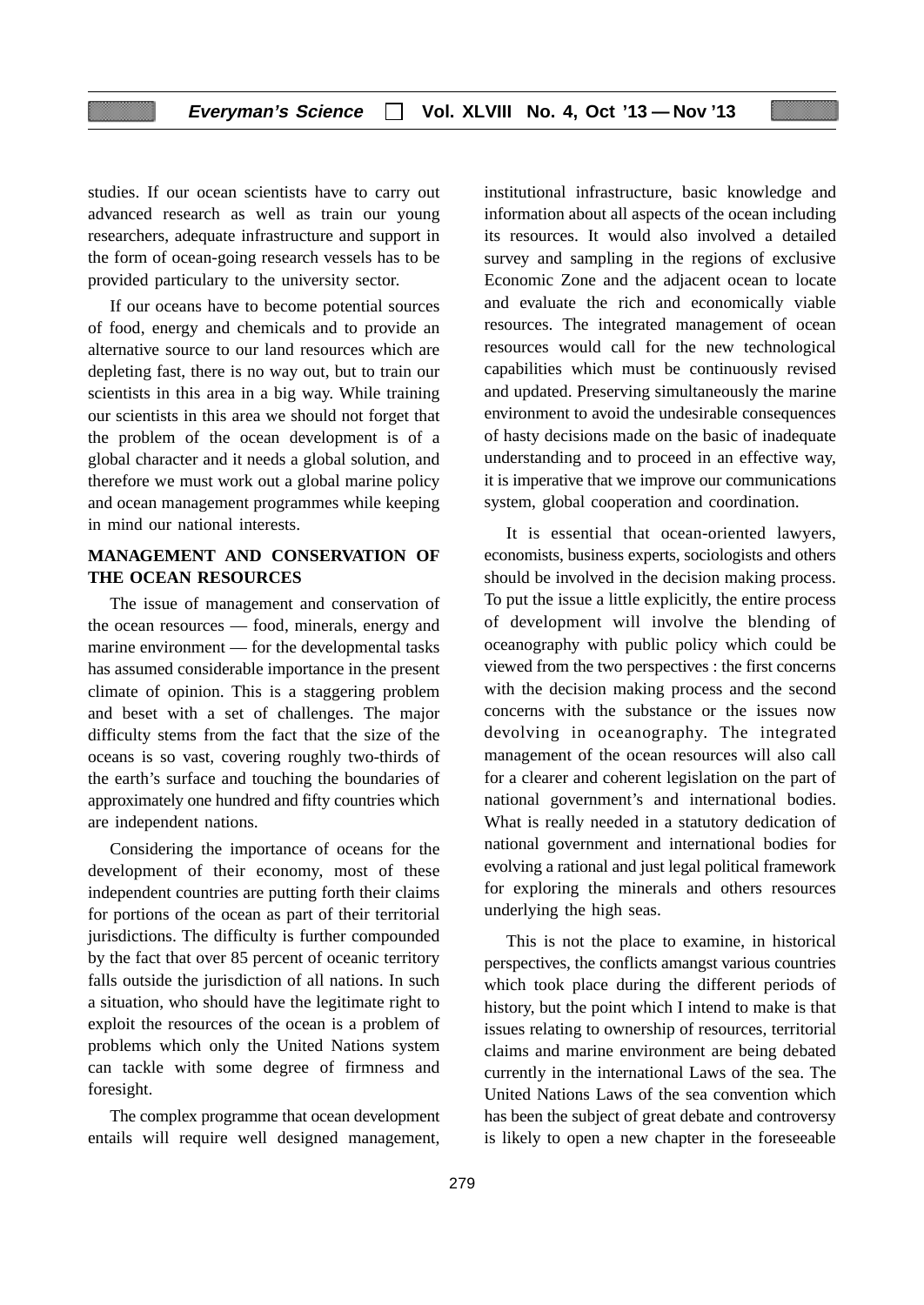studies. If our ocean scientists have to carry out advanced research as well as train our young researchers, adequate infrastructure and support in the form of ocean-going research vessels has to be provided particulary to the university sector.

If our oceans have to become potential sources of food, energy and chemicals and to provide an alternative source to our land resources which are depleting fast, there is no way out, but to train our scientists in this area in a big way. While training our scientists in this area we should not forget that the problem of the ocean development is of a global character and it needs a global solution, and therefore we must work out a global marine policy and ocean management programmes while keeping in mind our national interests.

## **MANAGEMENT AND CONSERVATION OF THE OCEAN RESOURCES**

The issue of management and conservation of the ocean resources — food, minerals, energy and marine environment — for the developmental tasks has assumed considerable importance in the present climate of opinion. This is a staggering problem and beset with a set of challenges. The major difficulty stems from the fact that the size of the oceans is so vast, covering roughly two-thirds of the earth's surface and touching the boundaries of approximately one hundred and fifty countries which are independent nations.

Considering the importance of oceans for the development of their economy, most of these independent countries are putting forth their claims for portions of the ocean as part of their territorial jurisdictions. The difficulty is further compounded by the fact that over 85 percent of oceanic territory falls outside the jurisdiction of all nations. In such a situation, who should have the legitimate right to exploit the resources of the ocean is a problem of problems which only the United Nations system can tackle with some degree of firmness and foresight.

The complex programme that ocean development entails will require well designed management,

institutional infrastructure, basic knowledge and information about all aspects of the ocean including its resources. It would also involved a detailed survey and sampling in the regions of exclusive Economic Zone and the adjacent ocean to locate and evaluate the rich and economically viable resources. The integrated management of ocean resources would call for the new technological capabilities which must be continuously revised and updated. Preserving simultaneously the marine environment to avoid the undesirable consequences of hasty decisions made on the basic of inadequate understanding and to proceed in an effective way, it is imperative that we improve our communications system, global cooperation and coordination.

It is essential that ocean-oriented lawyers, economists, business experts, sociologists and others should be involved in the decision making process. To put the issue a little explicitly, the entire process of development will involve the blending of oceanography with public policy which could be viewed from the two perspectives : the first concerns with the decision making process and the second concerns with the substance or the issues now devolving in oceanography. The integrated management of the ocean resources will also call for a clearer and coherent legislation on the part of national government's and international bodies. What is really needed in a statutory dedication of national government and international bodies for evolving a rational and just legal political framework for exploring the minerals and others resources underlying the high seas.

This is not the place to examine, in historical perspectives, the conflicts amangst various countries which took place during the different periods of history, but the point which I intend to make is that issues relating to ownership of resources, territorial claims and marine environment are being debated currently in the international Laws of the sea. The United Nations Laws of the sea convention which has been the subject of great debate and controversy is likely to open a new chapter in the foreseeable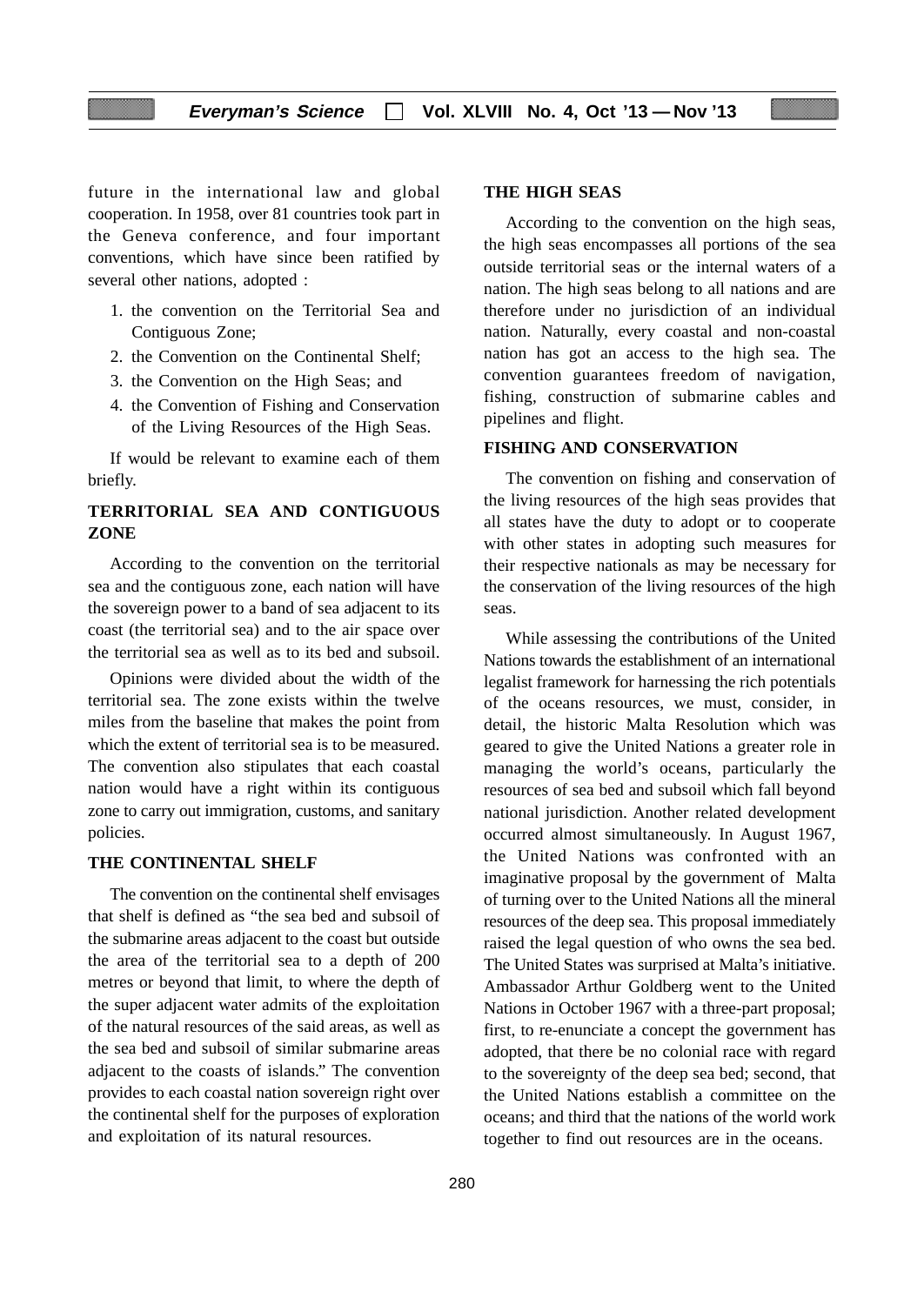future in the international law and global cooperation. In 1958, over 81 countries took part in the Geneva conference, and four important conventions, which have since been ratified by several other nations, adopted :

- 1. the convention on the Territorial Sea and Contiguous Zone;
- 2. the Convention on the Continental Shelf;
- 3. the Convention on the High Seas; and
- 4. the Convention of Fishing and Conservation of the Living Resources of the High Seas.

If would be relevant to examine each of them briefly.

# **TERRITORIAL SEA AND CONTIGUOUS ZONE**

According to the convention on the territorial sea and the contiguous zone, each nation will have the sovereign power to a band of sea adjacent to its coast (the territorial sea) and to the air space over the territorial sea as well as to its bed and subsoil.

Opinions were divided about the width of the territorial sea. The zone exists within the twelve miles from the baseline that makes the point from which the extent of territorial sea is to be measured. The convention also stipulates that each coastal nation would have a right within its contiguous zone to carry out immigration, customs, and sanitary policies.

### **THE CONTINENTAL SHELF**

The convention on the continental shelf envisages that shelf is defined as "the sea bed and subsoil of the submarine areas adjacent to the coast but outside the area of the territorial sea to a depth of 200 metres or beyond that limit, to where the depth of the super adjacent water admits of the exploitation of the natural resources of the said areas, as well as the sea bed and subsoil of similar submarine areas adjacent to the coasts of islands." The convention provides to each coastal nation sovereign right over the continental shelf for the purposes of exploration and exploitation of its natural resources.

### **THE HIGH SEAS**

According to the convention on the high seas, the high seas encompasses all portions of the sea outside territorial seas or the internal waters of a nation. The high seas belong to all nations and are therefore under no jurisdiction of an individual nation. Naturally, every coastal and non-coastal nation has got an access to the high sea. The convention guarantees freedom of navigation, fishing, construction of submarine cables and pipelines and flight.

### **FISHING AND CONSERVATION**

The convention on fishing and conservation of the living resources of the high seas provides that all states have the duty to adopt or to cooperate with other states in adopting such measures for their respective nationals as may be necessary for the conservation of the living resources of the high seas.

While assessing the contributions of the United Nations towards the establishment of an international legalist framework for harnessing the rich potentials of the oceans resources, we must, consider, in detail, the historic Malta Resolution which was geared to give the United Nations a greater role in managing the world's oceans, particularly the resources of sea bed and subsoil which fall beyond national jurisdiction. Another related development occurred almost simultaneously. In August 1967, the United Nations was confronted with an imaginative proposal by the government of Malta of turning over to the United Nations all the mineral resources of the deep sea. This proposal immediately raised the legal question of who owns the sea bed. The United States was surprised at Malta's initiative. Ambassador Arthur Goldberg went to the United Nations in October 1967 with a three-part proposal; first, to re-enunciate a concept the government has adopted, that there be no colonial race with regard to the sovereignty of the deep sea bed; second, that the United Nations establish a committee on the oceans; and third that the nations of the world work together to find out resources are in the oceans.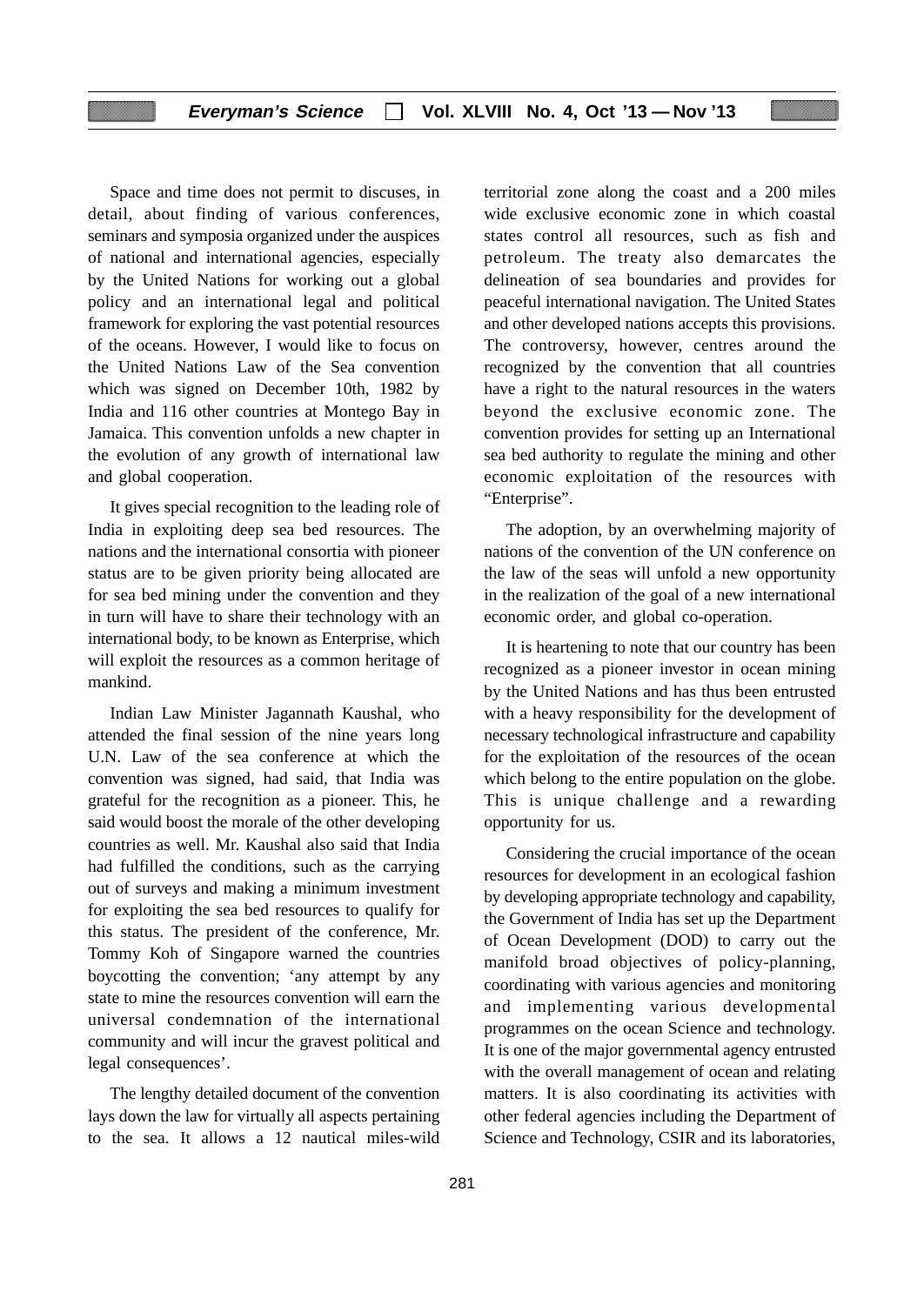Space and time does not permit to discuses, in detail, about finding of various conferences, seminars and symposia organized under the auspices of national and international agencies, especially by the United Nations for working out a global policy and an international legal and political framework for exploring the vast potential resources of the oceans. However, I would like to focus on the United Nations Law of the Sea convention which was signed on December 10th, 1982 by India and 116 other countries at Montego Bay in Jamaica. This convention unfolds a new chapter in the evolution of any growth of international law and global cooperation.

It gives special recognition to the leading role of India in exploiting deep sea bed resources. The nations and the international consortia with pioneer status are to be given priority being allocated are for sea bed mining under the convention and they in turn will have to share their technology with an international body, to be known as Enterprise, which will exploit the resources as a common heritage of mankind.

Indian Law Minister Jagannath Kaushal, who attended the final session of the nine years long U.N. Law of the sea conference at which the convention was signed, had said, that India was grateful for the recognition as a pioneer. This, he said would boost the morale of the other developing countries as well. Mr. Kaushal also said that India had fulfilled the conditions, such as the carrying out of surveys and making a minimum investment for exploiting the sea bed resources to qualify for this status. The president of the conference, Mr. Tommy Koh of Singapore warned the countries boycotting the convention; 'any attempt by any state to mine the resources convention will earn the universal condemnation of the international community and will incur the gravest political and legal consequences'.

The lengthy detailed document of the convention lays down the law for virtually all aspects pertaining to the sea. It allows a 12 nautical miles-wild territorial zone along the coast and a 200 miles wide exclusive economic zone in which coastal states control all resources, such as fish and petroleum. The treaty also demarcates the delineation of sea boundaries and provides for peaceful international navigation. The United States and other developed nations accepts this provisions. The controversy, however, centres around the recognized by the convention that all countries have a right to the natural resources in the waters beyond the exclusive economic zone. The convention provides for setting up an International sea bed authority to regulate the mining and other economic exploitation of the resources with "Enterprise".

The adoption, by an overwhelming majority of nations of the convention of the UN conference on the law of the seas will unfold a new opportunity in the realization of the goal of a new international economic order, and global co-operation.

It is heartening to note that our country has been recognized as a pioneer investor in ocean mining by the United Nations and has thus been entrusted with a heavy responsibility for the development of necessary technological infrastructure and capability for the exploitation of the resources of the ocean which belong to the entire population on the globe. This is unique challenge and a rewarding opportunity for us.

Considering the crucial importance of the ocean resources for development in an ecological fashion by developing appropriate technology and capability, the Government of India has set up the Department of Ocean Development (DOD) to carry out the manifold broad objectives of policy-planning, coordinating with various agencies and monitoring and implementing various developmental programmes on the ocean Science and technology. It is one of the major governmental agency entrusted with the overall management of ocean and relating matters. It is also coordinating its activities with other federal agencies including the Department of Science and Technology, CSIR and its laboratories,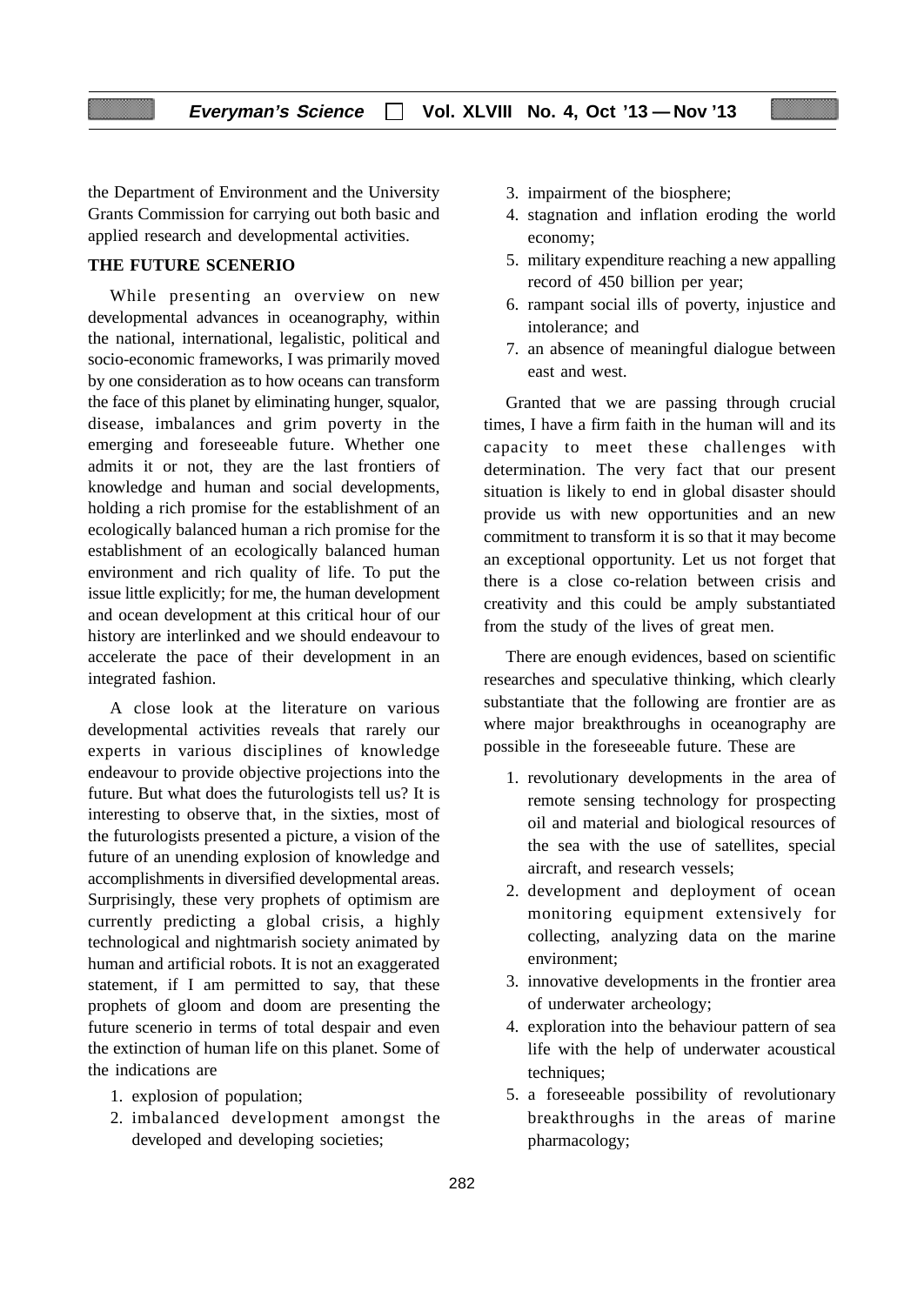the Department of Environment and the University Grants Commission for carrying out both basic and applied research and developmental activities.

### **THE FUTURE SCENERIO**

While presenting an overview on new developmental advances in oceanography, within the national, international, legalistic, political and socio-economic frameworks, I was primarily moved by one consideration as to how oceans can transform the face of this planet by eliminating hunger, squalor, disease, imbalances and grim poverty in the emerging and foreseeable future. Whether one admits it or not, they are the last frontiers of knowledge and human and social developments, holding a rich promise for the establishment of an ecologically balanced human a rich promise for the establishment of an ecologically balanced human environment and rich quality of life. To put the issue little explicitly; for me, the human development and ocean development at this critical hour of our history are interlinked and we should endeavour to accelerate the pace of their development in an integrated fashion.

A close look at the literature on various developmental activities reveals that rarely our experts in various disciplines of knowledge endeavour to provide objective projections into the future. But what does the futurologists tell us? It is interesting to observe that, in the sixties, most of the futurologists presented a picture, a vision of the future of an unending explosion of knowledge and accomplishments in diversified developmental areas. Surprisingly, these very prophets of optimism are currently predicting a global crisis, a highly technological and nightmarish society animated by human and artificial robots. It is not an exaggerated statement, if I am permitted to say, that these prophets of gloom and doom are presenting the future scenerio in terms of total despair and even the extinction of human life on this planet. Some of the indications are

- 1. explosion of population;
- 2. imbalanced development amongst the developed and developing societies;
- 3. impairment of the biosphere;
- 4. stagnation and inflation eroding the world economy;
- 5. military expenditure reaching a new appalling record of 450 billion per year;
- 6. rampant social ills of poverty, injustice and intolerance; and
- 7. an absence of meaningful dialogue between east and west.

Granted that we are passing through crucial times, I have a firm faith in the human will and its capacity to meet these challenges with determination. The very fact that our present situation is likely to end in global disaster should provide us with new opportunities and an new commitment to transform it is so that it may become an exceptional opportunity. Let us not forget that there is a close co-relation between crisis and creativity and this could be amply substantiated from the study of the lives of great men.

There are enough evidences, based on scientific researches and speculative thinking, which clearly substantiate that the following are frontier are as where major breakthroughs in oceanography are possible in the foreseeable future. These are

- 1. revolutionary developments in the area of remote sensing technology for prospecting oil and material and biological resources of the sea with the use of satellites, special aircraft, and research vessels;
- 2. development and deployment of ocean monitoring equipment extensively for collecting, analyzing data on the marine environment;
- 3. innovative developments in the frontier area of underwater archeology;
- 4. exploration into the behaviour pattern of sea life with the help of underwater acoustical techniques;
- 5. a foreseeable possibility of revolutionary breakthroughs in the areas of marine pharmacology;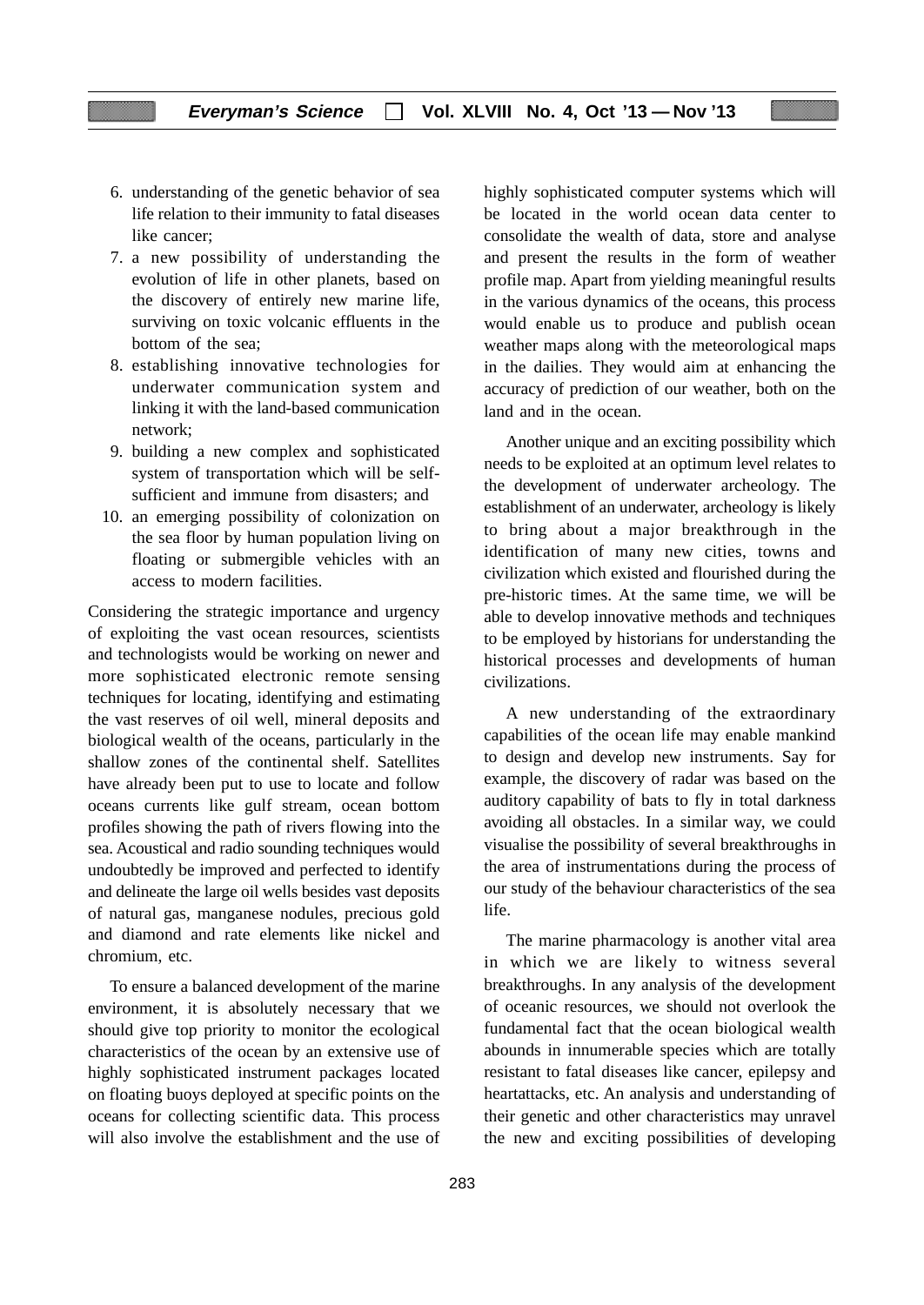- 6. understanding of the genetic behavior of sea life relation to their immunity to fatal diseases like cancer;
- 7. a new possibility of understanding the evolution of life in other planets, based on the discovery of entirely new marine life, surviving on toxic volcanic effluents in the bottom of the sea;
- 8. establishing innovative technologies for underwater communication system and linking it with the land-based communication network;
- 9. building a new complex and sophisticated system of transportation which will be selfsufficient and immune from disasters; and
- 10. an emerging possibility of colonization on the sea floor by human population living on floating or submergible vehicles with an access to modern facilities.

Considering the strategic importance and urgency of exploiting the vast ocean resources, scientists and technologists would be working on newer and more sophisticated electronic remote sensing techniques for locating, identifying and estimating the vast reserves of oil well, mineral deposits and biological wealth of the oceans, particularly in the shallow zones of the continental shelf. Satellites have already been put to use to locate and follow oceans currents like gulf stream, ocean bottom profiles showing the path of rivers flowing into the sea. Acoustical and radio sounding techniques would undoubtedly be improved and perfected to identify and delineate the large oil wells besides vast deposits of natural gas, manganese nodules, precious gold and diamond and rate elements like nickel and chromium, etc.

To ensure a balanced development of the marine environment, it is absolutely necessary that we should give top priority to monitor the ecological characteristics of the ocean by an extensive use of highly sophisticated instrument packages located on floating buoys deployed at specific points on the oceans for collecting scientific data. This process will also involve the establishment and the use of highly sophisticated computer systems which will be located in the world ocean data center to consolidate the wealth of data, store and analyse and present the results in the form of weather profile map. Apart from yielding meaningful results in the various dynamics of the oceans, this process would enable us to produce and publish ocean weather maps along with the meteorological maps in the dailies. They would aim at enhancing the accuracy of prediction of our weather, both on the land and in the ocean.

Another unique and an exciting possibility which needs to be exploited at an optimum level relates to the development of underwater archeology. The establishment of an underwater, archeology is likely to bring about a major breakthrough in the identification of many new cities, towns and civilization which existed and flourished during the pre-historic times. At the same time, we will be able to develop innovative methods and techniques to be employed by historians for understanding the historical processes and developments of human civilizations.

A new understanding of the extraordinary capabilities of the ocean life may enable mankind to design and develop new instruments. Say for example, the discovery of radar was based on the auditory capability of bats to fly in total darkness avoiding all obstacles. In a similar way, we could visualise the possibility of several breakthroughs in the area of instrumentations during the process of our study of the behaviour characteristics of the sea life.

The marine pharmacology is another vital area in which we are likely to witness several breakthroughs. In any analysis of the development of oceanic resources, we should not overlook the fundamental fact that the ocean biological wealth abounds in innumerable species which are totally resistant to fatal diseases like cancer, epilepsy and heartattacks, etc. An analysis and understanding of their genetic and other characteristics may unravel the new and exciting possibilities of developing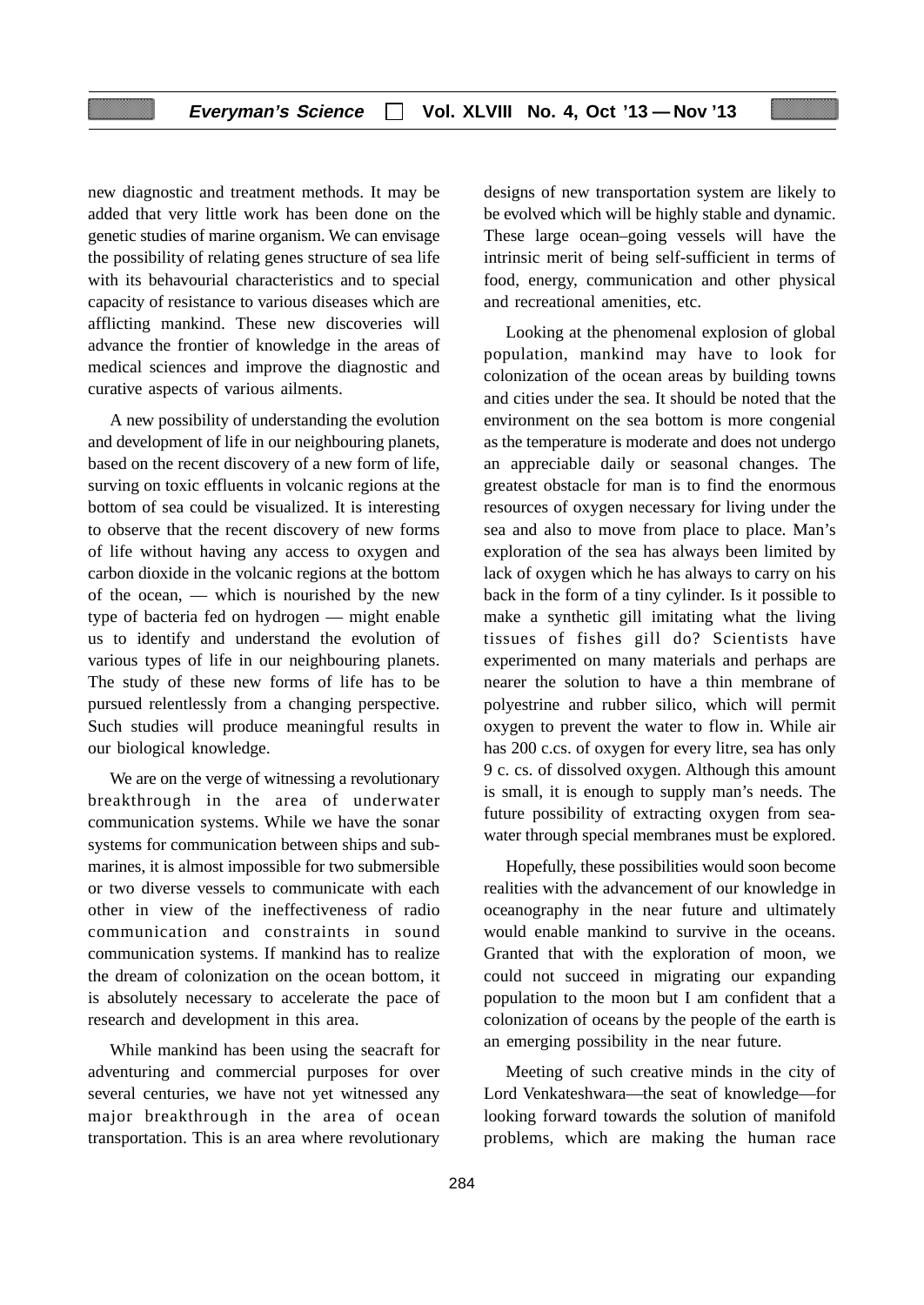new diagnostic and treatment methods. It may be added that very little work has been done on the genetic studies of marine organism. We can envisage the possibility of relating genes structure of sea life with its behavourial characteristics and to special capacity of resistance to various diseases which are afflicting mankind. These new discoveries will advance the frontier of knowledge in the areas of medical sciences and improve the diagnostic and curative aspects of various ailments.

A new possibility of understanding the evolution and development of life in our neighbouring planets, based on the recent discovery of a new form of life, surving on toxic effluents in volcanic regions at the bottom of sea could be visualized. It is interesting to observe that the recent discovery of new forms of life without having any access to oxygen and carbon dioxide in the volcanic regions at the bottom of the ocean, — which is nourished by the new type of bacteria fed on hydrogen — might enable us to identify and understand the evolution of various types of life in our neighbouring planets. The study of these new forms of life has to be pursued relentlessly from a changing perspective. Such studies will produce meaningful results in our biological knowledge.

We are on the verge of witnessing a revolutionary breakthrough in the area of underwater communication systems. While we have the sonar systems for communication between ships and submarines, it is almost impossible for two submersible or two diverse vessels to communicate with each other in view of the ineffectiveness of radio communication and constraints in sound communication systems. If mankind has to realize the dream of colonization on the ocean bottom, it is absolutely necessary to accelerate the pace of research and development in this area.

While mankind has been using the seacraft for adventuring and commercial purposes for over several centuries, we have not yet witnessed any major breakthrough in the area of ocean transportation. This is an area where revolutionary

designs of new transportation system are likely to be evolved which will be highly stable and dynamic. These large ocean–going vessels will have the intrinsic merit of being self-sufficient in terms of food, energy, communication and other physical and recreational amenities, etc.

Looking at the phenomenal explosion of global population, mankind may have to look for colonization of the ocean areas by building towns and cities under the sea. It should be noted that the environment on the sea bottom is more congenial as the temperature is moderate and does not undergo an appreciable daily or seasonal changes. The greatest obstacle for man is to find the enormous resources of oxygen necessary for living under the sea and also to move from place to place. Man's exploration of the sea has always been limited by lack of oxygen which he has always to carry on his back in the form of a tiny cylinder. Is it possible to make a synthetic gill imitating what the living tissues of fishes gill do? Scientists have experimented on many materials and perhaps are nearer the solution to have a thin membrane of polyestrine and rubber silico, which will permit oxygen to prevent the water to flow in. While air has 200 c.cs. of oxygen for every litre, sea has only 9 c. cs. of dissolved oxygen. Although this amount is small, it is enough to supply man's needs. The future possibility of extracting oxygen from seawater through special membranes must be explored.

Hopefully, these possibilities would soon become realities with the advancement of our knowledge in oceanography in the near future and ultimately would enable mankind to survive in the oceans. Granted that with the exploration of moon, we could not succeed in migrating our expanding population to the moon but I am confident that a colonization of oceans by the people of the earth is an emerging possibility in the near future.

Meeting of such creative minds in the city of Lord Venkateshwara—the seat of knowledge—for looking forward towards the solution of manifold problems, which are making the human race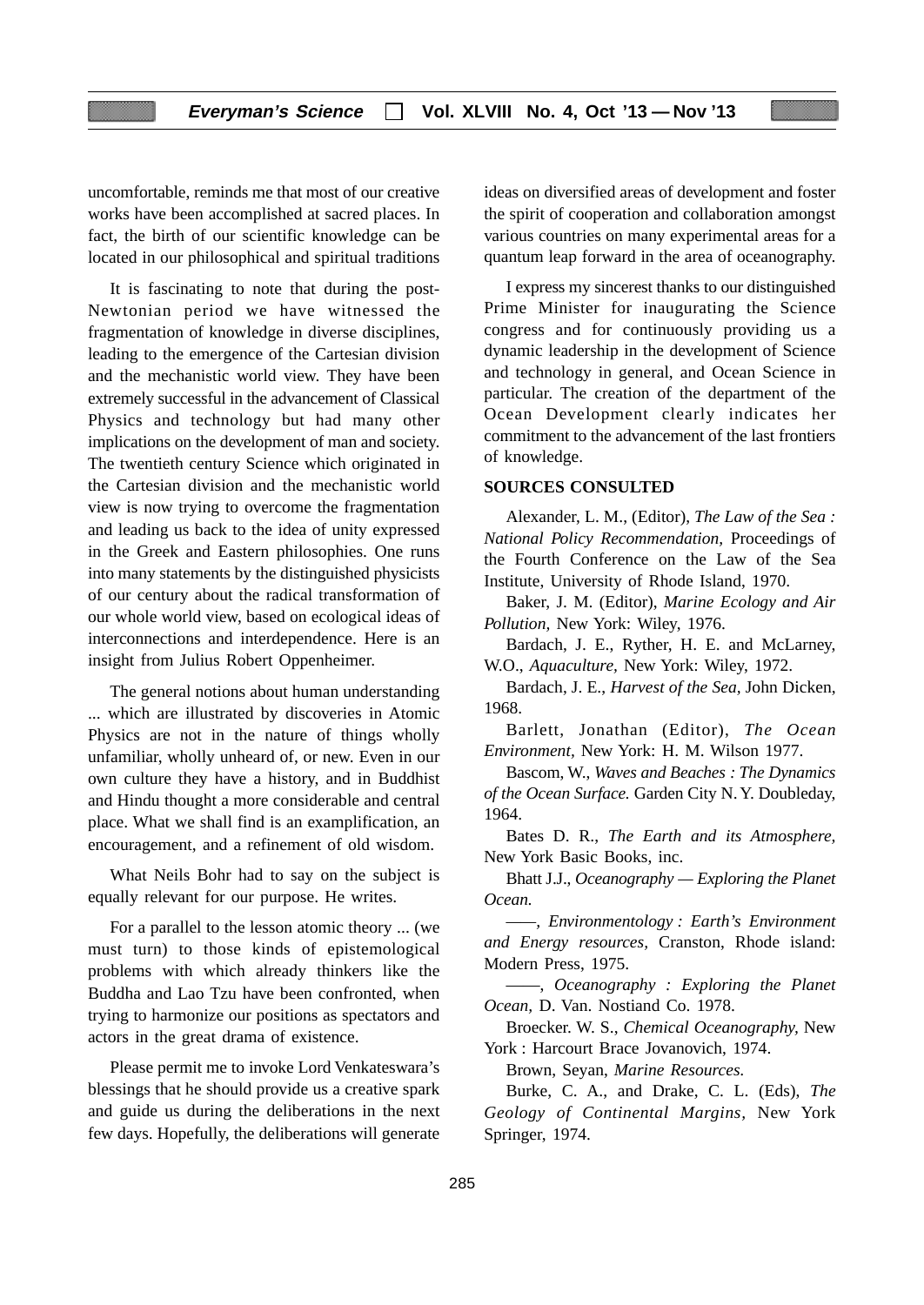uncomfortable, reminds me that most of our creative works have been accomplished at sacred places. In fact, the birth of our scientific knowledge can be located in our philosophical and spiritual traditions

It is fascinating to note that during the post-Newtonian period we have witnessed the fragmentation of knowledge in diverse disciplines, leading to the emergence of the Cartesian division and the mechanistic world view. They have been extremely successful in the advancement of Classical Physics and technology but had many other implications on the development of man and society. The twentieth century Science which originated in the Cartesian division and the mechanistic world view is now trying to overcome the fragmentation and leading us back to the idea of unity expressed in the Greek and Eastern philosophies. One runs into many statements by the distinguished physicists of our century about the radical transformation of our whole world view, based on ecological ideas of interconnections and interdependence. Here is an insight from Julius Robert Oppenheimer.

The general notions about human understanding ... which are illustrated by discoveries in Atomic Physics are not in the nature of things wholly unfamiliar, wholly unheard of, or new. Even in our own culture they have a history, and in Buddhist and Hindu thought a more considerable and central place. What we shall find is an examplification, an encouragement, and a refinement of old wisdom.

What Neils Bohr had to say on the subject is equally relevant for our purpose. He writes.

For a parallel to the lesson atomic theory ... (we must turn) to those kinds of epistemological problems with which already thinkers like the Buddha and Lao Tzu have been confronted, when trying to harmonize our positions as spectators and actors in the great drama of existence.

Please permit me to invoke Lord Venkateswara's blessings that he should provide us a creative spark and guide us during the deliberations in the next few days. Hopefully, the deliberations will generate

ideas on diversified areas of development and foster the spirit of cooperation and collaboration amongst various countries on many experimental areas for a quantum leap forward in the area of oceanography.

I express my sincerest thanks to our distinguished Prime Minister for inaugurating the Science congress and for continuously providing us a dynamic leadership in the development of Science and technology in general, and Ocean Science in particular. The creation of the department of the Ocean Development clearly indicates her commitment to the advancement of the last frontiers of knowledge.

#### **SOURCES CONSULTED**

Alexander, L. M., (Editor), *The Law of the Sea : National Policy Recommendation,* Proceedings of the Fourth Conference on the Law of the Sea Institute, University of Rhode Island, 1970.

Baker, J. M. (Editor), *Marine Ecology and Air Pollution,* New York: Wiley, 1976.

Bardach, J. E., Ryther, H. E. and McLarney, W.O., *Aquaculture,* New York: Wiley, 1972.

Bardach, J. E., *Harvest of the Sea,* John Dicken, 1968.

Barlett, Jonathan (Editor), *The Ocean Environment,* New York: H. M. Wilson 1977.

Bascom, W., *Waves and Beaches : The Dynamics of the Ocean Surface.* Garden City N. Y. Doubleday, 1964.

Bates D. R., *The Earth and its Atmosphere,* New York Basic Books, inc.

Bhatt J.J., *Oceanography — Exploring the Planet Ocean.*

*——, Environmentology : Earth's Environment and Energy resources,* Cranston, Rhode island: Modern Press, 1975.

——, *Oceanography : Exploring the Planet Ocean,* D. Van. Nostiand Co. 1978.

Broecker. W. S., *Chemical Oceanography,* New York : Harcourt Brace Jovanovich, 1974.

Brown, Seyan, *Marine Resources.*

Burke, C. A., and Drake, C. L. (Eds), *The Geology of Continental Margins,* New York Springer, 1974.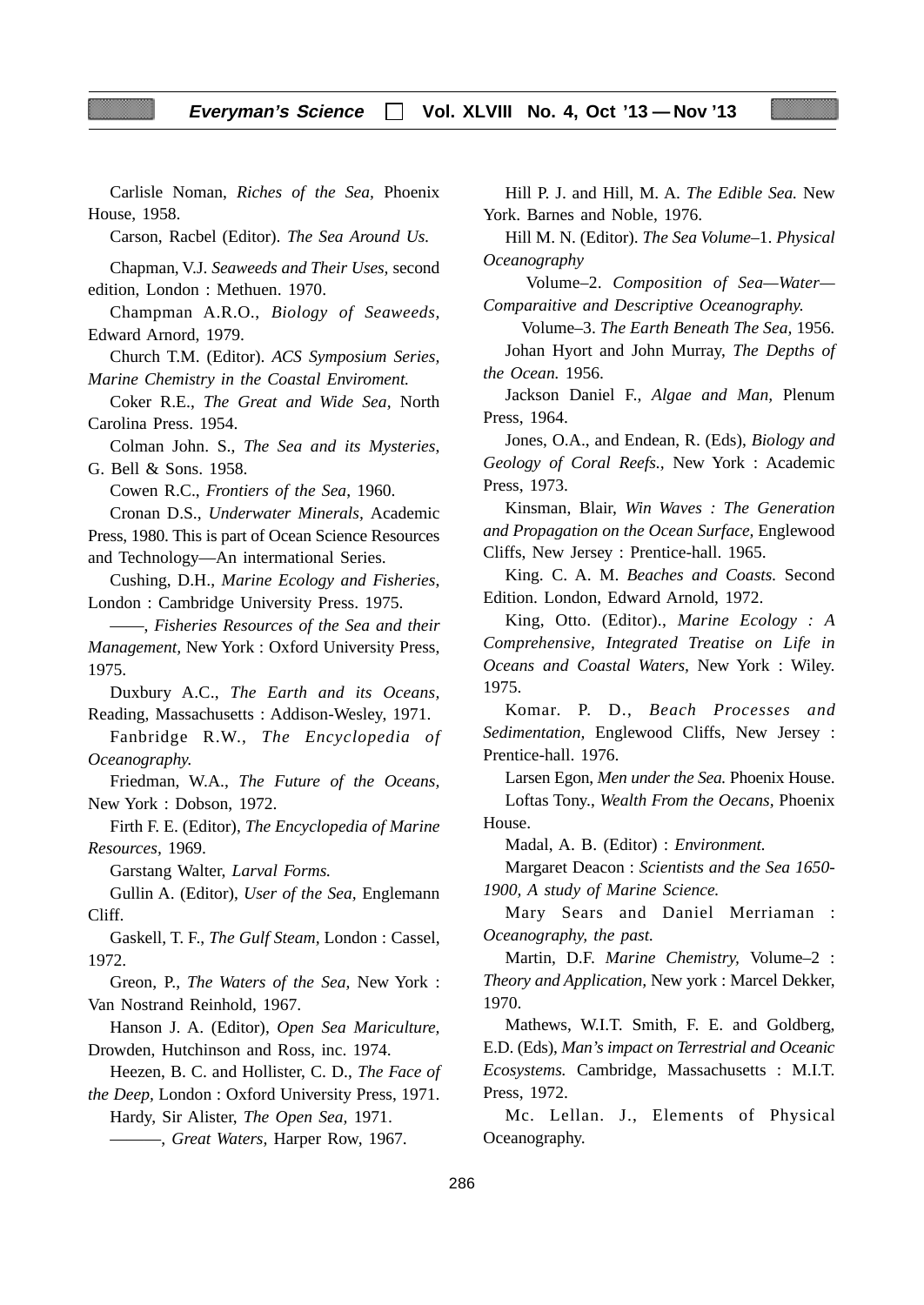Carlisle Noman, *Riches of the Sea,* Phoenix House, 1958.

Carson, Racbel (Editor). *The Sea Around Us.*

Chapman, V.J. *Seaweeds and Their Uses,* second edition, London : Methuen. 1970.

Champman A.R.O., *Biology of Seaweeds,* Edward Arnord, 1979.

Church T.M. (Editor). *ACS Symposium Series, Marine Chemistry in the Coastal Enviroment.*

Coker R.E., *The Great and Wide Sea,* North Carolina Press. 1954.

Colman John. S., *The Sea and its Mysteries*, G. Bell & Sons. 1958.

Cowen R.C., *Frontiers of the Sea*, 1960.

Cronan D.S., *Underwater Minerals,* Academic Press, 1980. This is part of Ocean Science Resources and Technology—An intermational Series.

Cushing, D.H., *Marine Ecology and Fisheries*, London : Cambridge University Press. 1975.

——, *Fisheries Resources of the Sea and their Management,* New York : Oxford University Press, 1975.

Duxbury A.C., *The Earth and its Oceans,* Reading, Massachusetts : Addison-Wesley, 1971.

Fanbridge R.W., *The Encyclopedia of Oceanography.*

Friedman, W.A., *The Future of the Oceans,* New York : Dobson, 1972.

Firth F. E. (Editor), *The Encyclopedia of Marine Resources,* 1969.

Garstang Walter, *Larval Forms.*

Gullin A. (Editor), *User of the Sea,* Englemann Cliff.

Gaskell, T. F., *The Gulf Steam,* London : Cassel, 1972.

Greon, P., *The Waters of the Sea,* New York : Van Nostrand Reinhold, 1967.

Hanson J. A. (Editor), *Open Sea Mariculture,* Drowden, Hutchinson and Ross, inc. 1974.

Heezen, B. C. and Hollister, C. D., *The Face of the Deep,* London : Oxford University Press, 1971.

Hardy, Sir Alister, *The Open Sea,* 1971.

———, *Great Waters,* Harper Row, 1967.

Hill P. J. and Hill, M. A. *The Edible Sea.* New York. Barnes and Noble, 1976.

Hill M. N. (Editor). *The Sea Volume–*1. *Physical Oceanography*

 Volume–2. *Composition of Sea—Water— Comparaitive and Descriptive Oceanography.*

 Volume–3. *The Earth Beneath The Sea,* 1956*.* Johan Hyort and John Murray, *The Depths of the Ocean.* 1956.

Jackson Daniel F., *Algae and Man,* Plenum Press, 1964.

Jones, O.A., and Endean, R. (Eds), *Biology and Geology of Coral Reefs.,* New York : Academic Press, 1973.

Kinsman, Blair, *Win Waves : The Generation and Propagation on the Ocean Surface,* Englewood Cliffs, New Jersey : Prentice-hall. 1965.

King. C. A. M. *Beaches and Coasts.* Second Edition. London, Edward Arnold, 1972.

King, Otto. (Editor)., *Marine Ecology : A Comprehensive, Integrated Treatise on Life in Oceans and Coastal Waters,* New York : Wiley. 1975.

Komar. P. D., *Beach Processes and Sedimentation,* Englewood Cliffs, New Jersey : Prentice-hall. 1976.

Larsen Egon, *Men under the Sea.* Phoenix House. Loftas Tony., *Wealth From the Oecans,* Phoenix House.

Madal, A. B. (Editor) : *Environment.*

Margaret Deacon : *Scientists and the Sea 1650- 1900, A study of Marine Science.*

Mary Sears and Daniel Merriaman : *Oceanography, the past.*

Martin, D.F. *Marine Chemistry,* Volume–2 : *Theory and Application,* New york : Marcel Dekker, 1970.

Mathews, W.I.T. Smith, F. E. and Goldberg, E.D. (Eds), *Man's impact on Terrestrial and Oceanic Ecosystems.* Cambridge, Massachusetts : M.I.T. Press, 1972.

Mc. Lellan. J., Elements of Physical Oceanography.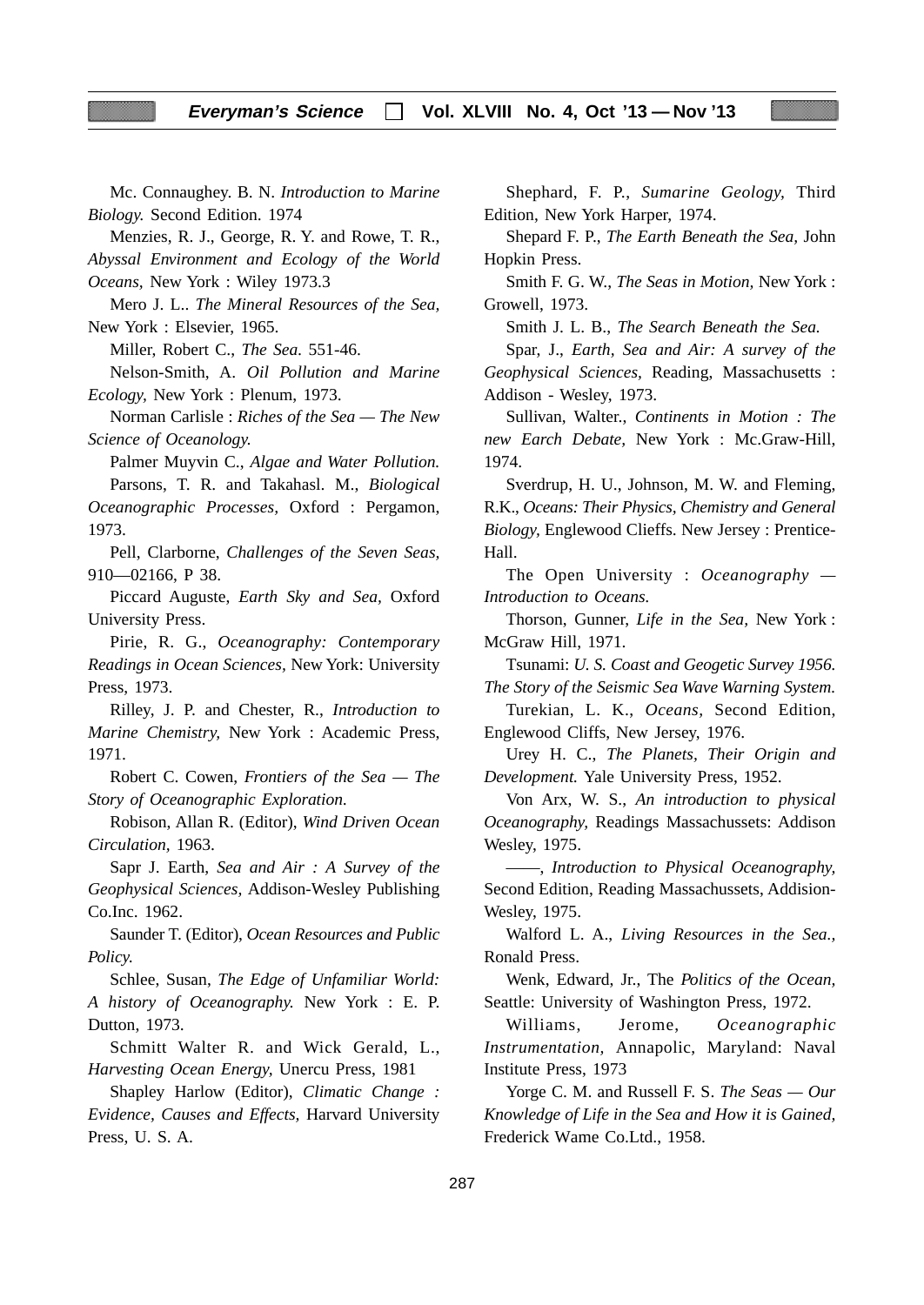Mc. Connaughey. B. N. *Introduction to Marine Biology.* Second Edition. 1974

Menzies, R. J., George, R. Y. and Rowe, T. R., *Abyssal Environment and Ecology of the World*

*Oceans,* New York : Wiley 1973.3

Mero J. L.. *The Mineral Resources of the Sea,* New York : Elsevier, 1965.

Miller, Robert C., *The Sea.* 551-46.

Nelson-Smith, A. *Oil Pollution and Marine Ecology,* New York : Plenum, 1973.

Norman Carlisle : *Riches of the Sea — The New Science of Oceanology.*

Palmer Muyvin C., *Algae and Water Pollution.*

Parsons, T. R. and Takahasl. M., *Biological Oceanographic Processes,* Oxford : Pergamon, 1973.

Pell, Clarborne, *Challenges of the Seven Seas,* 910—02166, P 38.

Piccard Auguste, *Earth Sky and Sea,* Oxford University Press.

Pirie, R. G., *Oceanography: Contemporary Readings in Ocean Sciences,* New York: University Press, 1973.

Rilley, J. P. and Chester, R., *Introduction to Marine Chemistry,* New York : Academic Press, 1971.

Robert C. Cowen, *Frontiers of the Sea — The Story of Oceanographic Exploration.*

Robison, Allan R. (Editor), *Wind Driven Ocean Circulation,* 1963.

Sapr J. Earth, *Sea and Air : A Survey of the Geophysical Sciences,* Addison-Wesley Publishing Co.Inc. 1962.

Saunder T. (Editor), *Ocean Resources and Public Policy.*

Schlee, Susan, *The Edge of Unfamiliar World: A history of Oceanography.* New York : E. P. Dutton, 1973.

Schmitt Walter R. and Wick Gerald, L., *Harvesting Ocean Energy,* Unercu Press, 1981

Shapley Harlow (Editor), *Climatic Change : Evidence, Causes and Effects,* Harvard University Press, U. S. A.

Shephard, F. P., *Sumarine Geology,* Third Edition, New York Harper, 1974.

Shepard F. P., *The Earth Beneath the Sea,* John Hopkin Press.

Smith F. G. W., *The Seas in Motion,* New York : Growell, 1973.

Smith J. L. B., *The Search Beneath the Sea.*

Spar, J., *Earth, Sea and Air: A survey of the Geophysical Sciences,* Reading, Massachusetts : Addison - Wesley, 1973.

Sullivan, Walter., *Continents in Motion : The new Earch Debate,* New York : Mc.Graw-Hill, 1974.

Sverdrup, H. U., Johnson, M. W. and Fleming, R.K., *Oceans: Their Physics, Chemistry and General Biology,* Englewood Clieffs. New Jersey : Prentice-Hall.

The Open University : *Oceanography — Introduction to Oceans.*

Thorson, Gunner, *Life in the Sea,* New York : McGraw Hill, 1971.

Tsunami: *U. S. Coast and Geogetic Survey 1956. The Story of the Seismic Sea Wave Warning System.*

Turekian, L. K., *Oceans,* Second Edition, Englewood Cliffs, New Jersey, 1976.

Urey H. C., *The Planets, Their Origin and Development.* Yale University Press, 1952.

Von Arx, W. S., *An introduction to physical Oceanography,* Readings Massachussets: Addison Wesley, 1975.

——, *Introduction to Physical Oceanography,* Second Edition, Reading Massachussets, Addision-Wesley, 1975.

Walford L. A., *Living Resources in the Sea.,* Ronald Press.

Wenk, Edward, Jr., The *Politics of the Ocean,* Seattle: University of Washington Press, 1972.

Williams, Jerome, *Oceanographic Instrumentation,* Annapolic, Maryland: Naval Institute Press, 1973

Yorge C. M. and Russell F. S. *The Seas — Our Knowledge of Life in the Sea and How it is Gained,* Frederick Wame Co.Ltd., 1958.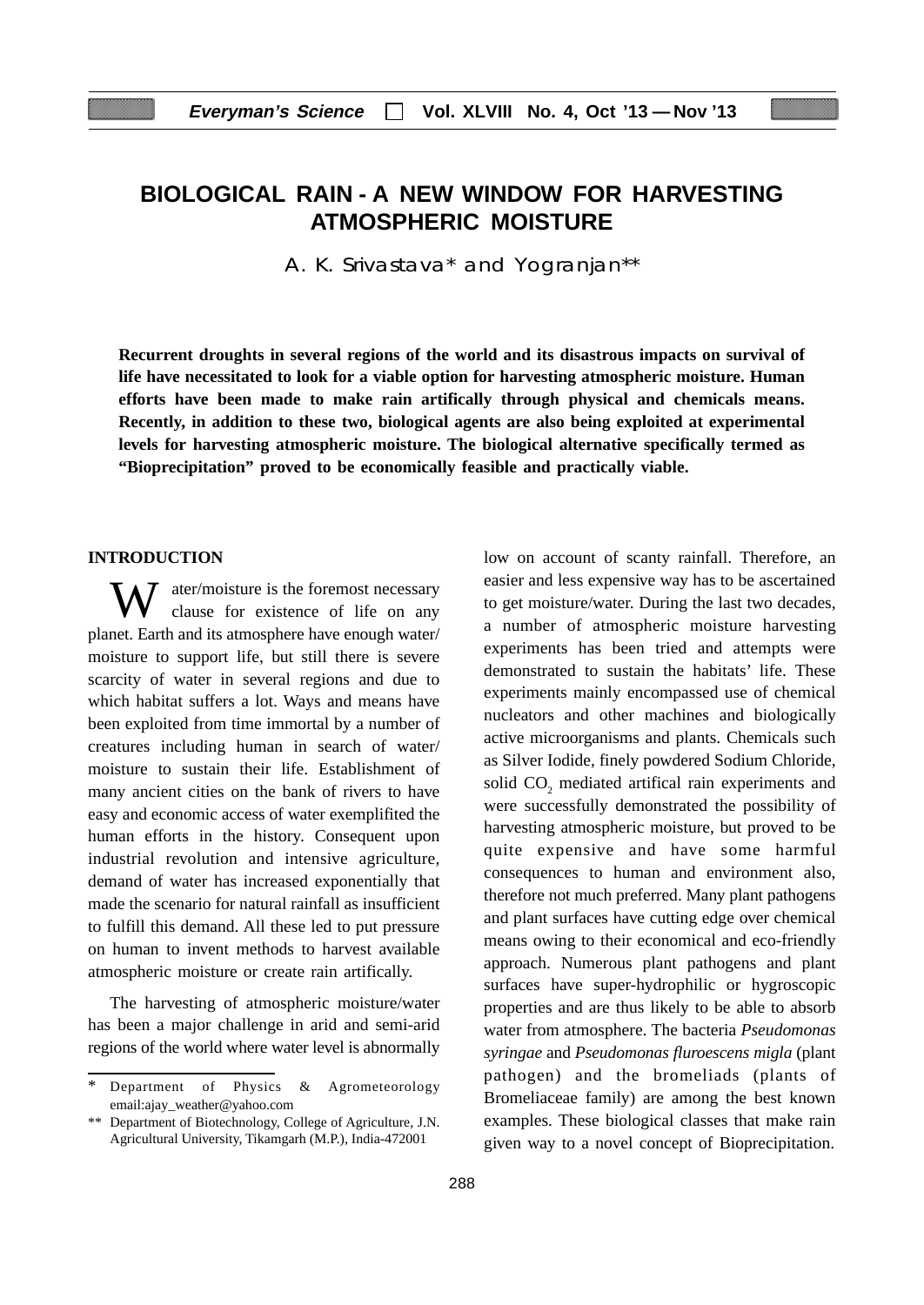# **BIOLOGICAL RAIN - A NEW WINDOW FOR HARVESTING ATMOSPHERIC MOISTURE**

A. K. Srivastava\* and Yogranjan\*\*

**Recurrent droughts in several regions of the world and its disastrous impacts on survival of life have necessitated to look for a viable option for harvesting atmospheric moisture. Human efforts have been made to make rain artifically through physical and chemicals means. Recently, in addition to these two, biological agents are also being exploited at experimental levels for harvesting atmospheric moisture. The biological alternative specifically termed as "Bioprecipitation" proved to be economically feasible and practically viable.**

#### **INTRODUCTION**

W ater/moisture is the foremost necessary<br>clause for existence of life on any planet. Earth and its atmosphere have enough water/ moisture to support life, but still there is severe scarcity of water in several regions and due to which habitat suffers a lot. Ways and means have been exploited from time immortal by a number of creatures including human in search of water/ moisture to sustain their life. Establishment of many ancient cities on the bank of rivers to have easy and economic access of water exemplifited the human efforts in the history. Consequent upon industrial revolution and intensive agriculture, demand of water has increased exponentially that made the scenario for natural rainfall as insufficient to fulfill this demand. All these led to put pressure on human to invent methods to harvest available atmospheric moisture or create rain artifically.

The harvesting of atmospheric moisture/water has been a major challenge in arid and semi-arid regions of the world where water level is abnormally low on account of scanty rainfall. Therefore, an easier and less expensive way has to be ascertained to get moisture/water. During the last two decades, a number of atmospheric moisture harvesting experiments has been tried and attempts were demonstrated to sustain the habitats' life. These experiments mainly encompassed use of chemical nucleators and other machines and biologically active microorganisms and plants. Chemicals such as Silver Iodide, finely powdered Sodium Chloride, solid  $CO<sub>2</sub>$  mediated artifical rain experiments and were successfully demonstrated the possibility of harvesting atmospheric moisture, but proved to be quite expensive and have some harmful consequences to human and environment also, therefore not much preferred. Many plant pathogens and plant surfaces have cutting edge over chemical means owing to their economical and eco-friendly approach. Numerous plant pathogens and plant surfaces have super-hydrophilic or hygroscopic properties and are thus likely to be able to absorb water from atmosphere. The bacteria *Pseudomonas syringae* and *Pseudomonas fluroescens migla* (plant pathogen) and the bromeliads (plants of Bromeliaceae family) are among the best known examples. These biological classes that make rain given way to a novel concept of Bioprecipitation.

Department of Physics & Agrometeorology email:ajay\_weather@yahoo.com

<sup>\*\*</sup> Department of Biotechnology, College of Agriculture, J.N. Agricultural University, Tikamgarh (M.P.), India-472001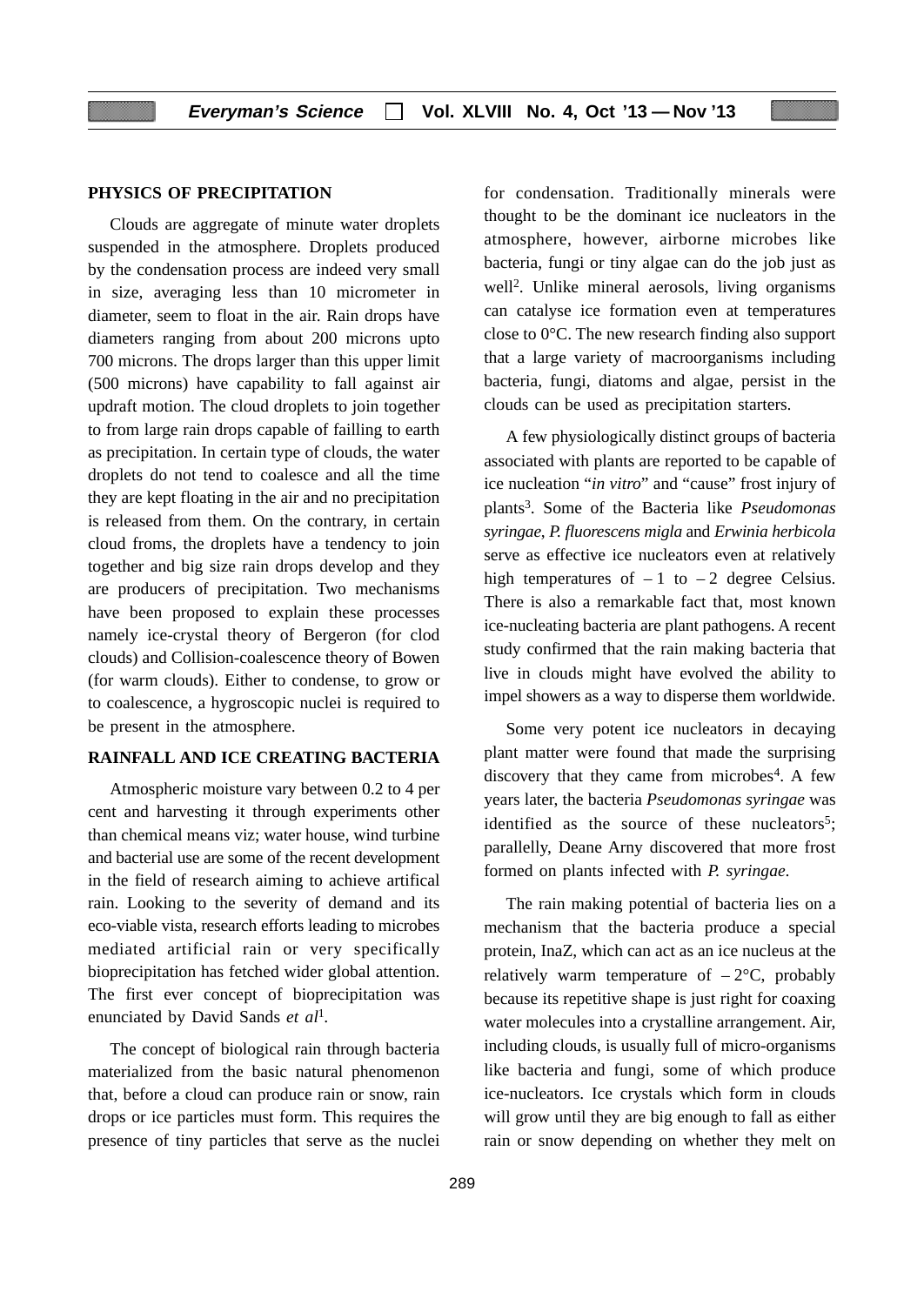### **PHYSICS OF PRECIPITATION**

Clouds are aggregate of minute water droplets suspended in the atmosphere. Droplets produced by the condensation process are indeed very small in size, averaging less than 10 micrometer in diameter, seem to float in the air. Rain drops have diameters ranging from about 200 microns upto 700 microns. The drops larger than this upper limit (500 microns) have capability to fall against air updraft motion. The cloud droplets to join together to from large rain drops capable of failling to earth as precipitation. In certain type of clouds, the water droplets do not tend to coalesce and all the time they are kept floating in the air and no precipitation is released from them. On the contrary, in certain cloud froms, the droplets have a tendency to join together and big size rain drops develop and they are producers of precipitation. Two mechanisms have been proposed to explain these processes namely ice-crystal theory of Bergeron (for clod clouds) and Collision-coalescence theory of Bowen (for warm clouds). Either to condense, to grow or to coalescence, a hygroscopic nuclei is required to be present in the atmosphere.

#### **RAINFALL AND ICE CREATING BACTERIA**

Atmospheric moisture vary between 0.2 to 4 per cent and harvesting it through experiments other than chemical means viz; water house, wind turbine and bacterial use are some of the recent development in the field of research aiming to achieve artifical rain. Looking to the severity of demand and its eco-viable vista, research efforts leading to microbes mediated artificial rain or very specifically bioprecipitation has fetched wider global attention. The first ever concept of bioprecipitation was enunciated by David Sands *et al*<sup>1</sup>*.*

The concept of biological rain through bacteria materialized from the basic natural phenomenon that, before a cloud can produce rain or snow, rain drops or ice particles must form. This requires the presence of tiny particles that serve as the nuclei

for condensation. Traditionally minerals were thought to be the dominant ice nucleators in the atmosphere, however, airborne microbes like bacteria, fungi or tiny algae can do the job just as well2. Unlike mineral aerosols, living organisms can catalyse ice formation even at temperatures close to 0°C. The new research finding also support that a large variety of macroorganisms including bacteria, fungi, diatoms and algae, persist in the clouds can be used as precipitation starters.

A few physiologically distinct groups of bacteria associated with plants are reported to be capable of ice nucleation "*in vitro*" and "cause" frost injury of plants3. Some of the Bacteria like *Pseudomonas syringae*, *P. fluorescens migla* and *Erwinia herbicola* serve as effective ice nucleators even at relatively high temperatures of  $-1$  to  $-2$  degree Celsius. There is also a remarkable fact that, most known ice-nucleating bacteria are plant pathogens. A recent study confirmed that the rain making bacteria that live in clouds might have evolved the ability to impel showers as a way to disperse them worldwide.

Some very potent ice nucleators in decaying plant matter were found that made the surprising discovery that they came from microbes<sup>4</sup>. A few years later, the bacteria *Pseudomonas syringae* was identified as the source of these nucleators<sup>5</sup>; parallelly, Deane Arny discovered that more frost formed on plants infected with *P. syringae*.

The rain making potential of bacteria lies on a mechanism that the bacteria produce a special protein, InaZ, which can act as an ice nucleus at the relatively warm temperature of  $-2$ °C, probably because its repetitive shape is just right for coaxing water molecules into a crystalline arrangement. Air, including clouds, is usually full of micro-organisms like bacteria and fungi, some of which produce ice-nucleators. Ice crystals which form in clouds will grow until they are big enough to fall as either rain or snow depending on whether they melt on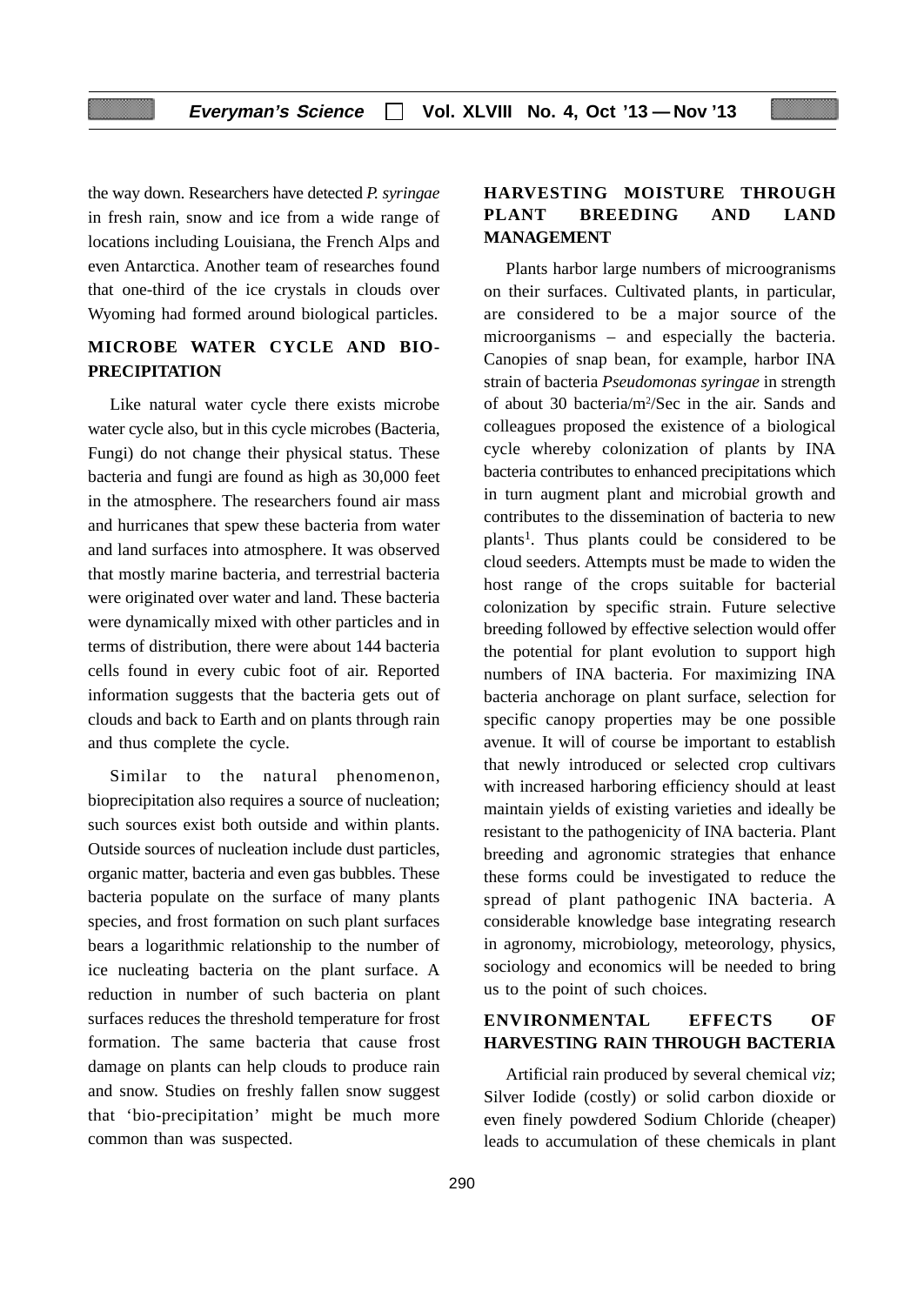the way down. Researchers have detected *P. syringae* in fresh rain, snow and ice from a wide range of locations including Louisiana, the French Alps and even Antarctica. Another team of researches found that one-third of the ice crystals in clouds over Wyoming had formed around biological particles.

# **MICROBE WATER CYCLE AND BIO-PRECIPITATION**

Like natural water cycle there exists microbe water cycle also, but in this cycle microbes (Bacteria, Fungi) do not change their physical status. These bacteria and fungi are found as high as 30,000 feet in the atmosphere. The researchers found air mass and hurricanes that spew these bacteria from water and land surfaces into atmosphere. It was observed that mostly marine bacteria, and terrestrial bacteria were originated over water and land. These bacteria were dynamically mixed with other particles and in terms of distribution, there were about 144 bacteria cells found in every cubic foot of air. Reported information suggests that the bacteria gets out of clouds and back to Earth and on plants through rain and thus complete the cycle.

Similar to the natural phenomenon, bioprecipitation also requires a source of nucleation; such sources exist both outside and within plants. Outside sources of nucleation include dust particles, organic matter, bacteria and even gas bubbles. These bacteria populate on the surface of many plants species, and frost formation on such plant surfaces bears a logarithmic relationship to the number of ice nucleating bacteria on the plant surface. A reduction in number of such bacteria on plant surfaces reduces the threshold temperature for frost formation. The same bacteria that cause frost damage on plants can help clouds to produce rain and snow. Studies on freshly fallen snow suggest that 'bio-precipitation' might be much more common than was suspected.

# **HARVESTING MOISTURE THROUGH PLANT BREEDING AND LAND MANAGEMENT**

Plants harbor large numbers of microogranisms on their surfaces. Cultivated plants, in particular, are considered to be a major source of the microorganisms – and especially the bacteria. Canopies of snap bean, for example, harbor INA strain of bacteria *Pseudomonas syringae* in strength of about 30 bacteria/m<sup>2</sup>/Sec in the air. Sands and colleagues proposed the existence of a biological cycle whereby colonization of plants by INA bacteria contributes to enhanced precipitations which in turn augment plant and microbial growth and contributes to the dissemination of bacteria to new plants<sup>1</sup>. Thus plants could be considered to be cloud seeders. Attempts must be made to widen the host range of the crops suitable for bacterial colonization by specific strain. Future selective breeding followed by effective selection would offer the potential for plant evolution to support high numbers of INA bacteria. For maximizing INA bacteria anchorage on plant surface, selection for specific canopy properties may be one possible avenue. It will of course be important to establish that newly introduced or selected crop cultivars with increased harboring efficiency should at least maintain yields of existing varieties and ideally be resistant to the pathogenicity of INA bacteria. Plant breeding and agronomic strategies that enhance these forms could be investigated to reduce the spread of plant pathogenic INA bacteria. A considerable knowledge base integrating research in agronomy, microbiology, meteorology, physics, sociology and economics will be needed to bring us to the point of such choices.

# **ENVIRONMENTAL EFFECTS OF HARVESTING RAIN THROUGH BACTERIA**

Artificial rain produced by several chemical *viz*; Silver Iodide (costly) or solid carbon dioxide or even finely powdered Sodium Chloride (cheaper) leads to accumulation of these chemicals in plant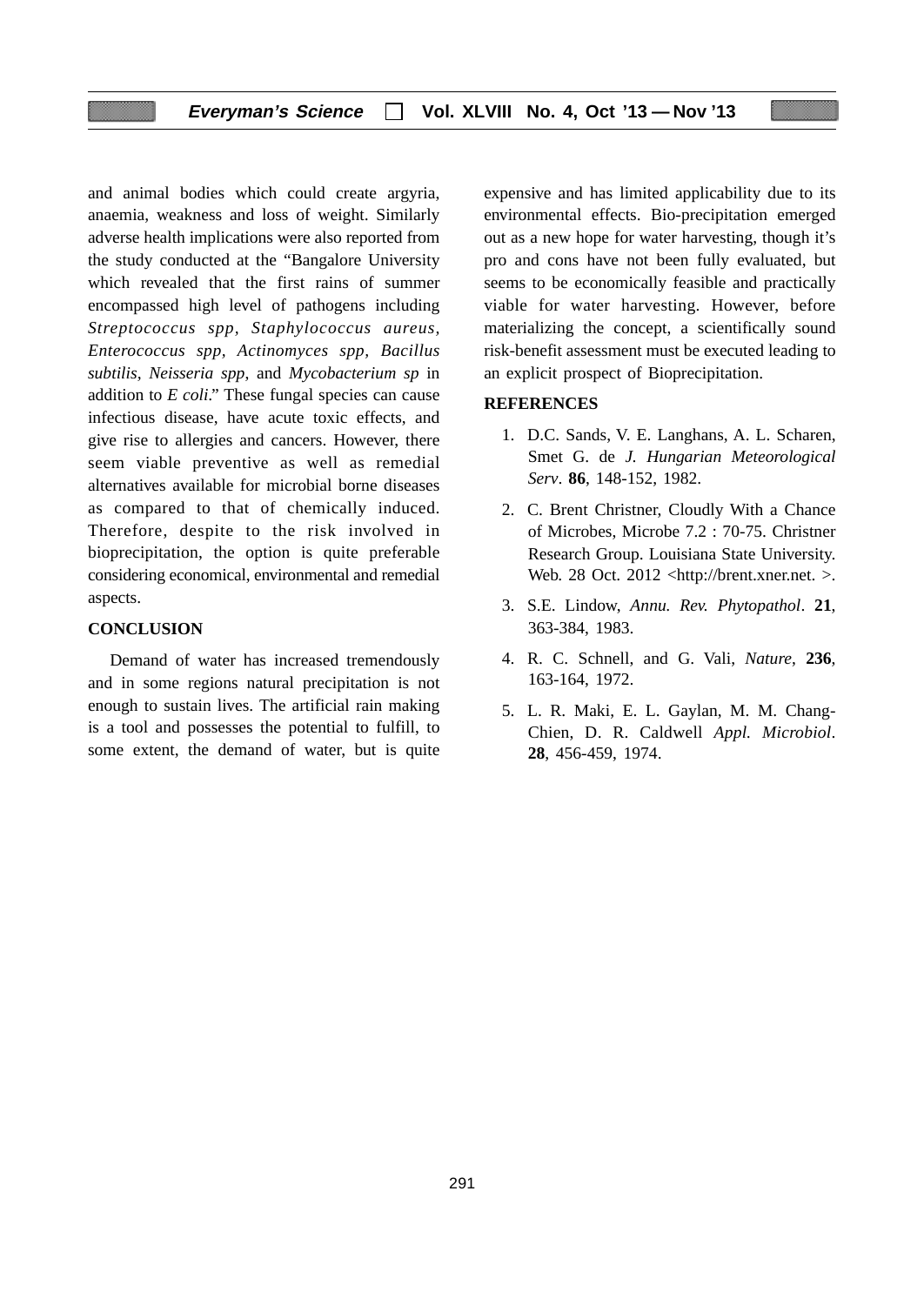and animal bodies which could create argyria, anaemia, weakness and loss of weight. Similarly adverse health implications were also reported from the study conducted at the "Bangalore University which revealed that the first rains of summer encompassed high level of pathogens including *Streptococcus spp, Staphylococcus aureus, Enterococcus spp, Actinomyces spp, Bacillus subtilis, Neisseria spp*, and *Mycobacterium sp* in addition to *E coli*." These fungal species can cause infectious disease, have acute toxic effects, and give rise to allergies and cancers. However, there seem viable preventive as well as remedial alternatives available for microbial borne diseases as compared to that of chemically induced. Therefore, despite to the risk involved in bioprecipitation, the option is quite preferable considering economical, environmental and remedial aspects.

### **CONCLUSION**

Demand of water has increased tremendously and in some regions natural precipitation is not enough to sustain lives. The artificial rain making is a tool and possesses the potential to fulfill, to some extent, the demand of water, but is quite expensive and has limited applicability due to its environmental effects. Bio-precipitation emerged out as a new hope for water harvesting, though it's pro and cons have not been fully evaluated, but seems to be economically feasible and practically viable for water harvesting. However, before materializing the concept, a scientifically sound risk-benefit assessment must be executed leading to an explicit prospect of Bioprecipitation.

### **REFERENCES**

- 1. D.C. Sands, V. E. Langhans, A. L. Scharen, Smet G. de *J. Hungarian Meteorological Serv*. **86**, 148-152, 1982.
- 2. C. Brent Christner, Cloudly With a Chance of Microbes, Microbe 7.2 : 70-75. Christner Research Group. Louisiana State University. Web. 28 Oct. 2012 <http://brent.xner.net. >.
- 3. S.E. Lindow, *Annu. Rev. Phytopathol*. **21**, 363-384, 1983.
- 4. R. C. Schnell, and G. Vali, *Nature*, **236**, 163-164, 1972.
- 5. L. R. Maki, E. L. Gaylan, M. M. Chang-Chien, D. R. Caldwell *Appl. Microbiol*. **28**, 456-459, 1974.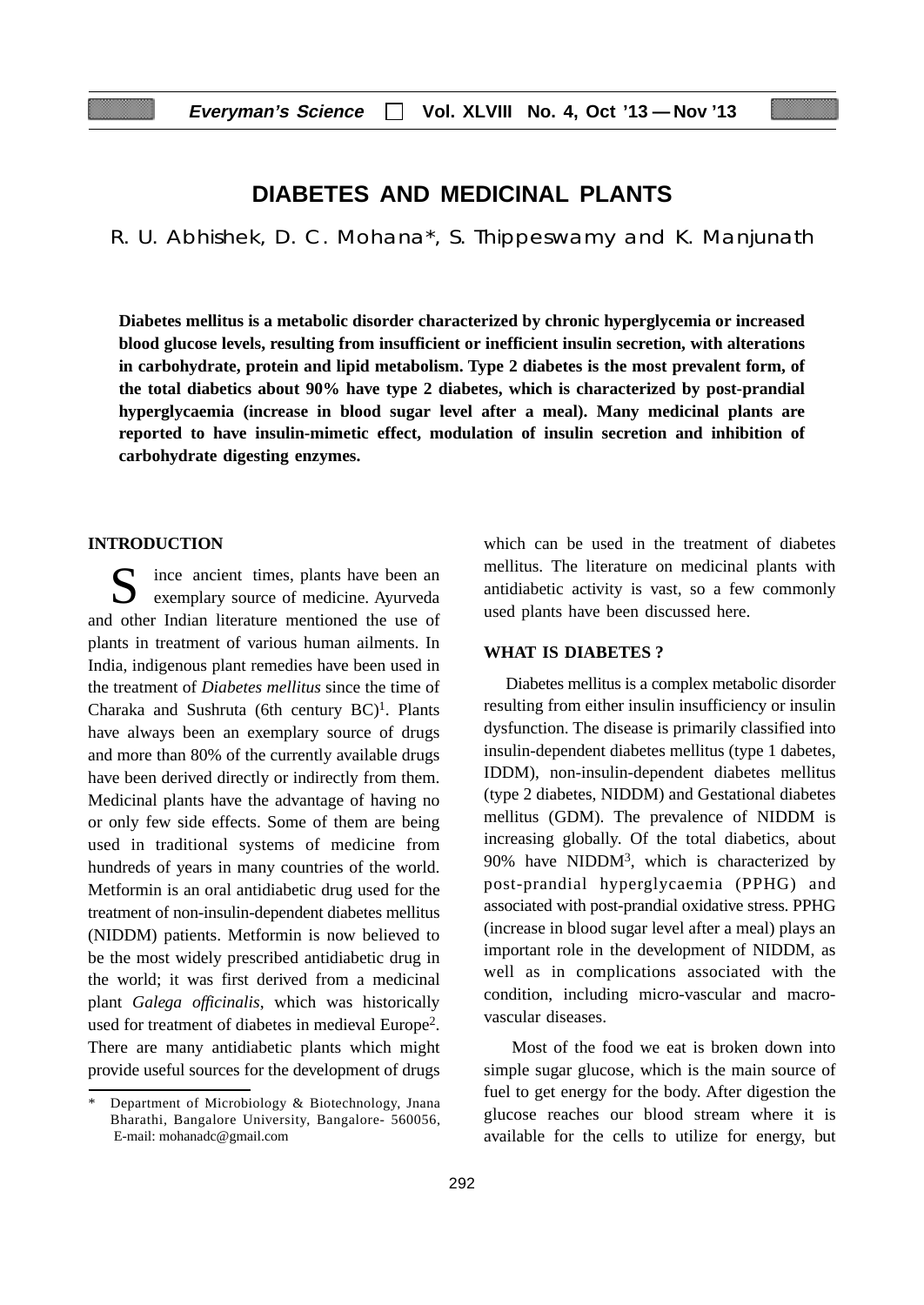# **DIABETES AND MEDICINAL PLANTS**

R. U. Abhishek, D. C. Mohana\*, S. Thippeswamy and K. Manjunath

**Diabetes mellitus is a metabolic disorder characterized by chronic hyperglycemia or increased blood glucose levels, resulting from insufficient or inefficient insulin secretion, with alterations in carbohydrate, protein and lipid metabolism. Type 2 diabetes is the most prevalent form, of the total diabetics about 90% have type 2 diabetes, which is characterized by post-prandial hyperglycaemia (increase in blood sugar level after a meal). Many medicinal plants are reported to have insulin-mimetic effect, modulation of insulin secretion and inhibition of carbohydrate digesting enzymes.**

#### **INTRODUCTION**

ince ancient times, plants have been an exemplary source of medicine. Ayurveda and other Indian literature mentioned the use of plants in treatment of various human ailments. In India, indigenous plant remedies have been used in the treatment of *Diabetes mellitus* since the time of Charaka and Sushruta (6th century  $BC)^1$ . Plants have always been an exemplary source of drugs and more than 80% of the currently available drugs have been derived directly or indirectly from them. Medicinal plants have the advantage of having no or only few side effects. Some of them are being used in traditional systems of medicine from hundreds of years in many countries of the world. Metformin is an oral antidiabetic drug used for the treatment of non-insulin-dependent diabetes mellitus (NIDDM) patients. Metformin is now believed to be the most widely prescribed antidiabetic drug in the world; it was first derived from a medicinal plant *Galega officinalis*, which was historically used for treatment of diabetes in medieval Europe2. There are many antidiabetic plants which might provide useful sources for the development of drugs

which can be used in the treatment of diabetes mellitus. The literature on medicinal plants with antidiabetic activity is vast, so a few commonly used plants have been discussed here.

#### **WHAT IS DIABETES ?**

Diabetes mellitus is a complex metabolic disorder resulting from either insulin insufficiency or insulin dysfunction. The disease is primarily classified into insulin-dependent diabetes mellitus (type 1 dabetes, IDDM), non-insulin-dependent diabetes mellitus (type 2 diabetes, NIDDM) and Gestational diabetes mellitus (GDM). The prevalence of NIDDM is increasing globally. Of the total diabetics, about 90% have NIDD $M<sup>3</sup>$ , which is characterized by post-prandial hyperglycaemia (PPHG) and associated with post-prandial oxidative stress. PPHG (increase in blood sugar level after a meal) plays an important role in the development of NIDDM, as well as in complications associated with the condition, including micro-vascular and macrovascular diseases.

Most of the food we eat is broken down into simple sugar glucose, which is the main source of fuel to get energy for the body. After digestion the glucose reaches our blood stream where it is available for the cells to utilize for energy, but

Department of Microbiology & Biotechnology, Jnana Bharathi, Bangalore University, Bangalore- 560056, E-mail: mohanadc@gmail.com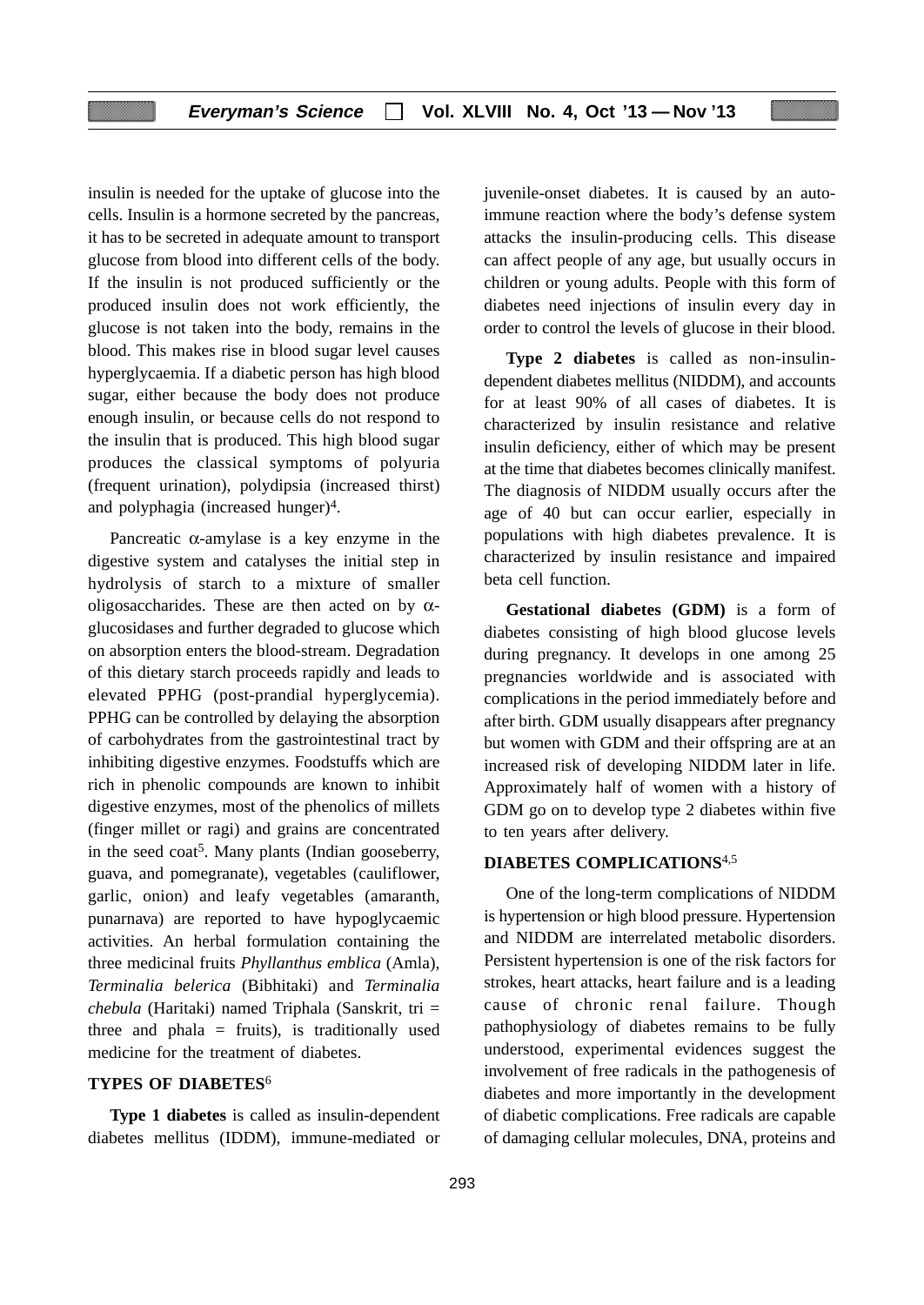insulin is needed for the uptake of glucose into the cells. Insulin is a hormone secreted by the pancreas, it has to be secreted in adequate amount to transport glucose from blood into different cells of the body. If the insulin is not produced sufficiently or the produced insulin does not work efficiently, the glucose is not taken into the body, remains in the blood. This makes rise in blood sugar level causes hyperglycaemia. If a diabetic person has high blood sugar, either because the body does not produce enough insulin, or because cells do not respond to the insulin that is produced. This high blood sugar produces the classical symptoms of polyuria (frequent urination), polydipsia (increased thirst) and polyphagia (increased hunger)4.

Pancreatic  $\alpha$ -amylase is a key enzyme in the digestive system and catalyses the initial step in hydrolysis of starch to a mixture of smaller oligosaccharides. These are then acted on by  $\alpha$ glucosidases and further degraded to glucose which on absorption enters the blood-stream. Degradation of this dietary starch proceeds rapidly and leads to elevated PPHG (post-prandial hyperglycemia). PPHG can be controlled by delaying the absorption of carbohydrates from the gastrointestinal tract by inhibiting digestive enzymes. Foodstuffs which are rich in phenolic compounds are known to inhibit digestive enzymes, most of the phenolics of millets (finger millet or ragi) and grains are concentrated in the seed coat<sup>5</sup>. Many plants (Indian gooseberry, guava, and pomegranate), vegetables (cauliflower, garlic, onion) and leafy vegetables (amaranth, punarnava) are reported to have hypoglycaemic activities. An herbal formulation containing the three medicinal fruits *Phyllanthus emblica* (Amla), *Terminalia belerica* (Bibhitaki) and *Terminalia chebula* (Haritaki) named Triphala (Sanskrit, tri = three and phala  $=$  fruits), is traditionally used medicine for the treatment of diabetes.

### **TYPES OF DIABETES**<sup>6</sup>

**Type 1 diabetes** is called as insulin-dependent diabetes mellitus (IDDM), immune-mediated or

juvenile-onset diabetes. It is caused by an autoimmune reaction where the body's defense system attacks the insulin-producing cells. This disease can affect people of any age, but usually occurs in children or young adults. People with this form of diabetes need injections of insulin every day in order to control the levels of glucose in their blood.

**Type 2 diabetes** is called as non-insulindependent diabetes mellitus (NIDDM), and accounts for at least 90% of all cases of diabetes. It is characterized by insulin resistance and relative insulin deficiency, either of which may be present at the time that diabetes becomes clinically manifest. The diagnosis of NIDDM usually occurs after the age of 40 but can occur earlier, especially in populations with high diabetes prevalence. It is characterized by insulin resistance and impaired beta cell function.

**Gestational diabetes (GDM)** is a form of diabetes consisting of high blood glucose levels during pregnancy. It develops in one among 25 pregnancies worldwide and is associated with complications in the period immediately before and after birth. GDM usually disappears after pregnancy but women with GDM and their offspring are at an increased risk of developing NIDDM later in life. Approximately half of women with a history of GDM go on to develop type 2 diabetes within five to ten years after delivery.

## **DIABETES COMPLICATIONS**4,5

One of the long-term complications of NIDDM is hypertension or high blood pressure. Hypertension and NIDDM are interrelated metabolic disorders. Persistent hypertension is one of the risk factors for strokes, heart attacks, heart failure and is a leading cause of chronic renal failure. Though pathophysiology of diabetes remains to be fully understood, experimental evidences suggest the involvement of free radicals in the pathogenesis of diabetes and more importantly in the development of diabetic complications. Free radicals are capable of damaging cellular molecules, DNA, proteins and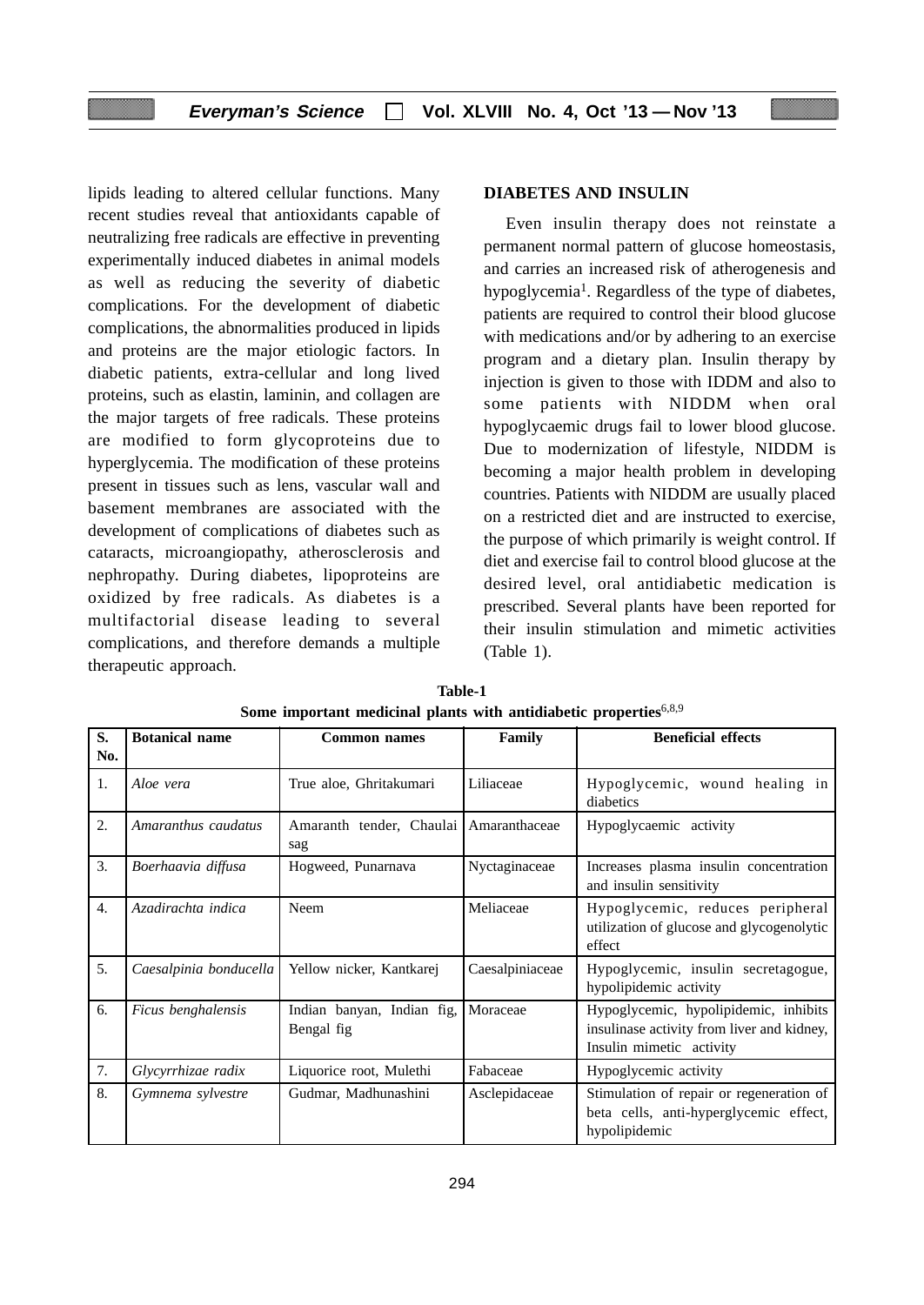lipids leading to altered cellular functions. Many recent studies reveal that antioxidants capable of neutralizing free radicals are effective in preventing experimentally induced diabetes in animal models as well as reducing the severity of diabetic complications. For the development of diabetic complications, the abnormalities produced in lipids and proteins are the major etiologic factors. In diabetic patients, extra-cellular and long lived proteins, such as elastin, laminin, and collagen are the major targets of free radicals. These proteins are modified to form glycoproteins due to hyperglycemia. The modification of these proteins present in tissues such as lens, vascular wall and basement membranes are associated with the development of complications of diabetes such as cataracts, microangiopathy, atherosclerosis and nephropathy. During diabetes, lipoproteins are oxidized by free radicals. As diabetes is a multifactorial disease leading to several complications, and therefore demands a multiple therapeutic approach.

## **DIABETES AND INSULIN**

Even insulin therapy does not reinstate a permanent normal pattern of glucose homeostasis, and carries an increased risk of atherogenesis and hypoglycemia<sup>1</sup>. Regardless of the type of diabetes, patients are required to control their blood glucose with medications and/or by adhering to an exercise program and a dietary plan. Insulin therapy by injection is given to those with IDDM and also to some patients with NIDDM when oral hypoglycaemic drugs fail to lower blood glucose. Due to modernization of lifestyle, NIDDM is becoming a major health problem in developing countries. Patients with NIDDM are usually placed on a restricted diet and are instructed to exercise, the purpose of which primarily is weight control. If diet and exercise fail to control blood glucose at the desired level, oral antidiabetic medication is prescribed. Several plants have been reported for their insulin stimulation and mimetic activities (Table 1).

| S.<br>No. | <b>Botanical name</b>  | <b>Common names</b>                             | Family          | <b>Beneficial effects</b>                                                                                       |
|-----------|------------------------|-------------------------------------------------|-----------------|-----------------------------------------------------------------------------------------------------------------|
| 1.        | Aloe vera              | True aloe, Ghritakumari                         | Liliaceae       | Hypoglycemic, wound healing in<br>diabetics                                                                     |
| 2.        | Amaranthus caudatus    | Amaranth tender, Chaulai   Amaranthaceae<br>sag |                 | Hypoglycaemic activity                                                                                          |
| 3.        | Boerhaavia diffusa     | Hogweed, Punarnava                              | Nyctaginaceae   | Increases plasma insulin concentration<br>and insulin sensitivity                                               |
| 4.        | Azadirachta indica     | Neem                                            | Meliaceae       | Hypoglycemic, reduces peripheral<br>utilization of glucose and glycogenolytic<br>effect                         |
| 5.        | Caesalpinia bonducella | Yellow nicker, Kantkarej                        | Caesalpiniaceae | Hypoglycemic, insulin secretagogue,<br>hypolipidemic activity                                                   |
| 6.        | Ficus benghalensis     | Indian banyan, Indian fig,<br>Bengal fig        | Moraceae        | Hypoglycemic, hypolipidemic, inhibits<br>insulinase activity from liver and kidney,<br>Insulin mimetic activity |
| 7.        | Glycyrrhizae radix     | Liquorice root, Mulethi                         | Fabaceae        | Hypoglycemic activity                                                                                           |
| 8.        | Gymnema sylvestre      | Gudmar, Madhunashini                            | Asclepidaceae   | Stimulation of repair or regeneration of<br>beta cells, anti-hyperglycemic effect,<br>hypolipidemic             |

**Table-1 Some important medicinal plants with antidiabetic properties**6,8,9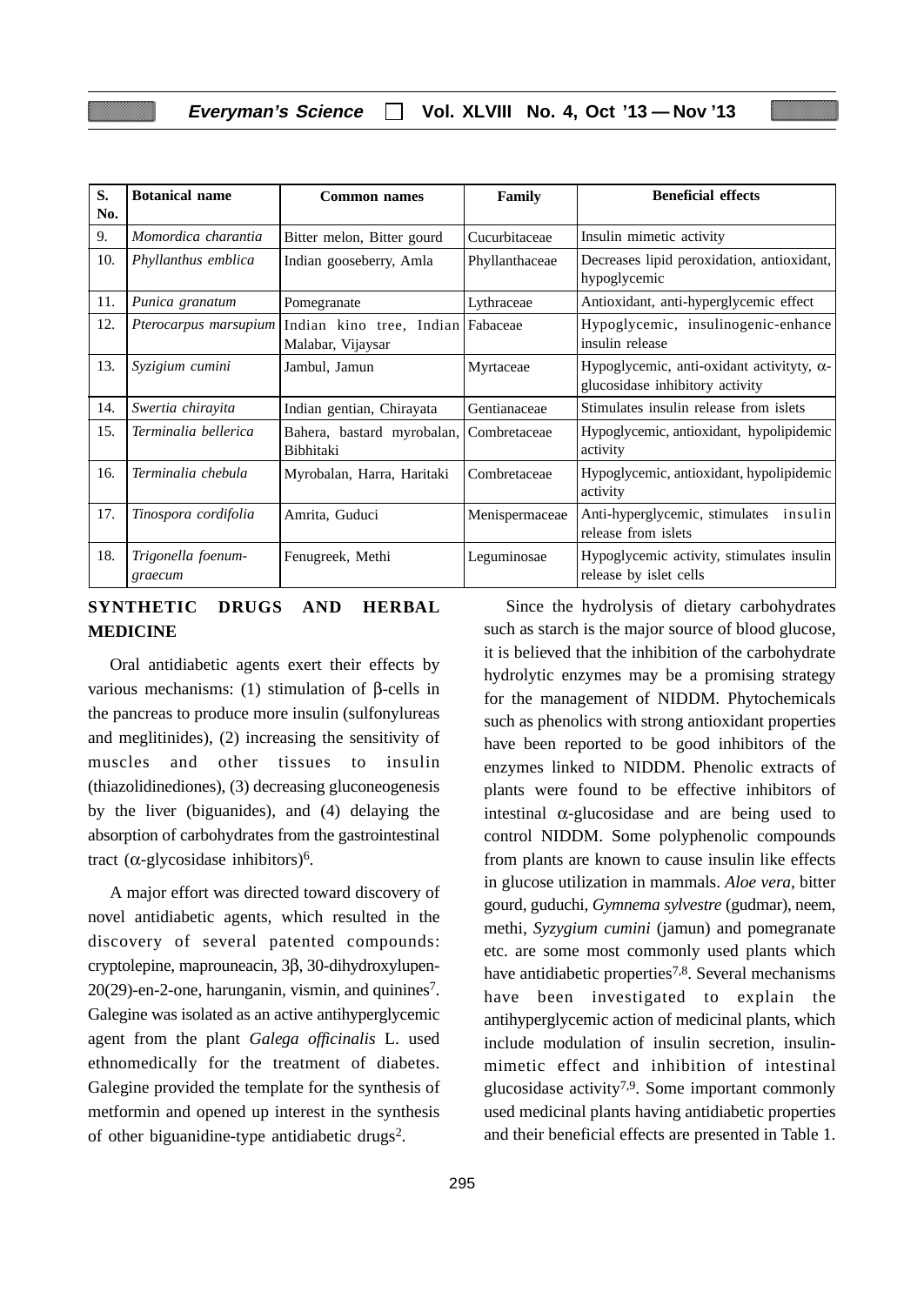| S.<br>No. | <b>Botanical name</b>         | <b>Common names</b>                                    | Family         | <b>Beneficial effects</b>                                                            |
|-----------|-------------------------------|--------------------------------------------------------|----------------|--------------------------------------------------------------------------------------|
| 9.        | Momordica charantia           | Bitter melon, Bitter gourd                             | Cucurbitaceae  | Insulin mimetic activity                                                             |
| 10.       | Phyllanthus emblica           | Indian gooseberry, Amla                                | Phyllanthaceae | Decreases lipid peroxidation, antioxidant,<br>hypoglycemic                           |
| 11.       | Punica granatum               | Pomegranate                                            | Lythraceae     | Antioxidant, anti-hyperglycemic effect                                               |
| 12.       | Pterocarpus marsupium         | Indian kino tree, Indian Fabaceae<br>Malabar, Vijaysar |                | Hypoglycemic, insulinogenic-enhance<br>insulin release                               |
| 13.       | Syzigium cumini               | Jambul, Jamun                                          | Myrtaceae      | Hypoglycemic, anti-oxidant activityty, $\alpha$ -<br>glucosidase inhibitory activity |
| 14.       | Swertia chirayita             | Indian gentian, Chirayata                              | Gentianaceae   | Stimulates insulin release from islets                                               |
| 15.       | Terminalia bellerica          | Bahera, bastard myrobalan,<br>Bibhitaki                | Combretaceae   | Hypoglycemic, antioxidant, hypolipidemic<br>activity                                 |
| 16.       | Terminalia chebula            | Myrobalan, Harra, Haritaki                             | Combretaceae   | Hypoglycemic, antioxidant, hypolipidemic<br>activity                                 |
| 17.       | Tinospora cordifolia          | Amrita, Guduci                                         | Menispermaceae | Anti-hyperglycemic, stimulates<br>insulin<br>release from islets                     |
| 18.       | Trigonella foenum-<br>graecum | Fenugreek, Methi                                       | Leguminosae    | Hypoglycemic activity, stimulates insulin<br>release by islet cells                  |

# **SYNTHETIC DRUGS AND HERBAL MEDICINE**

Oral antidiabetic agents exert their effects by various mechanisms: (1) stimulation of β-cells in the pancreas to produce more insulin (sulfonylureas and meglitinides), (2) increasing the sensitivity of muscles and other tissues to insulin (thiazolidinediones), (3) decreasing gluconeogenesis by the liver (biguanides), and (4) delaying the absorption of carbohydrates from the gastrointestinal tract  $(\alpha$ -glycosidase inhibitors)<sup>6</sup>.

A major effort was directed toward discovery of novel antidiabetic agents, which resulted in the discovery of several patented compounds: cryptolepine, maprouneacin, 3β, 30-dihydroxylupen- $20(29)$ -en-2-one, harunganin, vismin, and quinines<sup>7</sup>. Galegine was isolated as an active antihyperglycemic agent from the plant *Galega officinalis* L. used ethnomedically for the treatment of diabetes. Galegine provided the template for the synthesis of metformin and opened up interest in the synthesis of other biguanidine-type antidiabetic drugs2.

such as starch is the major source of blood glucose, it is believed that the inhibition of the carbohydrate hydrolytic enzymes may be a promising strategy for the management of NIDDM. Phytochemicals such as phenolics with strong antioxidant properties have been reported to be good inhibitors of the enzymes linked to NIDDM. Phenolic extracts of plants were found to be effective inhibitors of intestinal  $\alpha$ -glucosidase and are being used to control NIDDM. Some polyphenolic compounds from plants are known to cause insulin like effects in glucose utilization in mammals. *Aloe vera*, bitter gourd, guduchi, *Gymnema sylvestre* (gudmar), neem, methi, *Syzygium cumini* (jamun) and pomegranate etc. are some most commonly used plants which have antidiabetic properties<sup>7,8</sup>. Several mechanisms have been investigated to explain the antihyperglycemic action of medicinal plants, which include modulation of insulin secretion, insulinmimetic effect and inhibition of intestinal glucosidase activity<sup>7,9</sup>. Some important commonly used medicinal plants having antidiabetic properties and their beneficial effects are presented in Table 1.

Since the hydrolysis of dietary carbohydrates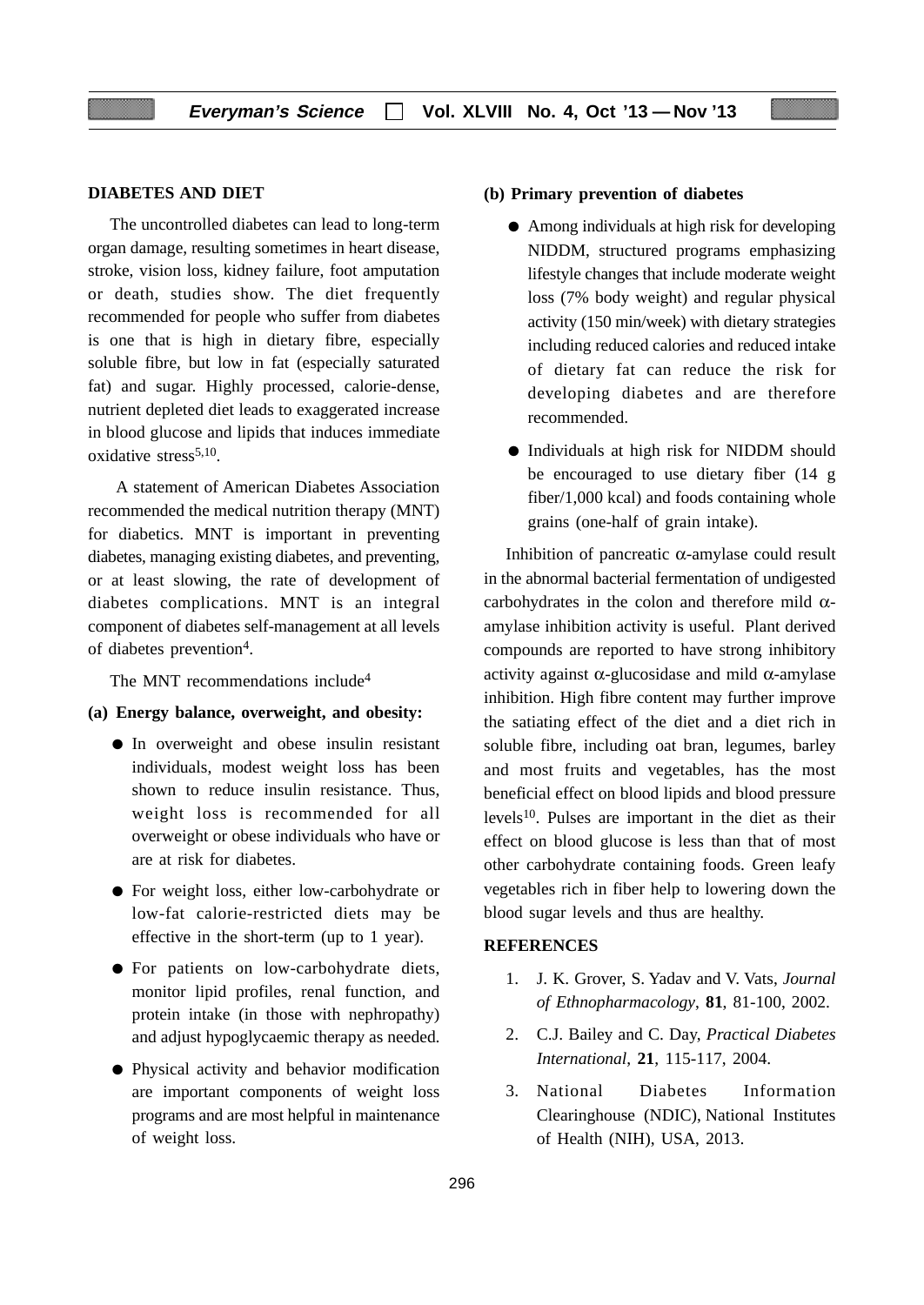### **DIABETES AND DIET**

The uncontrolled diabetes can lead to long-term organ damage, resulting sometimes in heart disease, stroke, vision loss, kidney failure, foot amputation or death, studies show. The diet frequently recommended for people who suffer from diabetes is one that is high in dietary fibre, especially soluble fibre, but low in fat (especially saturated fat) and sugar. Highly processed, calorie-dense, nutrient depleted diet leads to exaggerated increase in blood glucose and lipids that induces immediate oxidative stress<sup>5,10</sup>.

A statement of American Diabetes Association recommended the medical nutrition therapy (MNT) for diabetics. MNT is important in preventing diabetes, managing existing diabetes, and preventing, or at least slowing, the rate of development of diabetes complications. MNT is an integral component of diabetes self-management at all levels of diabetes prevention4.

The MNT recommendations include<sup>4</sup>

- **(a) Energy balance, overweight, and obesity:**
	- In overweight and obese insulin resistant individuals, modest weight loss has been shown to reduce insulin resistance. Thus, weight loss is recommended for all overweight or obese individuals who have or are at risk for diabetes.
	- For weight loss, either low-carbohydrate or low-fat calorie-restricted diets may be effective in the short-term (up to 1 year).
	- For patients on low-carbohydrate diets, monitor lipid profiles, renal function, and protein intake (in those with nephropathy) and adjust hypoglycaemic therapy as needed.
	- Physical activity and behavior modification are important components of weight loss programs and are most helpful in maintenance of weight loss.

#### **(b) Primary prevention of diabetes**

- Among individuals at high risk for developing NIDDM, structured programs emphasizing lifestyle changes that include moderate weight loss (7% body weight) and regular physical activity (150 min/week) with dietary strategies including reduced calories and reduced intake of dietary fat can reduce the risk for developing diabetes and are therefore recommended.
- Individuals at high risk for NIDDM should be encouraged to use dietary fiber (14 g fiber/1,000 kcal) and foods containing whole grains (one-half of grain intake).

Inhibition of pancreatic α-amylase could result in the abnormal bacterial fermentation of undigested carbohydrates in the colon and therefore mild  $\alpha$ amylase inhibition activity is useful. Plant derived compounds are reported to have strong inhibitory activity against  $\alpha$ -glucosidase and mild  $\alpha$ -amylase inhibition. High fibre content may further improve the satiating effect of the diet and a diet rich in soluble fibre, including oat bran, legumes, barley and most fruits and vegetables, has the most beneficial effect on blood lipids and blood pressure levels<sup>10</sup>. Pulses are important in the diet as their effect on blood glucose is less than that of most other carbohydrate containing foods. Green leafy vegetables rich in fiber help to lowering down the blood sugar levels and thus are healthy.

### **REFERENCES**

- 1. J. K. Grover, S. Yadav and V. Vats, *Journal of Ethnopharmacology*, **81**, 81-100, 2002.
- 2. C.J. Bailey and C. Day, *Practical Diabetes International*, **21**, 115-117, 2004.
- 3. National Diabetes Information Clearinghouse (NDIC), National Institutes of Health (NIH), USA, 2013.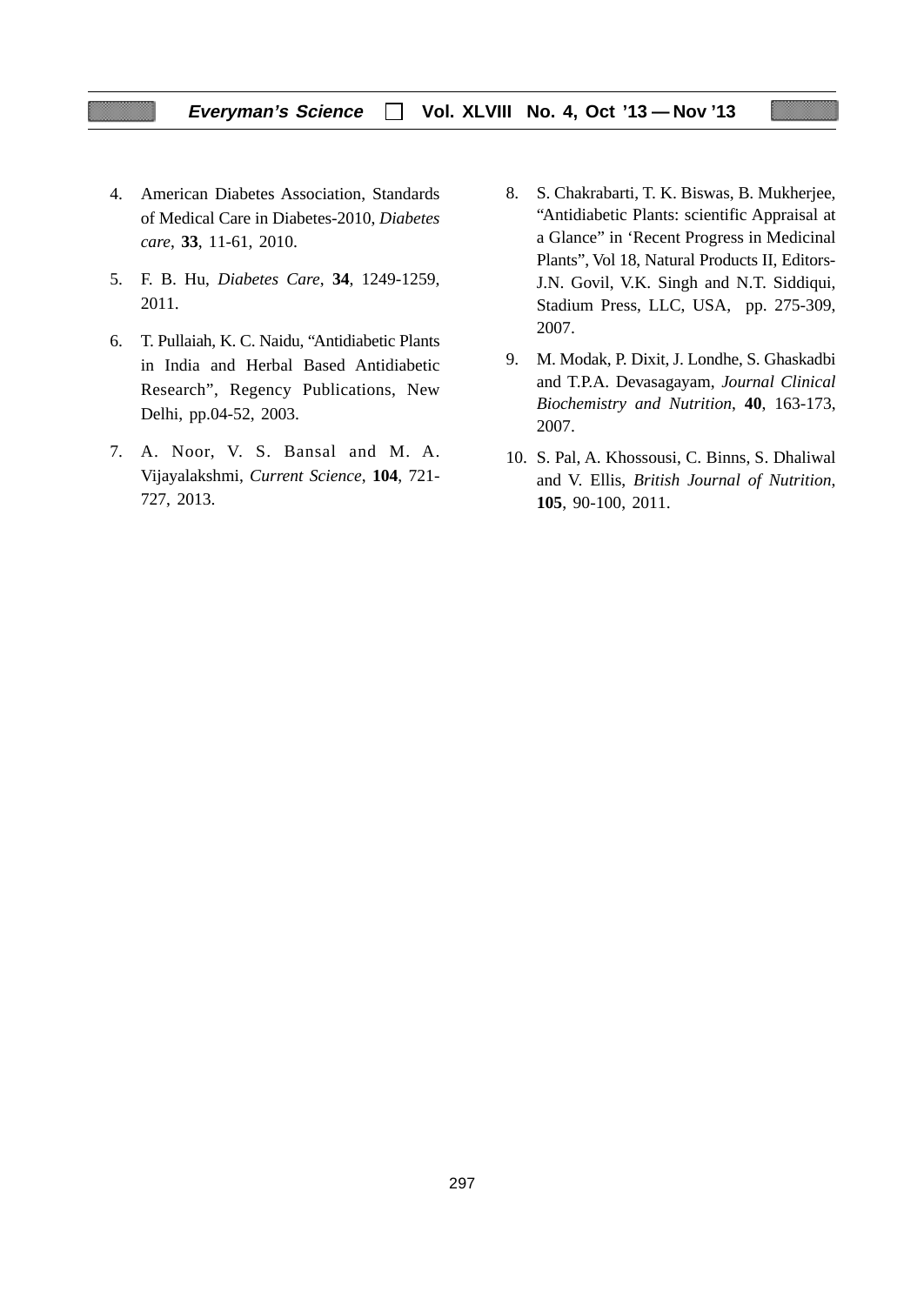- 4. American Diabetes Association, Standards of Medical Care in Diabetes-2010, *Diabetes care*, **33**, 11-61, 2010.
- 5. F. B. Hu, *Diabetes Care*, **34**, 1249-1259, 2011.
- 6. T. Pullaiah, K. C. Naidu, "Antidiabetic Plants in India and Herbal Based Antidiabetic Research", Regency Publications, New Delhi, pp.04-52, 2003.
- 7. A. Noor, V. S. Bansal and M. A. Vijayalakshmi, *Current Science*, **104**, 721- 727, 2013.
- 8. S. Chakrabarti, T. K. Biswas, B. Mukherjee, "Antidiabetic Plants: scientific Appraisal at a Glance" in 'Recent Progress in Medicinal Plants", Vol 18, Natural Products II, Editors-J.N. Govil, V.K. Singh and N.T. Siddiqui, Stadium Press, LLC, USA, pp. 275-309, 2007.
- 9. M. Modak, P. Dixit, J. Londhe, S. Ghaskadbi and T.P.A. Devasagayam, *Journal Clinical Biochemistry and Nutrition*, **40**, 163-173, 2007.
- 10. S. Pal, A. Khossousi, C. Binns, S. Dhaliwal and V. Ellis, *British Journal of Nutrition*, **105**, 90-100, 2011.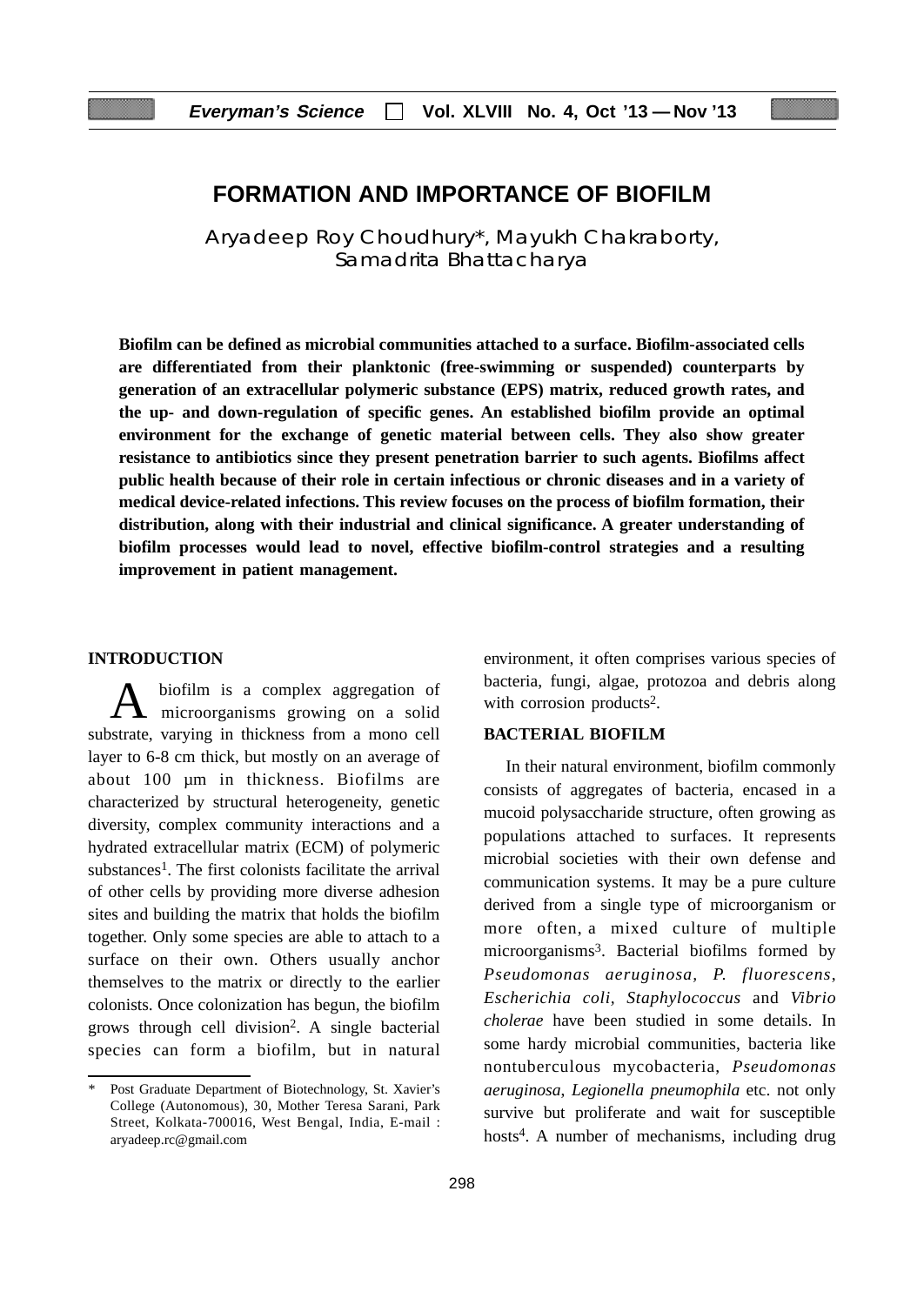# **FORMATION AND IMPORTANCE OF BIOFILM**

Aryadeep Roy Choudhury\*, Mayukh Chakraborty, Samadrita Bhattacharya

**Biofilm can be defined as microbial communities attached to a surface. Biofilm-associated cells are differentiated from their planktonic (free-swimming or suspended) counterparts by generation of an extracellular polymeric substance (EPS) matrix, reduced growth rates, and the up- and down-regulation of specific genes. An established biofilm provide an optimal environment for the exchange of genetic material between cells. They also show greater resistance to antibiotics since they present penetration barrier to such agents. Biofilms affect public health because of their role in certain infectious or chronic diseases and in a variety of medical device-related infections. This review focuses on the process of biofilm formation, their distribution, along with their industrial and clinical significance. A greater understanding of biofilm processes would lead to novel, effective biofilm-control strategies and a resulting improvement in patient management.**

#### **INTRODUCTION**

biofilm is a complex aggregation of microorganisms growing on a solid substrate, varying in thickness from a mono cell layer to 6-8 cm thick, but mostly on an average of about 100 µm in thickness. Biofilms are characterized by structural heterogeneity, genetic diversity, complex community interactions and a hydrated extracellular matrix (ECM) of polymeric substances<sup>1</sup>. The first colonists facilitate the arrival of other cells by providing more diverse adhesion sites and building the matrix that holds the biofilm together. Only some species are able to attach to a surface on their own. Others usually anchor themselves to the matrix or directly to the earlier colonists. Once colonization has begun, the biofilm grows through cell division2. A single bacterial species can form a biofilm, but in natural environment, it often comprises various species of bacteria, fungi, algae, protozoa and debris along with corrosion products<sup>2</sup>.

## **BACTERIAL BIOFILM**

In their natural environment, biofilm commonly consists of aggregates of bacteria, encased in a mucoid polysaccharide structure, often growing as populations attached to surfaces. It represents microbial societies with their own defense and communication systems. It may be a pure culture derived from a single type of microorganism or more often, a mixed culture of multiple microorganisms<sup>3</sup>. Bacterial biofilms formed by *Pseudomonas aeruginosa, P. fluorescens*, *Escherichia coli, Staphylococcus* and *Vibrio cholerae* have been studied in some details. In some hardy microbial communities, bacteria like nontuberculous mycobacteria, *Pseudomonas aeruginosa*, *Legionella pneumophila* etc. not only survive but proliferate and wait for susceptible hosts<sup>4</sup>. A number of mechanisms, including drug

Post Graduate Department of Biotechnology, St. Xavier's College (Autonomous), 30, Mother Teresa Sarani, Park Street, Kolkata-700016, West Bengal, India, E-mail : aryadeep.rc@gmail.com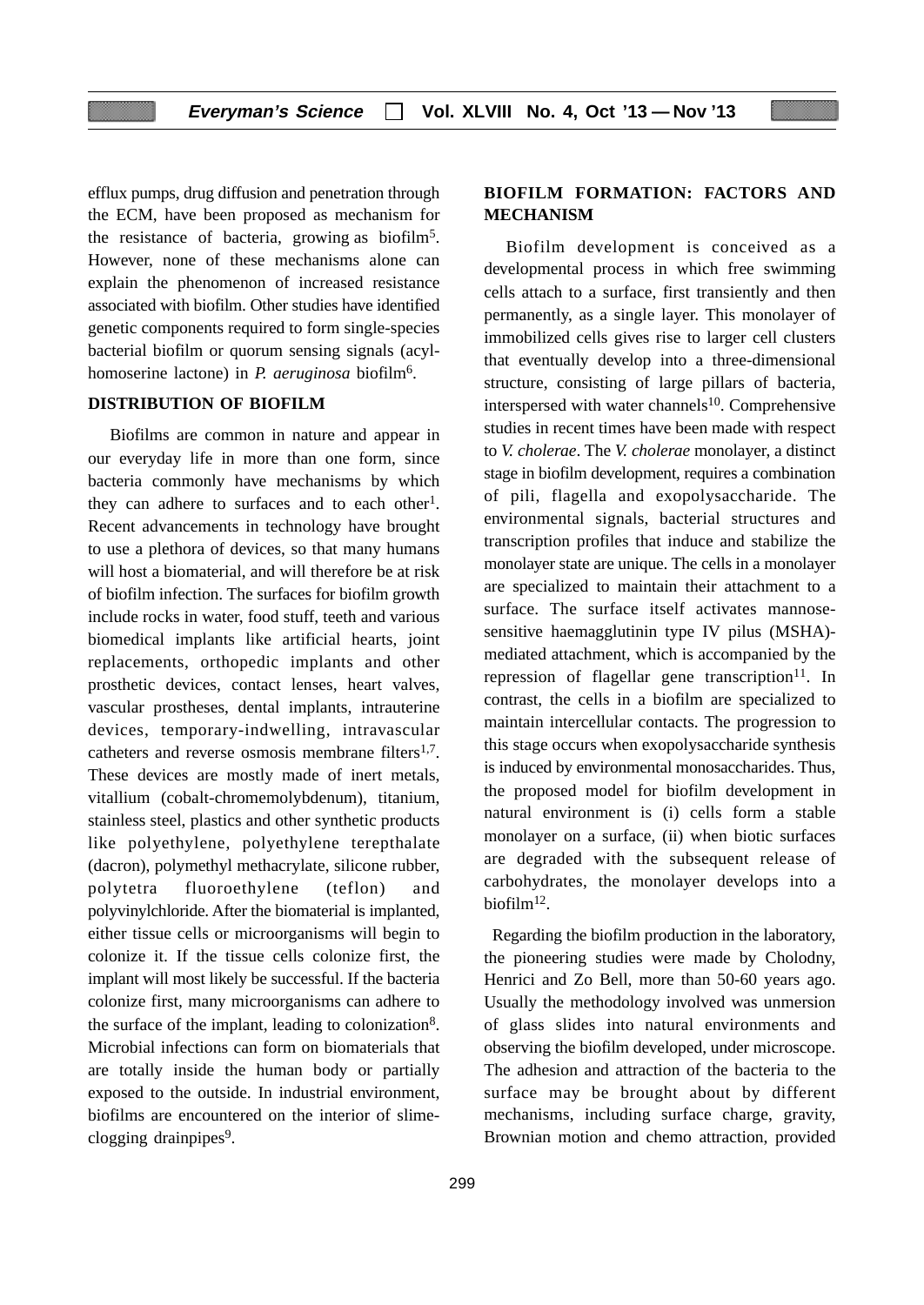efflux pumps, drug diffusion and penetration through the ECM, have been proposed as mechanism for the resistance of bacteria, growing as biofilm5. However, none of these mechanisms alone can explain the phenomenon of increased resistance associated with biofilm. Other studies have identified genetic components required to form single-species bacterial biofilm or quorum sensing signals (acylhomoserine lactone) in *P. aeruginosa* biofilm6.

## **DISTRIBUTION OF BIOFILM**

Biofilms are common in nature and appear in our everyday life in more than one form, since bacteria commonly have mechanisms by which they can adhere to surfaces and to each other<sup>1</sup>. Recent advancements in technology have brought to use a plethora of devices, so that many humans will host a biomaterial, and will therefore be at risk of biofilm infection. The surfaces for biofilm growth include rocks in water, food stuff, teeth and various biomedical implants like artificial hearts, joint replacements, orthopedic implants and other prosthetic devices, contact lenses, heart valves, vascular prostheses, dental implants, intrauterine devices, temporary-indwelling, intravascular catheters and reverse osmosis membrane filters $1.7$ . These devices are mostly made of inert metals, vitallium (cobalt-chromemolybdenum), titanium, stainless steel, plastics and other synthetic products like polyethylene, polyethylene terepthalate (dacron), polymethyl methacrylate, silicone rubber, polytetra fluoroethylene (teflon) and polyvinylchloride. After the biomaterial is implanted, either tissue cells or microorganisms will begin to colonize it. If the tissue cells colonize first, the implant will most likely be successful. If the bacteria colonize first, many microorganisms can adhere to the surface of the implant, leading to colonization8. Microbial infections can form on biomaterials that are totally inside the human body or partially exposed to the outside. In industrial environment, biofilms are encountered on the interior of slimeclogging drainpipes<sup>9</sup>.

# **BIOFILM FORMATION: FACTORS AND MECHANISM**

Biofilm development is conceived as a developmental process in which free swimming cells attach to a surface, first transiently and then permanently, as a single layer. This monolayer of immobilized cells gives rise to larger cell clusters that eventually develop into a three-dimensional structure, consisting of large pillars of bacteria, interspersed with water channels<sup>10</sup>. Comprehensive studies in recent times have been made with respect to *V. cholerae*. The *V. cholerae* monolayer, a distinct stage in biofilm development, requires a combination of pili, flagella and exopolysaccharide. The environmental signals, bacterial structures and transcription profiles that induce and stabilize the monolayer state are unique. The cells in a monolayer are specialized to maintain their attachment to a surface. The surface itself activates mannosesensitive haemagglutinin type IV pilus (MSHA) mediated attachment, which is accompanied by the repression of flagellar gene transcription $11$ . In contrast, the cells in a biofilm are specialized to maintain intercellular contacts. The progression to this stage occurs when exopolysaccharide synthesis is induced by environmental monosaccharides. Thus, the proposed model for biofilm development in natural environment is (i) cells form a stable monolayer on a surface, (ii) when biotic surfaces are degraded with the subsequent release of carbohydrates, the monolayer develops into a biofilm<sup>12</sup>.

 Regarding the biofilm production in the laboratory, the pioneering studies were made by Cholodny, Henrici and Zo Bell, more than 50-60 years ago. Usually the methodology involved was unmersion of glass slides into natural environments and observing the biofilm developed, under microscope. The adhesion and attraction of the bacteria to the surface may be brought about by different mechanisms, including surface charge, gravity, Brownian motion and chemo attraction, provided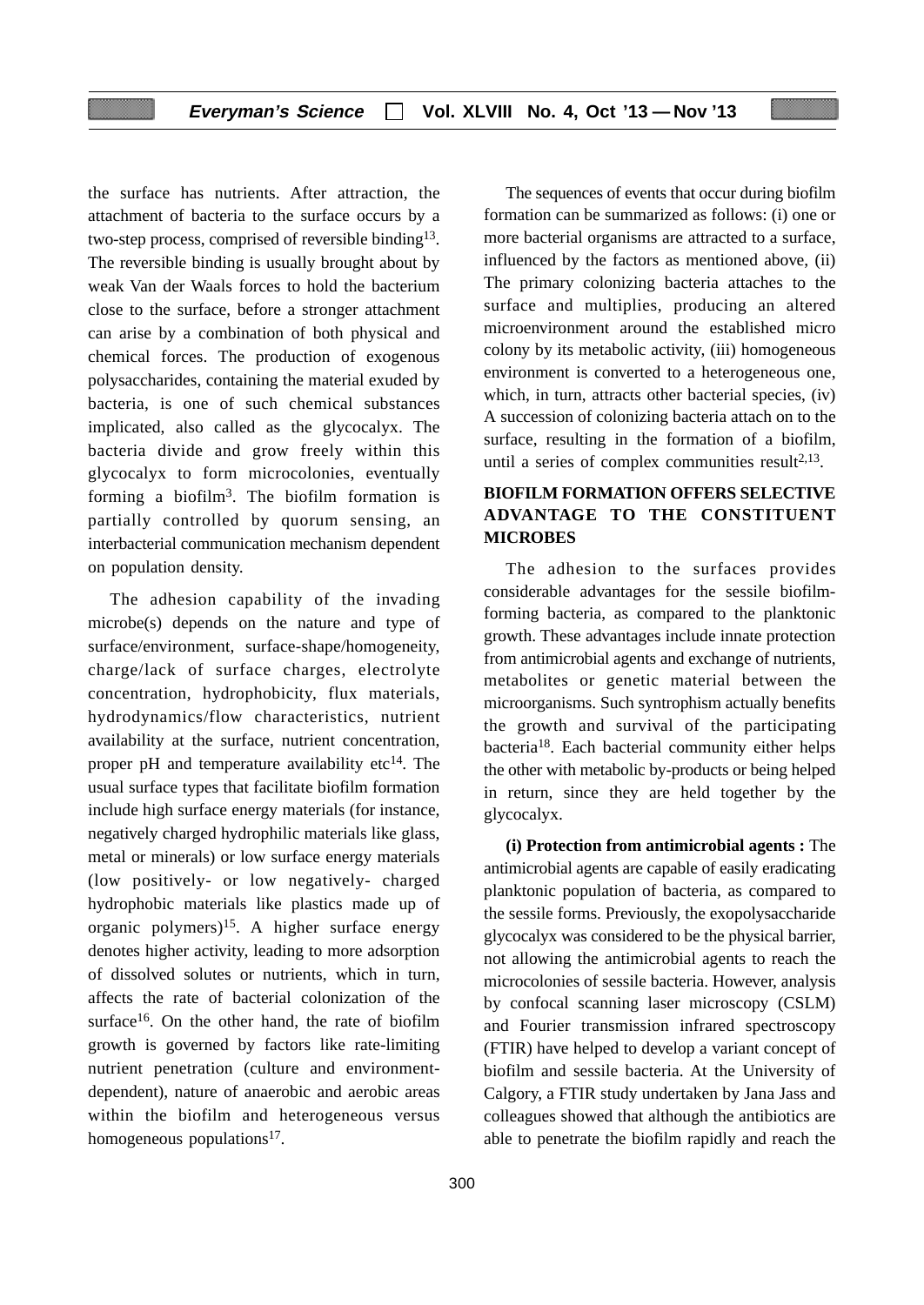the surface has nutrients. After attraction, the attachment of bacteria to the surface occurs by a two-step process, comprised of reversible binding13. The reversible binding is usually brought about by weak Van der Waals forces to hold the bacterium close to the surface, before a stronger attachment can arise by a combination of both physical and chemical forces. The production of exogenous polysaccharides, containing the material exuded by bacteria, is one of such chemical substances implicated, also called as the glycocalyx. The bacteria divide and grow freely within this glycocalyx to form microcolonies, eventually forming a biofilm<sup>3</sup>. The biofilm formation is partially controlled by quorum sensing, an interbacterial communication mechanism dependent on population density.

The adhesion capability of the invading microbe(s) depends on the nature and type of surface/environment, surface-shape/homogeneity, charge/lack of surface charges, electrolyte concentration, hydrophobicity, flux materials, hydrodynamics/flow characteristics, nutrient availability at the surface, nutrient concentration, proper pH and temperature availability etc $^{14}$ . The usual surface types that facilitate biofilm formation include high surface energy materials (for instance, negatively charged hydrophilic materials like glass, metal or minerals) or low surface energy materials (low positively- or low negatively- charged hydrophobic materials like plastics made up of organic polymers)<sup>15</sup>. A higher surface energy denotes higher activity, leading to more adsorption of dissolved solutes or nutrients, which in turn, affects the rate of bacterial colonization of the surface $16$ . On the other hand, the rate of biofilm growth is governed by factors like rate-limiting nutrient penetration (culture and environmentdependent), nature of anaerobic and aerobic areas within the biofilm and heterogeneous versus homogeneous populations<sup>17</sup>.

The sequences of events that occur during biofilm formation can be summarized as follows: (i) one or more bacterial organisms are attracted to a surface, influenced by the factors as mentioned above, (ii) The primary colonizing bacteria attaches to the surface and multiplies, producing an altered microenvironment around the established micro colony by its metabolic activity, (iii) homogeneous environment is converted to a heterogeneous one, which, in turn, attracts other bacterial species, (iv) A succession of colonizing bacteria attach on to the surface, resulting in the formation of a biofilm, until a series of complex communities result $2,13$ .

# **BIOFILM FORMATION OFFERS SELECTIVE ADVANTAGE TO THE CONSTITUENT MICROBES**

The adhesion to the surfaces provides considerable advantages for the sessile biofilmforming bacteria, as compared to the planktonic growth. These advantages include innate protection from antimicrobial agents and exchange of nutrients, metabolites or genetic material between the microorganisms. Such syntrophism actually benefits the growth and survival of the participating bacteria18. Each bacterial community either helps the other with metabolic by-products or being helped in return, since they are held together by the glycocalyx.

**(i) Protection from antimicrobial agents :** The antimicrobial agents are capable of easily eradicating planktonic population of bacteria, as compared to the sessile forms. Previously, the exopolysaccharide glycocalyx was considered to be the physical barrier, not allowing the antimicrobial agents to reach the microcolonies of sessile bacteria. However, analysis by confocal scanning laser microscopy (CSLM) and Fourier transmission infrared spectroscopy (FTIR) have helped to develop a variant concept of biofilm and sessile bacteria. At the University of Calgory, a FTIR study undertaken by Jana Jass and colleagues showed that although the antibiotics are able to penetrate the biofilm rapidly and reach the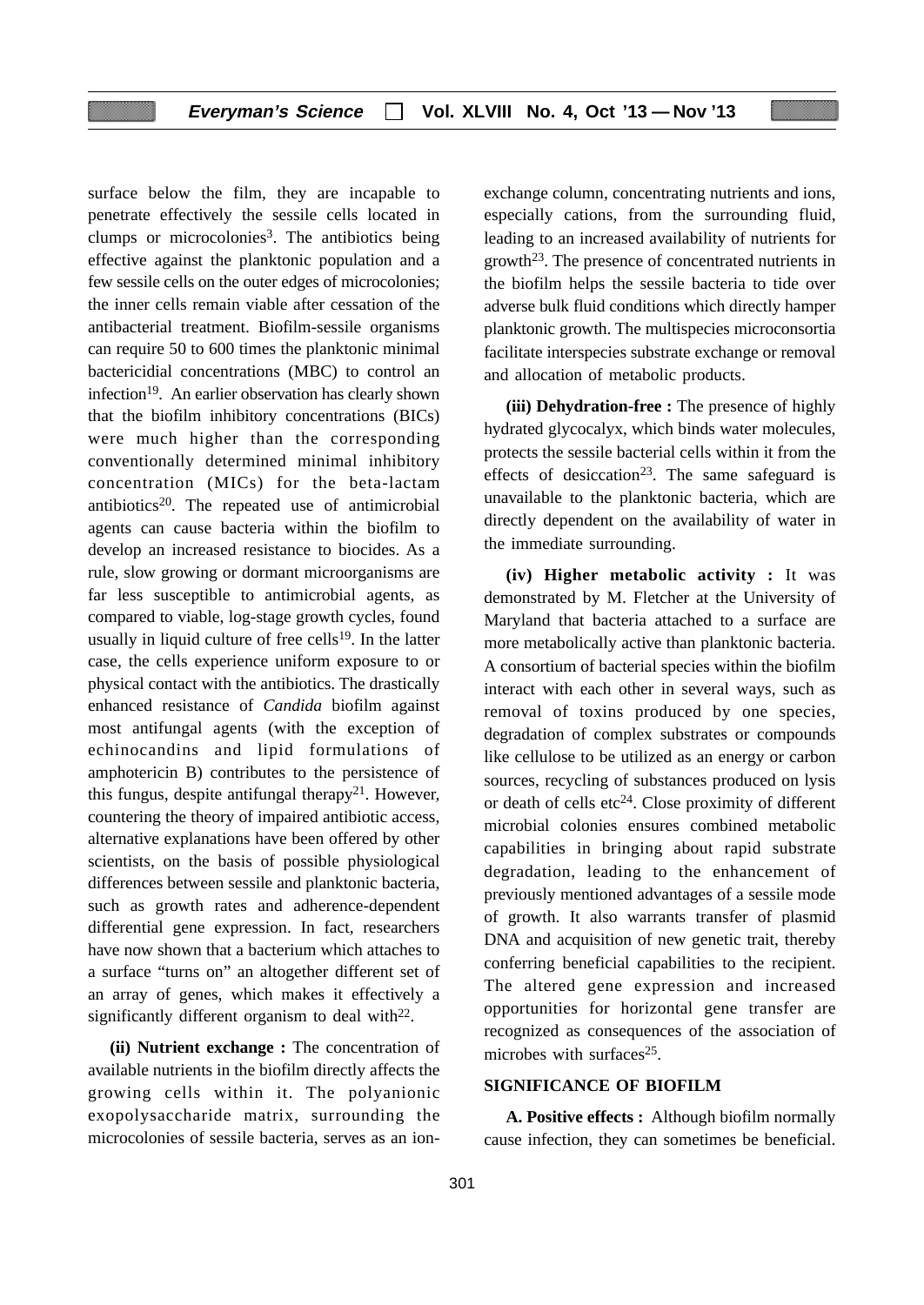surface below the film, they are incapable to penetrate effectively the sessile cells located in clumps or microcolonies<sup>3</sup>. The antibiotics being effective against the planktonic population and a few sessile cells on the outer edges of microcolonies; the inner cells remain viable after cessation of the antibacterial treatment. Biofilm-sessile organisms can require 50 to 600 times the planktonic minimal bactericidial concentrations (MBC) to control an infection<sup>19</sup>. An earlier observation has clearly shown that the biofilm inhibitory concentrations (BICs) were much higher than the corresponding conventionally determined minimal inhibitory concentration (MICs) for the beta-lactam antibiotics<sup>20</sup>. The repeated use of antimicrobial agents can cause bacteria within the biofilm to develop an increased resistance to biocides. As a rule, slow growing or dormant microorganisms are far less susceptible to antimicrobial agents, as compared to viable, log-stage growth cycles, found usually in liquid culture of free cells $19$ . In the latter case, the cells experience uniform exposure to or physical contact with the antibiotics. The drastically enhanced resistance of *Candida* biofilm against most antifungal agents (with the exception of echinocandins and lipid formulations of amphotericin B) contributes to the persistence of this fungus, despite antifungal therapy<sup>21</sup>. However, countering the theory of impaired antibiotic access, alternative explanations have been offered by other scientists, on the basis of possible physiological differences between sessile and planktonic bacteria, such as growth rates and adherence-dependent differential gene expression. In fact, researchers have now shown that a bacterium which attaches to a surface "turns on" an altogether different set of an array of genes, which makes it effectively a significantly different organism to deal with $2^2$ .

**(ii) Nutrient exchange :** The concentration of available nutrients in the biofilm directly affects the growing cells within it. The polyanionic exopolysaccharide matrix, surrounding the microcolonies of sessile bacteria, serves as an ionexchange column, concentrating nutrients and ions, especially cations, from the surrounding fluid, leading to an increased availability of nutrients for growth<sup>23</sup>. The presence of concentrated nutrients in the biofilm helps the sessile bacteria to tide over adverse bulk fluid conditions which directly hamper planktonic growth. The multispecies microconsortia facilitate interspecies substrate exchange or removal and allocation of metabolic products.

**(iii) Dehydration-free :** The presence of highly hydrated glycocalyx, which binds water molecules, protects the sessile bacterial cells within it from the effects of desiccation<sup>23</sup>. The same safeguard is unavailable to the planktonic bacteria, which are directly dependent on the availability of water in the immediate surrounding.

**(iv) Higher metabolic activity :** It was demonstrated by M. Fletcher at the University of Maryland that bacteria attached to a surface are more metabolically active than planktonic bacteria. A consortium of bacterial species within the biofilm interact with each other in several ways, such as removal of toxins produced by one species, degradation of complex substrates or compounds like cellulose to be utilized as an energy or carbon sources, recycling of substances produced on lysis or death of cells  $etc<sup>24</sup>$ . Close proximity of different microbial colonies ensures combined metabolic capabilities in bringing about rapid substrate degradation, leading to the enhancement of previously mentioned advantages of a sessile mode of growth. It also warrants transfer of plasmid DNA and acquisition of new genetic trait, thereby conferring beneficial capabilities to the recipient. The altered gene expression and increased opportunities for horizontal gene transfer are recognized as consequences of the association of microbes with surfaces $25$ .

### **SIGNIFICANCE OF BIOFILM**

**A. Positive effects :** Although biofilm normally cause infection, they can sometimes be beneficial.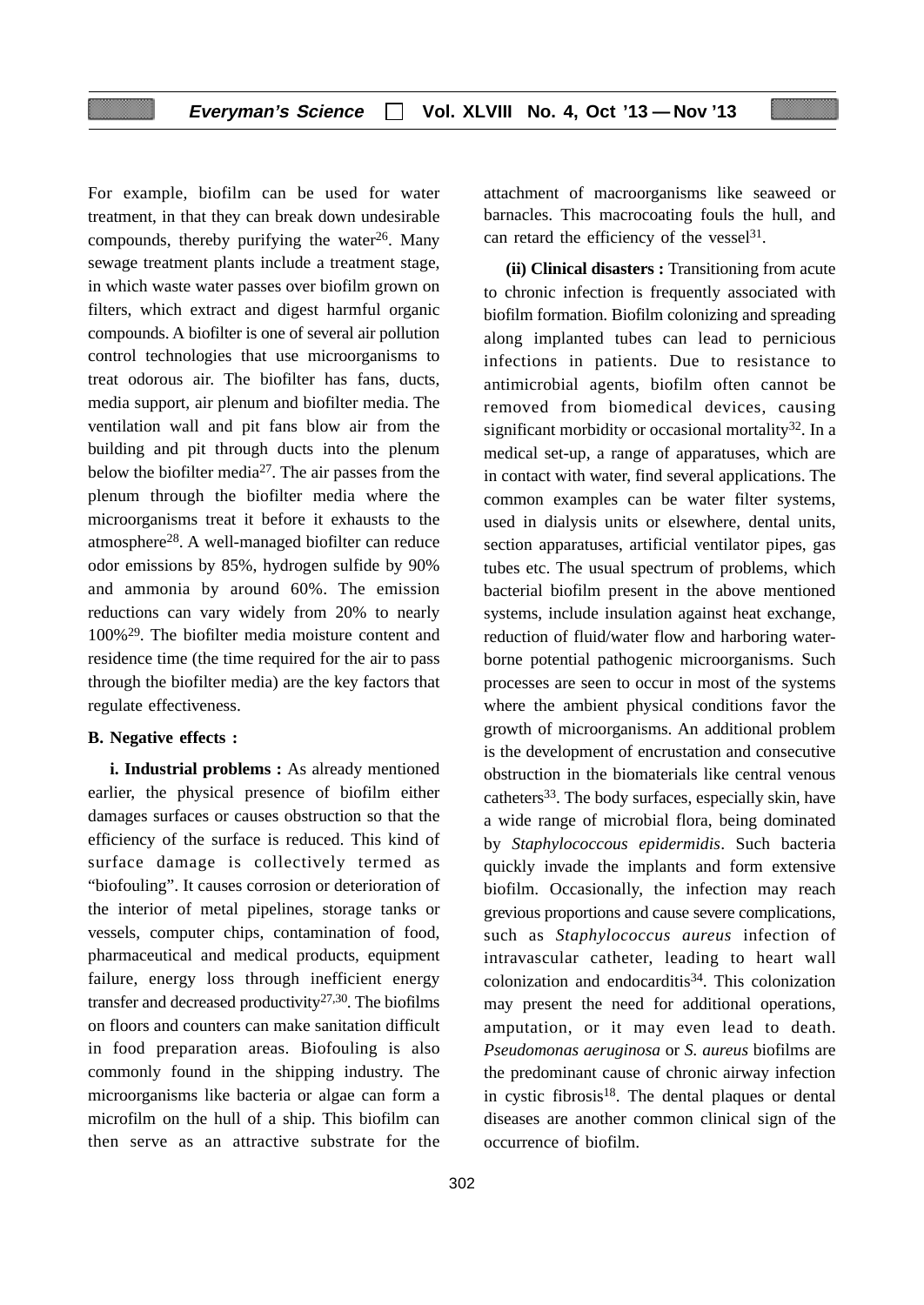For example, biofilm can be used for water treatment, in that they can break down undesirable compounds, thereby purifying the water $26$ . Many sewage treatment plants include a treatment stage, in which waste water passes over biofilm grown on filters, which extract and digest harmful organic compounds. A biofilter is one of several air pollution control technologies that use microorganisms to treat odorous air. The biofilter has fans, ducts, media support, air plenum and biofilter media. The ventilation wall and pit fans blow air from the building and pit through ducts into the plenum below the biofilter media27. The air passes from the plenum through the biofilter media where the microorganisms treat it before it exhausts to the atmosphere28. A well-managed biofilter can reduce odor emissions by 85%, hydrogen sulfide by 90% and ammonia by around 60%. The emission reductions can vary widely from 20% to nearly 100%29. The biofilter media moisture content and residence time (the time required for the air to pass through the biofilter media) are the key factors that regulate effectiveness.

### **B. Negative effects :**

**i. Industrial problems :** As already mentioned earlier, the physical presence of biofilm either damages surfaces or causes obstruction so that the efficiency of the surface is reduced. This kind of surface damage is collectively termed as "biofouling". It causes corrosion or deterioration of the interior of metal pipelines, storage tanks or vessels, computer chips, contamination of food, pharmaceutical and medical products, equipment failure, energy loss through inefficient energy transfer and decreased productivity<sup>27,30</sup>. The biofilms on floors and counters can make sanitation difficult in food preparation areas. Biofouling is also commonly found in the shipping industry. The microorganisms like bacteria or algae can form a microfilm on the hull of a ship. This biofilm can then serve as an attractive substrate for the

attachment of macroorganisms like seaweed or barnacles. This macrocoating fouls the hull, and can retard the efficiency of the vessel $31$ .

**(ii) Clinical disasters :** Transitioning from acute to chronic infection is frequently associated with biofilm formation. Biofilm colonizing and spreading along implanted tubes can lead to pernicious infections in patients. Due to resistance to antimicrobial agents, biofilm often cannot be removed from biomedical devices, causing significant morbidity or occasional mortality<sup>32</sup>. In a medical set-up, a range of apparatuses, which are in contact with water, find several applications. The common examples can be water filter systems, used in dialysis units or elsewhere, dental units, section apparatuses, artificial ventilator pipes, gas tubes etc. The usual spectrum of problems, which bacterial biofilm present in the above mentioned systems, include insulation against heat exchange, reduction of fluid/water flow and harboring waterborne potential pathogenic microorganisms. Such processes are seen to occur in most of the systems where the ambient physical conditions favor the growth of microorganisms. An additional problem is the development of encrustation and consecutive obstruction in the biomaterials like central venous catheters<sup>33</sup>. The body surfaces, especially skin, have a wide range of microbial flora, being dominated by *Staphylococcous epidermidis*. Such bacteria quickly invade the implants and form extensive biofilm. Occasionally, the infection may reach grevious proportions and cause severe complications, such as *Staphylococcus aureus* infection of intravascular catheter, leading to heart wall colonization and endocarditis<sup>34</sup>. This colonization may present the need for additional operations, amputation, or it may even lead to death. *Pseudomonas aeruginosa* or *S. aureus* biofilms are the predominant cause of chronic airway infection in cystic fibrosis<sup>18</sup>. The dental plaques or dental diseases are another common clinical sign of the occurrence of biofilm.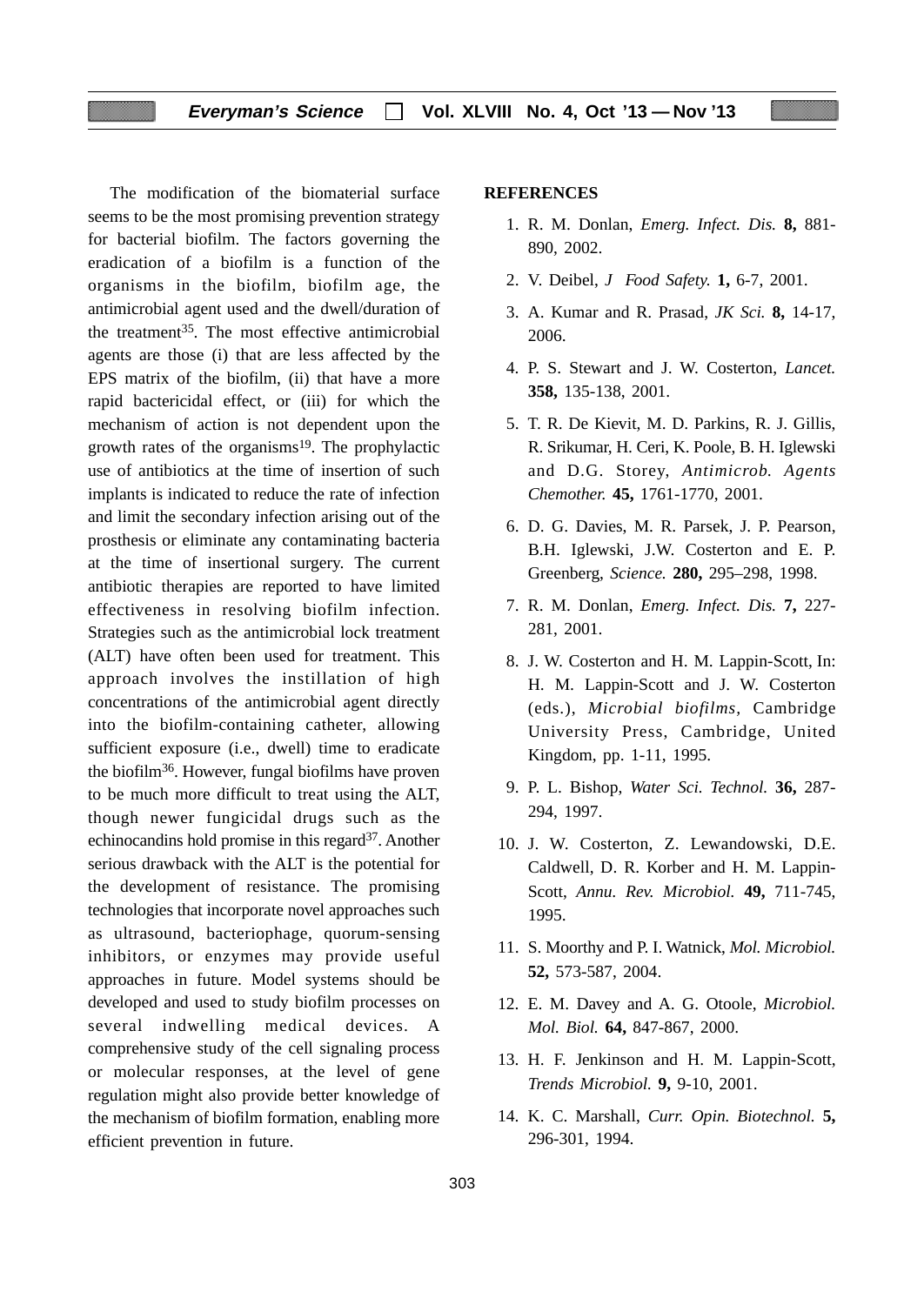The modification of the biomaterial surface seems to be the most promising prevention strategy for bacterial biofilm. The factors governing the eradication of a biofilm is a function of the organisms in the biofilm, biofilm age, the antimicrobial agent used and the dwell/duration of the treatment<sup>35</sup>. The most effective antimicrobial agents are those (i) that are less affected by the EPS matrix of the biofilm, (ii) that have a more rapid bactericidal effect, or (iii) for which the mechanism of action is not dependent upon the growth rates of the organisms<sup>19</sup>. The prophylactic use of antibiotics at the time of insertion of such implants is indicated to reduce the rate of infection and limit the secondary infection arising out of the prosthesis or eliminate any contaminating bacteria at the time of insertional surgery. The current antibiotic therapies are reported to have limited effectiveness in resolving biofilm infection. Strategies such as the antimicrobial lock treatment (ALT) have often been used for treatment. This approach involves the instillation of high concentrations of the antimicrobial agent directly into the biofilm-containing catheter, allowing sufficient exposure (i.e., dwell) time to eradicate the biofilm36. However, fungal biofilms have proven to be much more difficult to treat using the ALT, though newer fungicidal drugs such as the echinocandins hold promise in this regard<sup>37</sup>. Another serious drawback with the ALT is the potential for the development of resistance. The promising technologies that incorporate novel approaches such as ultrasound, bacteriophage, quorum-sensing inhibitors, or enzymes may provide useful approaches in future. Model systems should be developed and used to study biofilm processes on several indwelling medical devices. A comprehensive study of the cell signaling process or molecular responses, at the level of gene regulation might also provide better knowledge of the mechanism of biofilm formation, enabling more efficient prevention in future.

#### **REFERENCES**

- 1. R. M. Donlan, *Emerg. Infect. Dis.* **8,** 881- 890, 2002.
- 2. V. Deibel, *J Food Safety.* **1,** 6-7, 2001.
- 3. A. Kumar and R. Prasad, *JK Sci.* **8,** 14-17, 2006.
- 4. P. S. Stewart and J. W. Costerton, *Lancet.* **358,** 135-138, 2001.
- 5. T. R. De Kievit, M. D. Parkins, R. J. Gillis, R. Srikumar, H. Ceri, K. Poole, B. H. Iglewski and D.G. Storey, *Antimicrob. Agents Chemother.* **45,** 1761-1770, 2001.
- 6. D. G. Davies, M. R. Parsek, J. P. Pearson, B.H. Iglewski, J.W. Costerton and E. P. Greenberg, *Science.* **280,** 295–298, 1998.
- 7. R. M. Donlan, *Emerg. Infect. Dis.* **7,** 227- 281, 2001.
- 8. J. W. Costerton and H. M. Lappin-Scott, In: H. M. Lappin-Scott and J. W. Costerton (eds.), *Microbial biofilms,* Cambridge University Press, Cambridge, United Kingdom, pp. 1-11, 1995.
- 9. P. L. Bishop, *Water Sci. Technol.* **36,** 287- 294, 1997.
- 10. J. W. Costerton, Z. Lewandowski, D.E. Caldwell, D. R. Korber and H. M. Lappin-Scott, *Annu. Rev. Microbiol.* **49,** 711-745, 1995.
- 11. S. Moorthy and P. I. Watnick, *Mol. Microbiol.* **52,** 573-587, 2004.
- 12. E. M. Davey and A. G. Otoole, *Microbiol. Mol. Biol.* **64,** 847-867, 2000.
- 13. H. F. Jenkinson and H. M. Lappin-Scott, *Trends Microbiol.* **9,** 9-10, 2001.
- 14. K. C. Marshall, *Curr. Opin. Biotechnol.* **5,** 296-301, 1994.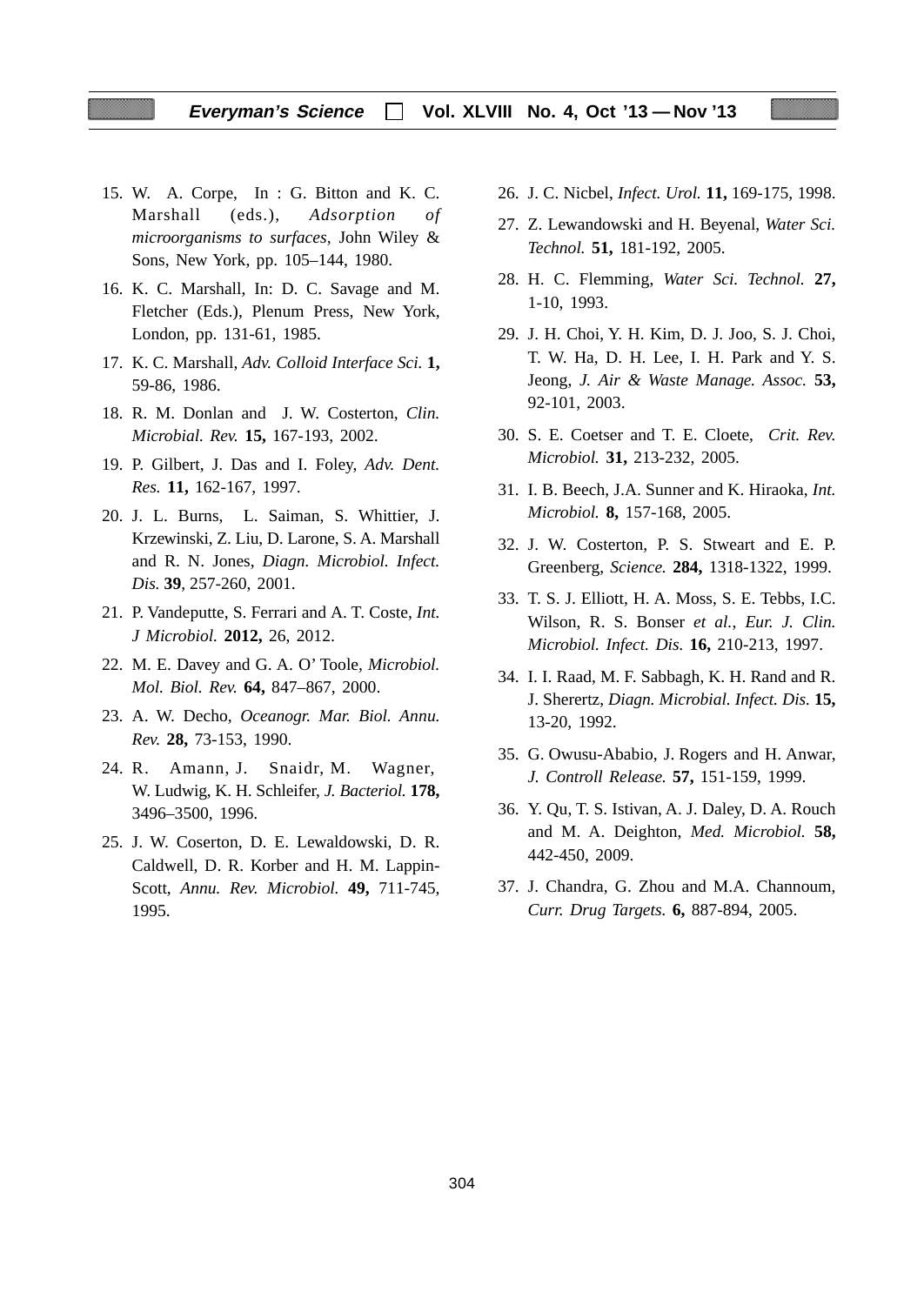- 15. W. A. Corpe, In : G. Bitton and K. C. Marshall (eds.), *Adsorption of microorganisms to surfaces,* John Wiley & Sons, New York, pp. 105–144, 1980.
- 16. K. C. Marshall, In: D. C. Savage and M. Fletcher (Eds.), Plenum Press, New York, London, pp. 131-61, 1985.
- 17. K. C. Marshall, *Adv. Colloid Interface Sci.* **1,** 59-86, 1986.
- 18. R. M. Donlan and J. W. Costerton, *Clin. Microbial. Rev.* **15,** 167-193, 2002.
- 19. P. Gilbert, J. Das and I. Foley, *Adv. Dent. Res.* **11,** 162-167, 1997.
- 20. J. L. Burns, L. Saiman, S. Whittier, J. Krzewinski, Z. Liu, D. Larone, S. A. Marshall and R. N. Jones, *Diagn. Microbiol. Infect. Dis.* **39**, 257-260, 2001.
- 21. P. Vandeputte, S. Ferrari and A. T. Coste, *Int. J Microbiol.* **2012,** 26, 2012.
- 22. M. E. Davey and G. A. O' Toole, *Microbiol. Mol. Biol. Rev.* **64,** 847–867, 2000.
- 23. A. W. Decho, *Oceanogr. Mar. Biol. Annu. Rev.* **28,** 73-153, 1990.
- 24. R. Amann, J. Snaidr, M. Wagner, W. Ludwig, K. H. Schleifer, *J. Bacteriol.* **178,** 3496–3500, 1996.
- 25. J. W. Coserton, D. E. Lewaldowski, D. R. Caldwell, D. R. Korber and H. M. Lappin-Scott, *Annu. Rev. Microbiol.* **49,** 711-745, 1995.
- 26. J. C. Nicbel, *Infect. Urol.* **11,** 169-175, 1998.
- 27. Z. Lewandowski and H. Beyenal, *Water Sci. Technol.* **51,** 181-192, 2005.
- 28. H. C. Flemming, *Water Sci. Technol.* **27,** 1-10, 1993.
- 29. J. H. Choi, Y. H. Kim, D. J. Joo, S. J. Choi, T. W. Ha, D. H. Lee, I. H. Park and Y. S. Jeong, *J. Air & Waste Manage. Assoc.* **53,** 92-101, 2003.
- 30. S. E. Coetser and T. E. Cloete, *Crit. Rev. Microbiol.* **31,** 213-232, 2005.
- 31. I. B. Beech, J.A. Sunner and K. Hiraoka, *Int. Microbiol.* **8,** 157-168, 2005.
- 32. J. W. Costerton, P. S. Stweart and E. P. Greenberg, *Science.* **284,** 1318-1322, 1999.
- 33. T. S. J. Elliott, H. A. Moss, S. E. Tebbs, I.C. Wilson, R. S. Bonser *et al.*, *Eur. J. Clin. Microbiol. Infect. Dis.* **16,** 210-213, 1997.
- 34. I. I. Raad, M. F. Sabbagh, K. H. Rand and R. J. Sherertz, *Diagn. Microbial. Infect. Dis.* **15,** 13-20, 1992.
- 35. G. Owusu-Ababio, J. Rogers and H. Anwar, *J. Controll Release.* **57,** 151-159, 1999.
- 36. Y. Qu, T. S. Istivan, A. J. Daley, D. A. Rouch and M. A. Deighton, *Med. Microbiol.* **58,** 442-450, 2009.
- 37. J. Chandra, G. Zhou and M.A. Channoum, *Curr. Drug Targets.* **6,** 887-894, 2005.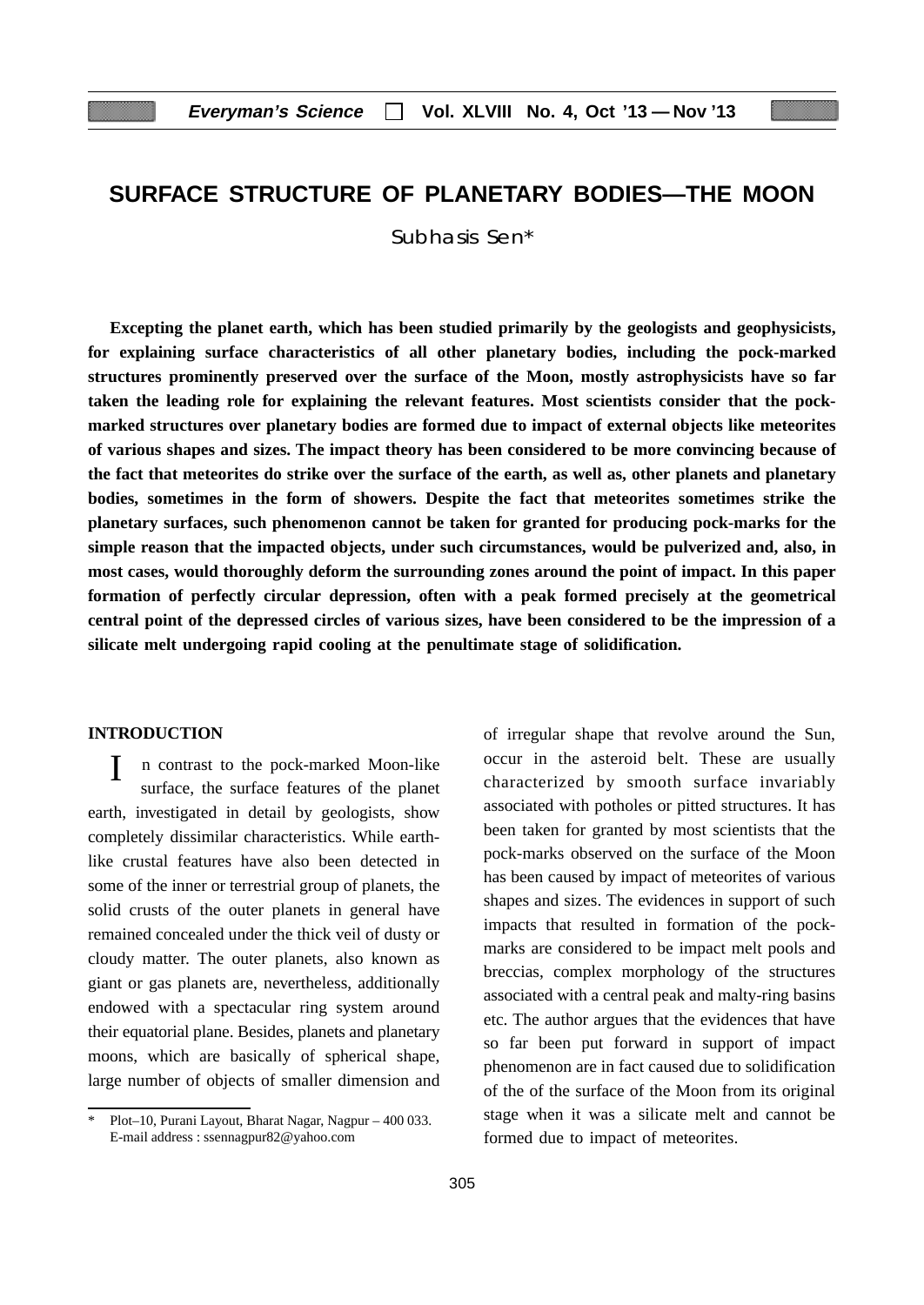# **SURFACE STRUCTURE OF PLANETARY BODIES—THE MOON**

Subhasis Sen\*

**Excepting the planet earth, which has been studied primarily by the geologists and geophysicists, for explaining surface characteristics of all other planetary bodies, including the pock-marked structures prominently preserved over the surface of the Moon, mostly astrophysicists have so far taken the leading role for explaining the relevant features. Most scientists consider that the pockmarked structures over planetary bodies are formed due to impact of external objects like meteorites of various shapes and sizes. The impact theory has been considered to be more convincing because of the fact that meteorites do strike over the surface of the earth, as well as, other planets and planetary bodies, sometimes in the form of showers. Despite the fact that meteorites sometimes strike the planetary surfaces, such phenomenon cannot be taken for granted for producing pock-marks for the simple reason that the impacted objects, under such circumstances, would be pulverized and, also, in most cases, would thoroughly deform the surrounding zones around the point of impact. In this paper formation of perfectly circular depression, often with a peak formed precisely at the geometrical central point of the depressed circles of various sizes, have been considered to be the impression of a silicate melt undergoing rapid cooling at the penultimate stage of solidification.**

### **INTRODUCTION**

I n contrast to the pock-marked Moon-like surface, the surface features of the planet earth, investigated in detail by geologists, show completely dissimilar characteristics. While earthlike crustal features have also been detected in some of the inner or terrestrial group of planets, the solid crusts of the outer planets in general have remained concealed under the thick veil of dusty or cloudy matter. The outer planets, also known as giant or gas planets are, nevertheless, additionally endowed with a spectacular ring system around their equatorial plane. Besides, planets and planetary moons, which are basically of spherical shape, large number of objects of smaller dimension and of irregular shape that revolve around the Sun, occur in the asteroid belt. These are usually characterized by smooth surface invariably associated with potholes or pitted structures. It has been taken for granted by most scientists that the pock-marks observed on the surface of the Moon has been caused by impact of meteorites of various shapes and sizes. The evidences in support of such impacts that resulted in formation of the pockmarks are considered to be impact melt pools and breccias, complex morphology of the structures associated with a central peak and malty-ring basins etc. The author argues that the evidences that have so far been put forward in support of impact phenomenon are in fact caused due to solidification of the of the surface of the Moon from its original stage when it was a silicate melt and cannot be formed due to impact of meteorites.

<sup>\*</sup> Plot–10, Purani Layout, Bharat Nagar, Nagpur – 400 033. E-mail address : ssennagpur82@yahoo.com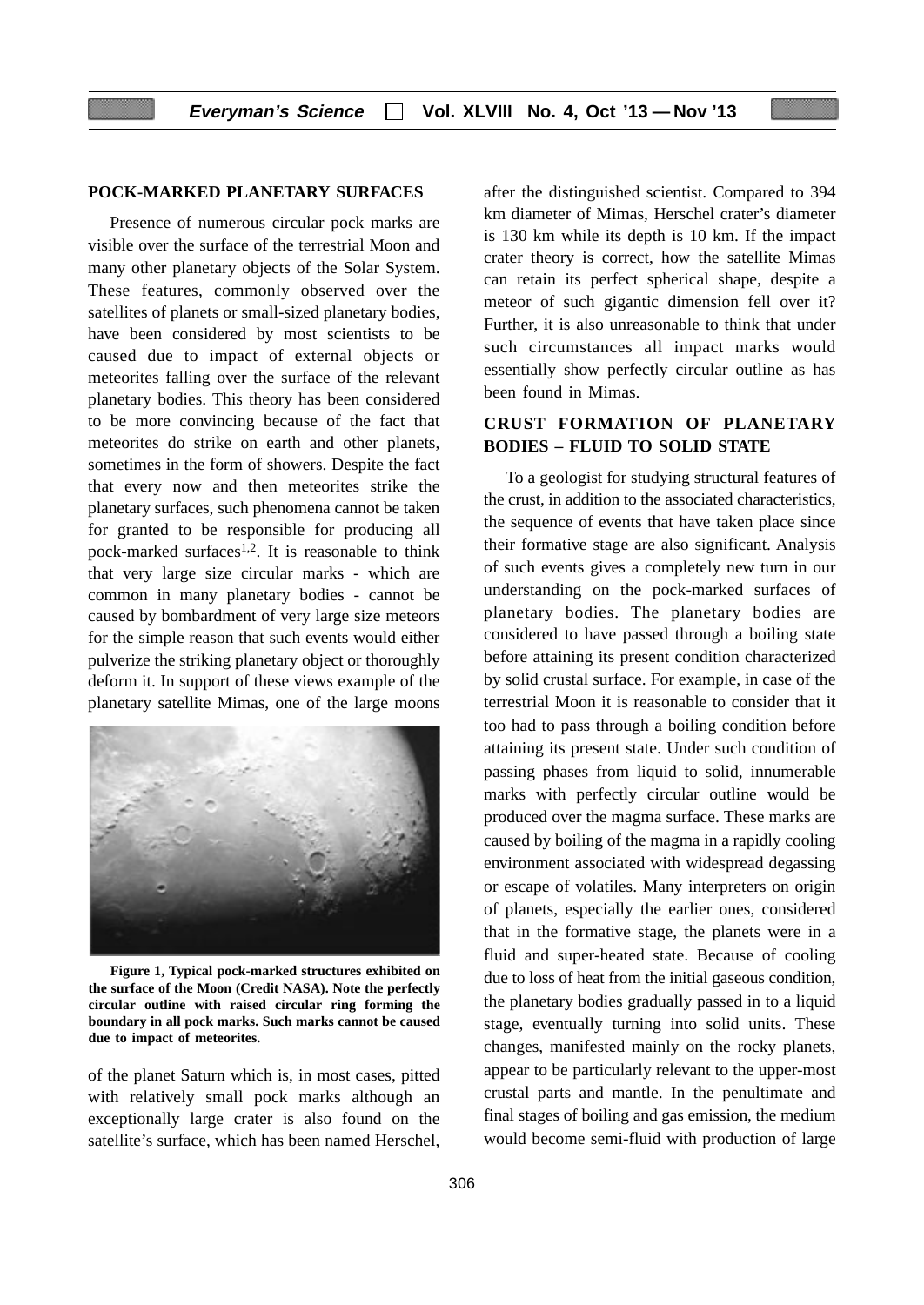### **POCK-MARKED PLANETARY SURFACES**

Presence of numerous circular pock marks are visible over the surface of the terrestrial Moon and many other planetary objects of the Solar System. These features, commonly observed over the satellites of planets or small-sized planetary bodies, have been considered by most scientists to be caused due to impact of external objects or meteorites falling over the surface of the relevant planetary bodies. This theory has been considered to be more convincing because of the fact that meteorites do strike on earth and other planets, sometimes in the form of showers. Despite the fact that every now and then meteorites strike the planetary surfaces, such phenomena cannot be taken for granted to be responsible for producing all pock-marked surfaces<sup>1,2</sup>. It is reasonable to think that very large size circular marks - which are common in many planetary bodies - cannot be caused by bombardment of very large size meteors for the simple reason that such events would either pulverize the striking planetary object or thoroughly deform it. In support of these views example of the planetary satellite Mimas, one of the large moons



**Figure 1, Typical pock-marked structures exhibited on the surface of the Moon (Credit NASA). Note the perfectly circular outline with raised circular ring forming the boundary in all pock marks. Such marks cannot be caused due to impact of meteorites.**

of the planet Saturn which is, in most cases, pitted with relatively small pock marks although an exceptionally large crater is also found on the satellite's surface, which has been named Herschel,

after the distinguished scientist. Compared to 394 km diameter of Mimas, Herschel crater's diameter is 130 km while its depth is 10 km. If the impact crater theory is correct, how the satellite Mimas can retain its perfect spherical shape, despite a meteor of such gigantic dimension fell over it? Further, it is also unreasonable to think that under such circumstances all impact marks would essentially show perfectly circular outline as has been found in Mimas.

## **CRUST FORMATION OF PLANETARY BODIES – FLUID TO SOLID STATE**

To a geologist for studying structural features of the crust, in addition to the associated characteristics, the sequence of events that have taken place since their formative stage are also significant. Analysis of such events gives a completely new turn in our understanding on the pock-marked surfaces of planetary bodies. The planetary bodies are considered to have passed through a boiling state before attaining its present condition characterized by solid crustal surface. For example, in case of the terrestrial Moon it is reasonable to consider that it too had to pass through a boiling condition before attaining its present state. Under such condition of passing phases from liquid to solid, innumerable marks with perfectly circular outline would be produced over the magma surface. These marks are caused by boiling of the magma in a rapidly cooling environment associated with widespread degassing or escape of volatiles. Many interpreters on origin of planets, especially the earlier ones, considered that in the formative stage, the planets were in a fluid and super-heated state. Because of cooling due to loss of heat from the initial gaseous condition, the planetary bodies gradually passed in to a liquid stage, eventually turning into solid units. These changes, manifested mainly on the rocky planets, appear to be particularly relevant to the upper-most crustal parts and mantle. In the penultimate and final stages of boiling and gas emission, the medium would become semi-fluid with production of large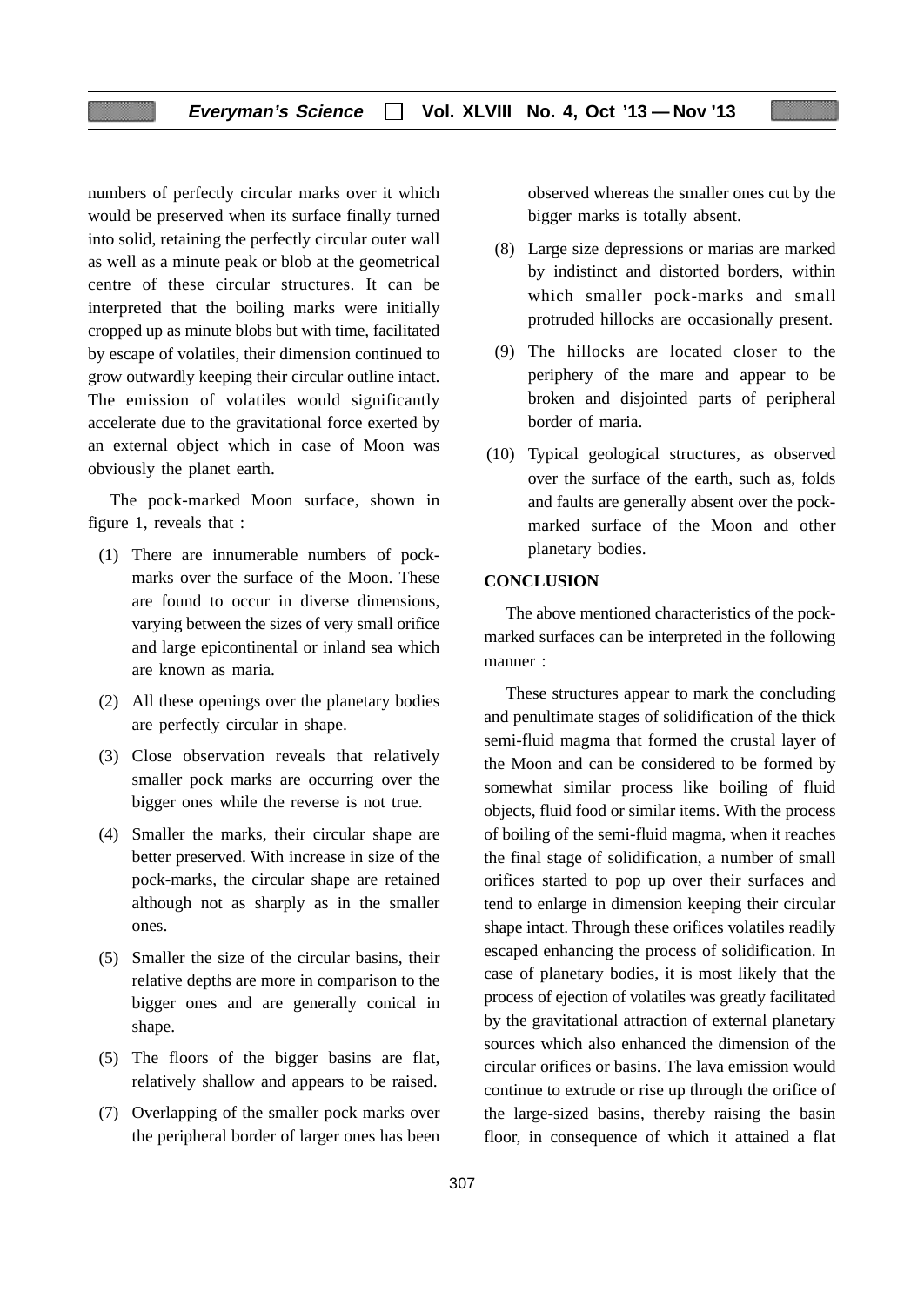numbers of perfectly circular marks over it which would be preserved when its surface finally turned into solid, retaining the perfectly circular outer wall as well as a minute peak or blob at the geometrical centre of these circular structures. It can be interpreted that the boiling marks were initially cropped up as minute blobs but with time, facilitated by escape of volatiles, their dimension continued to grow outwardly keeping their circular outline intact. The emission of volatiles would significantly accelerate due to the gravitational force exerted by an external object which in case of Moon was obviously the planet earth.

The pock-marked Moon surface, shown in figure 1, reveals that :

- (1) There are innumerable numbers of pockmarks over the surface of the Moon. These are found to occur in diverse dimensions, varying between the sizes of very small orifice and large epicontinental or inland sea which are known as maria.
- (2) All these openings over the planetary bodies are perfectly circular in shape.
- (3) Close observation reveals that relatively smaller pock marks are occurring over the bigger ones while the reverse is not true.
- (4) Smaller the marks, their circular shape are better preserved. With increase in size of the pock-marks, the circular shape are retained although not as sharply as in the smaller ones.
- (5) Smaller the size of the circular basins, their relative depths are more in comparison to the bigger ones and are generally conical in shape.
- (5) The floors of the bigger basins are flat, relatively shallow and appears to be raised.
- (7) Overlapping of the smaller pock marks over the peripheral border of larger ones has been

observed whereas the smaller ones cut by the bigger marks is totally absent.

- (8) Large size depressions or marias are marked by indistinct and distorted borders, within which smaller pock-marks and small protruded hillocks are occasionally present.
- (9) The hillocks are located closer to the periphery of the mare and appear to be broken and disjointed parts of peripheral border of maria.
- (10) Typical geological structures, as observed over the surface of the earth, such as, folds and faults are generally absent over the pockmarked surface of the Moon and other planetary bodies.

### **CONCLUSION**

The above mentioned characteristics of the pockmarked surfaces can be interpreted in the following manner :

These structures appear to mark the concluding and penultimate stages of solidification of the thick semi-fluid magma that formed the crustal layer of the Moon and can be considered to be formed by somewhat similar process like boiling of fluid objects, fluid food or similar items. With the process of boiling of the semi-fluid magma, when it reaches the final stage of solidification, a number of small orifices started to pop up over their surfaces and tend to enlarge in dimension keeping their circular shape intact. Through these orifices volatiles readily escaped enhancing the process of solidification. In case of planetary bodies, it is most likely that the process of ejection of volatiles was greatly facilitated by the gravitational attraction of external planetary sources which also enhanced the dimension of the circular orifices or basins. The lava emission would continue to extrude or rise up through the orifice of the large-sized basins, thereby raising the basin floor, in consequence of which it attained a flat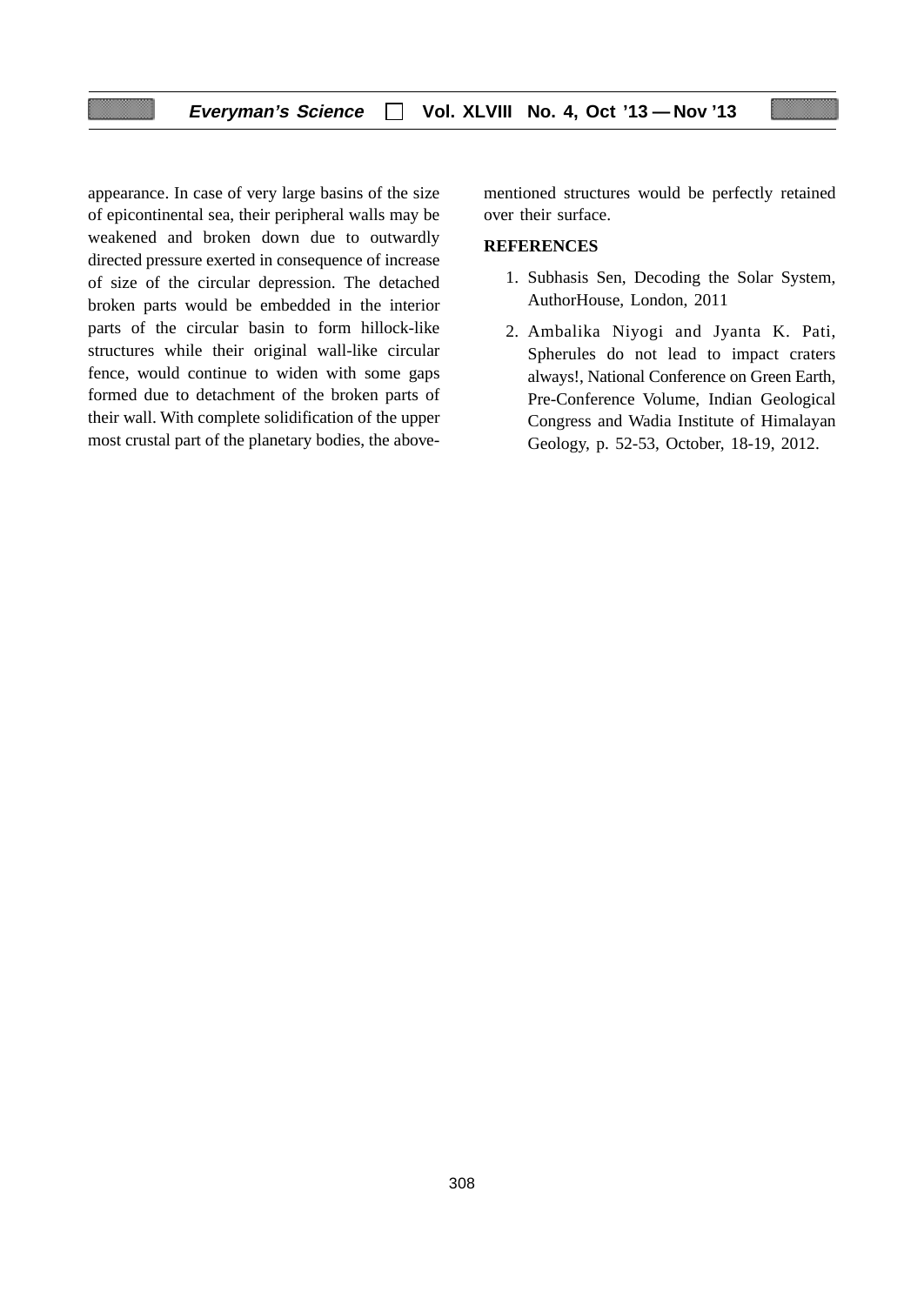appearance. In case of very large basins of the size of epicontinental sea, their peripheral walls may be weakened and broken down due to outwardly directed pressure exerted in consequence of increase of size of the circular depression. The detached broken parts would be embedded in the interior parts of the circular basin to form hillock-like structures while their original wall-like circular fence, would continue to widen with some gaps formed due to detachment of the broken parts of their wall. With complete solidification of the upper most crustal part of the planetary bodies, the abovementioned structures would be perfectly retained over their surface.

### **REFERENCES**

- 1. Subhasis Sen, Decoding the Solar System, AuthorHouse, London, 2011
- 2. Ambalika Niyogi and Jyanta K. Pati, Spherules do not lead to impact craters always!, National Conference on Green Earth, Pre-Conference Volume, Indian Geological Congress and Wadia Institute of Himalayan Geology, p. 52-53, October, 18-19, 2012.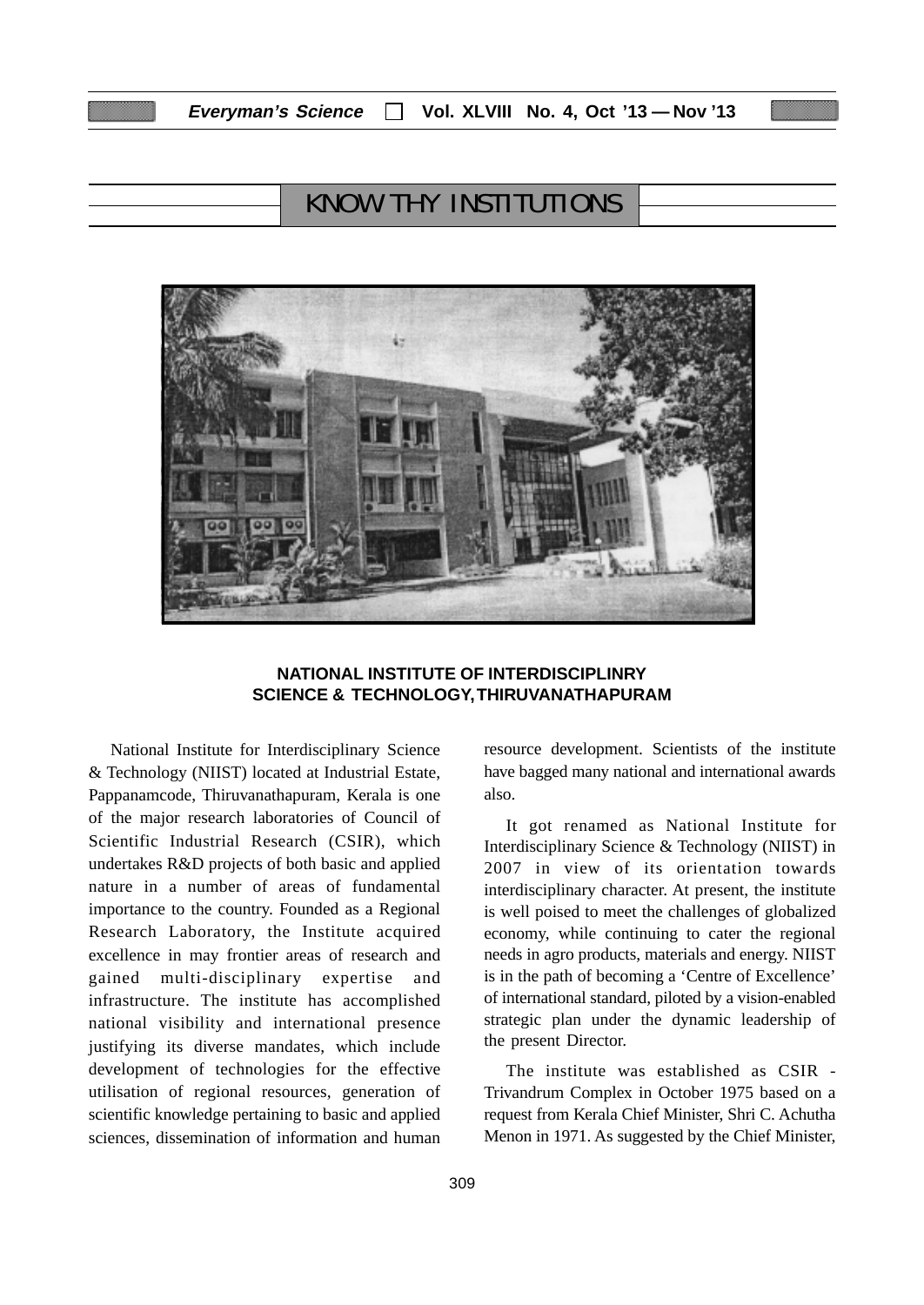# KNOW THY INSTITUTIONS



#### **NATIONAL INSTITUTE OF INTERDISCIPLINRY SCIENCE & TECHNOLOGY, THIRUVANATHAPURAM**

National Institute for Interdisciplinary Science & Technology (NIIST) located at Industrial Estate, Pappanamcode, Thiruvanathapuram, Kerala is one of the major research laboratories of Council of Scientific Industrial Research (CSIR), which undertakes R&D projects of both basic and applied nature in a number of areas of fundamental importance to the country. Founded as a Regional Research Laboratory, the Institute acquired excellence in may frontier areas of research and gained multi-disciplinary expertise and infrastructure. The institute has accomplished national visibility and international presence justifying its diverse mandates, which include development of technologies for the effective utilisation of regional resources, generation of scientific knowledge pertaining to basic and applied sciences, dissemination of information and human

have bagged many national and international awards also.

resource development. Scientists of the institute

It got renamed as National Institute for Interdisciplinary Science & Technology (NIIST) in 2007 in view of its orientation towards interdisciplinary character. At present, the institute is well poised to meet the challenges of globalized economy, while continuing to cater the regional needs in agro products, materials and energy. NIIST is in the path of becoming a 'Centre of Excellence' of international standard, piloted by a vision-enabled strategic plan under the dynamic leadership of the present Director.

The institute was established as CSIR - Trivandrum Complex in October 1975 based on a request from Kerala Chief Minister, Shri C. Achutha Menon in 1971. As suggested by the Chief Minister,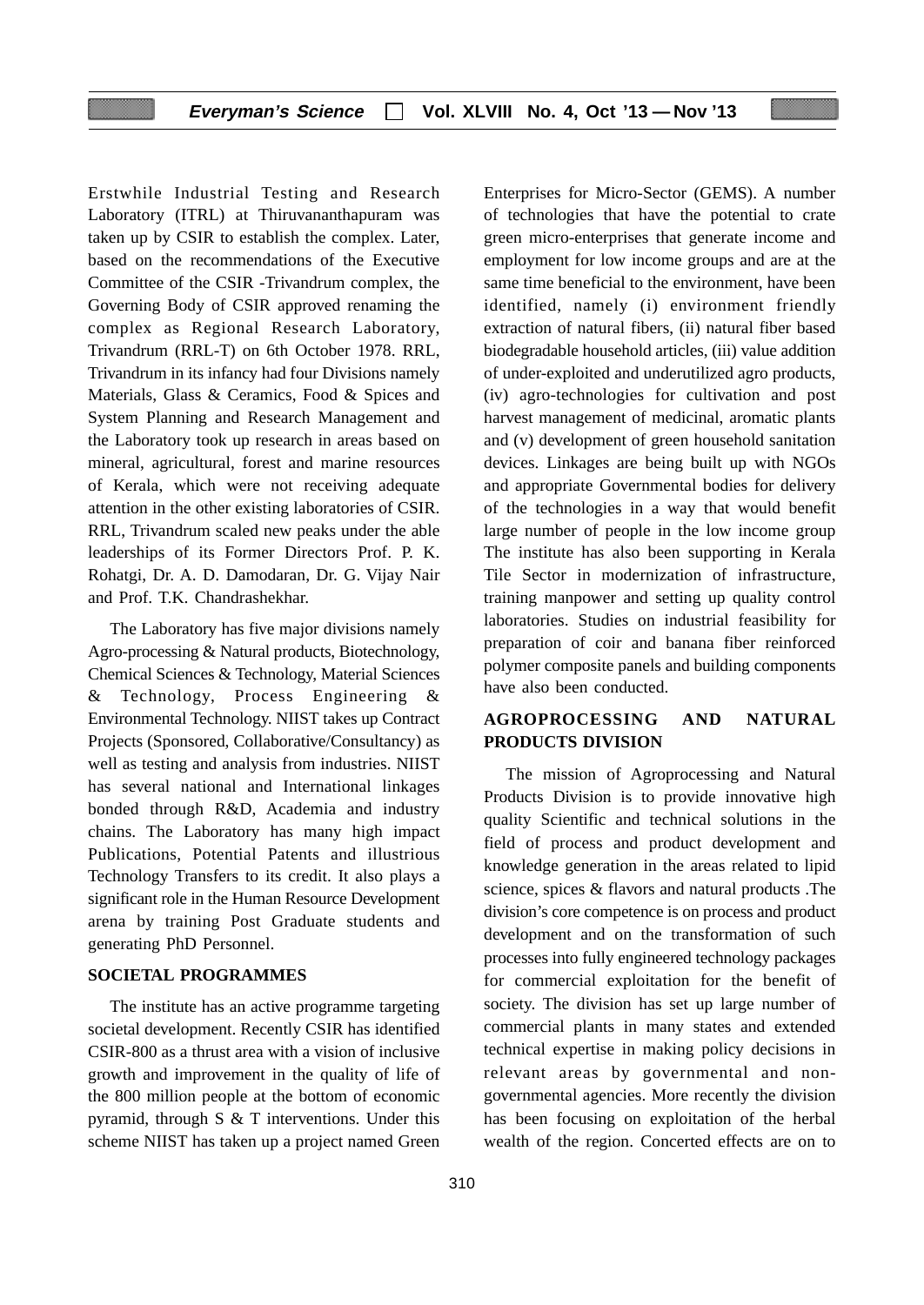#### **Everyman's Science Vol. XLVIII No. 4, Oct '13 — Nov '13**

Erstwhile Industrial Testing and Research Laboratory (ITRL) at Thiruvananthapuram was taken up by CSIR to establish the complex. Later, based on the recommendations of the Executive Committee of the CSIR -Trivandrum complex, the Governing Body of CSIR approved renaming the complex as Regional Research Laboratory, Trivandrum (RRL-T) on 6th October 1978. RRL, Trivandrum in its infancy had four Divisions namely Materials, Glass & Ceramics, Food & Spices and System Planning and Research Management and the Laboratory took up research in areas based on mineral, agricultural, forest and marine resources of Kerala, which were not receiving adequate attention in the other existing laboratories of CSIR. RRL, Trivandrum scaled new peaks under the able leaderships of its Former Directors Prof. P. K. Rohatgi, Dr. A. D. Damodaran, Dr. G. Vijay Nair and Prof. T.K. Chandrashekhar.

The Laboratory has five major divisions namely Agro-processing & Natural products, Biotechnology, Chemical Sciences & Technology, Material Sciences & Technology, Process Engineering & Environmental Technology. NIIST takes up Contract Projects (Sponsored, Collaborative/Consultancy) as well as testing and analysis from industries. NIIST has several national and International linkages bonded through R&D, Academia and industry chains. The Laboratory has many high impact Publications, Potential Patents and illustrious Technology Transfers to its credit. It also plays a significant role in the Human Resource Development arena by training Post Graduate students and generating PhD Personnel.

#### **SOCIETAL PROGRAMMES**

The institute has an active programme targeting societal development. Recently CSIR has identified CSIR-800 as a thrust area with a vision of inclusive growth and improvement in the quality of life of the 800 million people at the bottom of economic pyramid, through S & T interventions. Under this scheme NIIST has taken up a project named Green

Enterprises for Micro-Sector (GEMS). A number of technologies that have the potential to crate green micro-enterprises that generate income and employment for low income groups and are at the same time beneficial to the environment, have been identified, namely (i) environment friendly extraction of natural fibers, (ii) natural fiber based biodegradable household articles, (iii) value addition of under-exploited and underutilized agro products, (iv) agro-technologies for cultivation and post harvest management of medicinal, aromatic plants and (v) development of green household sanitation devices. Linkages are being built up with NGOs and appropriate Governmental bodies for delivery of the technologies in a way that would benefit large number of people in the low income group The institute has also been supporting in Kerala Tile Sector in modernization of infrastructure, training manpower and setting up quality control laboratories. Studies on industrial feasibility for preparation of coir and banana fiber reinforced polymer composite panels and building components have also been conducted.

#### **AGROPROCESSING AND NATURAL PRODUCTS DIVISION**

The mission of Agroprocessing and Natural Products Division is to provide innovative high quality Scientific and technical solutions in the field of process and product development and knowledge generation in the areas related to lipid science, spices & flavors and natural products .The division's core competence is on process and product development and on the transformation of such processes into fully engineered technology packages for commercial exploitation for the benefit of society. The division has set up large number of commercial plants in many states and extended technical expertise in making policy decisions in relevant areas by governmental and nongovernmental agencies. More recently the division has been focusing on exploitation of the herbal wealth of the region. Concerted effects are on to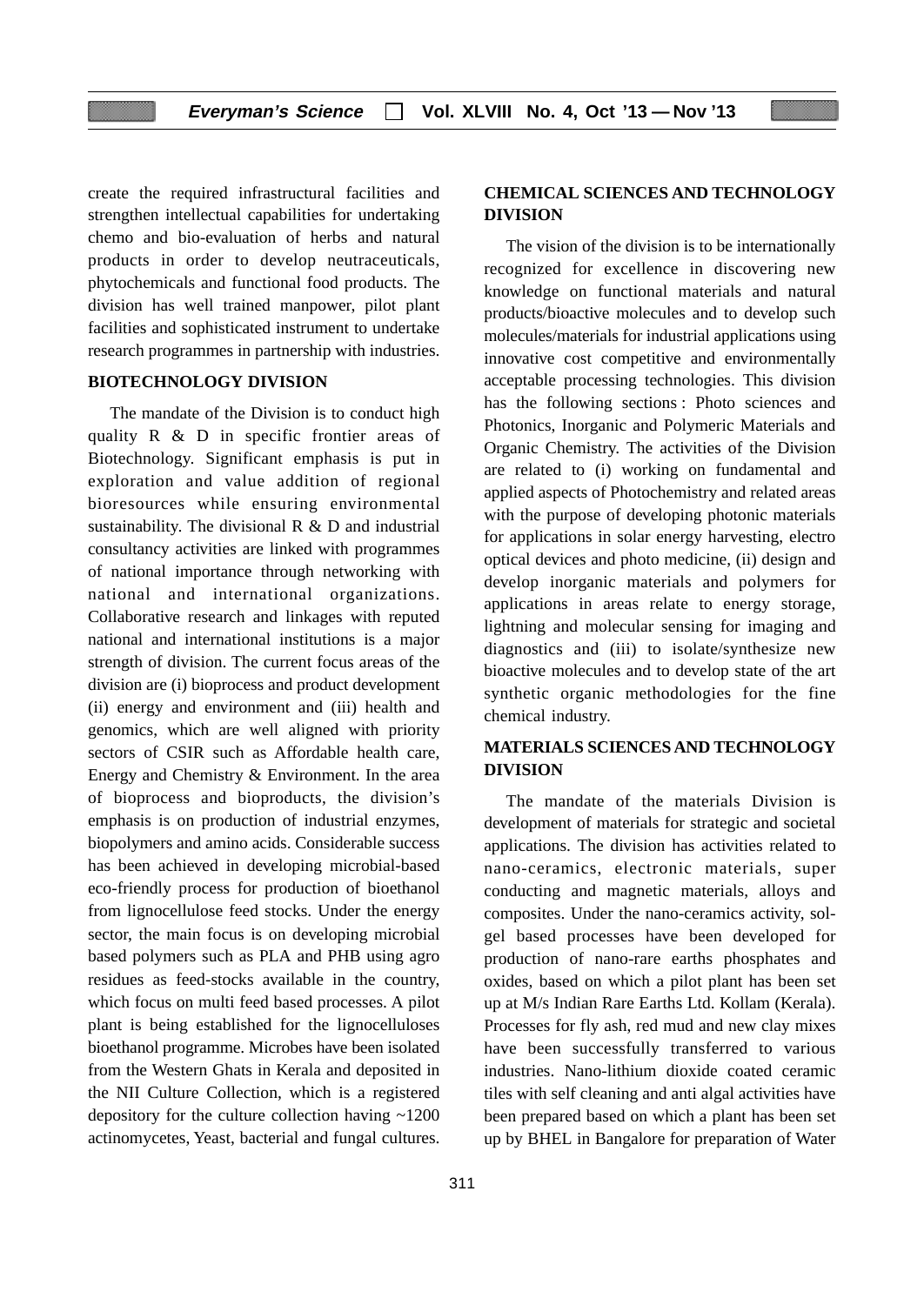create the required infrastructural facilities and strengthen intellectual capabilities for undertaking chemo and bio-evaluation of herbs and natural products in order to develop neutraceuticals, phytochemicals and functional food products. The division has well trained manpower, pilot plant facilities and sophisticated instrument to undertake research programmes in partnership with industries.

#### **BIOTECHNOLOGY DIVISION**

The mandate of the Division is to conduct high quality R & D in specific frontier areas of Biotechnology. Significant emphasis is put in exploration and value addition of regional bioresources while ensuring environmental sustainability. The divisional R & D and industrial consultancy activities are linked with programmes of national importance through networking with national and international organizations. Collaborative research and linkages with reputed national and international institutions is a major strength of division. The current focus areas of the division are (i) bioprocess and product development (ii) energy and environment and (iii) health and genomics, which are well aligned with priority sectors of CSIR such as Affordable health care, Energy and Chemistry & Environment. In the area of bioprocess and bioproducts, the division's emphasis is on production of industrial enzymes, biopolymers and amino acids. Considerable success has been achieved in developing microbial-based eco-friendly process for production of bioethanol from lignocellulose feed stocks. Under the energy sector, the main focus is on developing microbial based polymers such as PLA and PHB using agro residues as feed-stocks available in the country, which focus on multi feed based processes. A pilot plant is being established for the lignocelluloses bioethanol programme. Microbes have been isolated from the Western Ghats in Kerala and deposited in the NII Culture Collection, which is a registered depository for the culture collection having ~1200 actinomycetes, Yeast, bacterial and fungal cultures.

#### **CHEMICAL SCIENCES AND TECHNOLOGY DIVISION**

The vision of the division is to be internationally recognized for excellence in discovering new knowledge on functional materials and natural products/bioactive molecules and to develop such molecules/materials for industrial applications using innovative cost competitive and environmentally acceptable processing technologies. This division has the following sections : Photo sciences and Photonics, Inorganic and Polymeric Materials and Organic Chemistry. The activities of the Division are related to (i) working on fundamental and applied aspects of Photochemistry and related areas with the purpose of developing photonic materials for applications in solar energy harvesting, electro optical devices and photo medicine, (ii) design and develop inorganic materials and polymers for applications in areas relate to energy storage, lightning and molecular sensing for imaging and diagnostics and (iii) to isolate/synthesize new bioactive molecules and to develop state of the art synthetic organic methodologies for the fine chemical industry.

### **MATERIALS SCIENCES AND TECHNOLOGY DIVISION**

The mandate of the materials Division is development of materials for strategic and societal applications. The division has activities related to nano-ceramics, electronic materials, super conducting and magnetic materials, alloys and composites. Under the nano-ceramics activity, solgel based processes have been developed for production of nano-rare earths phosphates and oxides, based on which a pilot plant has been set up at M/s Indian Rare Earths Ltd. Kollam (Kerala). Processes for fly ash, red mud and new clay mixes have been successfully transferred to various industries. Nano-lithium dioxide coated ceramic tiles with self cleaning and anti algal activities have been prepared based on which a plant has been set up by BHEL in Bangalore for preparation of Water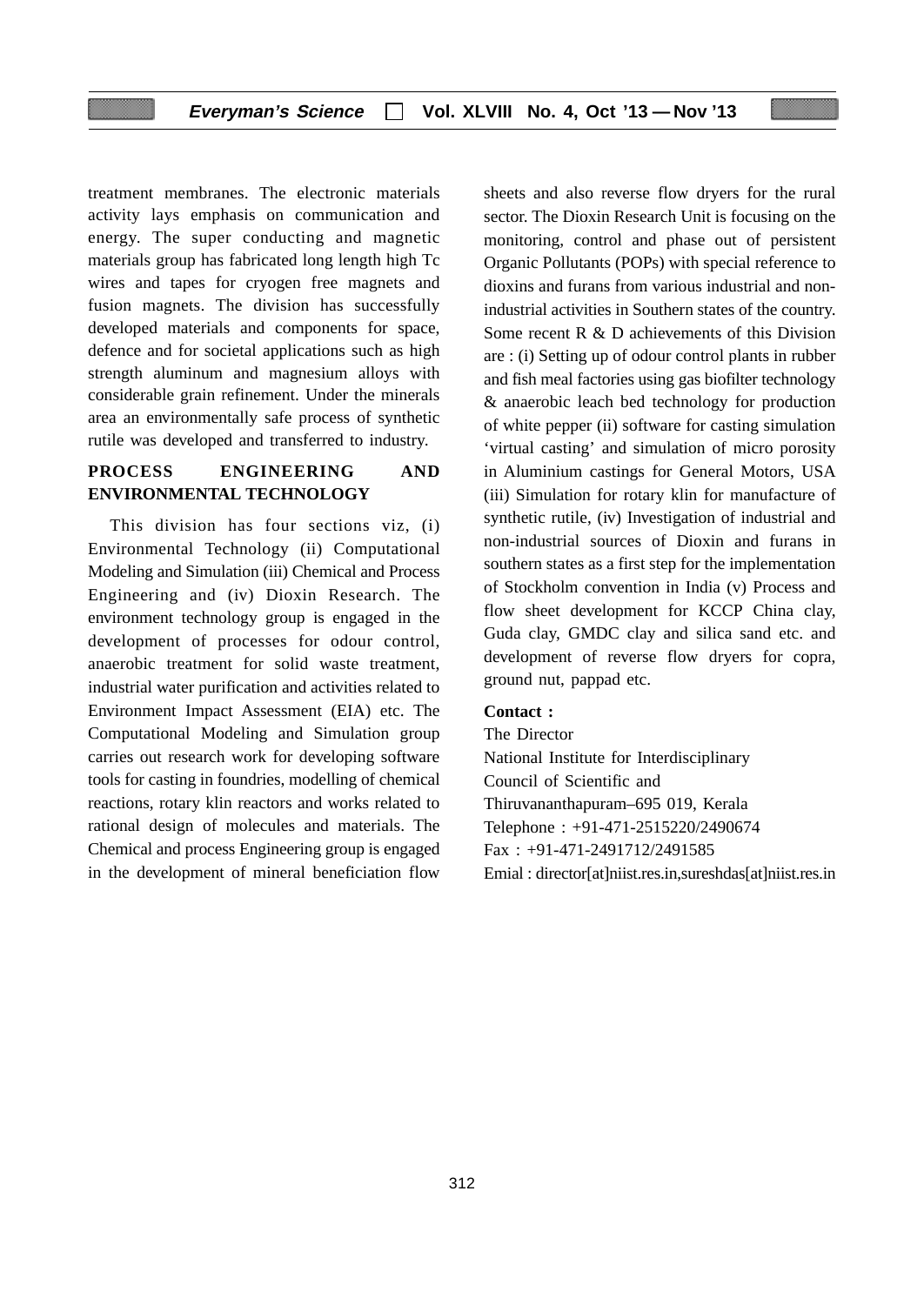#### **Everyman's Science Vol. XLVIII No. 4, Oct '13 — Nov '13**

treatment membranes. The electronic materials activity lays emphasis on communication and energy. The super conducting and magnetic materials group has fabricated long length high Tc wires and tapes for cryogen free magnets and fusion magnets. The division has successfully developed materials and components for space, defence and for societal applications such as high strength aluminum and magnesium alloys with considerable grain refinement. Under the minerals area an environmentally safe process of synthetic rutile was developed and transferred to industry.

#### **PROCESS ENGINEERING AND ENVIRONMENTAL TECHNOLOGY**

This division has four sections viz, (i) Environmental Technology (ii) Computational Modeling and Simulation (iii) Chemical and Process Engineering and (iv) Dioxin Research. The environment technology group is engaged in the development of processes for odour control, anaerobic treatment for solid waste treatment, industrial water purification and activities related to Environment Impact Assessment (EIA) etc. The Computational Modeling and Simulation group carries out research work for developing software tools for casting in foundries, modelling of chemical reactions, rotary klin reactors and works related to rational design of molecules and materials. The Chemical and process Engineering group is engaged in the development of mineral beneficiation flow

sheets and also reverse flow dryers for the rural sector. The Dioxin Research Unit is focusing on the monitoring, control and phase out of persistent Organic Pollutants (POPs) with special reference to dioxins and furans from various industrial and nonindustrial activities in Southern states of the country. Some recent R & D achievements of this Division are : (i) Setting up of odour control plants in rubber and fish meal factories using gas biofilter technology & anaerobic leach bed technology for production of white pepper (ii) software for casting simulation 'virtual casting' and simulation of micro porosity in Aluminium castings for General Motors, USA (iii) Simulation for rotary klin for manufacture of synthetic rutile, (iv) Investigation of industrial and non-industrial sources of Dioxin and furans in southern states as a first step for the implementation of Stockholm convention in India (v) Process and flow sheet development for KCCP China clay, Guda clay, GMDC clay and silica sand etc. and development of reverse flow dryers for copra, ground nut, pappad etc.

#### **Contact :**

The Director National Institute for Interdisciplinary Council of Scientific and Thiruvananthapuram–695 019, Kerala Telephone : +91-471-2515220/2490674 Fax : +91-471-2491712/2491585 Emial : director[at]niist.res.in,sureshdas[at]niist.res.in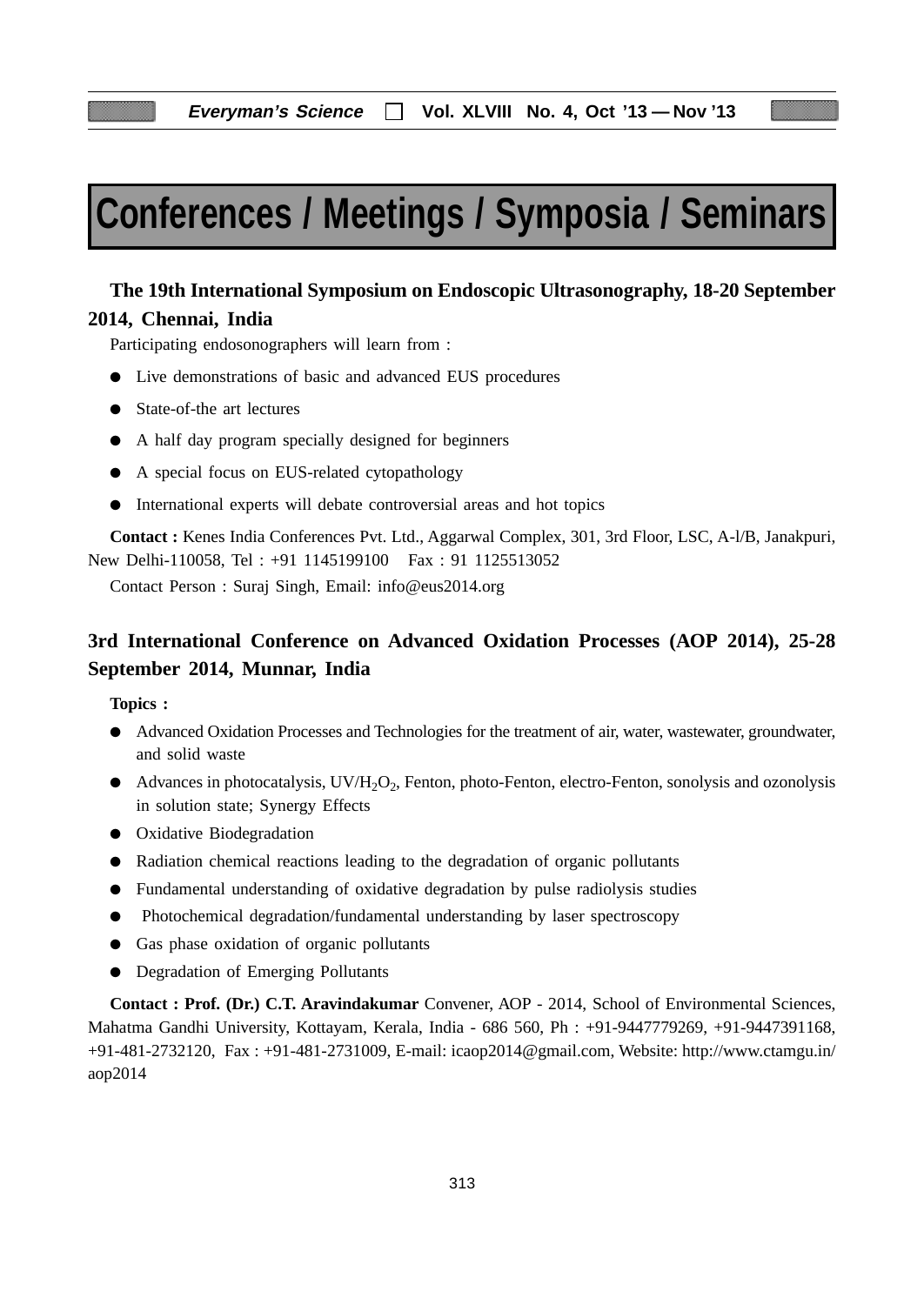# **Conferences / Meetings / Symposia / Seminars**

## **The 19th International Symposium on Endoscopic Ultrasonography, 18-20 September 2014, Chennai, India**

Participating endosonographers will learn from :

- Live demonstrations of basic and advanced EUS procedures
- State-of-the art lectures
- A half day program specially designed for beginners
- A special focus on EUS-related cytopathology
- International experts will debate controversial areas and hot topics

**Contact :** Kenes India Conferences Pvt. Ltd., Aggarwal Complex, 301, 3rd Floor, LSC, A-l/B, Janakpuri, New Delhi-110058, Tel : +91 1145199100 Fax : 91 1125513052

Contact Person : Suraj Singh, Email: info@eus2014.org

# **3rd International Conference on Advanced Oxidation Processes (AOP 2014), 25-28 September 2014, Munnar, India**

**Topics :**

- Advanced Oxidation Processes and Technologies for the treatment of air, water, wastewater, groundwater, and solid waste
- $\bullet$  Advances in photocatalysis, UV/H<sub>2</sub>O<sub>2</sub>, Fenton, photo-Fenton, electro-Fenton, sonolysis and ozonolysis in solution state; Synergy Effects
- Oxidative Biodegradation
- Radiation chemical reactions leading to the degradation of organic pollutants
- Fundamental understanding of oxidative degradation by pulse radiolysis studies
- Photochemical degradation/fundamental understanding by laser spectroscopy
- Gas phase oxidation of organic pollutants
- Degradation of Emerging Pollutants

**Contact : Prof. (Dr.) C.T. Aravindakumar** Convener, AOP - 2014, School of Environmental Sciences, Mahatma Gandhi University, Kottayam, Kerala, India - 686 560, Ph : +91-9447779269, +91-9447391168, +91-481-2732120, Fax : +91-481-2731009, E-mail: icaop2014@gmail.com, Website: http://www.ctamgu.in/ aop2014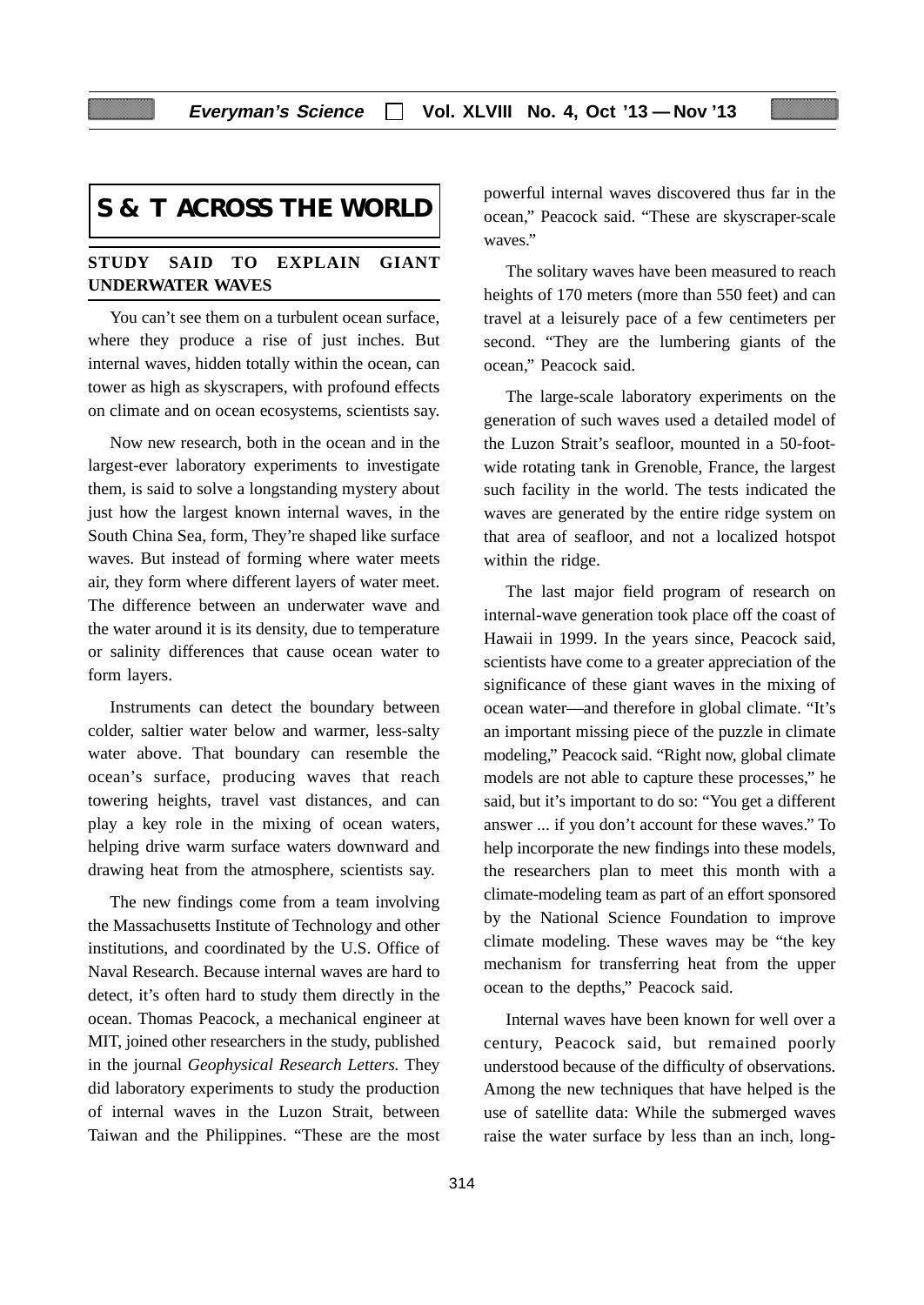# **S & T ACROSS THE WORLD**

#### **STUDY SAID TO EXPLAIN GIANT UNDERWATER WAVES**

You can't see them on a turbulent ocean surface, where they produce a rise of just inches. But internal waves, hidden totally within the ocean, can tower as high as skyscrapers, with profound effects on climate and on ocean ecosystems, scientists say.

Now new research, both in the ocean and in the largest-ever laboratory experiments to investigate them, is said to solve a longstanding mystery about just how the largest known internal waves, in the South China Sea, form, They're shaped like surface waves. But instead of forming where water meets air, they form where different layers of water meet. The difference between an underwater wave and the water around it is its density, due to temperature or salinity differences that cause ocean water to form layers.

Instruments can detect the boundary between colder, saltier water below and warmer, less-salty water above. That boundary can resemble the ocean's surface, producing waves that reach towering heights, travel vast distances, and can play a key role in the mixing of ocean waters, helping drive warm surface waters downward and drawing heat from the atmosphere, scientists say.

The new findings come from a team involving the Massachusetts Institute of Technology and other institutions, and coordinated by the U.S. Office of Naval Research. Because internal waves are hard to detect, it's often hard to study them directly in the ocean. Thomas Peacock, a mechanical engineer at MIT, joined other researchers in the study, published in the journal *Geophysical Research Letters.* They did laboratory experiments to study the production of internal waves in the Luzon Strait, between Taiwan and the Philippines. "These are the most powerful internal waves discovered thus far in the ocean," Peacock said. "These are skyscraper-scale waves."

The solitary waves have been measured to reach heights of 170 meters (more than 550 feet) and can travel at a leisurely pace of a few centimeters per second. "They are the lumbering giants of the ocean," Peacock said.

The large-scale laboratory experiments on the generation of such waves used a detailed model of the Luzon Strait's seafloor, mounted in a 50-footwide rotating tank in Grenoble, France, the largest such facility in the world. The tests indicated the waves are generated by the entire ridge system on that area of seafloor, and not a localized hotspot within the ridge.

The last major field program of research on internal-wave generation took place off the coast of Hawaii in 1999. In the years since, Peacock said, scientists have come to a greater appreciation of the significance of these giant waves in the mixing of ocean water—and therefore in global climate. "It's an important missing piece of the puzzle in climate modeling," Peacock said. "Right now, global climate models are not able to capture these processes," he said, but it's important to do so: "You get a different answer ... if you don't account for these waves." To help incorporate the new findings into these models, the researchers plan to meet this month with a climate-modeling team as part of an effort sponsored by the National Science Foundation to improve climate modeling. These waves may be "the key mechanism for transferring heat from the upper ocean to the depths," Peacock said.

Internal waves have been known for well over a century, Peacock said, but remained poorly understood because of the difficulty of observations. Among the new techniques that have helped is the use of satellite data: While the submerged waves raise the water surface by less than an inch, long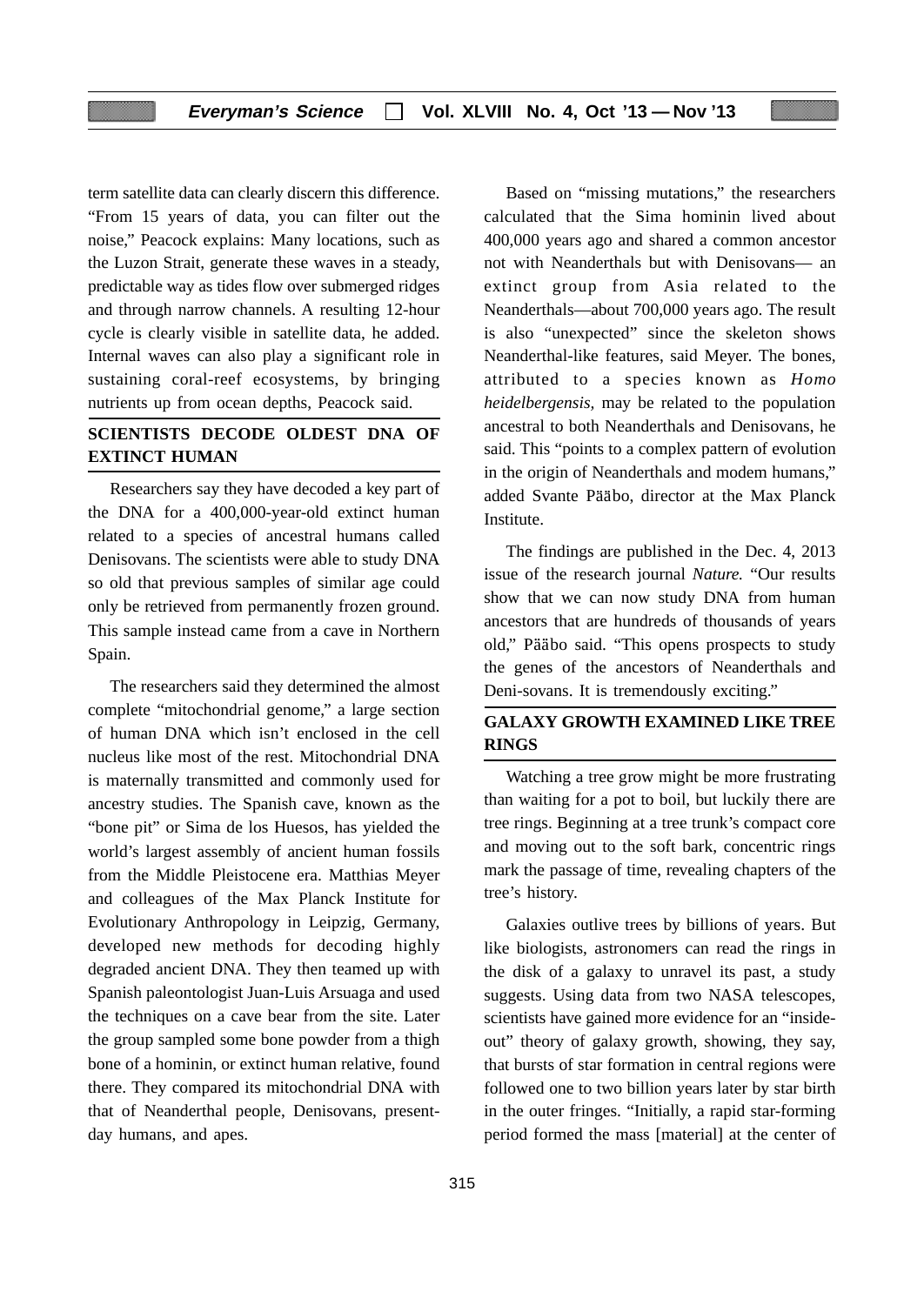term satellite data can clearly discern this difference. "From 15 years of data, you can filter out the noise," Peacock explains: Many locations, such as the Luzon Strait, generate these waves in a steady, predictable way as tides flow over submerged ridges and through narrow channels. A resulting 12-hour cycle is clearly visible in satellite data, he added. Internal waves can also play a significant role in sustaining coral-reef ecosystems, by bringing nutrients up from ocean depths, Peacock said.

### **SCIENTISTS DECODE OLDEST DNA OF EXTINCT HUMAN**

Researchers say they have decoded a key part of the DNA for a 400,000-year-old extinct human related to a species of ancestral humans called Denisovans. The scientists were able to study DNA so old that previous samples of similar age could only be retrieved from permanently frozen ground. This sample instead came from a cave in Northern Spain.

The researchers said they determined the almost complete "mitochondrial genome," a large section of human DNA which isn't enclosed in the cell nucleus like most of the rest. Mitochondrial DNA is maternally transmitted and commonly used for ancestry studies. The Spanish cave, known as the "bone pit" or Sima de los Huesos, has yielded the world's largest assembly of ancient human fossils from the Middle Pleistocene era. Matthias Meyer and colleagues of the Max Planck Institute for Evolutionary Anthropology in Leipzig, Germany, developed new methods for decoding highly degraded ancient DNA. They then teamed up with Spanish paleontologist Juan-Luis Arsuaga and used the techniques on a cave bear from the site. Later the group sampled some bone powder from a thigh bone of a hominin, or extinct human relative, found there. They compared its mitochondrial DNA with that of Neanderthal people, Denisovans, presentday humans, and apes.

Based on "missing mutations," the researchers calculated that the Sima hominin lived about 400,000 years ago and shared a common ancestor not with Neanderthals but with Denisovans— an extinct group from Asia related to the Neanderthals—about 700,000 years ago. The result is also "unexpected" since the skeleton shows Neanderthal-like features, said Meyer. The bones, attributed to a species known as *Homo heidelbergensis,* may be related to the population ancestral to both Neanderthals and Denisovans, he said. This "points to a complex pattern of evolution in the origin of Neanderthals and modem humans," added Svante Pääbo, director at the Max Planck **Institute** 

The findings are published in the Dec. 4, 2013 issue of the research journal *Nature.* "Our results show that we can now study DNA from human ancestors that are hundreds of thousands of years old," Pääbo said. "This opens prospects to study the genes of the ancestors of Neanderthals and Deni-sovans. It is tremendously exciting."

#### **GALAXY GROWTH EXAMINED LIKE TREE RINGS**

Watching a tree grow might be more frustrating than waiting for a pot to boil, but luckily there are tree rings. Beginning at a tree trunk's compact core and moving out to the soft bark, concentric rings mark the passage of time, revealing chapters of the tree's history.

Galaxies outlive trees by billions of years. But like biologists, astronomers can read the rings in the disk of a galaxy to unravel its past, a study suggests. Using data from two NASA telescopes, scientists have gained more evidence for an "insideout" theory of galaxy growth, showing, they say, that bursts of star formation in central regions were followed one to two billion years later by star birth in the outer fringes. "Initially, a rapid star-forming period formed the mass [material] at the center of